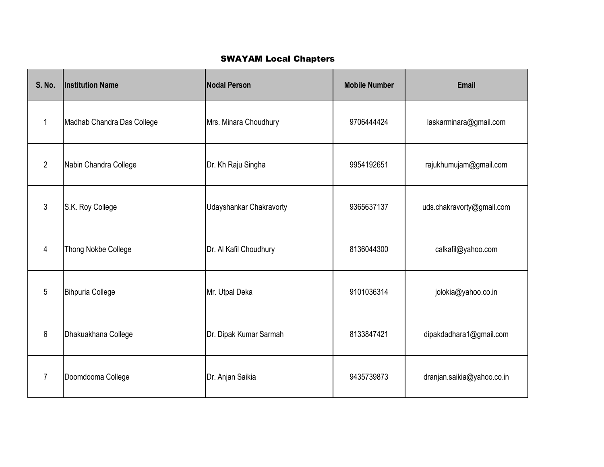## **SWAYAM Local Chapters**

| <b>S. No.</b>  | <b>Institution Name</b>    | <b>Nodal Person</b>     | <b>Mobile Number</b> | <b>Email</b>               |
|----------------|----------------------------|-------------------------|----------------------|----------------------------|
| $\mathbf 1$    | Madhab Chandra Das College | Mrs. Minara Choudhury   | 9706444424           | laskarminara@gmail.com     |
| $\overline{2}$ | Nabin Chandra College      | Dr. Kh Raju Singha      | 9954192651           | rajukhumujam@gmail.com     |
| $\mathfrak{Z}$ | S.K. Roy College           | Udayshankar Chakravorty | 9365637137           | uds.chakravorty@gmail.com  |
| 4              | <b>Thong Nokbe College</b> | Dr. Al Kafil Choudhury  | 8136044300           | calkafil@yahoo.com         |
| 5              | <b>Bihpuria College</b>    | Mr. Utpal Deka          | 9101036314           | jolokia@yahoo.co.in        |
| 6              | Dhakuakhana College        | Dr. Dipak Kumar Sarmah  | 8133847421           | dipakdadhara1@gmail.com    |
| $\overline{7}$ | Doomdooma College          | Dr. Anjan Saikia        | 9435739873           | dranjan.saikia@yahoo.co.in |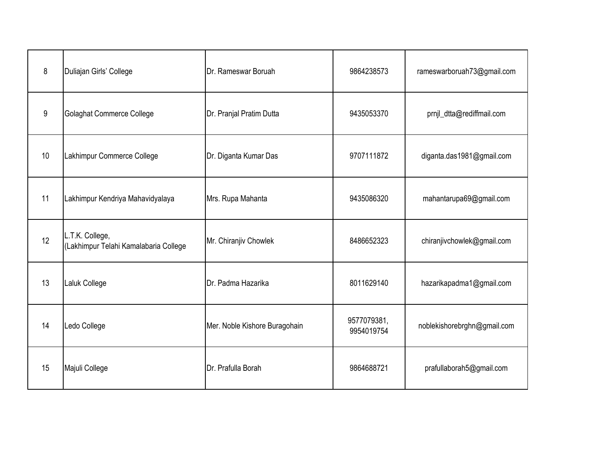| 8  | Duliajan Girls' College                                  | Dr. Rameswar Boruah           | 9864238573                | rameswarboruah73@gmail.com  |
|----|----------------------------------------------------------|-------------------------------|---------------------------|-----------------------------|
| 9  | Golaghat Commerce College                                | Dr. Pranjal Pratim Dutta      | 9435053370                | prnjl_dtta@rediffmail.com   |
| 10 | Lakhimpur Commerce College                               | Dr. Diganta Kumar Das         | 9707111872                | diganta.das1981@gmail.com   |
| 11 | Lakhimpur Kendriya Mahavidyalaya                         | Mrs. Rupa Mahanta             | 9435086320                | mahantarupa69@gmail.com     |
| 12 | L.T.K. College,<br>(Lakhimpur Telahi Kamalabaria College | Mr. Chiranjiv Chowlek         | 8486652323                | chiranjivchowlek@gmail.com  |
| 13 | Laluk College                                            | Dr. Padma Hazarika            | 8011629140                | hazarikapadma1@gmail.com    |
| 14 | Ledo College                                             | Mer. Noble Kishore Buragohain | 9577079381,<br>9954019754 | noblekishorebrghn@gmail.com |
| 15 | Majuli College                                           | Dr. Prafulla Borah            | 9864688721                | prafullaborah5@gmail.com    |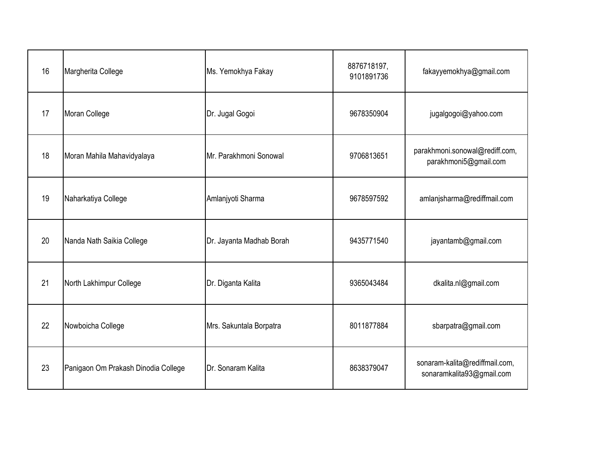| 16 | Margherita College                  | Ms. Yemokhya Fakay       | 8876718197,<br>9101891736 | fakayyemokhya@gmail.com                                     |
|----|-------------------------------------|--------------------------|---------------------------|-------------------------------------------------------------|
| 17 | Moran College                       | Dr. Jugal Gogoi          | 9678350904                | jugalgogoi@yahoo.com                                        |
| 18 | Moran Mahila Mahavidyalaya          | Mr. Parakhmoni Sonowal   | 9706813651                | parakhmoni.sonowal@rediff.com,<br>parakhmoni5@gmail.com     |
| 19 | Naharkatiya College                 | Amlanjyoti Sharma        | 9678597592                | amlanjsharma@rediffmail.com                                 |
| 20 | Nanda Nath Saikia College           | Dr. Jayanta Madhab Borah | 9435771540                | jayantamb@gmail.com                                         |
| 21 | North Lakhimpur College             | Dr. Diganta Kalita       | 9365043484                | dkalita.nl@gmail.com                                        |
| 22 | Nowboicha College                   | Mrs. Sakuntala Borpatra  | 8011877884                | sbarpatra@gmail.com                                         |
| 23 | Panigaon Om Prakash Dinodia College | Dr. Sonaram Kalita       | 8638379047                | sonaram-kalita@rediffmail.com,<br>sonaramkalita93@gmail.com |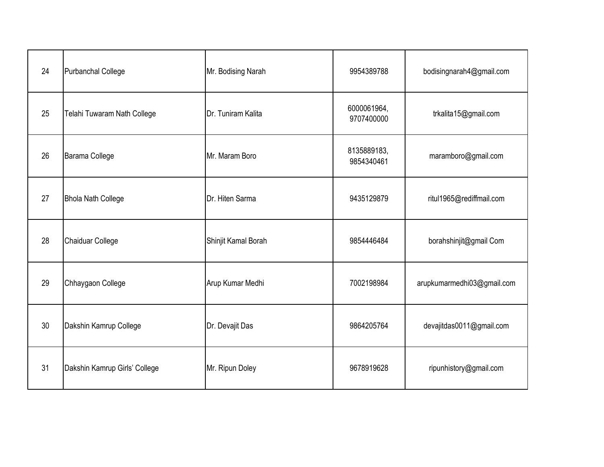| 24 | <b>Purbanchal College</b>     | Mr. Bodising Narah  | 9954389788                | bodisingnarah4@gmail.com   |
|----|-------------------------------|---------------------|---------------------------|----------------------------|
| 25 | Telahi Tuwaram Nath College   | Dr. Tuniram Kalita  | 6000061964,<br>9707400000 | trkalita15@gmail.com       |
| 26 | <b>Barama College</b>         | Mr. Maram Boro      | 8135889183,<br>9854340461 | maramboro@gmail.com        |
| 27 | <b>Bhola Nath College</b>     | Dr. Hiten Sarma     | 9435129879                | ritul1965@rediffmail.com   |
| 28 | Chaiduar College              | Shinjit Kamal Borah | 9854446484                | borahshinjit@gmail Com     |
| 29 | Chhaygaon College             | Arup Kumar Medhi    | 7002198984                | arupkumarmedhi03@gmail.com |
| 30 | Dakshin Kamrup College        | Dr. Devajit Das     | 9864205764                | devajitdas0011@gmail.com   |
| 31 | Dakshin Kamrup Girls' College | Mr. Ripun Doley     | 9678919628                | ripunhistory@gmail.com     |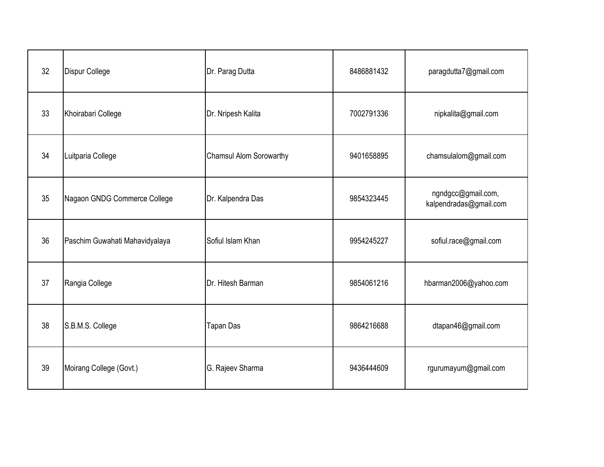| 32 | Dispur College                 | Dr. Parag Dutta                | 8486881432 | paragdutta7@gmail.com                        |
|----|--------------------------------|--------------------------------|------------|----------------------------------------------|
| 33 | Khoirabari College             | Dr. Nripesh Kalita             | 7002791336 | nipkalita@gmail.com                          |
| 34 | Luitparia College              | <b>Chamsul Alom Sorowarthy</b> | 9401658895 | chamsulalom@gmail.com                        |
| 35 | Nagaon GNDG Commerce College   | Dr. Kalpendra Das              | 9854323445 | ngndgcc@gmail.com,<br>kalpendradas@gmail.com |
| 36 | Paschim Guwahati Mahavidyalaya | Sofiul Islam Khan              | 9954245227 | sofiul.race@gmail.com                        |
| 37 | Rangia College                 | Dr. Hitesh Barman              | 9854061216 | hbarman2006@yahoo.com                        |
| 38 | S.B.M.S. College               | <b>Tapan Das</b>               | 9864216688 | dtapan46@gmail.com                           |
| 39 | Moirang College (Govt.)        | G. Rajeev Sharma               | 9436444609 | rgurumayum@gmail.com                         |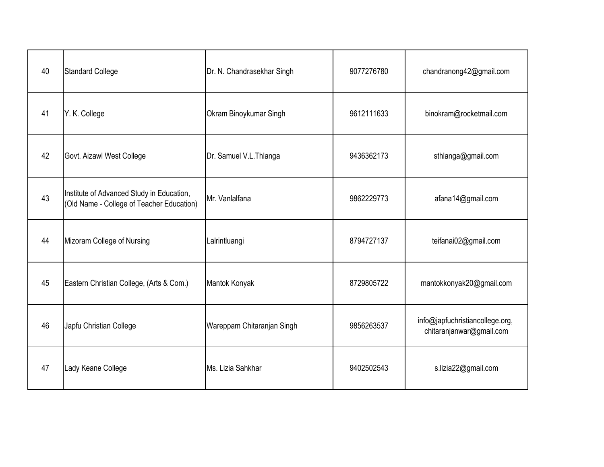| 40 | <b>Standard College</b>                                                                | Dr. N. Chandrasekhar Singh | 9077276780 | chandranong42@gmail.com                                     |
|----|----------------------------------------------------------------------------------------|----------------------------|------------|-------------------------------------------------------------|
| 41 | Y. K. College                                                                          | Okram Binoykumar Singh     | 9612111633 | binokram@rocketmail.com                                     |
| 42 | Govt. Aizawl West College                                                              | Dr. Samuel V.L.Thlanga     | 9436362173 | sthlanga@gmail.com                                          |
| 43 | Institute of Advanced Study in Education,<br>(Old Name - College of Teacher Education) | Mr. Vanlalfana             | 9862229773 | afana14@gmail.com                                           |
| 44 | Mizoram College of Nursing                                                             | Lalrintluangi              | 8794727137 | teifanai02@gmail.com                                        |
| 45 | Eastern Christian College, (Arts & Com.)                                               | Mantok Konyak              | 8729805722 | mantokkonyak20@gmail.com                                    |
| 46 | Japfu Christian College                                                                | Wareppam Chitaranjan Singh | 9856263537 | info@japfuchristiancollege.org,<br>chitaranjanwar@gmail.com |
| 47 | Lady Keane College                                                                     | Ms. Lizia Sahkhar          | 9402502543 | s.lizia22@gmail.com                                         |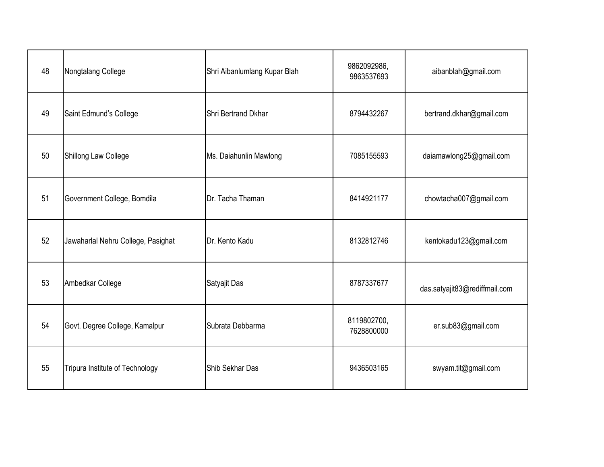| 48 | Nongtalang College                 | Shri Aibanlumlang Kupar Blah | 9862092986,<br>9863537693 | aibanblah@gmail.com           |
|----|------------------------------------|------------------------------|---------------------------|-------------------------------|
| 49 | Saint Edmund's College             | Shri Bertrand Dkhar          | 8794432267                | bertrand.dkhar@gmail.com      |
| 50 | Shillong Law College               | Ms. Daiahunlin Mawlong       | 7085155593                | daiamawlong25@gmail.com       |
| 51 | Government College, Bomdila        | Dr. Tacha Thaman             | 8414921177                | chowtacha007@gmail.com        |
| 52 | Jawaharlal Nehru College, Pasighat | Dr. Kento Kadu               | 8132812746                | kentokadu123@gmail.com        |
| 53 | Ambedkar College                   | Satyajit Das                 | 8787337677                | das.satyajit83@rediffmail.com |
| 54 | Govt. Degree College, Kamalpur     | Subrata Debbarma             | 8119802700,<br>7628800000 | er.sub83@gmail.com            |
| 55 | Tripura Institute of Technology    | Shib Sekhar Das              | 9436503165                | swyam.tit@gmail.com           |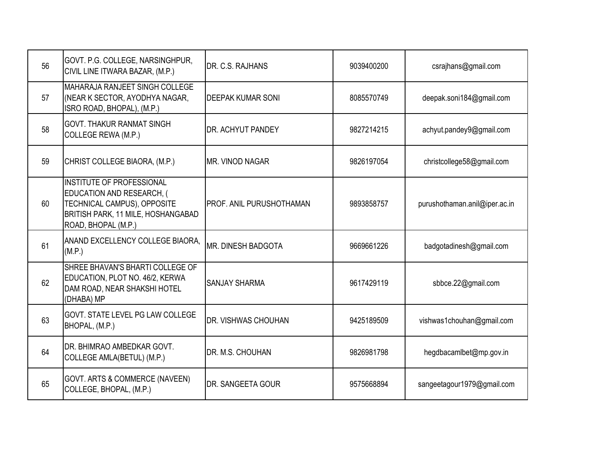| 56 | GOVT. P.G. COLLEGE, NARSINGHPUR,<br>CIVIL LINE ITWARA BAZAR, (M.P.)                                                                                       | IDR. C.S. RAJHANS          | 9039400200 | csrajhans@gmail.com           |
|----|-----------------------------------------------------------------------------------------------------------------------------------------------------------|----------------------------|------------|-------------------------------|
| 57 | <b>MAHARAJA RANJEET SINGH COLLEGE</b><br>(NEAR K SECTOR, AYODHYA NAGAR,<br>ISRO ROAD, BHOPAL), (M.P.)                                                     | IDEEPAK KUMAR SONI         | 8085570749 | deepak.soni184@gmail.com      |
| 58 | <b>GOVT. THAKUR RANMAT SINGH</b><br>COLLEGE REWA (M.P.)                                                                                                   | DR. ACHYUT PANDEY          | 9827214215 | achyut.pandey9@gmail.com      |
| 59 | CHRIST COLLEGE BIAORA, (M.P.)                                                                                                                             | MR. VINOD NAGAR            | 9826197054 | christcollege58@gmail.com     |
| 60 | INSTITUTE OF PROFESSIONAL<br><b>EDUCATION AND RESEARCH, (</b><br>TECHNICAL CAMPUS), OPPOSITE<br>BRITISH PARK, 11 MILE, HOSHANGABAD<br>ROAD, BHOPAL (M.P.) | IPROF. ANIL PURUSHOTHAMAN  | 9893858757 | purushothaman.anil@iper.ac.in |
| 61 | ANAND EXCELLENCY COLLEGE BIAORA,<br>(M.P.)                                                                                                                | <b>IMR. DINESH BADGOTA</b> | 9669661226 | badgotadinesh@gmail.com       |
| 62 | SHREE BHAVAN'S BHARTI COLLEGE OF<br>EDUCATION, PLOT NO. 46/2, KERWA<br>DAM ROAD, NEAR SHAKSHI HOTEL<br>(DHABA) MP                                         | <b>SANJAY SHARMA</b>       | 9617429119 | sbbce.22@gmail.com            |
| 63 | <b>GOVT. STATE LEVEL PG LAW COLLEGE</b><br>BHOPAL, (M.P.)                                                                                                 | <b>DR. VISHWAS CHOUHAN</b> | 9425189509 | vishwas1chouhan@gmail.com     |
| 64 | <b>IDR. BHIMRAO AMBEDKAR GOVT.</b><br>COLLEGE AMLA(BETUL) (M.P.)                                                                                          | <b>IDR. M.S. CHOUHAN</b>   | 9826981798 | hegdbacamlbet@mp.gov.in       |
| 65 | GOVT. ARTS & COMMERCE (NAVEEN)<br>COLLEGE, BHOPAL, (M.P.)                                                                                                 | DR. SANGEETA GOUR          | 9575668894 | sangeetagour1979@gmail.com    |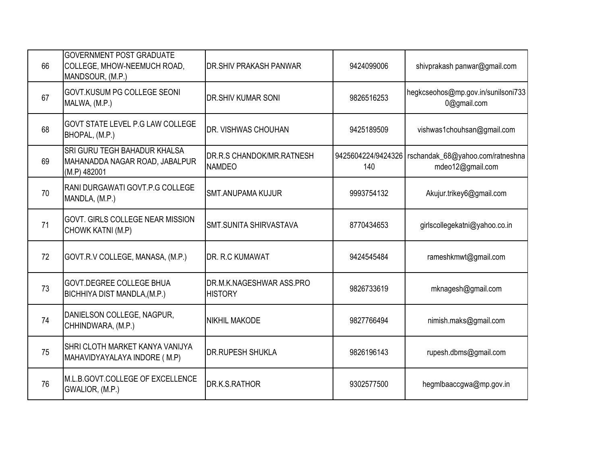| 66 | <b>GOVERNMENT POST GRADUATE</b><br>COLLEGE, MHOW-NEEMUCH ROAD,<br>MANDSOUR, (M.P.) | DR. SHIV PRAKASH PANWAR                    | 9424099006                | shivprakash panwar@gmail.com                         |
|----|------------------------------------------------------------------------------------|--------------------------------------------|---------------------------|------------------------------------------------------|
| 67 | GOVT.KUSUM PG COLLEGE SEONI<br>MALWA, (M.P.)                                       | <b>DR.SHIV KUMAR SONI</b>                  | 9826516253                | hegkcseohos@mp.gov.in/sunilsoni733<br>0@gmail.com    |
| 68 | GOVT STATE LEVEL P.G LAW COLLEGE<br>BHOPAL, (M.P.)                                 | DR. VISHWAS CHOUHAN                        | 9425189509                | vishwas1chouhsan@gmail.com                           |
| 69 | SRI GURU TEGH BAHADUR KHALSA<br>MAHANADDA NAGAR ROAD, JABALPUR<br>(M.P) 482001     | DR.R.S CHANDOK/MR.RATNESH<br><b>NAMDEO</b> | 9425604224/9424326<br>140 | rschandak_68@yahoo.com/ratneshna<br>mdeo12@gmail.com |
| 70 | RANI DURGAWATI GOVT.P.G COLLEGE<br>MANDLA, (M.P.)                                  | <b>SMT.ANUPAMA KUJUR</b>                   | 9993754132                | Akujur.trikey6@gmail.com                             |
| 71 | GOVT. GIRLS COLLEGE NEAR MISSION<br>CHOWK KATNI (M.P)                              | SMT.SUNITA SHIRVASTAVA                     | 8770434653                | girlscollegekatni@yahoo.co.in                        |
| 72 | GOVT.R.V COLLEGE, MANASA, (M.P.)                                                   | DR. R.C KUMAWAT                            | 9424545484                | rameshkmwt@gmail.com                                 |
| 73 | <b>GOVT.DEGREE COLLEGE BHUA</b><br>BICHHIYA DIST MANDLA, (M.P.)                    | DR.M.K.NAGESHWAR ASS.PRO<br><b>HISTORY</b> | 9826733619                | mknagesh@gmail.com                                   |
| 74 | DANIELSON COLLEGE, NAGPUR,<br>CHHINDWARA, (M.P.)                                   | <b>NIKHIL MAKODE</b>                       | 9827766494                | nimish.maks@gmail.com                                |
| 75 | SHRI CLOTH MARKET KANYA VANIJYA<br>MAHAVIDYAYALAYA INDORE (M.P)                    | <b>DR.RUPESH SHUKLA</b>                    | 9826196143                | rupesh.dbms@gmail.com                                |
| 76 | M.L.B.GOVT.COLLEGE OF EXCELLENCE<br>GWALIOR, (M.P.)                                | DR.K.S.RATHOR                              | 9302577500                | hegmlbaaccgwa@mp.gov.in                              |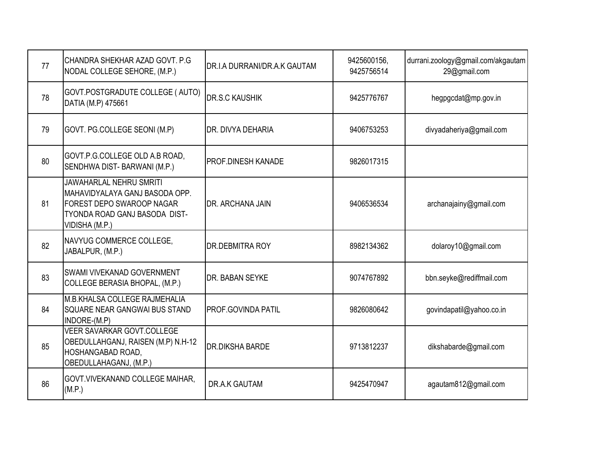| 77 | CHANDRA SHEKHAR AZAD GOVT. P.G.<br>NODAL COLLEGE SEHORE, (M.P.)                                                                                  | DR.I.A DURRANI/DR.A.K GAUTAM | 9425600156,<br>9425756514 | durrani.zoology@gmail.com/akgautam<br>29@gmail.com |
|----|--------------------------------------------------------------------------------------------------------------------------------------------------|------------------------------|---------------------------|----------------------------------------------------|
| 78 | GOVT.POSTGRADUTE COLLEGE (AUTO)<br>DATIA (M.P) 475661                                                                                            | <b>DR.S.C KAUSHIK</b>        | 9425776767                | hegpgcdat@mp.gov.in                                |
| 79 | GOVT. PG.COLLEGE SEONI (M.P)                                                                                                                     | DR. DIVYA DEHARIA            | 9406753253                | divyadaheriya@gmail.com                            |
| 80 | GOVT.P.G.COLLEGE OLD A.B ROAD,<br>SENDHWA DIST-BARWANI (M.P.)                                                                                    | PROF.DINESH KANADE           | 9826017315                |                                                    |
| 81 | <b>JAWAHARLAL NEHRU SMRITI</b><br>MAHAVIDYALAYA GANJ BASODA OPP.<br>FOREST DEPO SWAROOP NAGAR<br>TYONDA ROAD GANJ BASODA DIST-<br>VIDISHA (M.P.) | DR. ARCHANA JAIN             | 9406536534                | archanajainy@gmail.com                             |
| 82 | NAVYUG COMMERCE COLLEGE,<br>JABALPUR, (M.P.)                                                                                                     | DR.DEBMITRA ROY              | 8982134362                | dolaroy10@gmail.com                                |
| 83 | SWAMI VIVEKANAD GOVERNMENT<br>COLLEGE BERASIA BHOPAL, (M.P.)                                                                                     | DR. BABAN SEYKE              | 9074767892                | bbn.seyke@rediffmail.com                           |
| 84 | <b>M.B.KHALSA COLLEGE RAJMEHALIA</b><br>SQUARE NEAR GANGWAI BUS STAND<br>INDORE-(M.P)                                                            | PROF.GOVINDA PATIL           | 9826080642                | govindapatil@yahoo.co.in                           |
| 85 | <b>VEER SAVARKAR GOVT.COLLEGE</b><br>OBEDULLAHGANJ, RAISEN (M.P) N.H-12<br>HOSHANGABAD ROAD,<br>OBEDULLAHAGANJ, (M.P.)                           | <b>DR.DIKSHA BARDE</b>       | 9713812237                | dikshabarde@gmail.com                              |
| 86 | GOVT. VIVEKANAND COLLEGE MAIHAR,<br>(M.P.)                                                                                                       | DR.A.K GAUTAM                | 9425470947                | agautam812@gmail.com                               |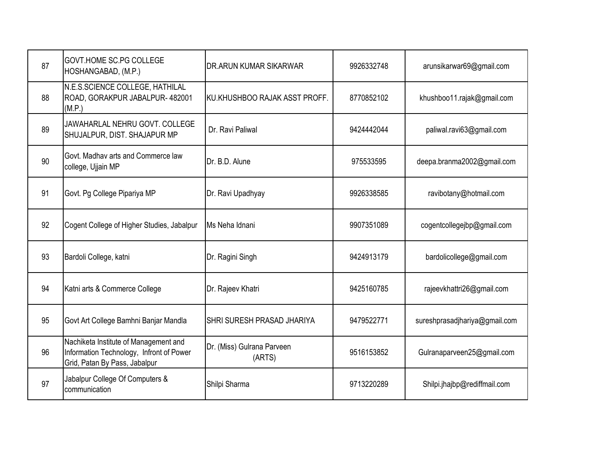| 87 | <b>GOVT.HOME SC.PG COLLEGE</b><br>HOSHANGABAD, (M.P.)                                                              | DR.ARUN KUMAR SIKARWAR               | 9926332748 | arunsikarwar69@gmail.com      |
|----|--------------------------------------------------------------------------------------------------------------------|--------------------------------------|------------|-------------------------------|
| 88 | N.E.S.SCIENCE COLLEGE, HATHILAL<br>ROAD, GORAKPUR JABALPUR-482001<br>(M.P.)                                        | KU.KHUSHBOO RAJAK ASST PROFF.        | 8770852102 | khushboo11.rajak@gmail.com    |
| 89 | JAWAHARLAL NEHRU GOVT, COLLEGE<br>SHUJALPUR, DIST. SHAJAPUR MP                                                     | Dr. Ravi Paliwal                     | 9424442044 | paliwal.ravi63@gmail.com      |
| 90 | Govt. Madhav arts and Commerce law<br>college, Ujjain MP                                                           | Dr. B.D. Alune                       | 975533595  | deepa.branma2002@gmail.com    |
| 91 | Govt. Pg College Pipariya MP                                                                                       | Dr. Ravi Upadhyay                    | 9926338585 | ravibotany@hotmail.com        |
| 92 | Cogent College of Higher Studies, Jabalpur                                                                         | Ms Neha Idnani                       | 9907351089 | cogentcollegejbp@gmail.com    |
| 93 | Bardoli College, katni                                                                                             | Dr. Ragini Singh                     | 9424913179 | bardolicollege@gmail.com      |
| 94 | Katni arts & Commerce College                                                                                      | Dr. Rajeev Khatri                    | 9425160785 | rajeevkhattri26@gmail.com     |
| 95 | Govt Art College Bamhni Banjar Mandla                                                                              | SHRI SURESH PRASAD JHARIYA           | 9479522771 | sureshprasadjhariya@gmail.com |
| 96 | Nachiketa Institute of Management and<br>Information Technology, Infront of Power<br>Grid, Patan By Pass, Jabalpur | Dr. (Miss) Gulrana Parveen<br>(ARTS) | 9516153852 | Gulranaparveen25@gmail.com    |
| 97 | Jabalpur College Of Computers &<br>communication                                                                   | Shilpi Sharma                        | 9713220289 | Shilpi.jhajbp@rediffmail.com  |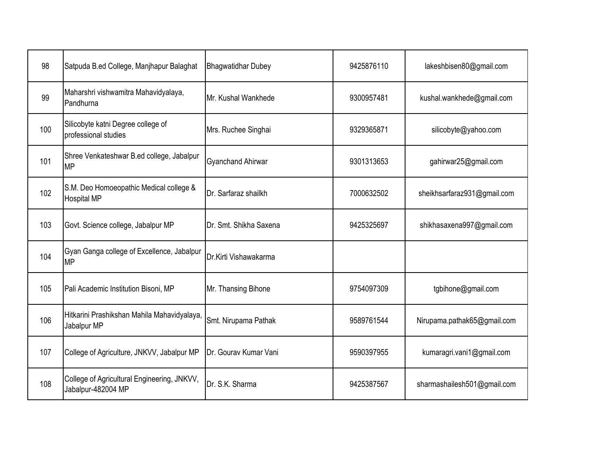| 98  | Satpuda B.ed College, Manjhapur Balaghat                          | <b>Bhagwatidhar Dubey</b> | 9425876110 | lakeshbisen80@gmail.com     |
|-----|-------------------------------------------------------------------|---------------------------|------------|-----------------------------|
| 99  | Maharshri vishwamitra Mahavidyalaya,<br>Pandhurna                 | Mr. Kushal Wankhede       | 9300957481 | kushal.wankhede@gmail.com   |
| 100 | Silicobyte katni Degree college of<br>professional studies        | Mrs. Ruchee Singhai       | 9329365871 | silicobyte@yahoo.com        |
| 101 | Shree Venkateshwar B.ed college, Jabalpur<br><b>MP</b>            | <b>Gyanchand Ahirwar</b>  | 9301313653 | gahirwar25@gmail.com        |
| 102 | S.M. Deo Homoeopathic Medical college &<br><b>Hospital MP</b>     | Dr. Sarfaraz shailkh      | 7000632502 | sheikhsarfaraz931@gmail.com |
| 103 | Govt. Science college, Jabalpur MP                                | Dr. Smt. Shikha Saxena    | 9425325697 | shikhasaxena997@gmail.com   |
| 104 | Gyan Ganga college of Excellence, Jabalpur<br><b>MP</b>           | Dr.Kirti Vishawakarma     |            |                             |
| 105 | Pali Academic Institution Bisoni, MP                              | Mr. Thansing Bihone       | 9754097309 | tgbihone@gmail.com          |
| 106 | Hitkarini Prashikshan Mahila Mahavidyalaya,<br>Jabalpur MP        | Smt. Nirupama Pathak      | 9589761544 | Nirupama.pathak65@gmail.com |
| 107 | College of Agriculture, JNKVV, Jabalpur MP                        | Dr. Gourav Kumar Vani     | 9590397955 | kumaragri.vani1@gmail.com   |
| 108 | College of Agricultural Engineering, JNKVV,<br>Jabalpur-482004 MP | Dr. S.K. Sharma           | 9425387567 | sharmashailesh501@gmail.com |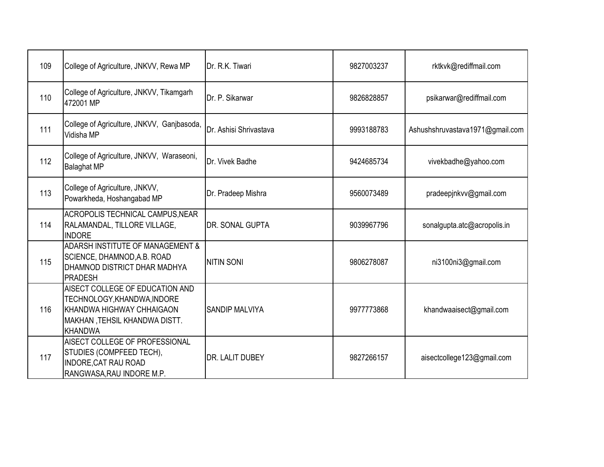| 109 | College of Agriculture, JNKVV, Rewa MP                                                                                                         | Dr. R.K. Tiwari        | 9827003237 | rktkvk@rediffmail.com           |
|-----|------------------------------------------------------------------------------------------------------------------------------------------------|------------------------|------------|---------------------------------|
| 110 | College of Agriculture, JNKVV, Tikamgarh<br>472001 MP                                                                                          | Dr. P. Sikarwar        | 9826828857 | psikarwar@rediffmail.com        |
| 111 | College of Agriculture, JNKVV, Ganjbasoda,<br>Vidisha MP                                                                                       | Dr. Ashisi Shrivastava | 9993188783 | Ashushshruvastava1971@gmail.com |
| 112 | College of Agriculture, JNKVV, Waraseoni,<br><b>Balaghat MP</b>                                                                                | Dr. Vivek Badhe        | 9424685734 | vivekbadhe@yahoo.com            |
| 113 | College of Agriculture, JNKVV,<br>Powarkheda, Hoshangabad MP                                                                                   | Dr. Pradeep Mishra     | 9560073489 | pradeepjnkvv@gmail.com          |
| 114 | ACROPOLIS TECHNICAL CAMPUS, NEAR<br>RALAMANDAL, TILLORE VILLAGE,<br><b>INDORE</b>                                                              | <b>DR. SONAL GUPTA</b> | 9039967796 | sonalgupta.atc@acropolis.in     |
| 115 | ADARSH INSTITUTE OF MANAGEMENT &<br>SCIENCE, DHAMNOD, A.B. ROAD<br>DHAMNOD DISTRICT DHAR MADHYA<br><b>PRADESH</b>                              | <b>NITIN SONI</b>      | 9806278087 | ni3100ni3@gmail.com             |
| 116 | AISECT COLLEGE OF EDUCATION AND<br>TECHNOLOGY, KHANDWA, INDORE<br>KHANDWA HIGHWAY CHHAIGAON<br>MAKHAN ,TEHSIL KHANDWA DISTT.<br><b>KHANDWA</b> | <b>SANDIP MALVIYA</b>  | 9977773868 | khandwaaisect@gmail.com         |
| 117 | AISECT COLLEGE OF PROFESSIONAL<br>STUDIES (COMPFEED TECH),<br>INDORE, CAT RAU ROAD<br>RANGWASA, RAU INDORE M.P.                                | <b>DR. LALIT DUBEY</b> | 9827266157 | aisectcollege123@gmail.com      |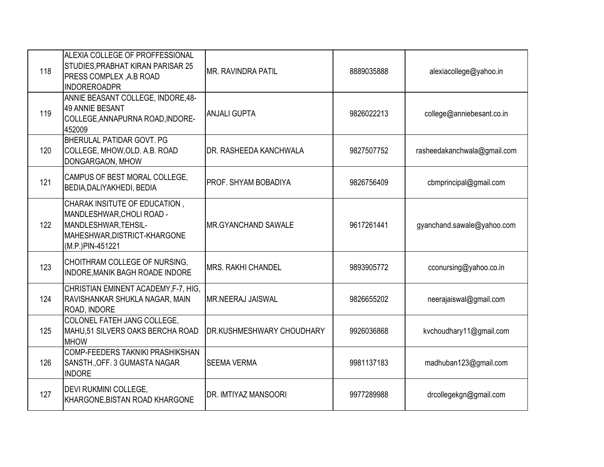| 118 | ALEXIA COLLEGE OF PROFFESSIONAL<br>STUDIES, PRABHAT KIRAN PARISAR 25<br><b>PRESS COMPLEX, A.B ROAD</b><br>INDOREROADPR                 | <b>MR. RAVINDRA PATIL</b>  | 8889035888 | alexiacollege@yahoo.in      |
|-----|----------------------------------------------------------------------------------------------------------------------------------------|----------------------------|------------|-----------------------------|
| 119 | ANNIE BEASANT COLLEGE, INDORE,48-<br>49 ANNIE BESANT<br>COLLEGE, ANNAPURNA ROAD, INDORE-<br>452009                                     | <b>ANJALI GUPTA</b>        | 9826022213 | college@anniebesant.co.in   |
| 120 | BHERULAL PATIDAR GOVT, PG<br>COLLEGE, MHOW, OLD. A.B. ROAD<br>DONGARGAON, MHOW                                                         | DR. RASHEEDA KANCHWALA     | 9827507752 | rasheedakanchwala@gmail.com |
| 121 | CAMPUS OF BEST MORAL COLLEGE,<br><b>BEDIA, DALIYAKHEDI, BEDIA</b>                                                                      | PROF. SHYAM BOBADIYA       | 9826756409 | cbmprincipal@gmail.com      |
| 122 | CHARAK INSITUTE OF EDUCATION,<br>MANDLESHWAR, CHOLI ROAD -<br>MANDLESHWAR, TEHSIL-<br>MAHESHWAR, DISTRICT-KHARGONE<br>(M.P.)PIN-451221 | <b>MR.GYANCHAND SAWALE</b> | 9617261441 | gyanchand.sawale@yahoo.com  |
| 123 | CHOITHRAM COLLEGE OF NURSING,<br><b>INDORE, MANIK BAGH ROADE INDORE</b>                                                                | <b>MRS. RAKHI CHANDEL</b>  | 9893905772 | cconursing@yahoo.co.in      |
| 124 | CHRISTIAN EMINENT ACADEMY, F-7, HIG,<br>RAVISHANKAR SHUKLA NAGAR, MAIN<br>ROAD, INDORE                                                 | <b>MR.NEERAJ JAISWAL</b>   | 9826655202 | neerajaiswal@gmail.com      |
| 125 | COLONEL FATEH JANG COLLEGE.<br>MAHU,51 SILVERS OAKS BERCHA ROAD<br><b>MHOW</b>                                                         | DR.KUSHMESHWARY CHOUDHARY  | 9926036868 | kvchoudhary11@gmail.com     |
| 126 | COMP-FEEDERS TAKNIKI PRASHIKSHAN<br>SANSTH., OFF. 3 GUMASTA NAGAR<br><b>INDORE</b>                                                     | <b>SEEMA VERMA</b>         | 9981137183 | madhuban123@gmail.com       |
| 127 | <b>DEVI RUKMINI COLLEGE,</b><br>KHARGONE, BISTAN ROAD KHARGONE                                                                         | DR. IMTIYAZ MANSOORI       | 9977289988 | drcollegekgn@gmail.com      |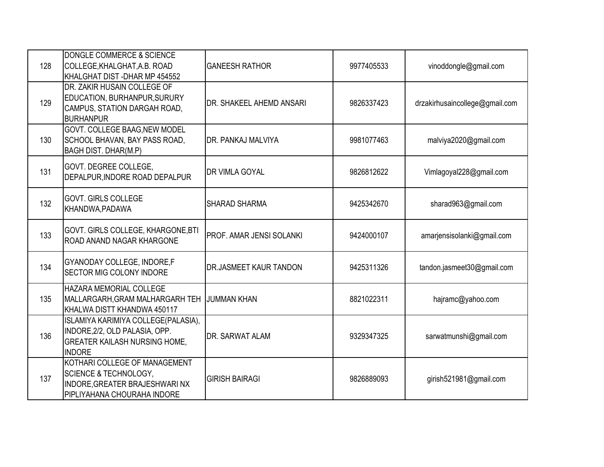| 128 | DONGLE COMMERCE & SCIENCE<br>COLLEGE, KHALGHAT, A.B. ROAD<br>KHALGHAT DIST-DHAR MP 454552                                          | <b>GANEESH RATHOR</b>    | 9977405533 | vinoddongle@gmail.com          |
|-----|------------------------------------------------------------------------------------------------------------------------------------|--------------------------|------------|--------------------------------|
| 129 | DR. ZAKIR HUSAIN COLLEGE OF<br>EDUCATION, BURHANPUR, SURURY<br>CAMPUS, STATION DARGAH ROAD,<br><b>BURHANPUR</b>                    | DR. SHAKEEL AHEMD ANSARI | 9826337423 | drzakirhusaincollege@gmail.com |
| 130 | GOVT. COLLEGE BAAG, NEW MODEL<br>SCHOOL BHAVAN, BAY PASS ROAD,<br><b>BAGH DIST. DHAR(M.P)</b>                                      | DR. PANKAJ MALVIYA       | 9981077463 | malviya2020@gmail.com          |
| 131 | GOVT. DEGREE COLLEGE,<br>DEPALPUR, INDORE ROAD DEPALPUR                                                                            | <b>DR VIMLA GOYAL</b>    | 9826812622 | Vimlagoyal228@gmail.com        |
| 132 | <b>GOVT. GIRLS COLLEGE</b><br>KHANDWA, PADAWA                                                                                      | <b>SHARAD SHARMA</b>     | 9425342670 | sharad963@gmail.com            |
| 133 | GOVT. GIRLS COLLEGE, KHARGONE, BTI<br><b>ROAD ANAND NAGAR KHARGONE</b>                                                             | PROF. AMAR JENSI SOLANKI | 9424000107 | amarjensisolanki@gmail.com     |
| 134 | <b>GYANODAY COLLEGE, INDORE,F</b><br><b>SECTOR MIG COLONY INDORE</b>                                                               | DR.JASMEET KAUR TANDON   | 9425311326 | tandon.jasmeet30@gmail.com     |
| 135 | HAZARA MEMORIAL COLLEGE<br>MALLARGARH, GRAM MALHARGARH TEH<br>KHALWA DISTT KHANDWA 450117                                          | <b>JUMMAN KHAN</b>       | 8821022311 | hajramc@yahoo.com              |
| 136 | ISLAMIYA KARIMIYA COLLEGE(PALASIA),<br>INDORE, 2/2, OLD PALASIA, OPP.<br><b>GREATER KAILASH NURSING HOME,</b><br><b>INDORE</b>     | DR. SARWAT ALAM          | 9329347325 | sarwatmunshi@gmail.com         |
| 137 | KOTHARI COLLEGE OF MANAGEMENT<br><b>SCIENCE &amp; TECHNOLOGY,</b><br>INDORE, GREATER BRAJESHWARI NX<br>PIPLIYAHANA CHOURAHA INDORE | <b>GIRISH BAIRAGI</b>    | 9826889093 | girish521981@gmail.com         |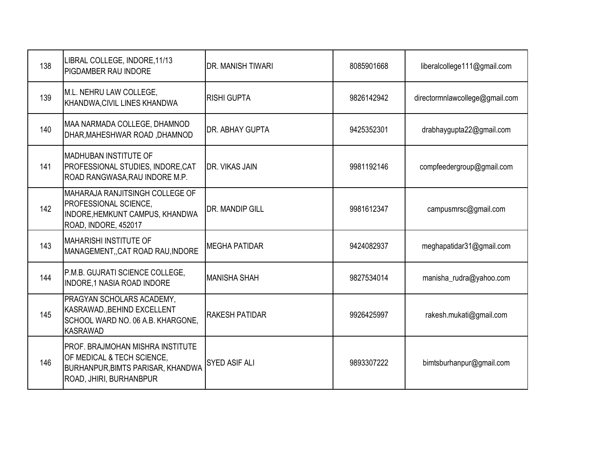| 138 | LIBRAL COLLEGE, INDORE, 11/13<br><b>PIGDAMBER RAU INDORE</b>                                                                                        | DR. MANISH TIWARI     | 8085901668 | liberalcollege111@gmail.com    |
|-----|-----------------------------------------------------------------------------------------------------------------------------------------------------|-----------------------|------------|--------------------------------|
| 139 | M.L. NEHRU LAW COLLEGE,<br>KHANDWA, CIVIL LINES KHANDWA                                                                                             | <b>RISHI GUPTA</b>    | 9826142942 | directormnlawcollege@gmail.com |
| 140 | MAA NARMADA COLLEGE, DHAMNOD<br>DHAR, MAHESHWAR ROAD, DHAMNOD                                                                                       | DR. ABHAY GUPTA       | 9425352301 | drabhaygupta22@gmail.com       |
| 141 | <b>MADHUBAN INSTITUTE OF</b><br>PROFESSIONAL STUDIES, INDORE, CAT<br>ROAD RANGWASA, RAU INDORE M.P.                                                 | DR. VIKAS JAIN        | 9981192146 | compfeedergroup@gmail.com      |
| 142 | MAHARAJA RANJITSINGH COLLEGE OF<br><b>PROFESSIONAL SCIENCE,</b><br>INDORE, HEMKUNT CAMPUS, KHANDWA<br>ROAD, INDORE, 452017                          | DR. MANDIP GILL       | 9981612347 | campusmrsc@gmail.com           |
| 143 | <b>MAHARISHI INSTITUTE OF</b><br>MANAGEMENT, CAT ROAD RAU, INDORE                                                                                   | <b>MEGHA PATIDAR</b>  | 9424082937 | meghapatidar31@gmail.com       |
| 144 | P.M.B. GUJRATI SCIENCE COLLEGE,<br><b>INDORE, 1 NASIA ROAD INDORE</b>                                                                               | <b>MANISHA SHAH</b>   | 9827534014 | manisha_rudra@yahoo.com        |
| 145 | PRAGYAN SCHOLARS ACADEMY,<br>KASRAWAD., BEHIND EXCELLENT<br>SCHOOL WARD NO. 06 A.B. KHARGONE,<br><b>KASRAWAD</b>                                    | <b>RAKESH PATIDAR</b> | 9926425997 | rakesh.mukati@gmail.com        |
| 146 | <b>PROF. BRAJMOHAN MISHRA INSTITUTE</b><br>OF MEDICAL & TECH SCIENCE,<br><b>BURHANPUR, BIMTS PARISAR, KHANDWA</b><br><b>ROAD, JHIRI, BURHANBPUR</b> | <b>SYED ASIF ALI</b>  | 9893307222 | bimtsburhanpur@gmail.com       |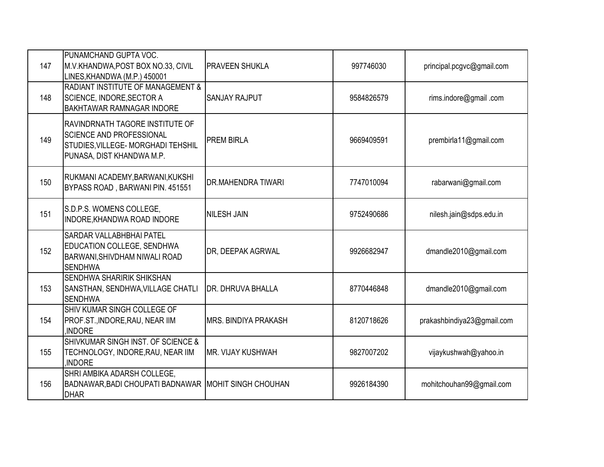| 147 | <b>PUNAMCHAND GUPTA VOC.</b><br>M.V.KHANDWA, POST BOX NO.33, CIVIL<br>LINES, KHANDWA (M.P.) 450001                                           | <b>PRAVEEN SHUKLA</b>       | 997746030  | principal.pcgvc@gmail.com  |
|-----|----------------------------------------------------------------------------------------------------------------------------------------------|-----------------------------|------------|----------------------------|
| 148 | RADIANT INSTITUTE OF MANAGEMENT &<br>SCIENCE, INDORE, SECTOR A<br><b>BAKHTAWAR RAMNAGAR INDORE</b>                                           | <b>SANJAY RAJPUT</b>        | 9584826579 | rims.indore@gmail.com      |
| 149 | <b>RAVINDRNATH TAGORE INSTITUTE OF</b><br><b>SCIENCE AND PROFESSIONAL</b><br>STUDIES, VILLEGE- MORGHADI TEHSHIL<br>PUNASA, DIST KHANDWA M.P. | <b>PREM BIRLA</b>           | 9669409591 | prembirla11@gmail.com      |
| 150 | RUKMANI ACADEMY, BARWANI, KUKSHI<br>BYPASS ROAD, BARWANI PIN. 451551                                                                         | <b>DR.MAHENDRA TIWARI</b>   | 7747010094 | rabarwani@gmail.com        |
| 151 | S.D.P.S. WOMENS COLLEGE,<br>INDORE, KHANDWA ROAD INDORE                                                                                      | <b>NILESH JAIN</b>          | 9752490686 | nilesh.jain@sdps.edu.in    |
| 152 | <b>SARDAR VALLABHBHAI PATEL</b><br><b>EDUCATION COLLEGE, SENDHWA</b><br><b>BARWANI, SHIVDHAM NIWALI ROAD</b><br><b>SENDHWA</b>               | DR, DEEPAK AGRWAL           | 9926682947 | dmandle2010@gmail.com      |
| 153 | <b>SENDHWA SHARIRIK SHIKSHAN</b><br>SANSTHAN, SENDHWA, VILLAGE CHATLI<br><b>SENDHWA</b>                                                      | DR. DHRUVA BHALLA           | 8770446848 | dmandle2010@gmail.com      |
| 154 | SHIV KUMAR SINGH COLLEGE OF<br>PROF.ST., INDORE, RAU, NEAR IIM<br><b>INDORE</b>                                                              | <b>MRS. BINDIYA PRAKASH</b> | 8120718626 | prakashbindiya23@gmail.com |
| 155 | SHIVKUMAR SINGH INST. OF SCIENCE &<br>TECHNOLOGY, INDORE, RAU, NEAR IIM<br>,INDORE                                                           | IMR. VIJAY KUSHWAH          | 9827007202 | vijaykushwah@yahoo.in      |
| 156 | SHRI AMBIKA ADARSH COLLEGE,<br>BADNAWAR, BADI CHOUPATI BADNAWAR MOHIT SINGH CHOUHAN<br><b>DHAR</b>                                           |                             | 9926184390 | mohitchouhan99@gmail.com   |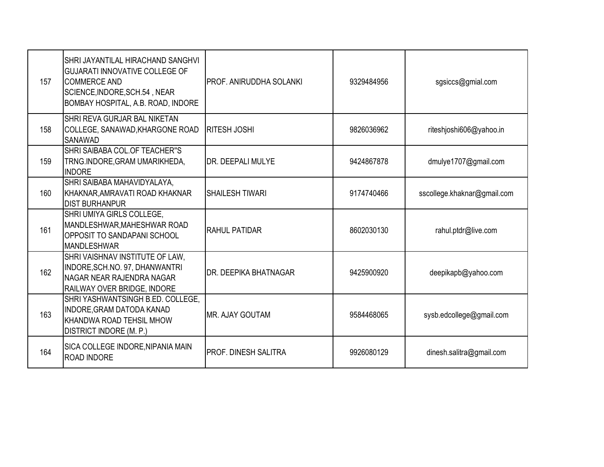| 157 | SHRI JAYANTILAL HIRACHAND SANGHVI<br><b>GUJARATI INNOVATIVE COLLEGE OF</b><br><b>COMMERCE AND</b><br>SCIENCE, INDORE, SCH.54, NEAR<br>BOMBAY HOSPITAL, A.B. ROAD, INDORE | PROF. ANIRUDDHA SOLANKI | 9329484956 | sgsiccs@gmial.com           |
|-----|--------------------------------------------------------------------------------------------------------------------------------------------------------------------------|-------------------------|------------|-----------------------------|
| 158 | SHRI REVA GURJAR BAL NIKETAN<br>COLLEGE, SANAWAD, KHARGONE ROAD<br><b>SANAWAD</b>                                                                                        | <b>RITESH JOSHI</b>     | 9826036962 | riteshjoshi606@yahoo.in     |
| 159 | SHRI SAIBABA COL. OF TEACHER"S<br>TRNG.INDORE, GRAM UMARIKHEDA,<br><b>INDORE</b>                                                                                         | DR. DEEPALI MULYE       | 9424867878 | dmulye1707@gmail.com        |
| 160 | SHRI SAIBABA MAHAVIDYALAYA,<br>KHAKNAR, AMRAVATI ROAD KHAKNAR<br><b>DIST BURHANPUR</b>                                                                                   | <b>SHAILESH TIWARI</b>  | 9174740466 | sscollege.khaknar@gmail.com |
| 161 | SHRI UMIYA GIRLS COLLEGE,<br>MANDLESHWAR, MAHESHWAR ROAD<br>OPPOSIT TO SANDAPANI SCHOOL<br><b>MANDLESHWAR</b>                                                            | <b>RAHUL PATIDAR</b>    | 8602030130 | rahul.ptdr@live.com         |
| 162 | SHRI VAISHNAV INSTITUTE OF LAW,<br>INDORE, SCH.NO. 97, DHANWANTRI<br>NAGAR NEAR RAJENDRA NAGAR<br>RAILWAY OVER BRIDGE, INDORE                                            | DR. DEEPIKA BHATNAGAR   | 9425900920 | deepikapb@yahoo.com         |
| 163 | SHRI YASHWANTSINGH B.ED. COLLEGE,<br>INDORE, GRAM DATODA KANAD<br>KHANDWA ROAD TEHSIL MHOW<br>DISTRICT INDORE (M. P.)                                                    | <b>MR. AJAY GOUTAM</b>  | 9584468065 | sysb.edcollege@gmail.com    |
| 164 | SICA COLLEGE INDORE, NIPANIA MAIN<br><b>ROAD INDORE</b>                                                                                                                  | PROF. DINESH SALITRA    | 9926080129 | dinesh.salitra@gmail.com    |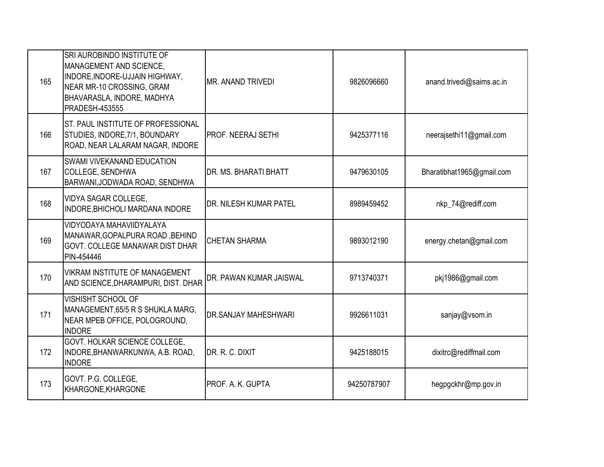| 165 | SRI AUROBINDO INSTITUTE OF<br>MANAGEMENT AND SCIENCE,<br>INDORE, INDORE-UJJAIN HIGHWAY,<br>NEAR MR-10 CROSSING, GRAM<br><b>BHAVARASLA, INDORE, MADHYA</b><br><b>PRADESH-453555</b> | MR. ANAND TRIVEDI           | 9826096660  | anand.trivedi@saims.ac.in |
|-----|------------------------------------------------------------------------------------------------------------------------------------------------------------------------------------|-----------------------------|-------------|---------------------------|
| 166 | <b>ST. PAUL INSTITUTE OF PROFESSIONAL</b><br>STUDIES, INDORE, 7/1, BOUNDARY<br>ROAD, NEAR LALARAM NAGAR, INDORE                                                                    | PROF. NEERAJ SETHI          | 9425377116  | neerajsethi11@gmail.com   |
| 167 | SWAMI VIVEKANAND EDUCATION<br><b>COLLEGE, SENDHWA</b><br>BARWANI, JODWADA ROAD, SENDHWA                                                                                            | DR. MS. BHARATI BHATT       | 9479630105  | Bharatibhat1965@gmail.com |
| 168 | <b>VIDYA SAGAR COLLEGE,</b><br>INDORE, BHICHOLI MARDANA INDORE                                                                                                                     | DR. NILESH KUMAR PATEL      | 8989459452  | nkp_74@rediff.com         |
| 169 | VIDYODAYA MAHAVIIDYALAYA<br>MANAWAR, GOPALPURA ROAD, BEHIND<br><b>GOVT, COLLEGE MANAWAR DIST DHAR</b><br>PIN-454446                                                                | <b>CHETAN SHARMA</b>        | 9893012190  | energy.chetan@gmail.com   |
| 170 | VIKRAM INSTITUTE OF MANAGEMENT<br>AND SCIENCE, DHARAMPURI, DIST. DHAR                                                                                                              | DR. PAWAN KUMAR JAISWAL     | 9713740371  | pkj1986@gmail.com         |
| 171 | <b>VISHISHT SCHOOL OF</b><br>MANAGEMENT, 65/5 R S SHUKLA MARG,<br>NEAR MPEB OFFICE, POLOGROUND,<br><b>INDORE</b>                                                                   | <b>DR.SANJAY MAHESHWARI</b> | 9926611031  | sanjay@vsom.in            |
| 172 | GOVT. HOLKAR SCIENCE COLLEGE.<br>INDORE, BHANWARKUNWA, A.B. ROAD,<br><b>INDORE</b>                                                                                                 | DR. R. C. DIXIT             | 9425188015  | dixitrc@rediffmail.com    |
| 173 | GOVT. P.G. COLLEGE,<br>KHARGONE, KHARGONE                                                                                                                                          | PROF. A. K. GUPTA           | 94250787907 | hegpgckhr@mp.gov.in       |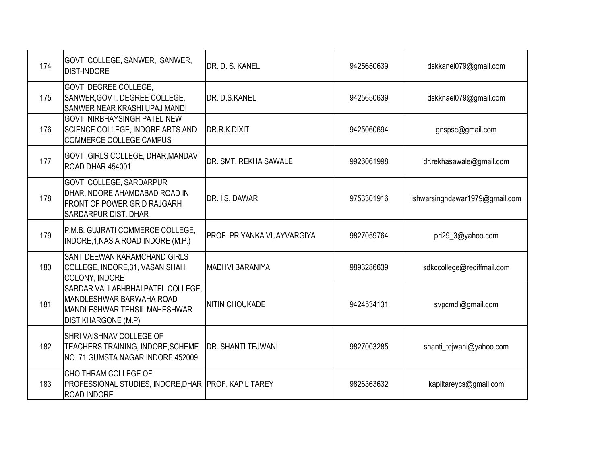| 174 | GOVT. COLLEGE, SANWER, ,SANWER,<br><b>DIST-INDORE</b>                                                                        | DR. D. S. KANEL                    | 9425650639 | dskkanel079@gmail.com          |
|-----|------------------------------------------------------------------------------------------------------------------------------|------------------------------------|------------|--------------------------------|
| 175 | GOVT. DEGREE COLLEGE,<br>SANWER, GOVT. DEGREE COLLEGE,<br>SANWER NEAR KRASHI UPAJ MANDI                                      | <b>IDR. D.S.KANEL</b>              | 9425650639 | dskknael079@gmail.com          |
| 176 | GOVT. NIRBHAYSINGH PATEL NEW<br>SCIENCE COLLEGE, INDORE, ARTS AND<br><b>COMMERCE COLLEGE CAMPUS</b>                          | DR.R.K.DIXIT                       | 9425060694 | gnspsc@gmail.com               |
| 177 | <b>GOVT. GIRLS COLLEGE, DHAR, MANDAV</b><br>ROAD DHAR 454001                                                                 | <b>IDR. SMT. REKHA SAWALE</b>      | 9926061998 | dr.rekhasawale@gmail.com       |
| 178 | GOVT. COLLEGE, SARDARPUR<br>DHAR, INDORE AHAMDABAD ROAD IN<br><b>FRONT OF POWER GRID RAJGARH</b><br>SARDARPUR DIST. DHAR     | DR. I.S. DAWAR                     | 9753301916 | ishwarsinghdawar1979@gmail.com |
| 179 | P.M.B. GUJRATI COMMERCE COLLEGE,<br>INDORE, 1, NASIA ROAD INDORE (M.P.)                                                      | <b>PROF. PRIYANKA VIJAYVARGIYA</b> | 9827059764 | pri29_3@yahoo.com              |
| 180 | SANT DEEWAN KARAMCHAND GIRLS<br>COLLEGE, INDORE, 31, VASAN SHAH<br>COLONY, INDORE                                            | MADHVI BARANIYA                    | 9893286639 | sdkccollege@rediffmail.com     |
| 181 | SARDAR VALLABHBHAI PATEL COLLEGE,<br>MANDLESHWAR, BARWAHA ROAD<br>MANDLESHWAR TEHSIL MAHESHWAR<br><b>DIST KHARGONE (M.P)</b> | <b>NITIN CHOUKADE</b>              | 9424534131 | svpcmdl@gmail.com              |
| 182 | SHRI VAISHNAV COLLEGE OF<br>TEACHERS TRAINING, INDORE, SCHEME<br>NO. 71 GUMSTA NAGAR INDORE 452009                           | <b>DR. SHANTI TEJWANI</b>          | 9827003285 | shanti_tejwani@yahoo.com       |
| 183 | CHOITHRAM COLLEGE OF<br>PROFESSIONAL STUDIES, INDORE, DHAR PROF. KAPIL TAREY<br><b>ROAD INDORE</b>                           |                                    | 9826363632 | kapiltareycs@gmail.com         |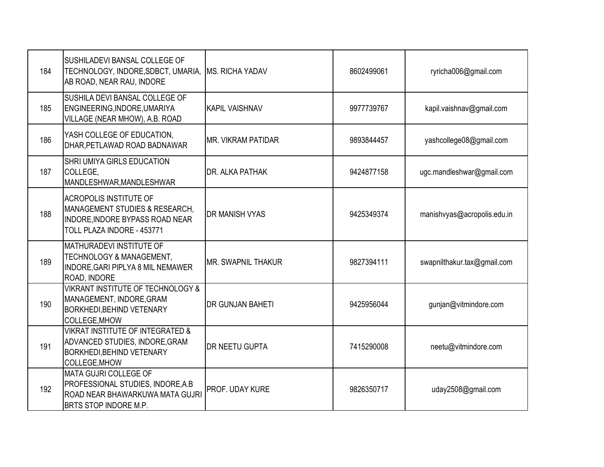| 184 | SUSHILADEVI BANSAL COLLEGE OF<br>TECHNOLOGY, INDORE, SDBCT, UMARIA,<br>AB ROAD, NEAR RAU, INDORE                                     | <b>IMS. RICHA YADAV</b>    | 8602499061 | ryricha006@gmail.com        |
|-----|--------------------------------------------------------------------------------------------------------------------------------------|----------------------------|------------|-----------------------------|
| 185 | SUSHILA DEVI BANSAL COLLEGE OF<br>ENGINEERING, INDORE, UMARIYA<br>VILLAGE (NEAR MHOW), A.B. ROAD                                     | <b>KAPIL VAISHNAV</b>      | 9977739767 | kapil.vaishnav@gmail.com    |
| 186 | YASH COLLEGE OF EDUCATION,<br>DHAR, PETLAWAD ROAD BADNAWAR                                                                           | <b>IMR. VIKRAM PATIDAR</b> | 9893844457 | yashcollege08@gmail.com     |
| 187 | SHRI UMIYA GIRLS EDUCATION<br>COLLEGE,<br>MANDLESHWAR, MANDLESHWAR                                                                   | <b>DR. ALKA PATHAK</b>     | 9424877158 | ugc.mandleshwar@gmail.com   |
| 188 | <b>ACROPOLIS INSTITUTE OF</b><br>MANAGEMENT STUDIES & RESEARCH,<br>INDORE, INDORE BYPASS ROAD NEAR<br>TOLL PLAZA INDORE - 453771     | <b>DR MANISH VYAS</b>      | 9425349374 | manishvyas@acropolis.edu.in |
| 189 | MATHURADEVI INSTITUTE OF<br>TECHNOLOGY & MANAGEMENT,<br>INDORE, GARI PIPLYA 8 MIL NEMAWER<br>ROAD, INDORE                            | MR. SWAPNIL THAKUR         | 9827394111 | swapnilthakur.tax@gmail.com |
| 190 | <b>VIKRANT INSTITUTE OF TECHNOLOGY &amp;</b><br>MANAGEMENT, INDORE, GRAM<br><b>BORKHEDI, BEHIND VETENARY</b><br><b>COLLEGE, MHOW</b> | <b>DR GUNJAN BAHETI</b>    | 9425956044 | gunjan@vitmindore.com       |
| 191 | <b>VIKRAT INSTITUTE OF INTEGRATED &amp;</b><br>ADVANCED STUDIES, INDORE, GRAM<br><b>BORKHEDI, BEHIND VETENARY</b><br>COLLEGE, MHOW   | <b>DR NEETU GUPTA</b>      | 7415290008 | neetu@vitmindore.com        |
| 192 | <b>MATA GUJRI COLLEGE OF</b><br>PROFESSIONAL STUDIES, INDORE, A.B.<br>ROAD NEAR BHAWARKUWA MATA GUJRI<br>BRTS STOP INDORE M.P.       | PROF. UDAY KURE            | 9826350717 | uday2508@gmail.com          |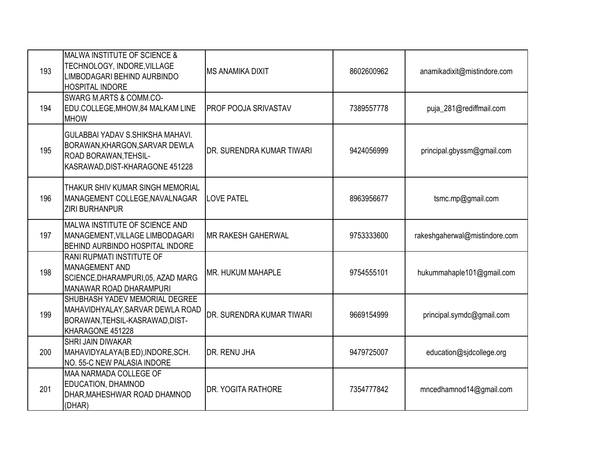| 193 | <b>MALWA INSTITUTE OF SCIENCE &amp;</b><br>TECHNOLOGY, INDORE, VILLAGE<br>LIMBODAGARI BEHIND AURBINDO<br><b>HOSPITAL INDORE</b>              | IMS ANAMIKA DIXIT           | 8602600962 | anamikadixit@mistindore.com   |
|-----|----------------------------------------------------------------------------------------------------------------------------------------------|-----------------------------|------------|-------------------------------|
| 194 | <b>SWARG M.ARTS &amp; COMM.CO-</b><br>EDU.COLLEGE, MHOW, 84 MALKAM LINE<br><b>MHOW</b>                                                       | <b>PROF POOJA SRIVASTAV</b> | 7389557778 | puja_281@rediffmail.com       |
| 195 | <b>GULABBAI YADAV S.SHIKSHA MAHAVI.</b><br>BORAWAN, KHARGON, SARVAR DEWLA<br><b>ROAD BORAWAN, TEHSIL-</b><br>KASRAWAD, DIST-KHARAGONE 451228 | DR. SURENDRA KUMAR TIWARI   | 9424056999 | principal.gbyssm@gmail.com    |
| 196 | THAKUR SHIV KUMAR SINGH MEMORIAL<br>MANAGEMENT COLLEGE, NAVALNAGAR<br><b>ZIRI BURHANPUR</b>                                                  | <b>LOVE PATEL</b>           | 8963956677 | tsmc.mp@gmail.com             |
| 197 | MALWA INSTITUTE OF SCIENCE AND<br>MANAGEMENT, VILLAGE LIMBODAGARI<br><b>BEHIND AURBINDO HOSPITAL INDORE</b>                                  | <b>MR RAKESH GAHERWAL</b>   | 9753333600 | rakeshgaherwal@mistindore.com |
| 198 | RANI RUPMATI INSTITUTE OF<br>MANAGEMENT AND<br>SCIENCE, DHARAMPURI, 05, AZAD MARG<br>MANAWAR ROAD DHARAMPURI                                 | <b>MR. HUKUM MAHAPLE</b>    | 9754555101 | hukummahaple101@gmail.com     |
| 199 | SHUBHASH YADEV MEMORIAL DEGREE<br>MAHAVIDHYALAY, SARVAR DEWLA ROAD<br>BORAWAN, TEHSIL-KASRAWAD, DIST-<br>KHARAGONE 451228                    | DR. SURENDRA KUMAR TIWARI   | 9669154999 | principal.symdc@gmail.com     |
| 200 | <b>SHRI JAIN DIWAKAR</b><br>MAHAVIDYALAYA(B.ED), INDORE, SCH.<br>NO. 55-C NEW PALASIA INDORE                                                 | <b>I</b> DR. RENU JHA       | 9479725007 | education@sjdcollege.org      |
| 201 | MAA NARMADA COLLEGE OF<br>EDUCATION, DHAMNOD<br>DHAR, MAHESHWAR ROAD DHAMNOD<br>(DHAR)                                                       | <b>DR. YOGITA RATHORE</b>   | 7354777842 | mncedhamnod14@gmail.com       |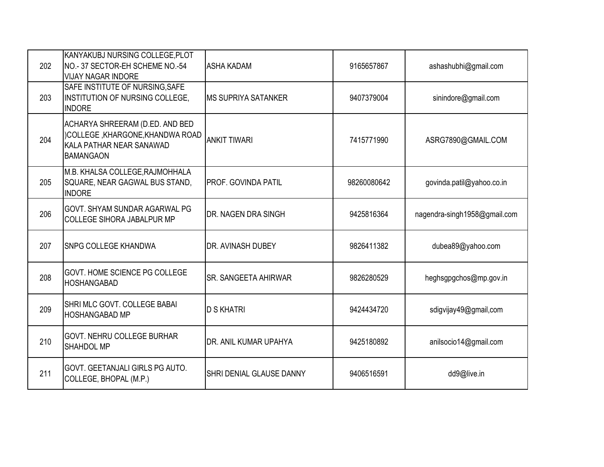| 202 | KANYAKUBJ NURSING COLLEGE, PLOT<br>NO.- 37 SECTOR-EH SCHEME NO.-54<br><b>VIJAY NAGAR INDORE</b>                     | <b>ASHA KADAM</b>           | 9165657867  | ashashubhi@gmail.com         |
|-----|---------------------------------------------------------------------------------------------------------------------|-----------------------------|-------------|------------------------------|
| 203 | SAFE INSTITUTE OF NURSING, SAFE<br><b>INSTITUTION OF NURSING COLLEGE,</b><br><b>INDORE</b>                          | <b>MS SUPRIYA SATANKER</b>  | 9407379004  | sinindore@gmail.com          |
| 204 | ACHARYA SHREERAM (D.ED. AND BED<br>)COLLEGE, KHARGONE, KHANDWA ROAD<br>KALA PATHAR NEAR SANAWAD<br><b>BAMANGAON</b> | <b>ANKIT TIWARI</b>         | 7415771990  | ASRG7890@GMAIL.COM           |
| 205 | M.B. KHALSA COLLEGE, RAJMOHHALA<br>SQUARE, NEAR GAGWAL BUS STAND,<br><b>INDORE</b>                                  | <b>PROF. GOVINDA PATIL</b>  | 98260080642 | govinda.patil@yahoo.co.in    |
| 206 | <b>GOVT. SHYAM SUNDAR AGARWAL PG</b><br><b>COLLEGE SIHORA JABALPUR MP</b>                                           | <b>DR. NAGEN DRA SINGH</b>  | 9425816364  | nagendra-singh1958@gmail.com |
| 207 | <b>SNPG COLLEGE KHANDWA</b>                                                                                         | DR. AVINASH DUBEY           | 9826411382  | dubea89@yahoo.com            |
| 208 | GOVT. HOME SCIENCE PG COLLEGE<br><b>HOSHANGABAD</b>                                                                 | <b>SR. SANGEETA AHIRWAR</b> | 9826280529  | heghsgpgchos@mp.gov.in       |
| 209 | SHRI MLC GOVT. COLLEGE BABAI<br><b>HOSHANGABAD MP</b>                                                               | <b>D S KHATRI</b>           | 9424434720  | sdigvijay49@gmail,com        |
| 210 | GOVT. NEHRU COLLEGE BURHAR<br>SHAHDOL MP                                                                            | DR. ANIL KUMAR UPAHYA       | 9425180892  | anilsocio14@gmail.com        |
| 211 | GOVT. GEETANJALI GIRLS PG AUTO.<br>COLLEGE, BHOPAL (M.P.)                                                           | SHRI DENIAL GLAUSE DANNY    | 9406516591  | dd9@live.in                  |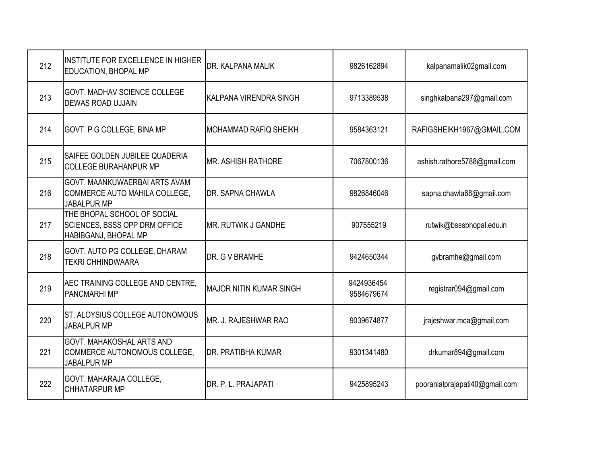| 212 | <b>INSTITUTE FOR EXCELLENCE IN HIGHER</b><br>EDUCATION, BHOPAL MP                           | DR. KALPANA MALIK              | 9826162894               | kalpanamalik02gmail.com        |
|-----|---------------------------------------------------------------------------------------------|--------------------------------|--------------------------|--------------------------------|
| 213 | GOVT. MADHAV SCIENCE COLLEGE<br><b>DEWAS ROAD UJJAIN</b>                                    | KALPANA VIRENDRA SINGH         | 9713389538               | singhkalpana297@gmail.com      |
| 214 | GOVT. P G COLLEGE, BINA MP                                                                  | MOHAMMAD RAFIQ SHEIKH          | 9584363121               | RAFIGSHEIKH1967@GMAIL.COM      |
| 215 | SAIFEE GOLDEN JUBILEE QUADERIA<br><b>COLLEGE BURAHANPUR MP</b>                              | <b>MR. ASHISH RATHORE</b>      | 7067800136               | ashish.rathore5788@gmail.com   |
| 216 | GOVT. MAANKUWAERBAI ARTS AVAM<br>COMMERCE AUTO MAHILA COLLEGE,<br><b>JABALPUR MP</b>        | <b>DR. SAPNA CHAWLA</b>        | 9826846046               | sapna.chawla68@gmail.com       |
| 217 | THE BHOPAL SCHOOL OF SOCIAL<br><b>SCIENCES, BSSS OPP DRM OFFICE</b><br>HABIBGANJ, BHOPAL MP | <b>MR. RUTWIK J GANDHE</b>     | 907555219                | rutwik@bsssbhopal.edu.in       |
| 218 | GOVT. AUTO PG COLLEGE, DHARAM<br><b>TEKRI CHHINDWAARA</b>                                   | DR. G V BRAMHE                 | 9424650344               | gvbramhe@gmail.com             |
| 219 | AEC TRAINING COLLEGE AND CENTRE.<br><b>PANCMARHIMP</b>                                      | <b>MAJOR NITIN KUMAR SINGH</b> | 9424936454<br>9584679674 | registrar094@gmail.com         |
| 220 | ST. ALOYSIUS COLLEGE AUTONOMOUS<br><b>JABALPUR MP</b>                                       | <b>IMR. J. RAJESHWAR RAO</b>   | 9039674877               | jrajeshwar.mca@gmail,com       |
| 221 | GOVT. MAHAKOSHAL ARTS AND<br>COMMERCE AUTONOMOUS COLLEGE,<br><b>JABALPUR MP</b>             | <b>DR. PRATIBHA KUMAR</b>      | 9301341480               | drkumar894@gmail.com           |
| 222 | GOVT. MAHARAJA COLLEGE,<br><b>CHHATARPUR MP</b>                                             | DR. P. L. PRAJAPATI            | 9425895243               | pooranlalprajapati40@gmail.com |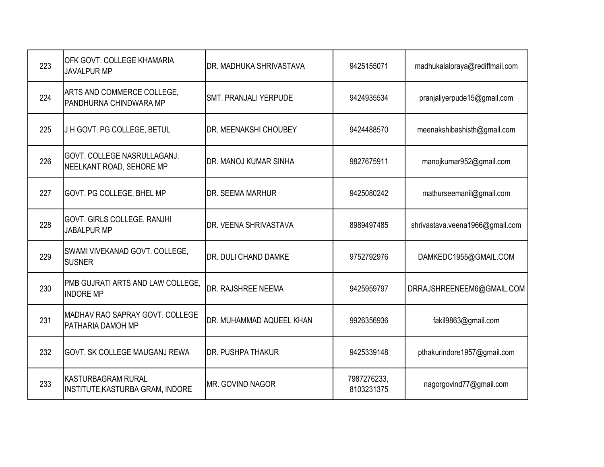| 223 | OFK GOVT. COLLEGE KHAMARIA<br><b>JAVALPUR MP</b>              | DR. MADHUKA SHRIVASTAVA      | 9425155071                | madhukalaloraya@rediffmail.com  |
|-----|---------------------------------------------------------------|------------------------------|---------------------------|---------------------------------|
| 224 | ARTS AND COMMERCE COLLEGE,<br>PANDHURNA CHINDWARA MP          | <b>SMT. PRANJALI YERPUDE</b> | 9424935534                | pranjaliyerpude15@gmail.com     |
| 225 | J H GOVT. PG COLLEGE, BETUL                                   | DR. MEENAKSHI CHOUBEY        | 9424488570                | meenakshibashisth@gmail.com     |
| 226 | GOVT. COLLEGE NASRULLAGANJ.<br>NEELKANT ROAD, SEHORE MP       | DR. MANOJ KUMAR SINHA        | 9827675911                | manojkumar952@gmail.com         |
| 227 | GOVT. PG COLLEGE, BHEL MP                                     | DR. SEEMA MARHUR             | 9425080242                | mathurseemanil@gmail.com        |
| 228 | GOVT. GIRLS COLLEGE, RANJHI<br><b>JABALPUR MP</b>             | DR. VEENA SHRIVASTAVA        | 8989497485                | shrivastava.veena1966@gmail.com |
| 229 | SWAMI VIVEKANAD GOVT. COLLEGE,<br><b>SUSNER</b>               | DR. DULI CHAND DAMKE         | 9752792976                | DAMKEDC1955@GMAIL.COM           |
| 230 | PMB GUJRATI ARTS AND LAW COLLEGE,<br><b>INDORE MP</b>         | DR. RAJSHREE NEEMA           | 9425959797                | DRRAJSHREENEEM6@GMAIL.COM       |
| 231 | MADHAV RAO SAPRAY GOVT. COLLEGE<br>PATHARIA DAMOH MP          | DR. MUHAMMAD AQUEEL KHAN     | 9926356936                | fakil9863@gmail.com             |
| 232 | GOVT. SK COLLEGE MAUGANJ REWA                                 | <b>DR. PUSHPA THAKUR</b>     | 9425339148                | pthakurindore1957@gmail.com     |
| 233 | <b>KASTURBAGRAM RURAL</b><br>INSTITUTE, KASTURBA GRAM, INDORE | MR. GOVIND NAGOR             | 7987276233,<br>8103231375 | nagorgovind77@gmail.com         |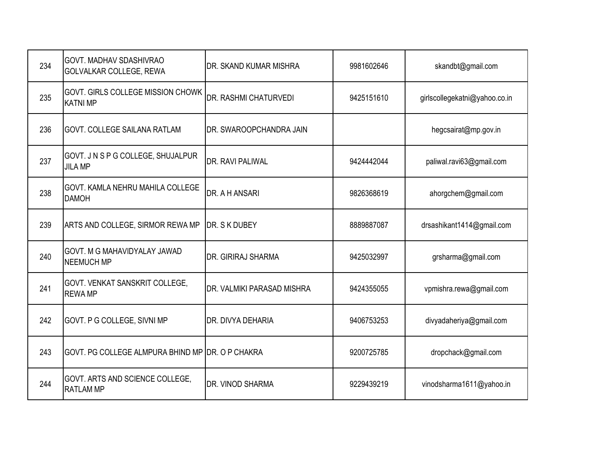| 234 | <b>GOVT. MADHAV SDASHIVRAO</b><br>GOLVALKAR COLLEGE, REWA | DR. SKAND KUMAR MISHRA     | 9981602646 | skandbt@gmail.com             |
|-----|-----------------------------------------------------------|----------------------------|------------|-------------------------------|
| 235 | GOVT. GIRLS COLLEGE MISSION CHOWK<br><b>KATNI MP</b>      | DR. RASHMI CHATURVEDI      | 9425151610 | girlscollegekatni@yahoo.co.in |
| 236 | GOVT. COLLEGE SAILANA RATLAM                              | DR. SWAROOPCHANDRA JAIN    |            | hegcsairat@mp.gov.in          |
| 237 | GOVT. J N S P G COLLEGE, SHUJALPUR<br><b>JILA MP</b>      | DR. RAVI PALIWAL           | 9424442044 | paliwal.ravi63@gmail.com      |
| 238 | GOVT. KAMLA NEHRU MAHILA COLLEGE<br><b>DAMOH</b>          | DR. A H ANSARI             | 9826368619 | ahorgchem@gmail.com           |
| 239 | ARTS AND COLLEGE, SIRMOR REWA MP                          | DR. S K DUBEY              | 8889887087 | drsashikant1414@gmail.com     |
| 240 | GOVT. M G MAHAVIDYALAY JAWAD<br><b>NEEMUCH MP</b>         | DR. GIRIRAJ SHARMA         | 9425032997 | grsharma@gmail.com            |
| 241 | <b>GOVT. VENKAT SANSKRIT COLLEGE,</b><br><b>REWA MP</b>   | DR. VALMIKI PARASAD MISHRA | 9424355055 | vpmishra.rewa@gmail.com       |
| 242 | GOVT. P G COLLEGE, SIVNI MP                               | DR. DIVYA DEHARIA          | 9406753253 | divyadaheriya@gmail.com       |
| 243 | GOVT. PG COLLEGE ALMPURA BHIND MP DR. O P CHAKRA          |                            | 9200725785 | dropchack@gmail.com           |
| 244 | GOVT. ARTS AND SCIENCE COLLEGE,<br><b>RATLAM MP</b>       | DR. VINOD SHARMA           | 9229439219 | vinodsharma1611@yahoo.in      |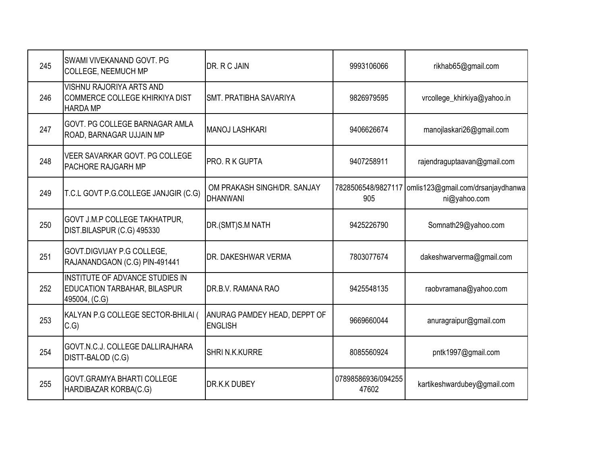| 245 | SWAMI VIVEKANAND GOVT, PG<br><b>COLLEGE, NEEMUCH MP</b>                                 | DR. R C JAIN                                          | 9993106066                  | rikhab65@gmail.com                                                     |
|-----|-----------------------------------------------------------------------------------------|-------------------------------------------------------|-----------------------------|------------------------------------------------------------------------|
| 246 | VISHNU RAJORIYA ARTS AND<br>COMMERCE COLLEGE KHIRKIYA DIST<br><b>HARDA MP</b>           | SMT. PRATIBHA SAVARIYA                                | 9826979595                  | vrcollege_khirkiya@yahoo.in                                            |
| 247 | <b>GOVT. PG COLLEGE BARNAGAR AMLA</b><br>ROAD, BARNAGAR UJJAIN MP                       | <b>MANOJ LASHKARI</b>                                 | 9406626674                  | manojlaskari26@gmail.com                                               |
| 248 | VEER SAVARKAR GOVT. PG COLLEGE<br>PACHORE RAJGARH MP                                    | <b>PRO. R K GUPTA</b>                                 | 9407258911                  | rajendraguptaavan@gmail.com                                            |
| 249 | T.C.L GOVT P.G.COLLEGE JANJGIR (C.G)                                                    | OM PRAKASH SINGH/DR. SANJAY<br><b>DHANWANI</b>        | 905                         | 7828506548/9827117   omlis123@gmail.com/drsanjaydhanwa<br>ni@yahoo.com |
| 250 | <b>GOVT J.M.P COLLEGE TAKHATPUR,</b><br>DIST.BILASPUR (C.G) 495330                      | DR.(SMT)S.M NATH                                      | 9425226790                  | Somnath29@yahoo.com                                                    |
| 251 | GOVT.DIGVIJAY P.G COLLEGE,<br>RAJANANDGAON (C.G) PIN-491441                             | DR. DAKESHWAR VERMA                                   | 7803077674                  | dakeshwarverma@gmail.com                                               |
| 252 | INSTITUTE OF ADVANCE STUDIES IN<br><b>EDUCATION TARBAHAR, BILASPUR</b><br>495004, (C.G) | DR.B.V. RAMANA RAO                                    | 9425548135                  | raobvramana@yahoo.com                                                  |
| 253 | KALYAN P.G COLLEGE SECTOR-BHILAI (<br>C.G                                               | <b>ANURAG PAMDEY HEAD, DEPPT OF</b><br><b>ENGLISH</b> | 9669660044                  | anuragraipur@gmail.com                                                 |
| 254 | GOVT.N.C.J. COLLEGE DALLIRAJHARA<br>DISTT-BALOD (C.G)                                   | SHRI N.K.KURRE                                        | 8085560924                  | pntk1997@gmail.com                                                     |
| 255 | GOVT.GRAMYA BHARTI COLLEGE<br>HARDIBAZAR KORBA(C.G)                                     | <b>DR.K.K DUBEY</b>                                   | 07898586936/094255<br>47602 | kartikeshwardubey@gmail.com                                            |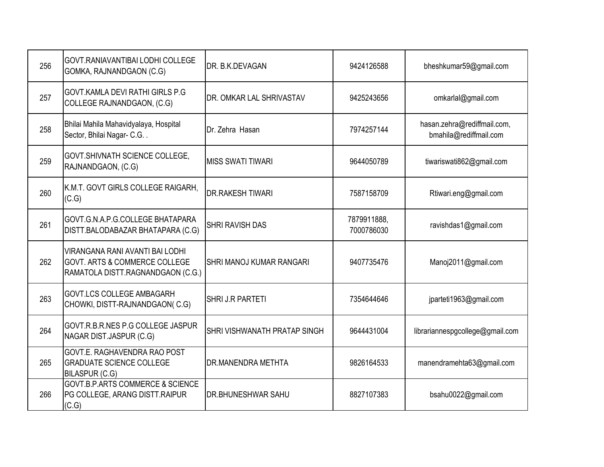| 256 | <b>GOVT.RANIAVANTIBAI LODHI COLLEGE</b><br>GOMKA, RAJNANDGAON (C.G)                                              | <b>DR. B.K.DEVAGAN</b>           | 9424126588                | bheshkumar59@gmail.com                                |
|-----|------------------------------------------------------------------------------------------------------------------|----------------------------------|---------------------------|-------------------------------------------------------|
| 257 | GOVT.KAMLA DEVI RATHI GIRLS P.G<br>COLLEGE RAJNANDGAON, (C.G)                                                    | <b>IDR. OMKAR LAL SHRIVASTAV</b> | 9425243656                | omkarlal@gmail.com                                    |
| 258 | Bhilai Mahila Mahavidyalaya, Hospital<br>Sector, Bhilai Nagar- C.G                                               | Dr. Zehra Hasan                  | 7974257144                | hasan.zehra@rediffmail.com,<br>bmahila@rediffmail.com |
| 259 | GOVT.SHIVNATH SCIENCE COLLEGE,<br>RAJNANDGAON, (C.G)                                                             | <b>MISS SWATI TIWARI</b>         | 9644050789                | tiwariswati862@gmail.com                              |
| 260 | K.M.T. GOVT GIRLS COLLEGE RAIGARH,<br>(C.G)                                                                      | <b>DR.RAKESH TIWARI</b>          | 7587158709                | Rtiwari.eng@gmail.com                                 |
| 261 | GOVT.G.N.A.P.G.COLLEGE BHATAPARA<br>DISTT.BALODABAZAR BHATAPARA (C.G)                                            | <b>SHRI RAVISH DAS</b>           | 7879911888,<br>7000786030 | ravishdas1@gmail.com                                  |
| 262 | VIRANGANA RANI AVANTI BAI LODHI<br><b>GOVT. ARTS &amp; COMMERCE COLLEGE</b><br>RAMATOLA DISTT.RAGNANDGAON (C.G.) | <b>SHRI MANOJ KUMAR RANGARI</b>  | 9407735476                | Manoj2011@gmail.com                                   |
| 263 | GOVT.LCS COLLEGE AMBAGARH<br>CHOWKI, DISTT-RAJNANDGAON(C.G)                                                      | SHRI J.R PARTETI                 | 7354644646                | jparteti1963@gmail.com                                |
| 264 | GOVT.R.B.R.NES P.G COLLEGE JASPUR<br>NAGAR DIST.JASPUR (C.G)                                                     | SHRI VISHWANATH PRATAP SINGH     | 9644431004                | librariannespgcollege@gmail.com                       |
| 265 | GOVT.E. RAGHAVENDRA RAO POST<br><b>GRADUATE SCIENCE COLLEGE</b><br>BILASPUR (C.G)                                | <b>DR.MANENDRA METHTA</b>        | 9826164533                | manendramehta63@gmail.com                             |
| 266 | <b>GOVT.B.P.ARTS COMMERCE &amp; SCIENCE</b><br>PG COLLEGE, ARANG DISTT.RAIPUR<br>(C.G)                           | <b>I</b> DR.BHUNESHWAR SAHU      | 8827107383                | bsahu0022@gmail.com                                   |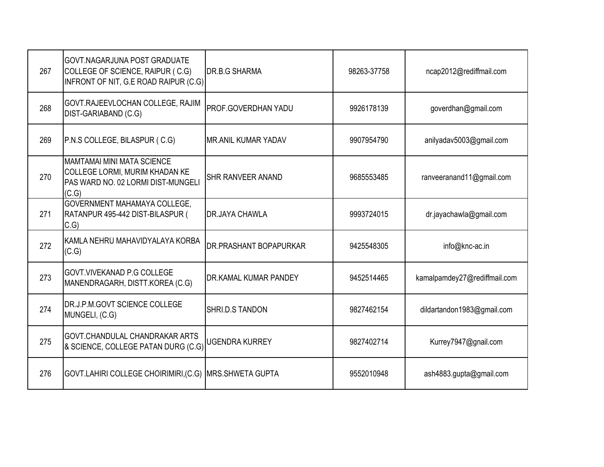| 267 | <b>GOVT.NAGARJUNA POST GRADUATE</b><br>COLLEGE OF SCIENCE, RAIPUR (C.G)<br>INFRONT OF NIT, G.E ROAD RAIPUR (C.G)   | <b>DR.B.G SHARMA</b>         | 98263-37758 | ncap2012@rediffmail.com      |
|-----|--------------------------------------------------------------------------------------------------------------------|------------------------------|-------------|------------------------------|
| 268 | GOVT.RAJEEVLOCHAN COLLEGE, RAJIM<br>DIST-GARIABAND (C.G)                                                           | PROF.GOVERDHAN YADU          | 9926178139  | goverdhan@gmail.com          |
| 269 | P.N.S COLLEGE, BILASPUR (C.G)                                                                                      | <b>MR.ANIL KUMAR YADAV</b>   | 9907954790  | anilyadav5003@gmail.com      |
| 270 | <b>MAMTAMAI MINI MATA SCIENCE</b><br>COLLEGE LORMI, MURIM KHADAN KE<br>PAS WARD NO. 02 LORMI DIST-MUNGELI<br>(C.G) | <b>SHR RANVEER ANAND</b>     | 9685553485  | ranveeranand11@gmail.com     |
| 271 | GOVERNMENT MAHAMAYA COLLEGE,<br>RATANPUR 495-442 DIST-BILASPUR (<br>C.G                                            | <b>DR.JAYA CHAWLA</b>        | 9993724015  | dr.jayachawla@gmail.com      |
| 272 | KAMLA NEHRU MAHAVIDYALAYA KORBA<br>(C.G)                                                                           | DR.PRASHANT BOPAPURKAR       | 9425548305  | info@knc-ac.in               |
| 273 | GOVT. VIVEKANAD P.G COLLEGE<br>MANENDRAGARH, DISTT.KOREA (C.G)                                                     | <b>DR.KAMAL KUMAR PANDEY</b> | 9452514465  | kamalpamdey27@rediffmail.com |
| 274 | DR.J.P.M.GOVT SCIENCE COLLEGE<br>MUNGELI, (C.G)                                                                    | SHRI.D.S TANDON              | 9827462154  | dildartandon1983@gmail.com   |
| 275 | GOVT.CHANDULAL CHANDRAKAR ARTS<br>& SCIENCE, COLLEGE PATAN DURG (C.G)                                              | <b>UGENDRA KURREY</b>        | 9827402714  | Kurrey7947@gnail.com         |
| 276 | GOVT.LAHIRI COLLEGE CHOIRIMIRI, (C.G) MRS.SHWETA GUPTA                                                             |                              | 9552010948  | ash4883.gupta@gmail.com      |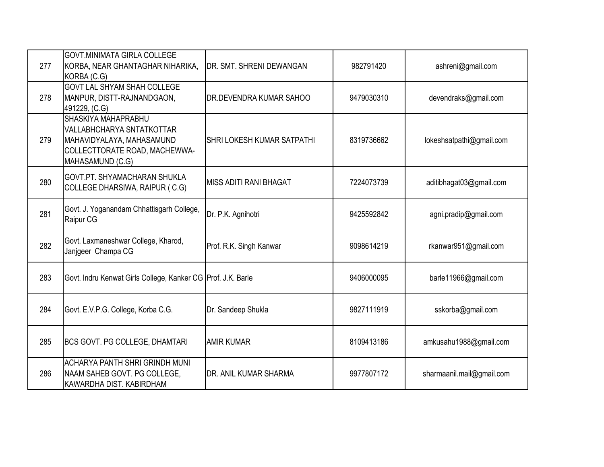| 277 | <b>GOVT.MINIMATA GIRLA COLLEGE</b><br>KORBA, NEAR GHANTAGHAR NIHARIKA,<br>KORBA (C.G)                                                     | <b>IDR. SMT. SHRENI DEWANGAN</b> | 982791420  | ashreni@gmail.com         |
|-----|-------------------------------------------------------------------------------------------------------------------------------------------|----------------------------------|------------|---------------------------|
| 278 | <b>GOVT LAL SHYAM SHAH COLLEGE</b><br>MANPUR, DISTT-RAJNANDGAON,<br>491229, (C.G)                                                         | DR.DEVENDRA KUMAR SAHOO          | 9479030310 | devendraks@gmail.com      |
| 279 | <b>SHASKIYA MAHAPRABHU</b><br>VALLABHCHARYA SNTATKOTTAR<br>MAHAVIDYALAYA, MAHASAMUND<br>COLLECTTORATE ROAD, MACHEWWA-<br>MAHASAMUND (C.G) | SHRI LOKESH KUMAR SATPATHI       | 8319736662 | lokeshsatpathi@gmail.com  |
| 280 | GOVT.PT. SHYAMACHARAN SHUKLA<br>COLLEGE DHARSIWA, RAIPUR (C.G)                                                                            | IMISS ADITI RANI BHAGAT          | 7224073739 | aditibhagat03@gmail.com   |
| 281 | Govt. J. Yoganandam Chhattisgarh College,<br>Raipur CG                                                                                    | Dr. P.K. Agnihotri               | 9425592842 | agni.pradip@gmail.com     |
| 282 | Govt. Laxmaneshwar College, Kharod,<br>Janjgeer Champa CG                                                                                 | Prof. R.K. Singh Kanwar          | 9098614219 | rkanwar951@gmail.com      |
| 283 | Govt. Indru Kenwat Girls College, Kanker CG Prof. J.K. Barle                                                                              |                                  | 9406000095 | barle11966@gmail.com      |
| 284 | Govt. E.V.P.G. College, Korba C.G.                                                                                                        | Dr. Sandeep Shukla               | 9827111919 | sskorba@gmail.com         |
| 285 | <b>BCS GOVT. PG COLLEGE, DHAMTARI</b>                                                                                                     | <b>AMIR KUMAR</b>                | 8109413186 | amkusahu1988@gmail.com    |
| 286 | <b>ACHARYA PANTH SHRI GRINDH MUNI</b><br>NAAM SAHEB GOVT. PG COLLEGE,<br>KAWARDHA DIST. KABIRDHAM                                         | DR. ANIL KUMAR SHARMA            | 9977807172 | sharmaanil.mail@gmail.com |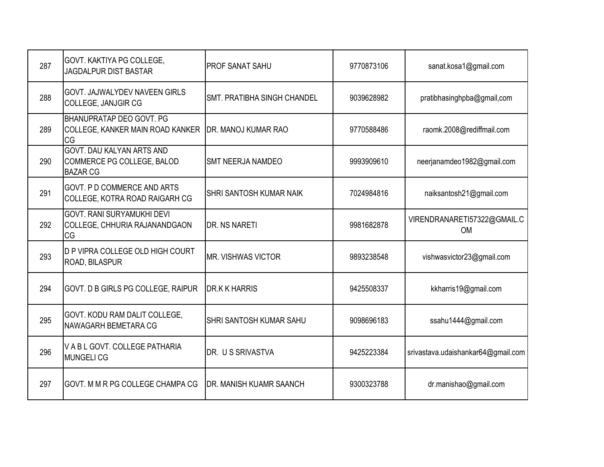| 287 | GOVT. KAKTIYA PG COLLEGE,<br><b>JAGDALPUR DIST BASTAR</b>                  | <b>PROF SANAT SAHU</b>         | 9770873106 | sanat.kosa1@gmail.com                    |
|-----|----------------------------------------------------------------------------|--------------------------------|------------|------------------------------------------|
| 288 | GOVT. JAJWALYDEV NAVEEN GIRLS<br><b>COLLEGE, JANJGIR CG</b>                | SMT. PRATIBHA SINGH CHANDEL    | 9039628982 | pratibhasinghpba@gmail,com               |
| 289 | BHANUPRATAP DEO GOVT. PG<br>COLLEGE, KANKER MAIN ROAD KANKER<br><b>CG</b>  | DR. MANOJ KUMAR RAO            | 9770588486 | raomk.2008@rediffmail.com                |
| 290 | GOVT. DAU KALYAN ARTS AND<br>COMMERCE PG COLLEGE, BALOD<br><b>BAZAR CG</b> | <b>SMT NEERJA NAMDEO</b>       | 9993909610 | neerjanamdeo1982@gmail.com               |
| 291 | <b>GOVT. P D COMMERCE AND ARTS</b><br>COLLEGE, KOTRA ROAD RAIGARH CG       | SHRI SANTOSH KUMAR NAIK        | 7024984816 | naiksantosh21@gmail.com                  |
| 292 | GOVT. RANI SURYAMUKHI DEVI<br>COLLEGE, CHHURIA RAJANANDGAON<br>CG          | <b>DR. NS NARETI</b>           | 9981682878 | VIRENDRANARETI57322@GMAIL.C<br><b>OM</b> |
| 293 | D P VIPRA COLLEGE OLD HIGH COURT<br>ROAD, BILASPUR                         | <b>MR. VISHWAS VICTOR</b>      | 9893238548 | vishwasvictor23@gmail.com                |
| 294 | GOVT. D B GIRLS PG COLLEGE, RAIPUR                                         | <b>DR.K K HARRIS</b>           | 9425508337 | kkharris19@gmail.com                     |
| 295 | GOVT. KODU RAM DALIT COLLEGE,<br>NAWAGARH BEMETARA CG                      | SHRI SANTOSH KUMAR SAHU        | 9098696183 | ssahu1444@gmail.com                      |
| 296 | V A B L GOVT. COLLEGE PATHARIA<br><b>MUNGELICG</b>                         | DR. U S SRIVASTVA              | 9425223384 | srivastava.udaishankar64@gmail.com       |
| 297 | GOVT. M M R PG COLLEGE CHAMPA CG                                           | <b>DR. MANISH KUAMR SAANCH</b> | 9300323788 | dr.manishao@gmail.com                    |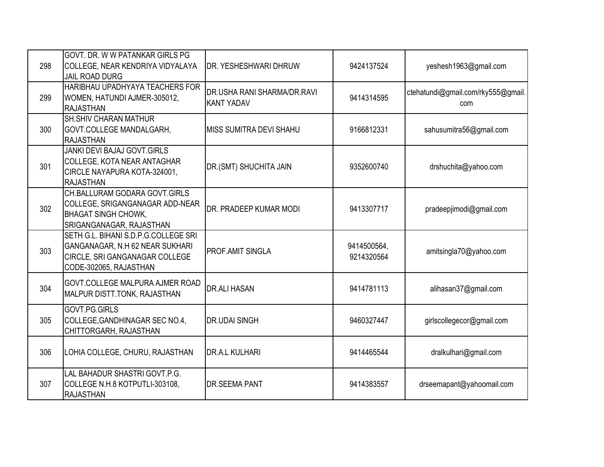| 298 | <b>GOVT. DR. W W PATANKAR GIRLS PG</b><br>COLLEGE, NEAR KENDRIYA VIDYALAYA<br><b>JAIL ROAD DURG</b>                                 | DR. YESHESHWARI DHRUW                            | 9424137524                | yeshesh1963@gmail.com                     |
|-----|-------------------------------------------------------------------------------------------------------------------------------------|--------------------------------------------------|---------------------------|-------------------------------------------|
| 299 | HARIBHAU UPADHYAYA TEACHERS FOR<br>WOMEN, HATUNDI AJMER-305012,<br><b>RAJASTHAN</b>                                                 | DR.USHA RANI SHARMA/DR.RAVI<br><b>KANT YADAV</b> | 9414314595                | ctehatundi@gmail.com/rky555@gmail.<br>com |
| 300 | <b>SH.SHIV CHARAN MATHUR</b><br>GOVT.COLLEGE MANDALGARH,<br><b>RAJASTHAN</b>                                                        | MISS SUMITRA DEVI SHAHU                          | 9166812331                | sahusumitra56@gmail.com                   |
| 301 | JANKI DEVI BAJAJ GOVT.GIRLS<br>COLLEGE, KOTA NEAR ANTAGHAR<br>CIRCLE NAYAPURA KOTA-324001,<br><b>RAJASTHAN</b>                      | DR.(SMT) SHUCHITA JAIN                           | 9352600740                | drshuchita@yahoo.com                      |
| 302 | CH.BALLURAM GODARA GOVT.GIRLS<br>COLLEGE, SRIGANGANAGAR ADD-NEAR<br><b>BHAGAT SINGH CHOWK,</b><br>SRIGANGANAGAR, RAJASTHAN          | DR. PRADEEP KUMAR MODI                           | 9413307717                | pradeepjimodi@gmail.com                   |
| 303 | SETH G.L. BIHANI S.D.P.G.COLLEGE SRI<br>GANGANAGAR, N.H 62 NEAR SUKHARI<br>CIRCLE, SRI GANGANAGAR COLLEGE<br>CODE-302065, RAJASTHAN | PROF.AMIT SINGLA                                 | 9414500564,<br>9214320564 | amitsingla70@yahoo.com                    |
| 304 | <b>GOVT.COLLEGE MALPURA AJMER ROAD</b><br>MALPUR DISTT.TONK, RAJASTHAN                                                              | <b>DR.ALI HASAN</b>                              | 9414781113                | alihasan37@gmail.com                      |
| 305 | GOVT.PG.GIRLS<br>COLLEGE, GANDHINAGAR SEC NO.4,<br>CHITTORGARH, RAJASTHAN                                                           | <b>DR.UDAI SINGH</b>                             | 9460327447                | girlscollegecor@gmail.com                 |
| 306 | LOHIA COLLEGE, CHURU, RAJASTHAN                                                                                                     | DR.A.L KULHARI                                   | 9414465544                | dralkulhari@gmail.com                     |
| 307 | LAL BAHADUR SHASTRI GOVT.P.G.<br>COLLEGE N.H.8 KOTPUTLI-303108,<br><b>RAJASTHAN</b>                                                 | <b>DR.SEEMA PANT</b>                             | 9414383557                | drseemapant@yahoomail.com                 |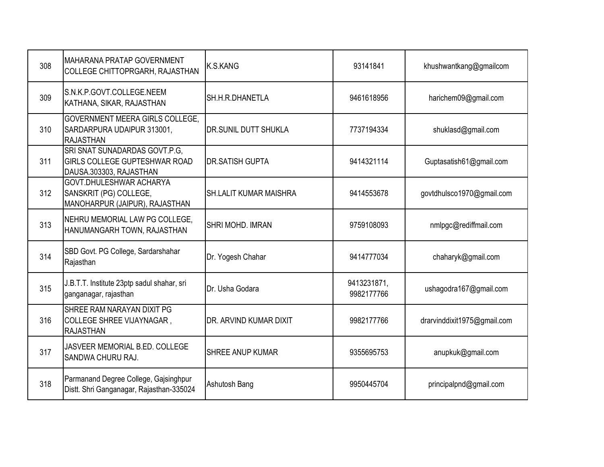| 308 | <b>MAHARANA PRATAP GOVERNMENT</b><br>COLLEGE CHITTOPRGARH, RAJASTHAN                      | K.S.KANG                      | 93141841                  | khushwantkang@gmailcom      |
|-----|-------------------------------------------------------------------------------------------|-------------------------------|---------------------------|-----------------------------|
| 309 | S.N.K.P.GOVT.COLLEGE.NEEM<br>KATHANA, SIKAR, RAJASTHAN                                    | SH.H.R.DHANETLA               | 9461618956                | harichem09@gmail.com        |
| 310 | GOVERNMENT MEERA GIRLS COLLEGE,<br>SARDARPURA UDAIPUR 313001,<br><b>RAJASTHAN</b>         | DR.SUNIL DUTT SHUKLA          | 7737194334                | shuklasd@gmail.com          |
| 311 | SRI SNAT SUNADARDAS GOVT.P.G,<br>GIRLS COLLEGE GUPTESHWAR ROAD<br>DAUSA.303303, RAJASTHAN | <b>DR.SATISH GUPTA</b>        | 9414321114                | Guptasatish61@gmail.com     |
| 312 | GOVT.DHULESHWAR ACHARYA<br>SANSKRIT (PG) COLLEGE,<br>MANOHARPUR (JAIPUR), RAJASTHAN       | <b>SH.LALIT KUMAR MAISHRA</b> | 9414553678                | govtdhulsco1970@gmail.com   |
| 313 | NEHRU MEMORIAL LAW PG COLLEGE,<br>HANUMANGARH TOWN, RAJASTHAN                             | <b>SHRI MOHD, IMRAN</b>       | 9759108093                | nmlpgc@rediffmail.com       |
| 314 | SBD Govt. PG College, Sardarshahar<br>Rajasthan                                           | Dr. Yogesh Chahar             | 9414777034                | chaharyk@gmail.com          |
| 315 | J.B.T.T. Institute 23ptp sadul shahar, sri<br>ganganagar, rajasthan                       | Dr. Usha Godara               | 9413231871,<br>9982177766 | ushagodra167@gmail.com      |
| 316 | SHREE RAM NARAYAN DIXIT PG<br>COLLEGE SHREE VIJAYNAGAR,<br><b>RAJASTHAN</b>               | DR. ARVIND KUMAR DIXIT        | 9982177766                | drarvinddixit1975@gmail.com |
| 317 | JASVEER MEMORIAL B.ED. COLLEGE<br>SANDWA CHURU RAJ.                                       | <b>SHREE ANUP KUMAR</b>       | 9355695753                | anupkuk@gmail.com           |
| 318 | Parmanand Degree College, Gajsinghpur<br>Distt. Shri Ganganagar, Rajasthan-335024         | Ashutosh Bang                 | 9950445704                | principalpnd@gmail.com      |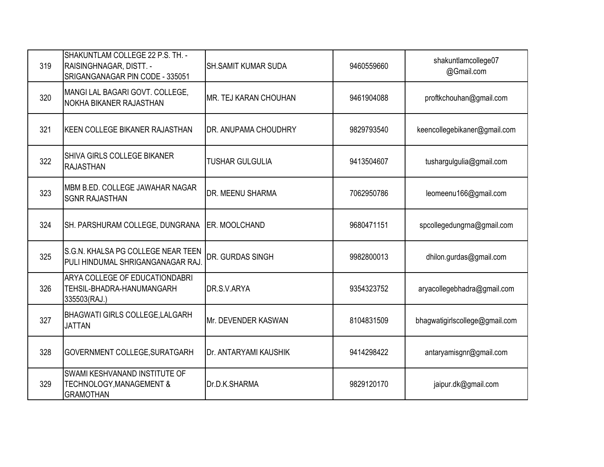| 319 | SHAKUNTLAM COLLEGE 22 P.S. TH. -<br>RAISINGHNAGAR, DISTT. -<br>SRIGANGANAGAR PIN CODE - 335051 | <b>SH.SAMIT KUMAR SUDA</b>   | 9460559660 | shakuntlamcollege07<br>@Gmail.com |
|-----|------------------------------------------------------------------------------------------------|------------------------------|------------|-----------------------------------|
| 320 | MANGI LAL BAGARI GOVT. COLLEGE,<br>NOKHA BIKANER RAJASTHAN                                     | IMR. TEJ KARAN CHOUHAN       | 9461904088 | proftkchouhan@gmail.com           |
| 321 | KEEN COLLEGE BIKANER RAJASTHAN                                                                 | DR. ANUPAMA CHOUDHRY         | 9829793540 | keencollegebikaner@gmail.com      |
| 322 | <b>SHIVA GIRLS COLLEGE BIKANER</b><br><b>RAJASTHAN</b>                                         | <b>TUSHAR GULGULIA</b>       | 9413504607 | tushargulgulia@gmail.com          |
| 323 | MBM B.ED. COLLEGE JAWAHAR NAGAR<br><b>SGNR RAJASTHAN</b>                                       | DR. MEENU SHARMA             | 7062950786 | leomeenu166@gmail.com             |
| 324 | SH. PARSHURAM COLLEGE, DUNGRANA                                                                | <b>ER. MOOLCHAND</b>         | 9680471151 | spcollegedungrna@gmail.com        |
| 325 | S.G.N. KHALSA PG COLLEGE NEAR TEEN<br>PULI HINDUMAL SHRIGANGANAGAR RAJ.                        | DR. GURDAS SINGH             | 9982800013 | dhilon.gurdas@gmail.com           |
| 326 | ARYA COLLEGE OF EDUCATIONDABRI<br>TEHSIL-BHADRA-HANUMANGARH<br>335503(RAJ.)                    | DR.S.V.ARYA                  | 9354323752 | aryacollegebhadra@gmail.com       |
| 327 | <b>BHAGWATI GIRLS COLLEGE, LALGARH</b><br><b>JATTAN</b>                                        | <b>I</b> Mr. DEVENDER KASWAN | 8104831509 | bhagwatigirlscollege@gmail.com    |
| 328 | GOVERNMENT COLLEGE, SURATGARH                                                                  | Dr. ANTARYAMI KAUSHIK        | 9414298422 | antaryamisgnr@gmail.com           |
| 329 | SWAMI KESHVANAND INSTITUTE OF<br><b>TECHNOLOGY, MANAGEMENT &amp;</b><br><b>GRAMOTHAN</b>       | Dr.D.K.SHARMA                | 9829120170 | jaipur.dk@gmail.com               |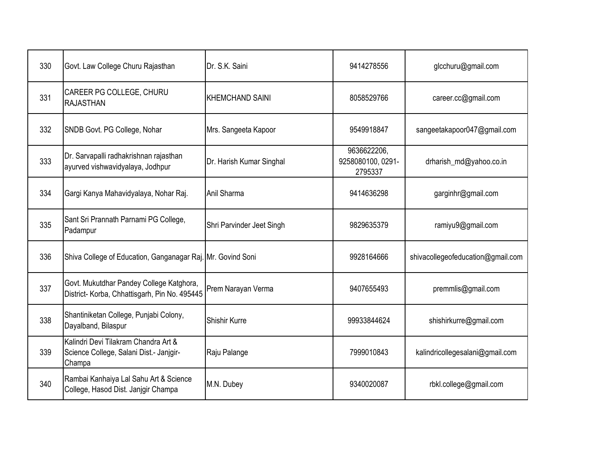| 330 | Govt. Law College Churu Rajasthan                                                         | Dr. S.K. Saini            | 9414278556                                  | glcchuru@gmail.com                |
|-----|-------------------------------------------------------------------------------------------|---------------------------|---------------------------------------------|-----------------------------------|
| 331 | CAREER PG COLLEGE, CHURU<br><b>RAJASTHAN</b>                                              | <b>KHEMCHAND SAINI</b>    | 8058529766                                  | career.cc@gmail.com               |
| 332 | SNDB Govt. PG College, Nohar                                                              | Mrs. Sangeeta Kapoor      | 9549918847                                  | sangeetakapoor047@gmail.com       |
| 333 | Dr. Sarvapalli radhakrishnan rajasthan<br>ayurved vishwavidyalaya, Jodhpur                | Dr. Harish Kumar Singhal  | 9636622206,<br>9258080100, 0291-<br>2795337 | drharish_md@yahoo.co.in           |
| 334 | Gargi Kanya Mahavidyalaya, Nohar Raj.                                                     | Anil Sharma               | 9414636298                                  | garginhr@gmail.com                |
| 335 | Sant Sri Prannath Parnami PG College,<br>Padampur                                         | Shri Parvinder Jeet Singh | 9829635379                                  | ramiyu9@gmail.com                 |
| 336 | Shiva College of Education, Ganganagar Raj. Mr. Govind Soni                               |                           | 9928164666                                  | shivacollegeofeducation@gmail.com |
| 337 | Govt. Mukutdhar Pandey College Katghora,<br>District- Korba, Chhattisgarh, Pin No. 495445 | Prem Narayan Verma        | 9407655493                                  | premmlis@gmail.com                |
| 338 | Shantiniketan College, Punjabi Colony,<br>Dayalband, Bilaspur                             | <b>Shishir Kurre</b>      | 99933844624                                 | shishirkurre@gmail.com            |
| 339 | Kalindri Devi Tilakram Chandra Art &<br>Science College, Salani Dist.- Janjgir-<br>Champa | Raju Palange              | 7999010843                                  | kalindricollegesalani@gmail.com   |
| 340 | Rambai Kanhaiya Lal Sahu Art & Science<br>College, Hasod Dist. Janigir Champa             | M.N. Dubey                | 9340020087                                  | rbkl.college@gmail.com            |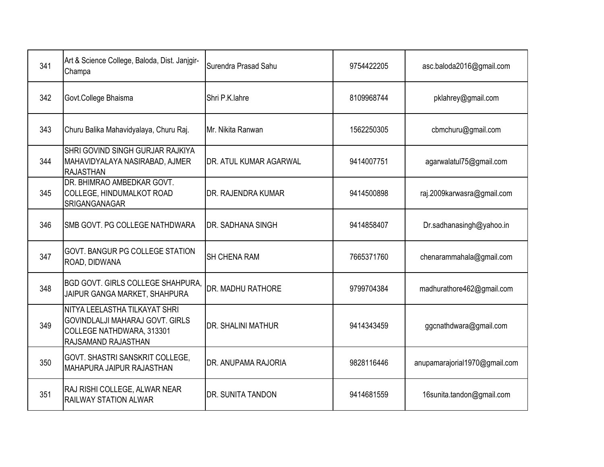| 341 | Art & Science College, Baloda, Dist. Janjgir-<br>Champa                                                              | Surendra Prasad Sahu      | 9754422205 | asc.baloda2016@gmail.com      |
|-----|----------------------------------------------------------------------------------------------------------------------|---------------------------|------------|-------------------------------|
| 342 | Govt.College Bhaisma                                                                                                 | Shri P.K.lahre            | 8109968744 | pklahrey@gmail.com            |
| 343 | Churu Balika Mahavidyalaya, Churu Raj.                                                                               | Mr. Nikita Ranwan         | 1562250305 | cbmchuru@gmail.com            |
| 344 | SHRI GOVIND SINGH GURJAR RAJKIYA<br>MAHAVIDYALAYA NASIRABAD, AJMER<br><b>RAJASTHAN</b>                               | DR. ATUL KUMAR AGARWAL    | 9414007751 | agarwalatul75@gmail.com       |
| 345 | DR. BHIMRAO AMBEDKAR GOVT.<br>COLLEGE, HINDUMALKOT ROAD<br><b>SRIGANGANAGAR</b>                                      | DR. RAJENDRA KUMAR        | 9414500898 | raj.2009karwasra@gmail.com    |
| 346 | SMB GOVT. PG COLLEGE NATHDWARA                                                                                       | DR. SADHANA SINGH         | 9414858407 | Dr.sadhanasingh@yahoo.in      |
| 347 | <b>GOVT. BANGUR PG COLLEGE STATION</b><br>ROAD, DIDWANA                                                              | <b>SH CHENA RAM</b>       | 7665371760 | chenarammahala@gmail.com      |
| 348 | <b>BGD GOVT. GIRLS COLLEGE SHAHPURA,</b><br>JAIPUR GANGA MARKET, SHAHPURA                                            | DR. MADHU RATHORE         | 9799704384 | madhurathore462@gmail.com     |
| 349 | NITYA LEELASTHA TILKAYAT SHRI<br>GOVINDLALJI MAHARAJ GOVT. GIRLS<br>COLLEGE NATHDWARA, 313301<br>RAJSAMAND RAJASTHAN | <b>DR. SHALINI MATHUR</b> | 9414343459 | ggcnathdwara@gmail.com        |
| 350 | <b>GOVT. SHASTRI SANSKRIT COLLEGE,</b><br>MAHAPURA JAIPUR RAJASTHAN                                                  | DR. ANUPAMA RAJORIA       | 9828116446 | anupamarajorial1970@gmail.com |
| 351 | RAJ RISHI COLLEGE, ALWAR NEAR<br><b>RAILWAY STATION ALWAR</b>                                                        | DR. SUNITA TANDON         | 9414681559 | 16sunita.tandon@gmail.com     |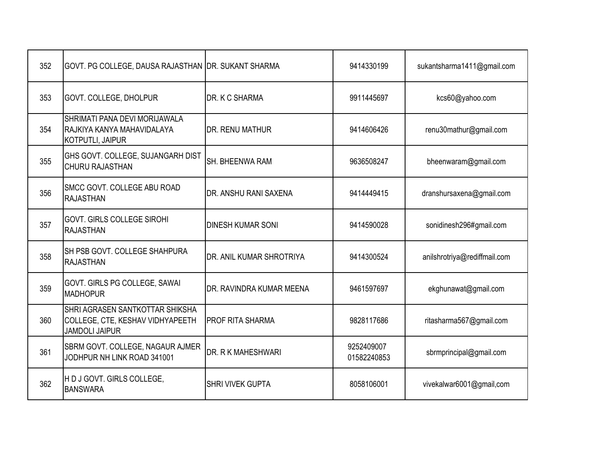| 352 | GOVT. PG COLLEGE, DAUSA RAJASTHAN DR. SUKANT SHARMA                                          |                          | 9414330199                | sukantsharma1411@gmail.com   |
|-----|----------------------------------------------------------------------------------------------|--------------------------|---------------------------|------------------------------|
| 353 | GOVT. COLLEGE, DHOLPUR                                                                       | DR. K C SHARMA           | 9911445697                | kcs60@yahoo.com              |
| 354 | SHRIMATI PANA DEVI MORIJAWALA<br>RAJKIYA KANYA MAHAVIDALAYA<br><b>KOTPUTLI, JAIPUR</b>       | DR. RENU MATHUR          | 9414606426                | renu30mathur@gmail.com       |
| 355 | GHS GOVT. COLLEGE, SUJANGARH DIST<br><b>CHURU RAJASTHAN</b>                                  | SH. BHEENWA RAM          | 9636508247                | bheenwaram@gmail.com         |
| 356 | <b>SMCC GOVT. COLLEGE ABU ROAD</b><br><b>RAJASTHAN</b>                                       | DR. ANSHU RANI SAXENA    | 9414449415                | dranshursaxena@gmail.com     |
| 357 | <b>GOVT. GIRLS COLLEGE SIROHI</b><br><b>RAJASTHAN</b>                                        | <b>DINESH KUMAR SONI</b> | 9414590028                | sonidinesh296#gmail.com      |
| 358 | <b>SH PSB GOVT. COLLEGE SHAHPURA</b><br><b>RAJASTHAN</b>                                     | DR. ANIL KUMAR SHROTRIYA | 9414300524                | anilshrotriya@rediffmail.com |
| 359 | GOVT. GIRLS PG COLLEGE, SAWAI<br><b>MADHOPUR</b>                                             | DR. RAVINDRA KUMAR MEENA | 9461597697                | ekghunawat@gmail.com         |
| 360 | SHRI AGRASEN SANTKOTTAR SHIKSHA<br>COLLEGE, CTE, KESHAV VIDHYAPEETH<br><b>JAMDOLI JAIPUR</b> | <b>PROF RITA SHARMA</b>  | 9828117686                | ritasharma567@gmail.com      |
| 361 | SBRM GOVT. COLLEGE, NAGAUR AJMER<br>JODHPUR NH LINK ROAD 341001                              | DR. R K MAHESHWARI       | 9252409007<br>01582240853 | sbrmprincipal@gmail.com      |
| 362 | H D J GOVT. GIRLS COLLEGE,<br><b>BANSWARA</b>                                                | <b>SHRI VIVEK GUPTA</b>  | 8058106001                | vivekalwar6001@gmail,com     |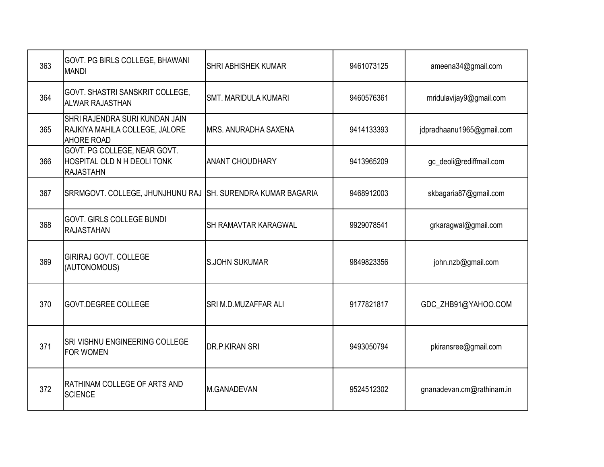| 363 | GOVT. PG BIRLS COLLEGE, BHAWANI<br><b>MANDI</b>                                       | <b>SHRI ABHISHEK KUMAR</b>  | 9461073125 | ameena34@gmail.com        |
|-----|---------------------------------------------------------------------------------------|-----------------------------|------------|---------------------------|
| 364 | GOVT. SHASTRI SANSKRIT COLLEGE,<br><b>ALWAR RAJASTHAN</b>                             | <b>SMT. MARIDULA KUMARI</b> | 9460576361 | mridulavijay9@gmail.com   |
| 365 | SHRI RAJENDRA SURI KUNDAN JAIN<br>RAJKIYA MAHILA COLLEGE, JALORE<br><b>AHORE ROAD</b> | <b>MRS. ANURADHA SAXENA</b> | 9414133393 | jdpradhaanu1965@gmail.com |
| 366 | GOVT. PG COLLEGE, NEAR GOVT.<br>HOSPITAL OLD N H DEOLI TONK<br><b>RAJASTAHN</b>       | <b>ANANT CHOUDHARY</b>      | 9413965209 | gc_deoli@rediffmail.com   |
| 367 | SRRMGOVT. COLLEGE, JHUNJHUNU RAJ SH. SURENDRA KUMAR BAGARIA                           |                             | 9468912003 | skbagaria87@gmail.com     |
| 368 | <b>GOVT. GIRLS COLLEGE BUNDI</b><br><b>RAJASTAHAN</b>                                 | SH RAMAVTAR KARAGWAL        | 9929078541 | grkaragwal@gmail.com      |
| 369 | <b>GIRIRAJ GOVT. COLLEGE</b><br>(AUTONOMOUS)                                          | <b>S.JOHN SUKUMAR</b>       | 9849823356 | john.nzb@gmail.com        |
| 370 | GOVT.DEGREE COLLEGE                                                                   | SRI M.D.MUZAFFAR ALI        | 9177821817 | GDC_ZHB91@YAHOO.COM       |
| 371 | <b>SRI VISHNU ENGINEERING COLLEGE</b><br><b>FOR WOMEN</b>                             | <b>DR.P.KIRAN SRI</b>       | 9493050794 | pkiransree@gmail.com      |
| 372 | RATHINAM COLLEGE OF ARTS AND<br><b>SCIENCE</b>                                        | M.GANADEVAN                 | 9524512302 | gnanadevan.cm@rathinam.in |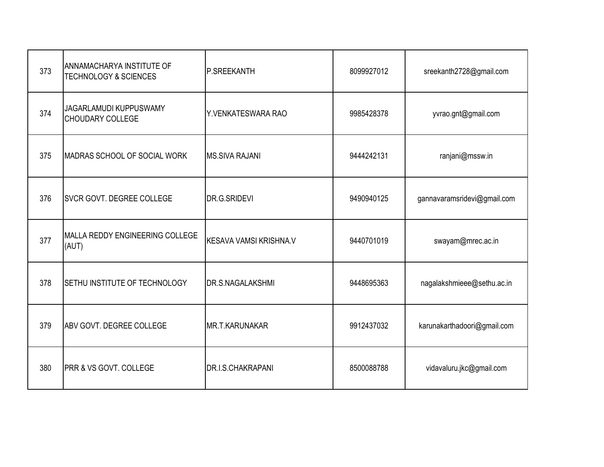| 373 | ANNAMACHARYA INSTITUTE OF<br><b>TECHNOLOGY &amp; SCIENCES</b> | P.SREEKANTH                   | 8099927012 | sreekanth2728@gmail.com     |
|-----|---------------------------------------------------------------|-------------------------------|------------|-----------------------------|
| 374 | JAGARLAMUDI KUPPUSWAMY<br><b>CHOUDARY COLLEGE</b>             | Y.VENKATESWARA RAO            | 9985428378 | yvrao.gnt@gmail.com         |
| 375 | MADRAS SCHOOL OF SOCIAL WORK                                  | <b>MS.SIVA RAJANI</b>         | 9444242131 | ranjani@mssw.in             |
| 376 | <b>SVCR GOVT. DEGREE COLLEGE</b>                              | DR.G.SRIDEVI                  | 9490940125 | gannavaramsridevi@gmail.com |
| 377 | MALLA REDDY ENGINEERING COLLEGE<br>(AUT)                      | <b>KESAVA VAMSI KRISHNA.V</b> | 9440701019 | swayam@mrec.ac.in           |
| 378 | SETHU INSTITUTE OF TECHNOLOGY                                 | <b>DR.S.NAGALAKSHMI</b>       | 9448695363 | nagalakshmieee@sethu.ac.in  |
| 379 | ABV GOVT. DEGREE COLLEGE                                      | MR.T.KARUNAKAR                | 9912437032 | karunakarthadoori@gmail.com |
| 380 | <b>PRR &amp; VS GOVT. COLLEGE</b>                             | <b>DR.I.S.CHAKRAPANI</b>      | 8500088788 | vidavaluru.jkc@gmail.com    |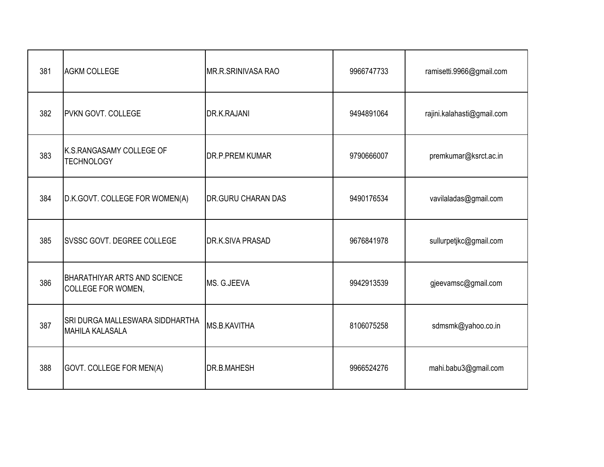| 381 | <b>AGKM COLLEGE</b>                                       | MR.R.SRINIVASA RAO        | 9966747733 | ramisetti.9966@gmail.com   |
|-----|-----------------------------------------------------------|---------------------------|------------|----------------------------|
| 382 | <b>IPVKN GOVT. COLLEGE</b>                                | <b>DR.K.RAJANI</b>        | 9494891064 | rajini.kalahasti@gmail.com |
| 383 | K.S.RANGASAMY COLLEGE OF<br><b>TECHNOLOGY</b>             | <b>DR.P.PREM KUMAR</b>    | 9790666007 | premkumar@ksrct.ac.in      |
| 384 | D.K.GOVT. COLLEGE FOR WOMEN(A)                            | <b>DR.GURU CHARAN DAS</b> | 9490176534 | vavilaladas@gmail.com      |
| 385 | <b>SVSSC GOVT. DEGREE COLLEGE</b>                         | <b>DR.K.SIVA PRASAD</b>   | 9676841978 | sullurpetjkc@gmail.com     |
| 386 | <b>BHARATHIYAR ARTS AND SCIENCE</b><br>COLLEGE FOR WOMEN, | MS. G.JEEVA               | 9942913539 | gjeevamsc@gmail.com        |
| 387 | SRI DURGA MALLESWARA SIDDHARTHA<br><b>MAHILA KALASALA</b> | <b>MS.B.KAVITHA</b>       | 8106075258 | sdmsmk@yahoo.co.in         |
| 388 | GOVT. COLLEGE FOR MEN(A)                                  | <b>DR.B.MAHESH</b>        | 9966524276 | mahi.babu3@gmail.com       |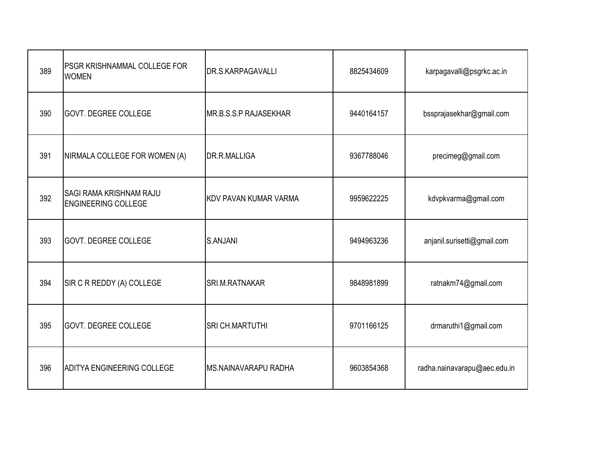| 389 | PSGR KRISHNAMMAL COLLEGE FOR<br><b>WOMEN</b>                 | <b>DR.S.KARPAGAVALLI</b>     | 8825434609 | karpagavalli@psgrkc.ac.in    |
|-----|--------------------------------------------------------------|------------------------------|------------|------------------------------|
| 390 | <b>GOVT. DEGREE COLLEGE</b>                                  | MR.B.S.S.P RAJASEKHAR        | 9440164157 | bssprajasekhar@gmail.com     |
| 391 | NIRMALA COLLEGE FOR WOMEN (A)                                | DR.R.MALLIGA                 | 9367788046 | precimeg@gmail.com           |
| 392 | <b>SAGI RAMA KRISHNAM RAJU</b><br><b>ENGINEERING COLLEGE</b> | <b>KDV PAVAN KUMAR VARMA</b> | 9959622225 | kdvpkvarma@gmail.com         |
| 393 | <b>GOVT. DEGREE COLLEGE</b>                                  | S.ANJANI                     | 9494963236 | anjanil.surisetti@gmail.com  |
| 394 | SIR C R REDDY (A) COLLEGE                                    | <b>SRI.M.RATNAKAR</b>        | 9848981899 | ratnakm74@gmail.com          |
| 395 | <b>GOVT. DEGREE COLLEGE</b>                                  | <b>SRI CH.MARTUTHI</b>       | 9701166125 | drmaruthi1@gmail.com         |
| 396 | <b>ADITYA ENGINEERING COLLEGE</b>                            | <b>MS.NAINAVARAPU RADHA</b>  | 9603854368 | radha.nainavarapu@aec.edu.in |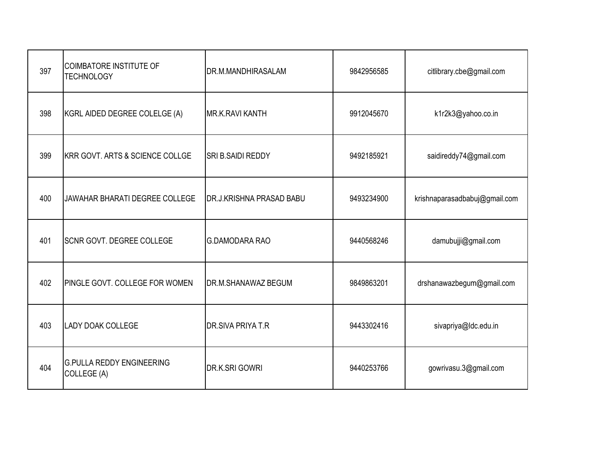| 397 | <b>COIMBATORE INSTITUTE OF</b><br><b>TECHNOLOGY</b> | DR.M.MANDHIRASALAM              | 9842956585 | citlibrary.cbe@gmail.com      |
|-----|-----------------------------------------------------|---------------------------------|------------|-------------------------------|
| 398 | KGRL AIDED DEGREE COLELGE (A)                       | <b>MR.K.RAVI KANTH</b>          | 9912045670 | k1r2k3@yahoo.co.in            |
| 399 | <b>KRR GOVT. ARTS &amp; SCIENCE COLLGE</b>          | SRI B.SAIDI REDDY               | 9492185921 | saidireddy74@gmail.com        |
| 400 | JAWAHAR BHARATI DEGREE COLLEGE                      | <b>DR.J.KRISHNA PRASAD BABU</b> | 9493234900 | krishnaparasadbabuj@gmail.com |
| 401 | <b>SCNR GOVT. DEGREE COLLEGE</b>                    | <b>G.DAMODARA RAO</b>           | 9440568246 | damubujji@gmail.com           |
| 402 | PINGLE GOVT. COLLEGE FOR WOMEN                      | <b>DR.M.SHANAWAZ BEGUM</b>      | 9849863201 | drshanawazbegum@gmail.com     |
| 403 | <b>LADY DOAK COLLEGE</b>                            | <b>DR.SIVA PRIYA T.R</b>        | 9443302416 | sivapriya@ldc.edu.in          |
| 404 | <b>G.PULLA REDDY ENGINEERING</b><br>COLLEGE (A)     | DR.K.SRI GOWRI                  | 9440253766 | gowrivasu.3@gmail.com         |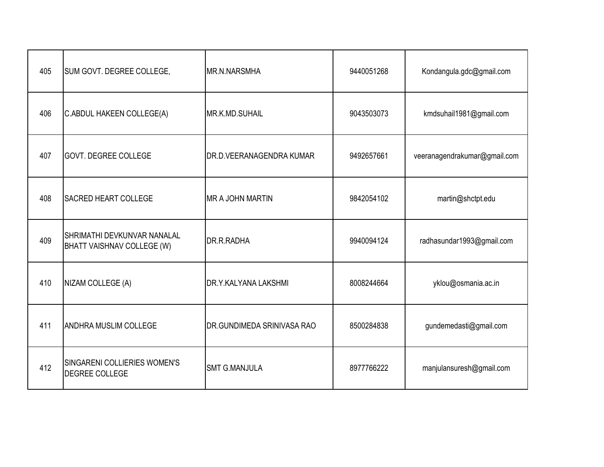| 405 | SUM GOVT. DEGREE COLLEGE,                                 | <b>MR.N.NARSMHA</b>        | 9440051268 | Kondangula.gdc@gmail.com     |
|-----|-----------------------------------------------------------|----------------------------|------------|------------------------------|
| 406 | C.ABDUL HAKEEN COLLEGE(A)                                 | MR.K.MD.SUHAIL             | 9043503073 | kmdsuhail1981@gmail.com      |
| 407 | <b>GOVT. DEGREE COLLEGE</b>                               | DR.D.VEERANAGENDRA KUMAR   | 9492657661 | veeranagendrakumar@gmail.com |
| 408 | <b>SACRED HEART COLLEGE</b>                               | <b>MR A JOHN MARTIN</b>    | 9842054102 | martin@shctpt.edu            |
| 409 | SHRIMATHI DEVKUNVAR NANALAL<br>BHATT VAISHNAV COLLEGE (W) | DR.R.RADHA                 | 9940094124 | radhasundar1993@gmail.com    |
| 410 | NIZAM COLLEGE (A)                                         | DR.Y.KALYANA LAKSHMI       | 8008244664 | yklou@osmania.ac.in          |
| 411 | <b>ANDHRA MUSLIM COLLEGE</b>                              | DR.GUNDIMEDA SRINIVASA RAO | 8500284838 | gundemedasti@gmail.com       |
| 412 | SINGARENI COLLIERIES WOMEN'S<br>DEGREE COLLEGE            | <b>SMT G.MANJULA</b>       | 8977766222 | manjulansuresh@gmail.com     |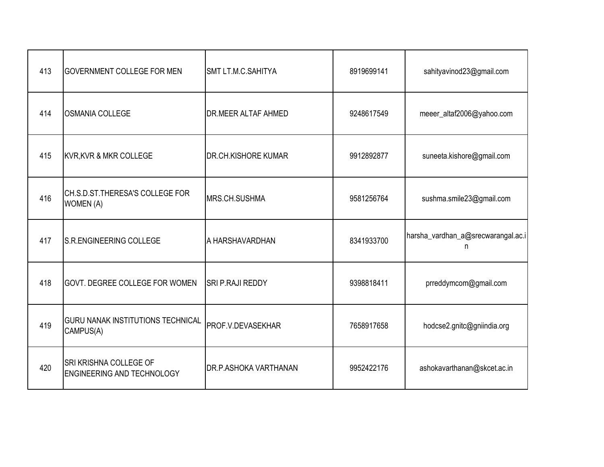| 413 | <b>GOVERNMENT COLLEGE FOR MEN</b>                                  | SMT LT.M.C.SAHITYA         | 8919699141 | sahityavinod23@gmail.com                |
|-----|--------------------------------------------------------------------|----------------------------|------------|-----------------------------------------|
| 414 | <b>OSMANIA COLLEGE</b>                                             | <b>DR.MEER ALTAF AHMED</b> | 9248617549 | meeer_altaf2006@yahoo.com               |
| 415 | <b>KVR, KVR &amp; MKR COLLEGE</b>                                  | <b>DR.CH.KISHORE KUMAR</b> | 9912892877 | suneeta.kishore@gmail.com               |
| 416 | CH.S.D.ST.THERESA'S COLLEGE FOR<br><b>WOMEN (A)</b>                | MRS.CH.SUSHMA              | 9581256764 | sushma.smile23@gmail.com                |
| 417 | S.R.ENGINEERING COLLEGE                                            | A HARSHAVARDHAN            | 8341933700 | harsha_vardhan_a@srecwarangal.ac.i<br>n |
| 418 | <b>GOVT. DEGREE COLLEGE FOR WOMEN</b>                              | SRI P.RAJI REDDY           | 9398818411 | prreddymcom@gmail.com                   |
| 419 | <b>GURU NANAK INSTITUTIONS TECHNICAL</b><br>CAMPUS(A)              | PROF.V.DEVASEKHAR          | 7658917658 | hodcse2.gnitc@gniindia.org              |
| 420 | <b>SRI KRISHNA COLLEGE OF</b><br><b>ENGINEERING AND TECHNOLOGY</b> | DR.P.ASHOKA VARTHANAN      | 9952422176 | ashokavarthanan@skcet.ac.in             |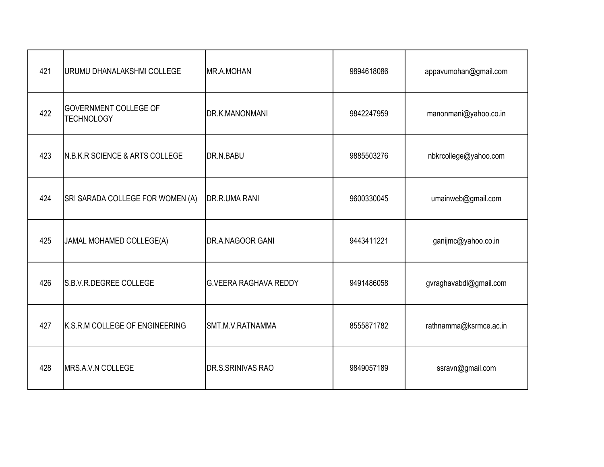| 421 | URUMU DHANALAKSHMI COLLEGE                        | MR.A.MOHAN                   | 9894618086 | appavumohan@gmail.com  |
|-----|---------------------------------------------------|------------------------------|------------|------------------------|
| 422 | <b>GOVERNMENT COLLEGE OF</b><br><b>TECHNOLOGY</b> | DR.K.MANONMANI               | 9842247959 | manonmani@yahoo.co.in  |
| 423 | <b>N.B.K.R SCIENCE &amp; ARTS COLLEGE</b>         | DR.N.BABU                    | 9885503276 | nbkrcollege@yahoo.com  |
| 424 | SRI SARADA COLLEGE FOR WOMEN (A)                  | DR.R.UMA RANI                | 9600330045 | umainweb@gmail.com     |
| 425 | JAMAL MOHAMED COLLEGE(A)                          | DR.A.NAGOOR GANI             | 9443411221 | ganijmc@yahoo.co.in    |
| 426 | S.B.V.R.DEGREE COLLEGE                            | <b>G.VEERA RAGHAVA REDDY</b> | 9491486058 | gvraghavabdl@gmail.com |
| 427 | K.S.R.M COLLEGE OF ENGINEERING                    | SMT.M.V.RATNAMMA             | 8555871782 | rathnamma@ksrmce.ac.in |
| 428 | MRS.A.V.N COLLEGE                                 | DR.S.SRINIVAS RAO            | 9849057189 | ssravn@gmail.com       |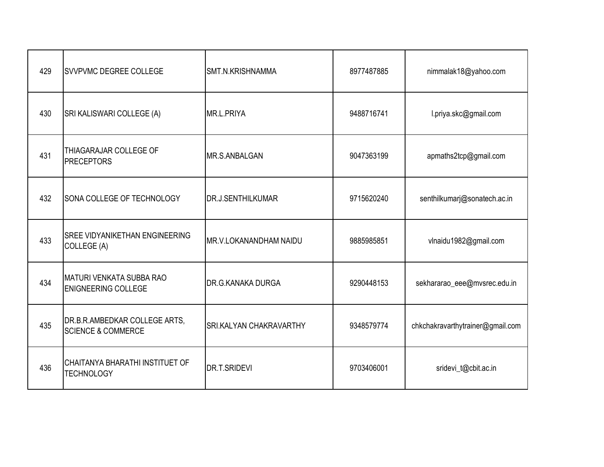| 429 | <b>SVVPVMC DEGREE COLLEGE</b>                                  | SMT.N.KRISHNAMMA               | 8977487885 | nimmalak18@yahoo.com             |
|-----|----------------------------------------------------------------|--------------------------------|------------|----------------------------------|
| 430 | SRI KALISWARI COLLEGE (A)                                      | MR.L.PRIYA                     | 9488716741 | l.priya.skc@gmail.com            |
| 431 | THIAGARAJAR COLLEGE OF<br><b>PRECEPTORS</b>                    | MR.S.ANBALGAN                  | 9047363199 | apmaths2tcp@gmail.com            |
| 432 | SONA COLLEGE OF TECHNOLOGY                                     | <b>DR.J.SENTHILKUMAR</b>       | 9715620240 | senthilkumarj@sonatech.ac.in     |
| 433 | <b>SREE VIDYANIKETHAN ENGINEERING</b><br>COLLEGE (A)           | MR.V.LOKANANDHAM NAIDU         | 9885985851 | vlnaidu1982@gmail.com            |
| 434 | IMATURI VENKATA SUBBA RAO<br><b>ENIGNEERING COLLEGE</b>        | DR.G.KANAKA DURGA              | 9290448153 | sekhararao_eee@mvsrec.edu.in     |
| 435 | DR.B.R.AMBEDKAR COLLEGE ARTS,<br><b>SCIENCE &amp; COMMERCE</b> | <b>SRI.KALYAN CHAKRAVARTHY</b> | 9348579774 | chkchakravarthytrainer@gmail.com |
| 436 | CHAITANYA BHARATHI INSTITUET OF<br><b>TECHNOLOGY</b>           | DR.T.SRIDEVI                   | 9703406001 | sridevi_t@cbit.ac.in             |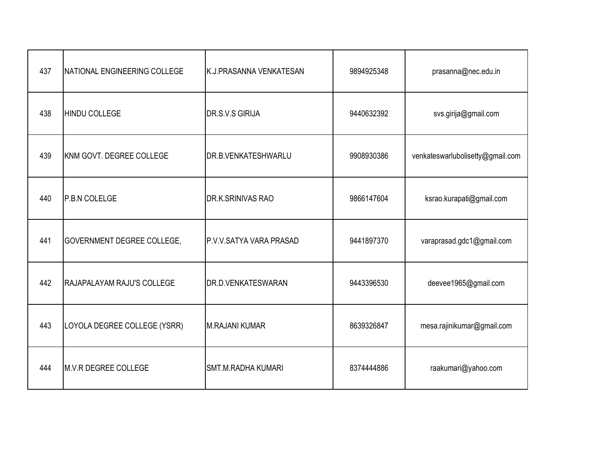| 437 | NATIONAL ENGINEERING COLLEGE      | K.J. PRASANNA VENKATESAN | 9894925348 | prasanna@nec.edu.in              |
|-----|-----------------------------------|--------------------------|------------|----------------------------------|
| 438 | HINDU COLLEGE                     | DR.S.V.S GIRIJA          | 9440632392 | svs.girija@gmail.com             |
| 439 | KNM GOVT. DEGREE COLLEGE          | DR.B.VENKATESHWARLU      | 9908930386 | venkateswarlubolisetty@gmail.com |
| 440 | P.B.N COLELGE                     | DR.K.SRINIVAS RAO        | 9866147604 | ksrao.kurapati@gmail.com         |
| 441 | <b>GOVERNMENT DEGREE COLLEGE,</b> | P.V.V.SATYA VARA PRASAD  | 9441897370 | varaprasad.gdc1@gmail.com        |
| 442 | <b>RAJAPALAYAM RAJU'S COLLEGE</b> | DR.D.VENKATESWARAN       | 9443396530 | deevee1965@gmail.com             |
| 443 | LOYOLA DEGREE COLLEGE (YSRR)      | M.RAJANI KUMAR           | 8639326847 | mesa.rajinikumar@gmail.com       |
| 444 | M.V.R DEGREE COLLEGE              | SMT.M.RADHA KUMARI       | 8374444886 | raakumari@yahoo.com              |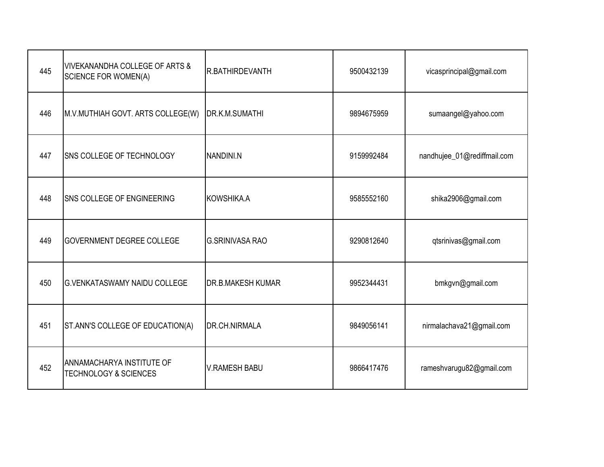| 445 | VIVEKANANDHA COLLEGE OF ARTS &<br><b>SCIENCE FOR WOMEN(A)</b> | R.BATHIRDEVANTH          | 9500432139 | vicasprincipal@gmail.com    |
|-----|---------------------------------------------------------------|--------------------------|------------|-----------------------------|
| 446 | M.V.MUTHIAH GOVT. ARTS COLLEGE(W)                             | DR.K.M.SUMATHI           | 9894675959 | sumaangel@yahoo.com         |
| 447 | SNS COLLEGE OF TECHNOLOGY                                     | NANDINI.N                | 9159992484 | nandhujee_01@rediffmail.com |
| 448 | <b>SNS COLLEGE OF ENGINEERING</b>                             | KOWSHIKA.A               | 9585552160 | shika2906@gmail.com         |
| 449 | <b>GOVERNMENT DEGREE COLLEGE</b>                              | <b>G.SRINIVASA RAO</b>   | 9290812640 | qtsrinivas@gmail.com        |
| 450 | <b>G.VENKATASWAMY NAIDU COLLEGE</b>                           | <b>DR.B.MAKESH KUMAR</b> | 9952344431 | bmkgvn@gmail.com            |
| 451 | ST.ANN'S COLLEGE OF EDUCATION(A)                              | DR.CH.NIRMALA            | 9849056141 | nirmalachava21@gmail.com    |
| 452 | ANNAMACHARYA INSTITUTE OF<br><b>TECHNOLOGY &amp; SCIENCES</b> | <b>V.RAMESH BABU</b>     | 9866417476 | rameshvarugu82@gmail.com    |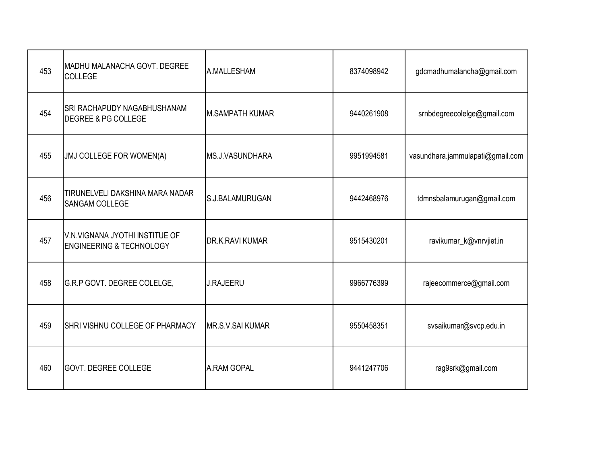| 453 | MADHU MALANACHA GOVT. DEGREE<br>COLLEGE                               | A.MALLESHAM            | 8374098942 | gdcmadhumalancha@gmail.com       |
|-----|-----------------------------------------------------------------------|------------------------|------------|----------------------------------|
| 454 | <b>SRI RACHAPUDY NAGABHUSHANAM</b><br><b>DEGREE &amp; PG COLLEGE</b>  | <b>M.SAMPATH KUMAR</b> | 9440261908 | srnbdegreecolelge@gmail.com      |
| 455 | JMJ COLLEGE FOR WOMEN(A)                                              | MS.J.VASUNDHARA        | 9951994581 | vasundhara.jammulapati@gmail.com |
| 456 | TIRUNELVELI DAKSHINA MARA NADAR<br>SANGAM COLLEGE                     | S.J.BALAMURUGAN        | 9442468976 | tdmnsbalamurugan@gmail.com       |
| 457 | V.N.VIGNANA JYOTHI INSTITUE OF<br><b>ENGINEERING &amp; TECHNOLOGY</b> | DR.K.RAVI KUMAR        | 9515430201 | ravikumar_k@vnrvjiet.in          |
| 458 | G.R.P GOVT. DEGREE COLELGE,                                           | <b>J.RAJEERU</b>       | 9966776399 | rajeecommerce@gmail.com          |
| 459 | SHRI VISHNU COLLEGE OF PHARMACY                                       | MR.S.V.SAI KUMAR       | 9550458351 | svsaikumar@svcp.edu.in           |
| 460 | <b>GOVT. DEGREE COLLEGE</b>                                           | A.RAM GOPAL            | 9441247706 | rag9srk@gmail.com                |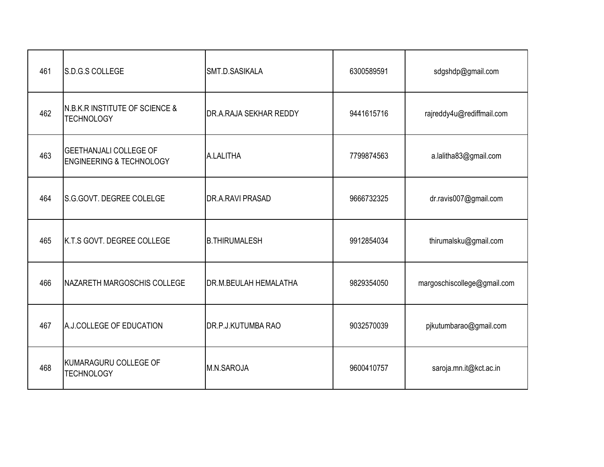| 461 | S.D.G.S COLLEGE                                                      | SMT.D.SASIKALA               | 6300589591 | sdgshdp@gmail.com           |
|-----|----------------------------------------------------------------------|------------------------------|------------|-----------------------------|
| 462 | <b>N.B.K.R INSTITUTE OF SCIENCE &amp;</b><br><b>TECHNOLOGY</b>       | DR.A.RAJA SEKHAR REDDY       | 9441615716 | rajreddy4u@rediffmail.com   |
| 463 | <b>GEETHANJALI COLLEGE OF</b><br><b>ENGINEERING &amp; TECHNOLOGY</b> | A.LALITHA                    | 7799874563 | a.lalitha83@gmail.com       |
| 464 | S.G.GOVT. DEGREE COLELGE                                             | DR.A.RAVI PRASAD             | 9666732325 | dr.ravis007@gmail.com       |
| 465 | <b>IK.T.S GOVT. DEGREE COLLEGE</b>                                   | <b>B.THIRUMALESH</b>         | 9912854034 | thirumalsku@gmail.com       |
| 466 | NAZARETH MARGOSCHIS COLLEGE                                          | <b>DR.M.BEULAH HEMALATHA</b> | 9829354050 | margoschiscollege@gmail.com |
| 467 | A.J.COLLEGE OF EDUCATION                                             | DR.P.J.KUTUMBA RAO           | 9032570039 | pjkutumbarao@gmail.com      |
| 468 | KUMARAGURU COLLEGE OF<br><b>TECHNOLOGY</b>                           | M.N.SAROJA                   | 9600410757 | saroja.mn.it@kct.ac.in      |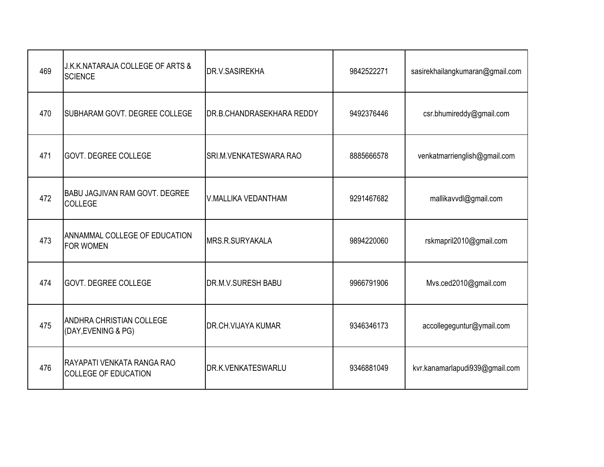| 469 | J.K.K.NATARAJA COLLEGE OF ARTS &<br><b>SCIENCE</b>        | <b>DR.V.SASIREKHA</b>            | 9842522271 | sasirekhailangkumaran@gmail.com |
|-----|-----------------------------------------------------------|----------------------------------|------------|---------------------------------|
| 470 | SUBHARAM GOVT. DEGREE COLLEGE                             | <b>DR.B.CHANDRASEKHARA REDDY</b> | 9492376446 | csr.bhumireddy@gmail.com        |
| 471 | <b>GOVT. DEGREE COLLEGE</b>                               | <b>SRI.M.VENKATESWARA RAO</b>    | 8885666578 | venkatmarrienglish@gmail.com    |
| 472 | <b>BABU JAGJIVAN RAM GOVT. DEGREE</b><br><b>COLLEGE</b>   | <b>V.MALLIKA VEDANTHAM</b>       | 9291467682 | mallikavvdl@gmail.com           |
| 473 | ANNAMMAL COLLEGE OF EDUCATION<br><b>FOR WOMEN</b>         | <b>IMRS.R.SURYAKALA</b>          | 9894220060 | rskmapril2010@gmail.com         |
| 474 | <b>GOVT. DEGREE COLLEGE</b>                               | <b>DR.M.V.SURESH BABU</b>        | 9966791906 | Mvs.ced2010@gmail.com           |
| 475 | ANDHRA CHRISTIAN COLLEGE<br>(DAY, EVENING & PG)           | <b>DR.CH.VIJAYA KUMAR</b>        | 9346346173 | accollegeguntur@ymail.com       |
| 476 | RAYAPATI VENKATA RANGA RAO<br><b>COLLEGE OF EDUCATION</b> | <b>DR.K.VENKATESWARLU</b>        | 9346881049 | kvr.kanamarlapudi939@gmail.com  |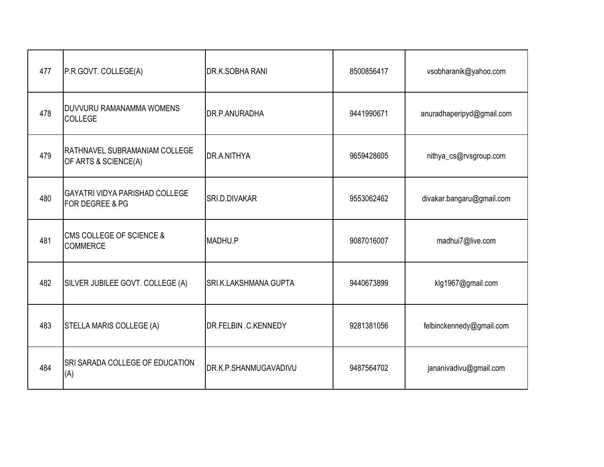| 477 | P.R.GOVT. COLLEGE(A)                                     | DR.K.SOBHA RANI       | 8500856417 | vsobharanik@yahoo.com     |
|-----|----------------------------------------------------------|-----------------------|------------|---------------------------|
| 478 | DUVVURU RAMANAMMA WOMENS<br><b>COLLEGE</b>               | DR.P.ANURADHA         | 9441990671 | anuradhaperipyd@gmail.com |
| 479 | RATHNAVEL SUBRAMANIAM COLLEGE<br>OF ARTS & SCIENCE(A)    | DR.A.NITHYA           | 9659428605 | nithya_cs@rvsgroup.com    |
| 480 | <b>GAYATRI VIDYA PARISHAD COLLEGE</b><br>FOR DEGREE & PG | SRI.D.DIVAKAR         | 9553062462 | divakar.bangaru@gmail.com |
| 481 | <b>CMS COLLEGE OF SCIENCE &amp;</b><br><b>COMMERCE</b>   | MADHU.P               | 9087016007 | madhui7@live.com          |
| 482 | SILVER JUBILEE GOVT. COLLEGE (A)                         | SRI.K.LAKSHMANA GUPTA | 9440673899 | klg1967@gmail.com         |
| 483 | STELLA MARIS COLLEGE (A)                                 | DR.FELBIN .C.KENNEDY  | 9281381056 | felbinckennedy@gmail.com  |
| 484 | SRI SARADA COLLEGE OF EDUCATION<br>(A)                   | DR.K.P.SHANMUGAVADIVU | 9487564702 | jananivadivu@gmail.com    |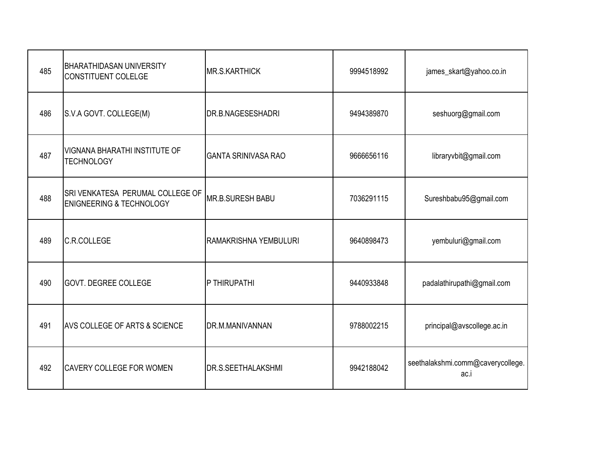| 485 | <b>BHARATHIDASAN UNIVERSITY</b><br>CONSTITUENT COLELGE                  | <b>MR.S.KARTHICK</b>       | 9994518992 | james_skart@yahoo.co.in                   |
|-----|-------------------------------------------------------------------------|----------------------------|------------|-------------------------------------------|
| 486 | S.V.A GOVT. COLLEGE(M)                                                  | DR.B.NAGESESHADRI          | 9494389870 | seshuorg@gmail.com                        |
| 487 | VIGNANA BHARATHI INSTITUTE OF<br><b>TECHNOLOGY</b>                      | <b>GANTA SRINIVASA RAO</b> | 9666656116 | libraryvbit@gmail.com                     |
| 488 | SRI VENKATESA PERUMAL COLLEGE OF<br><b>ENIGNEERING &amp; TECHNOLOGY</b> | <b>MR.B.SURESH BABU</b>    | 7036291115 | Sureshbabu95@gmail.com                    |
| 489 | <b>C.R.COLLEGE</b>                                                      | RAMAKRISHNA YEMBULURI      | 9640898473 | yembuluri@gmail.com                       |
| 490 | <b>GOVT. DEGREE COLLEGE</b>                                             | P THIRUPATHI               | 9440933848 | padalathirupathi@gmail.com                |
| 491 | AVS COLLEGE OF ARTS & SCIENCE                                           | DR.M.MANIVANNAN            | 9788002215 | principal@avscollege.ac.in                |
| 492 | <b>CAVERY COLLEGE FOR WOMEN</b>                                         | DR.S.SEETHALAKSHMI         | 9942188042 | seethalakshmi.comm@caverycollege.<br>ac.i |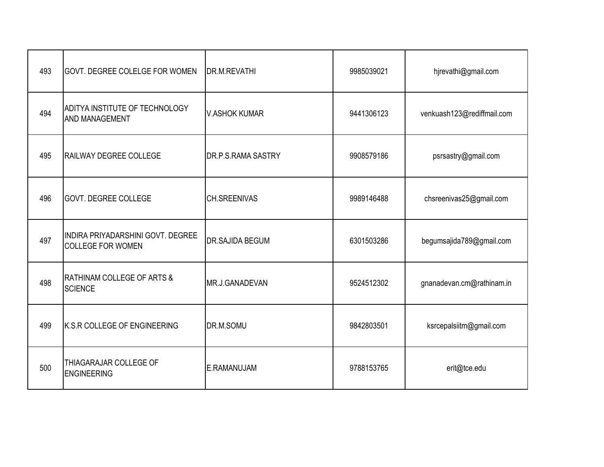| 493 | <b>GOVT. DEGREE COLELGE FOR WOMEN</b>                         | <b>DR.M.REVATHI</b>  | 9985039021 | hjrevathi@gmail.com        |
|-----|---------------------------------------------------------------|----------------------|------------|----------------------------|
| 494 | <b>ADITYA INSTITUTE OF TECHNOLOGY</b><br>AND MANAGEMENT       | <b>V.ASHOK KUMAR</b> | 9441306123 | venkuash123@rediffmail.com |
| 495 | RAILWAY DEGREE COLLEGE                                        | DR.P.S.RAMA SASTRY   | 9908579186 | psrsastry@gmail.com        |
| 496 | <b>GOVT. DEGREE COLLEGE</b>                                   | <b>CH.SREENIVAS</b>  | 9989146488 | chsreenivas25@gmail.com    |
| 497 | INDIRA PRIYADARSHINI GOVT. DEGREE<br><b>COLLEGE FOR WOMEN</b> | DR.SAJIDA BEGUM      | 6301503286 | begumsajida789@gmail.com   |
| 498 | <b>RATHINAM COLLEGE OF ARTS &amp;</b><br><b>SCIENCE</b>       | MR.J.GANADEVAN       | 9524512302 | gnanadevan.cm@rathinam.in  |
| 499 | K.S.R COLLEGE OF ENGINEERING                                  | DR.M.SOMU            | 9842803501 | ksrcepalsiitm@gmail.com    |
| 500 | THIAGARAJAR COLLEGE OF<br><b>ENGINEERING</b>                  | E.RAMANUJAM          | 9788153765 | erit@tce.edu               |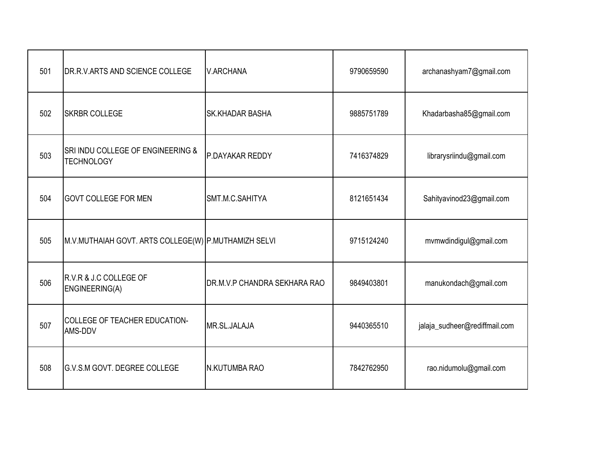| 501 | DR.R.V.ARTS AND SCIENCE COLLEGE                        | <b>V.ARCHANA</b>             | 9790659590 | archanashyam7@gmail.com       |
|-----|--------------------------------------------------------|------------------------------|------------|-------------------------------|
| 502 | <b>SKRBR COLLEGE</b>                                   | <b>SK.KHADAR BASHA</b>       | 9885751789 | Khadarbasha85@gmail.com       |
| 503 | SRI INDU COLLEGE OF ENGINEERING &<br><b>TECHNOLOGY</b> | P.DAYAKAR REDDY              | 7416374829 | librarysriindu@gmail.com      |
| 504 | <b>GOVT COLLEGE FOR MEN</b>                            | SMT.M.C.SAHITYA              | 8121651434 | Sahityavinod23@gmail.com      |
| 505 | M.V.MUTHAIAH GOVT. ARTS COLLEGE(W) P.MUTHAMIZH SELVI   |                              | 9715124240 | mvmwdindigul@gmail.com        |
| 506 | R.V.R & J.C COLLEGE OF<br>ENGINEERING(A)               | DR.M.V.P CHANDRA SEKHARA RAO | 9849403801 | manukondach@gmail.com         |
| 507 | COLLEGE OF TEACHER EDUCATION-<br>AMS-DDV               | MR.SL.JALAJA                 | 9440365510 | jalaja_sudheer@rediffmail.com |
| 508 | G.V.S.M GOVT. DEGREE COLLEGE                           | N.KUTUMBA RAO                | 7842762950 | rao.nidumolu@gmail.com        |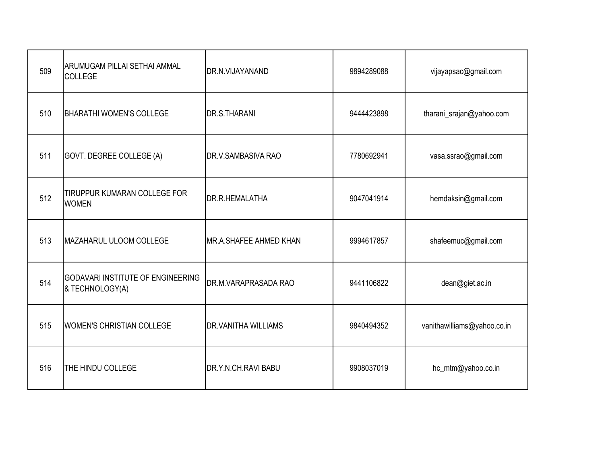| 509 | ARUMUGAM PILLAI SETHAI AMMAL<br>COLLEGE                     | DR.N.VIJAYANAND                | 9894289088 | vijayapsac@gmail.com        |
|-----|-------------------------------------------------------------|--------------------------------|------------|-----------------------------|
| 510 | <b>BHARATHI WOMEN'S COLLEGE</b>                             | <b>DR.S.THARANI</b>            | 9444423898 | tharani_srajan@yahoo.com    |
| 511 | GOVT. DEGREE COLLEGE (A)                                    | DR.V.SAMBASIVA RAO             | 7780692941 | vasa.ssrao@gmail.com        |
| 512 | TIRUPPUR KUMARAN COLLEGE FOR<br><b>WOMEN</b>                | <b>DR.R.HEMALATHA</b>          | 9047041914 | hemdaksin@gmail.com         |
| 513 | MAZAHARUL ULOOM COLLEGE                                     | <b>IMR.A.SHAFEE AHMED KHAN</b> | 9994617857 | shafeemuc@gmail.com         |
| 514 | <b>GODAVARI INSTITUTE OF ENGINEERING</b><br>& TECHNOLOGY(A) | DR.M.VARAPRASADA RAO           | 9441106822 | dean@giet.ac.in             |
| 515 | <b>WOMEN'S CHRISTIAN COLLEGE</b>                            | <b>DR.VANITHA WILLIAMS</b>     | 9840494352 | vanithawilliams@yahoo.co.in |
| 516 | THE HINDU COLLEGE                                           | DR.Y.N.CH.RAVI BABU            | 9908037019 | hc_mtm@yahoo.co.in          |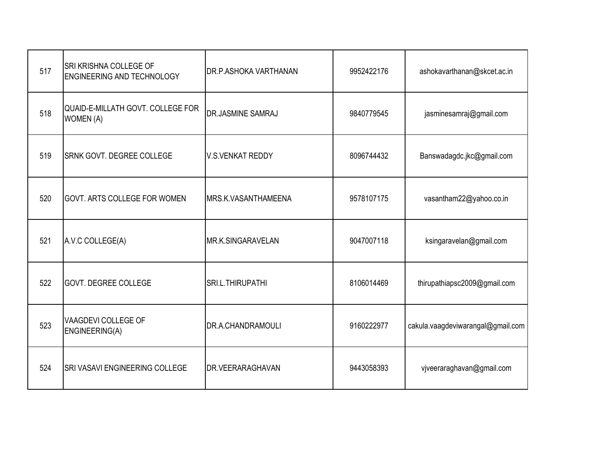| 517 | SRI KRISHNA COLLEGE OF<br><b>ENGINEERING AND TECHNOLOGY</b> | DR.P.ASHOKA VARTHANAN       | 9952422176 | ashokavarthanan@skcet.ac.in       |
|-----|-------------------------------------------------------------|-----------------------------|------------|-----------------------------------|
| 518 | QUAID-E-MILLATH GOVT. COLLEGE FOR<br><b>WOMEN (A)</b>       | <b>DR.JASMINE SAMRAJ</b>    | 9840779545 | jasminesamraj@gmail.com           |
| 519 | <b>SRNK GOVT. DEGREE COLLEGE</b>                            | <b>V.S.VENKAT REDDY</b>     | 8096744432 | Banswadagdc.jkc@gmail.com         |
| 520 | <b>GOVT. ARTS COLLEGE FOR WOMEN</b>                         | <b>IMRS.K.VASANTHAMEENA</b> | 9578107175 | vasantham22@yahoo.co.in           |
| 521 | A.V.C COLLEGE(A)                                            | MR.K.SINGARAVELAN           | 9047007118 | ksingaravelan@gmail.com           |
| 522 | <b>GOVT. DEGREE COLLEGE</b>                                 | SRI.L.THIRUPATHI            | 8106014469 | thirupathiapsc2009@gmail.com      |
| 523 | VAAGDEVI COLLEGE OF<br>ENGINEERING(A)                       | DR.A.CHANDRAMOULI           | 9160222977 | cakula.vaagdeviwarangal@gmail.com |
| 524 | SRI VASAVI ENGINEERING COLLEGE                              | <b>DR.VEERARAGHAVAN</b>     | 9443058393 | vjveeraraghavan@gmail.com         |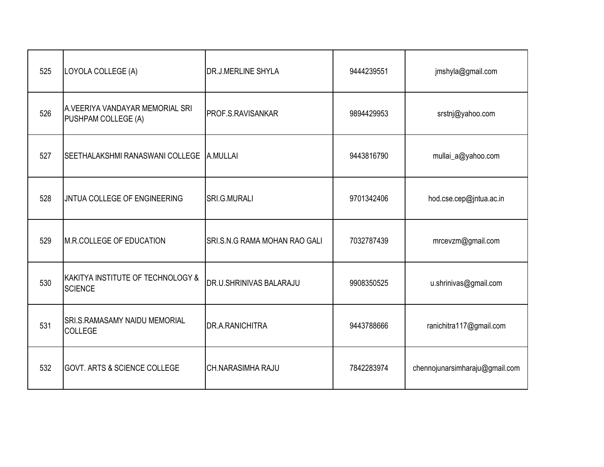| 525 | LOYOLA COLLEGE (A)                                     | DR.J.MERLINE SHYLA            | 9444239551 | jmshyla@gmail.com              |
|-----|--------------------------------------------------------|-------------------------------|------------|--------------------------------|
| 526 | A.VEERIYA VANDAYAR MEMORIAL SRI<br>PUSHPAM COLLEGE (A) | PROF.S.RAVISANKAR             | 9894429953 | srstnj@yahoo.com               |
| 527 | SEETHALAKSHMI RANASWANI COLLEGE   A.MULLAI             |                               | 9443816790 | mullai_a@yahoo.com             |
| 528 | JNTUA COLLEGE OF ENGINEERING                           | SRI.G.MURALI                  | 9701342406 | hod.cse.cep@jntua.ac.in        |
| 529 | M.R.COLLEGE OF EDUCATION                               | SRI.S.N.G RAMA MOHAN RAO GALI | 7032787439 | mrcevzm@gmail.com              |
| 530 | KAKITYA INSTITUTE OF TECHNOLOGY &<br><b>SCIENCE</b>    | DR.U.SHRINIVAS BALARAJU       | 9908350525 | u.shrinivas@gmail.com          |
| 531 | <b>SRI.S.RAMASAMY NAIDU MEMORIAL</b><br><b>COLLEGE</b> | DR.A.RANICHITRA               | 9443788666 | ranichitra117@gmail.com        |
| 532 | <b>GOVT. ARTS &amp; SCIENCE COLLEGE</b>                | CH.NARASIMHA RAJU             | 7842283974 | chennojunarsimharaju@gmail.com |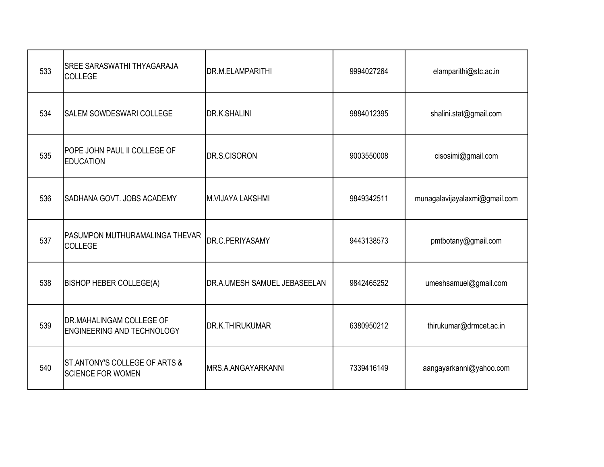| 533 | SREE SARASWATHI THYAGARAJA<br>COLLEGE                     | DR.M.ELAMPARITHI             | 9994027264 | elamparithi@stc.ac.in         |
|-----|-----------------------------------------------------------|------------------------------|------------|-------------------------------|
| 534 | <b>SALEM SOWDESWARI COLLEGE</b>                           | <b>DR.K.SHALINI</b>          | 9884012395 | shalini.stat@gmail.com        |
| 535 | POPE JOHN PAUL II COLLEGE OF<br><b>EDUCATION</b>          | DR.S.CISORON                 | 9003550008 | cisosimi@gmail.com            |
| 536 | SADHANA GOVT. JOBS ACADEMY                                | <b>M.VIJAYA LAKSHMI</b>      | 9849342511 | munagalavijayalaxmi@gmail.com |
| 537 | PASUMPON MUTHURAMALINGA THEVAR<br>COLLEGE                 | DR.C.PERIYASAMY              | 9443138573 | pmtbotany@gmail.com           |
| 538 | <b>BISHOP HEBER COLLEGE(A)</b>                            | DR.A.UMESH SAMUEL JEBASEELAN | 9842465252 | umeshsamuel@gmail.com         |
| 539 | DR.MAHALINGAM COLLEGE OF<br>ENGINEERING AND TECHNOLOGY    | DR.K.THIRUKUMAR              | 6380950212 | thirukumar@drmcet.ac.in       |
| 540 | ST.ANTONY'S COLLEGE OF ARTS &<br><b>SCIENCE FOR WOMEN</b> | MRS.A.ANGAYARKANNI           | 7339416149 | aangayarkanni@yahoo.com       |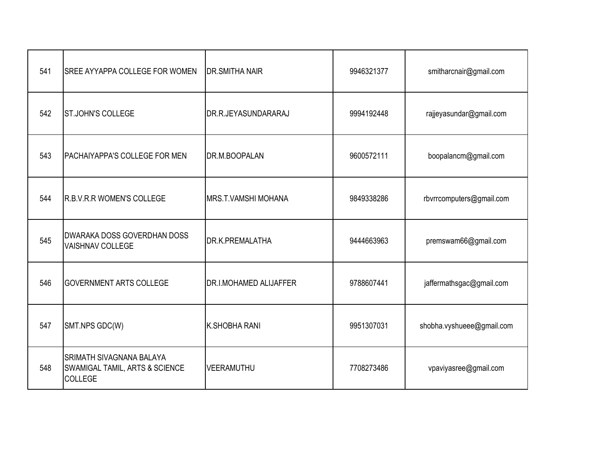| 541 | SREE AYYAPPA COLLEGE FOR WOMEN                                                                 | <b>DR.SMITHA NAIR</b>         | 9946321377 | smitharcnair@gmail.com    |
|-----|------------------------------------------------------------------------------------------------|-------------------------------|------------|---------------------------|
| 542 | <b>ST.JOHN'S COLLEGE</b>                                                                       | DR.R.JEYASUNDARARAJ           | 9994192448 | rajjeyasundar@gmail.com   |
| 543 | <b>PACHAIYAPPA'S COLLEGE FOR MEN</b>                                                           | DR.M.BOOPALAN                 | 9600572111 | boopalancm@gmail.com      |
| 544 | R.B.V.R.R WOMEN'S COLLEGE                                                                      | MRS.T.VAMSHI MOHANA           | 9849338286 | rbvrrcomputers@gmail.com  |
| 545 | <b>DWARAKA DOSS GOVERDHAN DOSS</b><br><b>VAISHNAV COLLEGE</b>                                  | DR.K.PREMALATHA               | 9444663963 | premswam66@gmail.com      |
| 546 | <b>GOVERNMENT ARTS COLLEGE</b>                                                                 | <b>DR.I.MOHAMED ALIJAFFER</b> | 9788607441 | jaffermathsgac@gmail.com  |
| 547 | SMT.NPS GDC(W)                                                                                 | K.SHOBHA RANI                 | 9951307031 | shobha.vyshueee@gmail.com |
| 548 | <b>SRIMATH SIVAGNANA BALAYA</b><br><b>SWAMIGAL TAMIL, ARTS &amp; SCIENCE</b><br><b>COLLEGE</b> | VEERAMUTHU                    | 7708273486 | vpaviyasree@gmail.com     |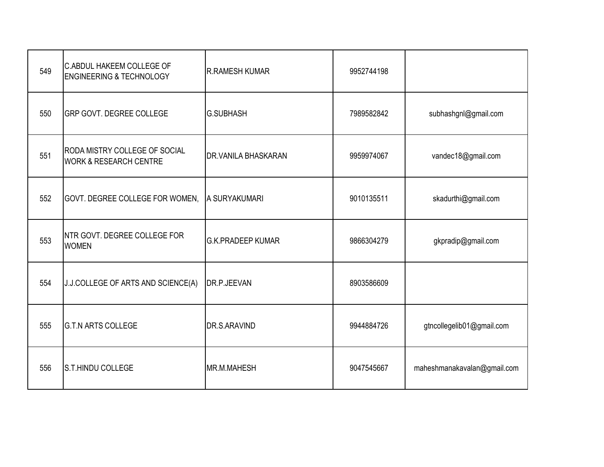| 549 | <b>C.ABDUL HAKEEM COLLEGE OF</b><br><b>ENGINEERING &amp; TECHNOLOGY</b>   | <b>R.RAMESH KUMAR</b>      | 9952744198 |                             |
|-----|---------------------------------------------------------------------------|----------------------------|------------|-----------------------------|
| 550 | <b>GRP GOVT. DEGREE COLLEGE</b>                                           | <b>G.SUBHASH</b>           | 7989582842 | subhashgnl@gmail.com        |
| 551 | <b>RODA MISTRY COLLEGE OF SOCIAL</b><br><b>WORK &amp; RESEARCH CENTRE</b> | <b>DR.VANILA BHASKARAN</b> | 9959974067 | vandec18@gmail.com          |
| 552 | GOVT. DEGREE COLLEGE FOR WOMEN,                                           | A SURYAKUMARI              | 9010135511 | skadurthi@gmail.com         |
| 553 | NTR GOVT. DEGREE COLLEGE FOR<br><b>WOMEN</b>                              | <b>G.K.PRADEEP KUMAR</b>   | 9866304279 | gkpradip@gmail.com          |
| 554 | J.J.COLLEGE OF ARTS AND SCIENCE(A)                                        | DR.P.JEEVAN                | 8903586609 |                             |
| 555 | <b>G.T.N ARTS COLLEGE</b>                                                 | DR.S.ARAVIND               | 9944884726 | gtncollegelib01@gmail.com   |
| 556 | S.T.HINDU COLLEGE                                                         | MR.M.MAHESH                | 9047545667 | maheshmanakavalan@gmail.com |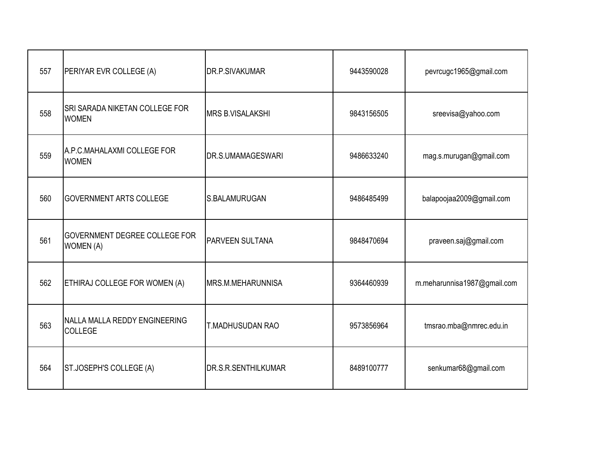| 557 | PERIYAR EVR COLLEGE (A)                               | DR.P.SIVAKUMAR          | 9443590028 | pevrcugc1965@gmail.com      |
|-----|-------------------------------------------------------|-------------------------|------------|-----------------------------|
| 558 | <b>SRI SARADA NIKETAN COLLEGE FOR</b><br><b>WOMEN</b> | <b>MRS B.VISALAKSHI</b> | 9843156505 | sreevisa@yahoo.com          |
| 559 | A.P.C.MAHALAXMI COLLEGE FOR<br><b>WOMEN</b>           | DR.S.UMAMAGESWARI       | 9486633240 | mag.s.murugan@gmail.com     |
| 560 | <b>GOVERNMENT ARTS COLLEGE</b>                        | S.BALAMURUGAN           | 9486485499 | balapoojaa2009@gmail.com    |
| 561 | <b>GOVERNMENT DEGREE COLLEGE FOR</b><br>WOMEN (A)     | PARVEEN SULTANA         | 9848470694 | praveen.saj@gmail.com       |
| 562 | ETHIRAJ COLLEGE FOR WOMEN (A)                         | MRS.M.MEHARUNNISA       | 9364460939 | m.meharunnisa1987@gmail.com |
| 563 | NALLA MALLA REDDY ENGINEERING<br>COLLEGE              | T.MADHUSUDAN RAO        | 9573856964 | tmsrao.mba@nmrec.edu.in     |
| 564 | ST.JOSEPH'S COLLEGE (A)                               | DR.S.R.SENTHILKUMAR     | 8489100777 | senkumar68@gmail.com        |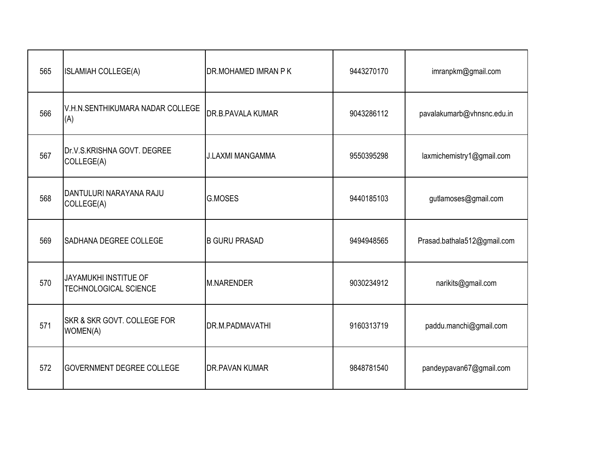| 565 | <b>ISLAMIAH COLLEGE(A)</b>                            | DR.MOHAMED IMRAN P K     | 9443270170 | imranpkm@gmail.com          |
|-----|-------------------------------------------------------|--------------------------|------------|-----------------------------|
| 566 | V.H.N.SENTHIKUMARA NADAR COLLEGE<br>(A)               | <b>DR.B.PAVALA KUMAR</b> | 9043286112 | pavalakumarb@vhnsnc.edu.in  |
| 567 | Dr.V.S.KRISHNA GOVT. DEGREE<br>COLLEGE(A)             | <b>J.LAXMI MANGAMMA</b>  | 9550395298 | laxmichemistry1@gmail.com   |
| 568 | DANTULURI NARAYANA RAJU<br>COLLEGE(A)                 | <b>G.MOSES</b>           | 9440185103 | gutlamoses@gmail.com        |
| 569 | SADHANA DEGREE COLLEGE                                | <b>B GURU PRASAD</b>     | 9494948565 | Prasad.bathala512@gmail.com |
| 570 | JAYAMUKHI INSTITUE OF<br><b>TECHNOLOGICAL SCIENCE</b> | <b>M.NARENDER</b>        | 9030234912 | narikits@gmail.com          |
| 571 | SKR & SKR GOVT, COLLEGE FOR<br>WOMEN(A)               | DR.M.PADMAVATHI          | 9160313719 | paddu.manchi@gmail.com      |
| 572 | <b>GOVERNMENT DEGREE COLLEGE</b>                      | <b>DR.PAVAN KUMAR</b>    | 9848781540 | pandeypavan67@gmail.com     |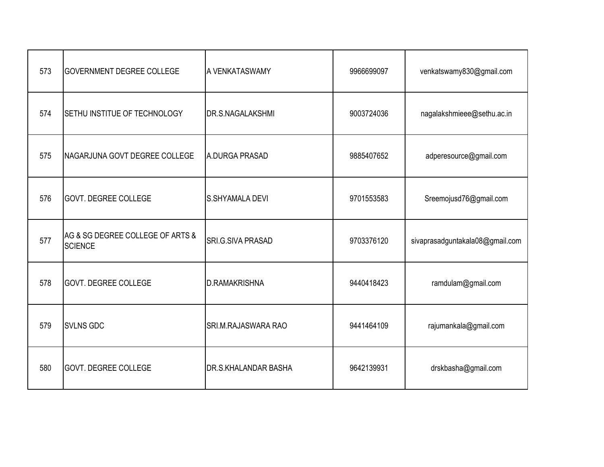| 573 | <b>GOVERNMENT DEGREE COLLEGE</b>                   | A VENKATASWAMY           | 9966699097 | venkatswamy830@gmail.com        |
|-----|----------------------------------------------------|--------------------------|------------|---------------------------------|
| 574 | SETHU INSTITUE OF TECHNOLOGY                       | <b>DR.S.NAGALAKSHMI</b>  | 9003724036 | nagalakshmieee@sethu.ac.in      |
| 575 | NAGARJUNA GOVT DEGREE COLLEGE                      | A.DURGA PRASAD           | 9885407652 | adperesource@gmail.com          |
| 576 | GOVT. DEGREE COLLEGE                               | <b>S.SHYAMALA DEVI</b>   | 9701553583 | Sreemojusd76@gmail.com          |
| 577 | AG & SG DEGREE COLLEGE OF ARTS &<br><b>SCIENCE</b> | <b>SRI.G.SIVA PRASAD</b> | 9703376120 | sivaprasadguntakala08@gmail.com |
| 578 | GOVT. DEGREE COLLEGE                               | <b>D.RAMAKRISHNA</b>     | 9440418423 | ramdulam@gmail.com              |
| 579 | <b>SVLNS GDC</b>                                   | SRI.M.RAJASWARA RAO      | 9441464109 | rajumankala@gmail.com           |
| 580 | <b>GOVT. DEGREE COLLEGE</b>                        | DR.S.KHALANDAR BASHA     | 9642139931 | drskbasha@gmail.com             |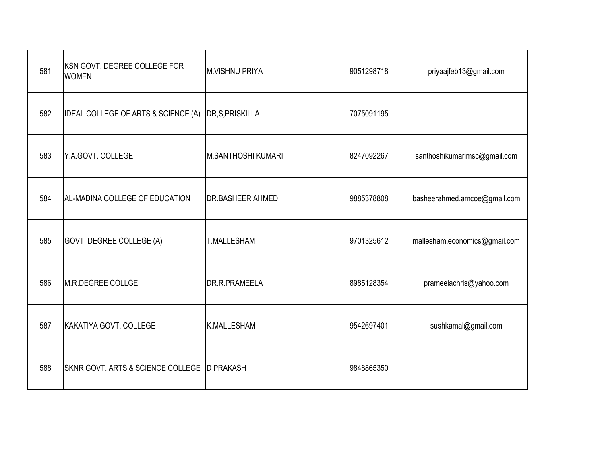| 581 | KSN GOVT. DEGREE COLLEGE FOR<br><b>WOMEN</b> | <b>M.VISHNU PRIYA</b>     | 9051298718 | priyaajfeb13@gmail.com        |
|-----|----------------------------------------------|---------------------------|------------|-------------------------------|
| 582 | IDEAL COLLEGE OF ARTS & SCIENCE (A)          | DR, S, PRISKILLA          | 7075091195 |                               |
| 583 | Y.A.GOVT. COLLEGE                            | <b>M.SANTHOSHI KUMARI</b> | 8247092267 | santhoshikumarimsc@gmail.com  |
| 584 | AL-MADINA COLLEGE OF EDUCATION               | DR.BASHEER AHMED          | 9885378808 | basheerahmed.amcoe@gmail.com  |
| 585 | GOVT. DEGREE COLLEGE (A)                     | <b>T.MALLESHAM</b>        | 9701325612 | mallesham.economics@gmail.com |
| 586 | M.R.DEGREE COLLGE                            | DR.R.PRAMEELA             | 8985128354 | prameelachris@yahoo.com       |
| 587 | KAKATIYA GOVT. COLLEGE                       | <b>K.MALLESHAM</b>        | 9542697401 | sushkamal@gmail.com           |
| 588 | SKNR GOVT. ARTS & SCIENCE COLLEGE D PRAKASH  |                           | 9848865350 |                               |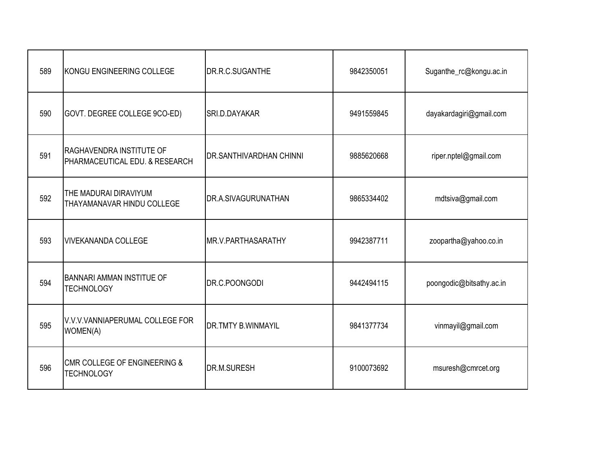| 589 | KONGU ENGINEERING COLLEGE                                  | DR.R.C.SUGANTHE                | 9842350051 | Suganthe_rc@kongu.ac.in  |
|-----|------------------------------------------------------------|--------------------------------|------------|--------------------------|
| 590 | GOVT. DEGREE COLLEGE 9CO-ED)                               | SRI.D.DAYAKAR                  | 9491559845 | dayakardagiri@gmail.com  |
| 591 | RAGHAVENDRA INSTITUTE OF<br>PHARMACEUTICAL EDU. & RESEARCH | <b>DR.SANTHIVARDHAN CHINNI</b> | 9885620668 | riper.nptel@gmail.com    |
| 592 | THE MADURAI DIRAVIYUM<br>THAYAMANAVAR HINDU COLLEGE        | DR.A.SIVAGURUNATHAN            | 9865334402 | mdtsiva@gmail.com        |
| 593 | <b>VIVEKANANDA COLLEGE</b>                                 | MR.V.PARTHASARATHY             | 9942387711 | zoopartha@yahoo.co.in    |
| 594 | <b>BANNARI AMMAN INSTITUE OF</b><br><b>TECHNOLOGY</b>      | DR.C.POONGODI                  | 9442494115 | poongodic@bitsathy.ac.in |
| 595 | V.V.V.VANNIAPERUMAL COLLEGE FOR<br>WOMEN(A)                | <b>DR.TMTY B.WINMAYIL</b>      | 9841377734 | vinmayil@gmail.com       |
| 596 | CMR COLLEGE OF ENGINEERING &<br><b>TECHNOLOGY</b>          | DR.M.SURESH                    | 9100073692 | msuresh@cmrcet.org       |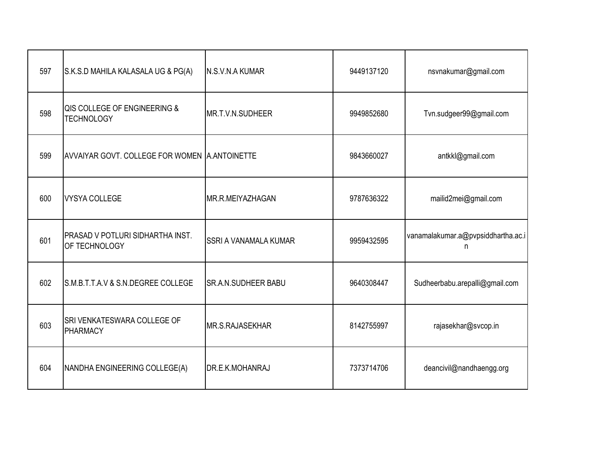| 597 | S.K.S.D MAHILA KALASALA UG & PG(A)                | N.S.V.N.A KUMAR            | 9449137120 | nsvnakumar@gmail.com                    |
|-----|---------------------------------------------------|----------------------------|------------|-----------------------------------------|
| 598 | QIS COLLEGE OF ENGINEERING &<br><b>TECHNOLOGY</b> | MR.T.V.N.SUDHEER           | 9949852680 | Tvn.sudgeer99@gmail.com                 |
| 599 | AVVAIYAR GOVT. COLLEGE FOR WOMEN A.ANTOINETTE     |                            | 9843660027 | antkkl@gmail.com                        |
| 600 | <b>VYSYA COLLEGE</b>                              | MR.R.MEIYAZHAGAN           | 9787636322 | mailid2mei@gmail.com                    |
| 601 | PRASAD V POTLURI SIDHARTHA INST.<br>OF TECHNOLOGY | SSRI A VANAMALA KUMAR      | 9959432595 | vanamalakumar.a@pvpsiddhartha.ac.i<br>n |
| 602 | S.M.B.T.T.A.V & S.N.DEGREE COLLEGE                | <b>SR.A.N.SUDHEER BABU</b> | 9640308447 | Sudheerbabu.arepalli@gmail.com          |
| 603 | SRI VENKATESWARA COLLEGE OF<br>PHARMACY           | MR.S.RAJASEKHAR            | 8142755997 | rajasekhar@svcop.in                     |
| 604 | NANDHA ENGINEERING COLLEGE(A)                     | DR.E.K.MOHANRAJ            | 7373714706 | deancivil@nandhaengg.org                |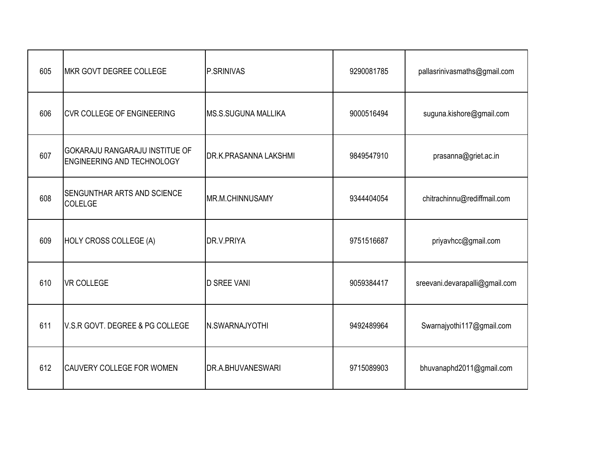| 605 | MKR GOVT DEGREE COLLEGE                                                    | <b>P.SRINIVAS</b>            | 9290081785 | pallasrinivasmaths@gmail.com   |
|-----|----------------------------------------------------------------------------|------------------------------|------------|--------------------------------|
| 606 | <b>CVR COLLEGE OF ENGINEERING</b>                                          | IMS.S.SUGUNA MALLIKA         | 9000516494 | suguna.kishore@gmail.com       |
| 607 | <b>GOKARAJU RANGARAJU INSTITUE OF</b><br><b>ENGINEERING AND TECHNOLOGY</b> | <b>DR.K.PRASANNA LAKSHMI</b> | 9849547910 | prasanna@griet.ac.in           |
| 608 | <b>SENGUNTHAR ARTS AND SCIENCE</b><br>COLELGE                              | MR.M.CHINNUSAMY              | 9344404054 | chitrachinnu@rediffmail.com    |
| 609 | HOLY CROSS COLLEGE (A)                                                     | DR.V.PRIYA                   | 9751516687 | priyavhcc@gmail.com            |
| 610 | <b>VR COLLEGE</b>                                                          | <b>D SREE VANI</b>           | 9059384417 | sreevani.devarapalli@gmail.com |
| 611 | V.S.R GOVT. DEGREE & PG COLLEGE                                            | N.SWARNAJYOTHI               | 9492489964 | Swarnajyothi117@gmail.com      |
| 612 | CAUVERY COLLEGE FOR WOMEN                                                  | DR.A.BHUVANESWARI            | 9715089903 | bhuvanaphd2011@gmail.com       |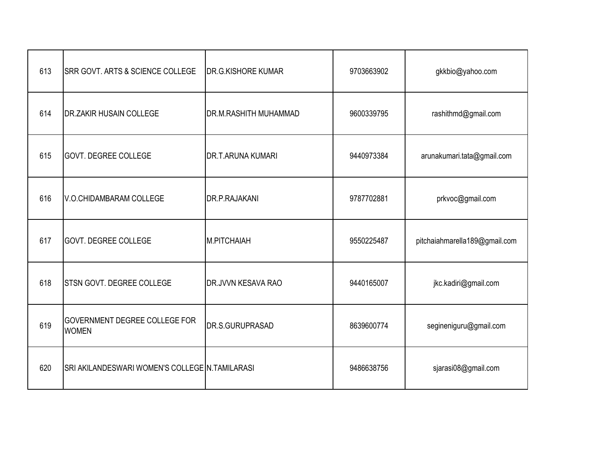| 613 | <b>SRR GOVT. ARTS &amp; SCIENCE COLLEGE</b>          | <b>DR.G.KISHORE KUMAR</b> | 9703663902 | gkkbio@yahoo.com              |
|-----|------------------------------------------------------|---------------------------|------------|-------------------------------|
| 614 | <b>IDR.ZAKIR HUSAIN COLLEGE</b>                      | DR.M.RASHITH MUHAMMAD     | 9600339795 | rashithmd@gmail.com           |
| 615 | <b>GOVT. DEGREE COLLEGE</b>                          | <b>DR.T.ARUNA KUMARI</b>  | 9440973384 | arunakumari.tata@gmail.com    |
| 616 | V.O.CHIDAMBARAM COLLEGE                              | DR.P.RAJAKANI             | 9787702881 | prkvoc@gmail.com              |
| 617 | <b>GOVT. DEGREE COLLEGE</b>                          | M.PITCHAIAH               | 9550225487 | pitchaiahmarella189@gmail.com |
| 618 | <b>STSN GOVT. DEGREE COLLEGE</b>                     | DR.JVVN KESAVA RAO        | 9440165007 | jkc.kadiri@gmail.com          |
| 619 | <b>GOVERNMENT DEGREE COLLEGE FOR</b><br><b>WOMEN</b> | DR.S.GURUPRASAD           | 8639600774 | segineniguru@gmail.com        |
| 620 | SRI AKILANDESWARI WOMEN'S COLLEGE N.TAMILARASI       |                           | 9486638756 | sjarasi08@gmail.com           |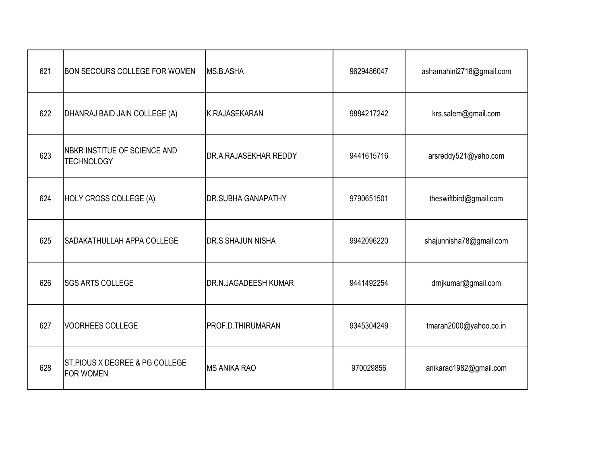| 621 | <b>BON SECOURS COLLEGE FOR WOMEN</b>               | <b>MS.B.ASHA</b>            | 9629486047 | ashamahini2718@gmail.com |
|-----|----------------------------------------------------|-----------------------------|------------|--------------------------|
| 622 | DHANRAJ BAID JAIN COLLEGE (A)                      | K.RAJASEKARAN               | 9884217242 | krs.salem@gmail.com      |
| 623 | NBKR INSTITUE OF SCIENCE AND<br><b>TECHNOLOGY</b>  | DR.A.RAJASEKHAR REDDY       | 9441615716 | arsreddy521@yaho.com     |
| 624 | HOLY CROSS COLLEGE (A)                             | <b>DR.SUBHA GANAPATHY</b>   | 9790651501 | theswiftbird@gmail.com   |
| 625 | <b>SADAKATHULLAH APPA COLLEGE</b>                  | <b>DR.S.SHAJUN NISHA</b>    | 9942096220 | shajunnisha78@gmail.com  |
| 626 | <b>SGS ARTS COLLEGE</b>                            | <b>DR.N.JAGADEESH KUMAR</b> | 9441492254 | drnjkumar@gmail.com      |
| 627 | <b>VOORHEES COLLEGE</b>                            | PROF.D.THIRUMARAN           | 9345304249 | tmaran2000@yahoo.co.in   |
| 628 | ST.PIOUS X DEGREE & PG COLLEGE<br><b>FOR WOMEN</b> | <b>MS ANIKA RAO</b>         | 970029856  | anikarao1982@gmail.com   |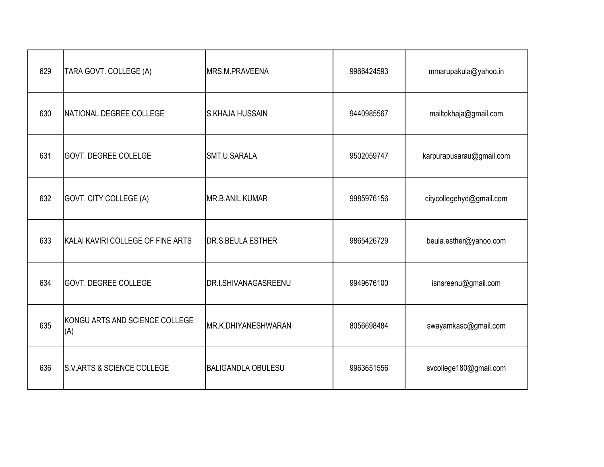| 629 | TARA GOVT. COLLEGE (A)                | MRS.M.PRAVEENA            | 9966424593 | mmarupakula@yahoo.in     |
|-----|---------------------------------------|---------------------------|------------|--------------------------|
| 630 | <b>INATIONAL DEGREE COLLEGE</b>       | <b>S.KHAJA HUSSAIN</b>    | 9440985567 | mailtokhaja@gmail.com    |
| 631 | <b>GOVT. DEGREE COLELGE</b>           | SMT.U.SARALA              | 9502059747 | karpurapusarau@gmail.com |
| 632 | GOVT. CITY COLLEGE (A)                | MR.B.ANIL KUMAR           | 9985976156 | citycollegehyd@gmail.com |
| 633 | KALAI KAVIRI COLLEGE OF FINE ARTS     | <b>DR.S.BEULA ESTHER</b>  | 9865426729 | beula.esther@yahoo.com   |
| 634 | <b>GOVT. DEGREE COLLEGE</b>           | DR.I.SHIVANAGASREENU      | 9949676100 | isnsreenu@gmail.com      |
| 635 | KONGU ARTS AND SCIENCE COLLEGE<br>(A) | MR.K.DHIYANESHWARAN       | 8056698484 | swayamkasc@gmail.com     |
| 636 | <b>S.V.ARTS &amp; SCIENCE COLLEGE</b> | <b>BALIGANDLA OBULESU</b> | 9963651556 | svcollege180@gmail.com   |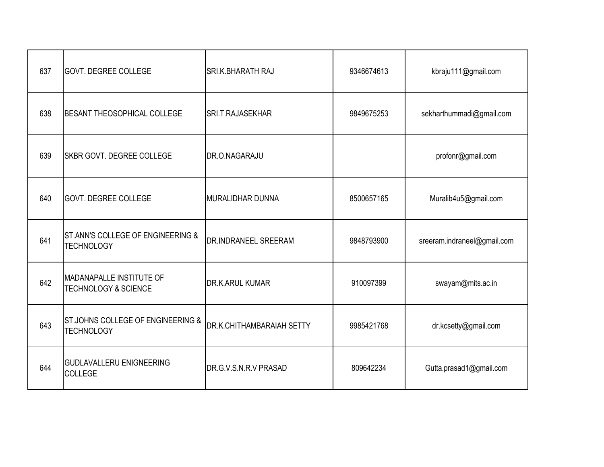| 637 | <b>GOVT. DEGREE COLLEGE</b>                                  | SRI.K.BHARATH RAJ           | 9346674613 | kbraju111@gmail.com         |
|-----|--------------------------------------------------------------|-----------------------------|------------|-----------------------------|
| 638 | BESANT THEOSOPHICAL COLLEGE                                  | <b>SRI.T.RAJASEKHAR</b>     | 9849675253 | sekharthummadi@gmail.com    |
| 639 | <b>SKBR GOVT. DEGREE COLLEGE</b>                             | DR.O.NAGARAJU               |            | profonr@gmail.com           |
| 640 | <b>GOVT. DEGREE COLLEGE</b>                                  | MURALIDHAR DUNNA            | 8500657165 | Muralib4u5@gmail.com        |
| 641 | ST.ANN'S COLLEGE OF ENGINEERING &<br><b>TECHNOLOGY</b>       | <b>DR.INDRANEEL SREERAM</b> | 9848793900 | sreeram.indraneel@gmail.com |
| 642 | IMADANAPALLE INSTITUTE OF<br><b>TECHNOLOGY &amp; SCIENCE</b> | <b>DR.K.ARUL KUMAR</b>      | 910097399  | swayam@mits.ac.in           |
| 643 | ST.JOHNS COLLEGE OF ENGINEERING &<br><b>TECHNOLOGY</b>       | DR.K.CHITHAMBARAIAH SETTY   | 9985421768 | dr.kcsetty@gmail.com        |
| 644 | <b>GUDLAVALLERU ENIGNEERING</b><br><b>COLLEGE</b>            | DR.G.V.S.N.R.V PRASAD       | 809642234  | Gutta.prasad1@gmail.com     |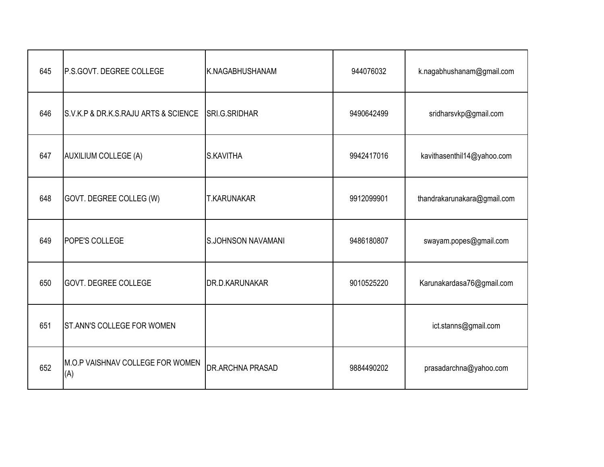| 645 | P.S.GOVT. DEGREE COLLEGE                | K.NAGABHUSHANAM           | 944076032  | k.nagabhushanam@gmail.com   |
|-----|-----------------------------------------|---------------------------|------------|-----------------------------|
| 646 | S.V.K.P & DR.K.S.RAJU ARTS & SCIENCE    | SRI.G.SRIDHAR             | 9490642499 | sridharsvkp@gmail.com       |
| 647 | AUXILIUM COLLEGE (A)                    | S.KAVITHA                 | 9942417016 | kavithasenthil14@yahoo.com  |
| 648 | GOVT. DEGREE COLLEG (W)                 | <b>T.KARUNAKAR</b>        | 9912099901 | thandrakarunakara@gmail.com |
| 649 | <b>POPE'S COLLEGE</b>                   | <b>S.JOHNSON NAVAMANI</b> | 9486180807 | swayam.popes@gmail.com      |
| 650 | <b>GOVT. DEGREE COLLEGE</b>             | DR.D.KARUNAKAR            | 9010525220 | Karunakardasa76@gmail.com   |
| 651 | <b>ST.ANN'S COLLEGE FOR WOMEN</b>       |                           |            | ict.stanns@gmail.com        |
| 652 | M.O.P VAISHNAV COLLEGE FOR WOMEN<br>(A) | DR.ARCHNA PRASAD          | 9884490202 | prasadarchna@yahoo.com      |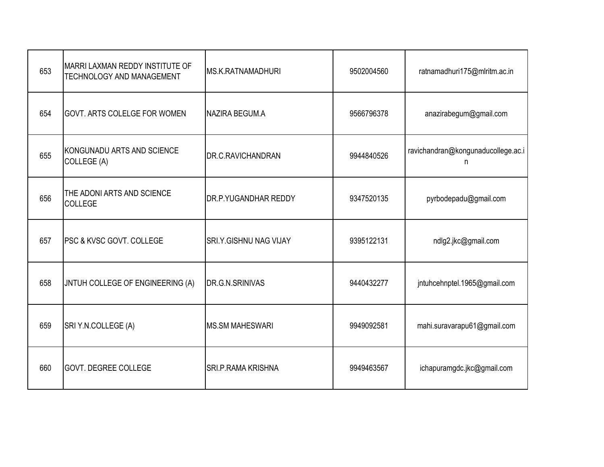| 653 | MARRI LAXMAN REDDY INSTITUTE OF<br><b>TECHNOLOGY AND MANAGEMENT</b> | <b>MS.K.RATNAMADHURI</b>      | 9502004560 | ratnamadhuri175@mlritm.ac.in            |
|-----|---------------------------------------------------------------------|-------------------------------|------------|-----------------------------------------|
| 654 | GOVT. ARTS COLELGE FOR WOMEN                                        | NAZIRA BEGUM.A                | 9566796378 | anazirabegum@gmail.com                  |
| 655 | KONGUNADU ARTS AND SCIENCE<br>COLLEGE (A)                           | DR.C.RAVICHANDRAN             | 9944840526 | ravichandran@kongunaducollege.ac.i<br>n |
| 656 | THE ADONI ARTS AND SCIENCE<br>COLLEGE                               | <b>DR.P.YUGANDHAR REDDY</b>   | 9347520135 | pyrbodepadu@gmail.com                   |
| 657 | PSC & KVSC GOVT. COLLEGE                                            | <b>SRI.Y.GISHNU NAG VIJAY</b> | 9395122131 | ndlg2.jkc@gmail.com                     |
| 658 | JNTUH COLLEGE OF ENGINEERING (A)                                    | DR.G.N.SRINIVAS               | 9440432277 | jntuhcehnptel.1965@gmail.com            |
| 659 | SRI Y.N.COLLEGE (A)                                                 | <b>MS.SM MAHESWARI</b>        | 9949092581 | mahi.suravarapu61@gmail.com             |
| 660 | <b>GOVT. DEGREE COLLEGE</b>                                         | <b>SRI.P.RAMA KRISHNA</b>     | 9949463567 | ichapuramgdc.jkc@gmail.com              |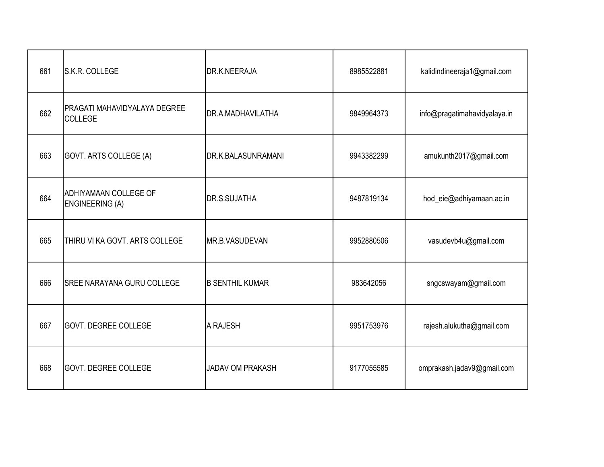| 661 | S.K.R. COLLEGE                                  | DR.K.NEERAJA            | 8985522881 | kalidindineeraja1@gmail.com  |
|-----|-------------------------------------------------|-------------------------|------------|------------------------------|
| 662 | PRAGATI MAHAVIDYALAYA DEGREE<br>COLLEGE         | DR.A.MADHAVILATHA       | 9849964373 | info@pragatimahavidyalaya.in |
| 663 | GOVT. ARTS COLLEGE (A)                          | DR.K.BALASUNRAMANI      | 9943382299 | amukunth2017@gmail.com       |
| 664 | ADHIYAMAAN COLLEGE OF<br><b>ENGINEERING (A)</b> | DR.S.SUJATHA            | 9487819134 | hod_eie@adhiyamaan.ac.in     |
| 665 | THIRU VI KA GOVT. ARTS COLLEGE                  | MR.B.VASUDEVAN          | 9952880506 | vasudevb4u@gmail.com         |
| 666 | <b>SREE NARAYANA GURU COLLEGE</b>               | <b>B SENTHIL KUMAR</b>  | 983642056  | sngcswayam@gmail.com         |
| 667 | <b>GOVT. DEGREE COLLEGE</b>                     | A RAJESH                | 9951753976 | rajesh.alukutha@gmail.com    |
| 668 | <b>GOVT. DEGREE COLLEGE</b>                     | <b>JADAV OM PRAKASH</b> | 9177055585 | omprakash.jadav9@gmail.com   |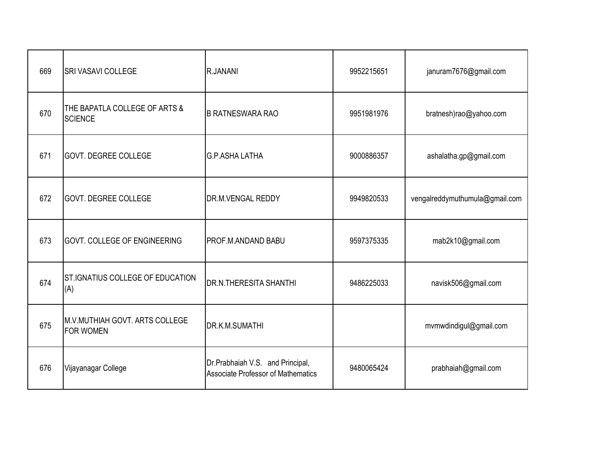| 669 | <b>SRI VASAVI COLLEGE</b>                          | R.JANANI                                                                      | 9952215651 | januram7676@gmail.com          |
|-----|----------------------------------------------------|-------------------------------------------------------------------------------|------------|--------------------------------|
| 670 | THE BAPATLA COLLEGE OF ARTS &<br><b>SCIENCE</b>    | <b>B RATNESWARA RAO</b>                                                       | 9951981976 | bratnesh)rao@yahoo.com         |
| 671 | <b>GOVT. DEGREE COLLEGE</b>                        | <b>G.P.ASHA LATHA</b>                                                         | 9000886357 | ashalatha.gp@gmail.com         |
| 672 | <b>GOVT. DEGREE COLLEGE</b>                        | <b>DR.M.VENGAL REDDY</b>                                                      | 9949820533 | vengalreddymuthumula@gmail.com |
| 673 | <b>GOVT. COLLEGE OF ENGINEERING</b>                | PROF.M.ANDAND BABU                                                            | 9597375335 | mab2k10@gmail.com              |
| 674 | ST.IGNATIUS COLLEGE OF EDUCATION<br>(A)            | <b>DR.N.THERESITA SHANTHI</b>                                                 | 9486225033 | navisk506@gmail.com            |
| 675 | M.V.MUTHIAH GOVT. ARTS COLLEGE<br><b>FOR WOMEN</b> | DR.K.M.SUMATHI                                                                |            | mvmwdindigul@gmail.com         |
| 676 | Vijayanagar College                                | Dr.Prabhaiah V.S. and Principal,<br><b>Associate Professor of Mathematics</b> | 9480065424 | prabhaiah@gmail.com            |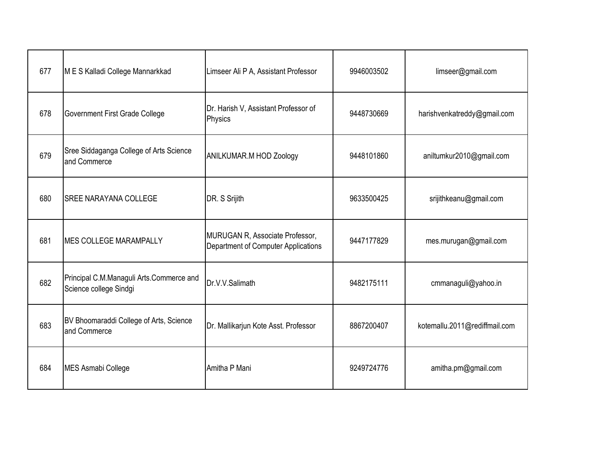| 677 | M E S Kalladi College Mannarkkad                                   | Limseer Ali P A, Assistant Professor                                   | 9946003502 | limseer@gmail.com             |
|-----|--------------------------------------------------------------------|------------------------------------------------------------------------|------------|-------------------------------|
| 678 | Government First Grade College                                     | Dr. Harish V, Assistant Professor of<br>Physics                        | 9448730669 | harishvenkatreddy@gmail.com   |
| 679 | Sree Siddaganga College of Arts Science<br>and Commerce            | <b>ANILKUMAR.M HOD Zoology</b>                                         | 9448101860 | aniltumkur2010@gmail.com      |
| 680 | <b>SREE NARAYANA COLLEGE</b>                                       | DR. S Srijith                                                          | 9633500425 | srijithkeanu@gmail.com        |
| 681 | MES COLLEGE MARAMPALLY                                             | MURUGAN R, Associate Professor,<br>Department of Computer Applications | 9447177829 | mes.murugan@gmail.com         |
| 682 | Principal C.M.Managuli Arts.Commerce and<br>Science college Sindgi | Dr.V.V.Salimath                                                        | 9482175111 | cmmanaguli@yahoo.in           |
| 683 | BV Bhoomaraddi College of Arts, Science<br>and Commerce            | Dr. Mallikarjun Kote Asst. Professor                                   | 8867200407 | kotemallu.2011@rediffmail.com |
| 684 | MES Asmabi College                                                 | Amitha P Mani                                                          | 9249724776 | amitha.pm@gmail.com           |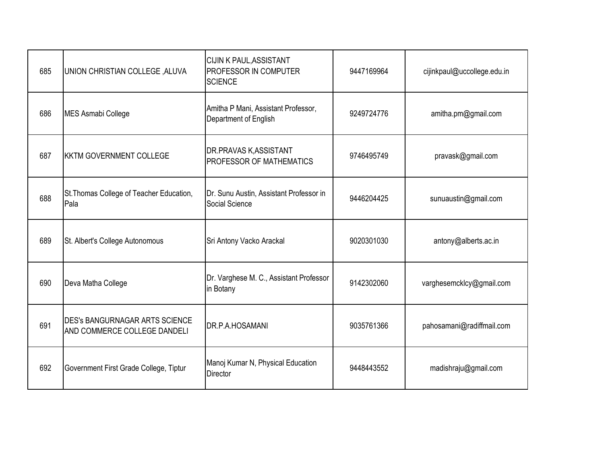| 685 | <b>UNION CHRISTIAN COLLEGE, ALUVA</b>                                 | CIJIN K PAUL, ASSISTANT<br>PROFESSOR IN COMPUTER<br><b>SCIENCE</b> | 9447169964 | cijinkpaul@uccollege.edu.in |
|-----|-----------------------------------------------------------------------|--------------------------------------------------------------------|------------|-----------------------------|
| 686 | MES Asmabi College                                                    | Amitha P Mani, Assistant Professor,<br>Department of English       | 9249724776 | amitha.pm@gmail.com         |
| 687 | <b>KKTM GOVERNMENT COLLEGE</b>                                        | DR.PRAVAS K, ASSISTANT<br>PROFESSOR OF MATHEMATICS                 | 9746495749 | pravask@gmail.com           |
| 688 | St. Thomas College of Teacher Education,<br>Pala                      | Dr. Sunu Austin, Assistant Professor in<br>Social Science          | 9446204425 | sunuaustin@gmail.com        |
| 689 | St. Albert's College Autonomous                                       | Sri Antony Vacko Arackal                                           | 9020301030 | antony@alberts.ac.in        |
| 690 | Deva Matha College                                                    | Dr. Varghese M. C., Assistant Professor<br>in Botany               | 9142302060 | varghesemcklcy@gmail.com    |
| 691 | <b>DES's BANGURNAGAR ARTS SCIENCE</b><br>AND COMMERCE COLLEGE DANDELI | DR.P.A.HOSAMANI                                                    | 9035761366 | pahosamani@radiffmail.com   |
| 692 | Government First Grade College, Tiptur                                | Manoj Kumar N, Physical Education<br><b>Director</b>               | 9448443552 | madishraju@gmail.com        |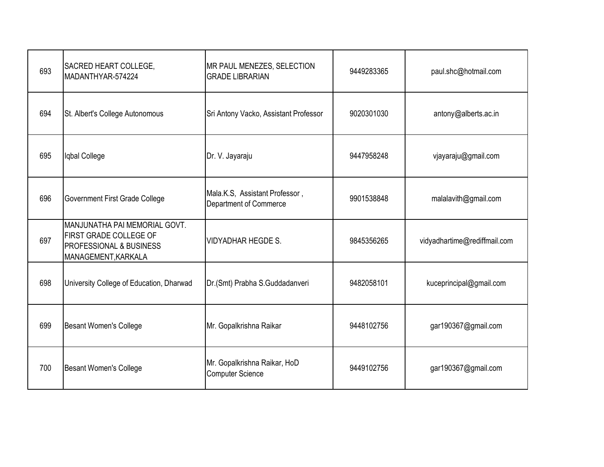| 693 | SACRED HEART COLLEGE,<br>MADANTHYAR-574224                                                                | MR PAUL MENEZES, SELECTION<br><b>GRADE LIBRARIAN</b>     | 9449283365 | paul.shc@hotmail.com         |
|-----|-----------------------------------------------------------------------------------------------------------|----------------------------------------------------------|------------|------------------------------|
| 694 | St. Albert's College Autonomous                                                                           | Sri Antony Vacko, Assistant Professor                    | 9020301030 | antony@alberts.ac.in         |
| 695 | Iqbal College                                                                                             | Dr. V. Jayaraju                                          | 9447958248 | vjayaraju@gmail.com          |
| 696 | <b>Government First Grade College</b>                                                                     | Mala.K.S, Assistant Professor,<br>Department of Commerce | 9901538848 | malalavith@gmail.com         |
| 697 | MANJUNATHA PAI MEMORIAL GOVT.<br>FIRST GRADE COLLEGE OF<br>PROFESSIONAL & BUSINESS<br>MANAGEMENT, KARKALA | <b>VIDYADHAR HEGDE S.</b>                                | 9845356265 | vidyadhartime@rediffmail.com |
| 698 | University College of Education, Dharwad                                                                  | Dr.(Smt) Prabha S.Guddadanveri                           | 9482058101 | kuceprincipal@gmail.com      |
| 699 | <b>Besant Women's College</b>                                                                             | Mr. Gopalkrishna Raikar                                  | 9448102756 | gar190367@gmail.com          |
| 700 | <b>Besant Women's College</b>                                                                             | Mr. Gopalkrishna Raikar, HoD<br><b>Computer Science</b>  | 9449102756 | gar190367@gmail.com          |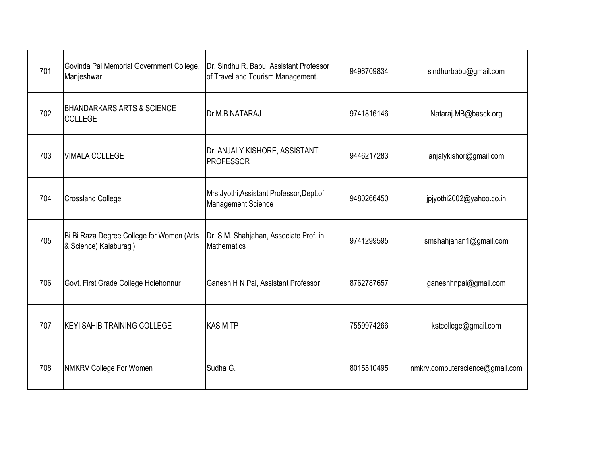| 701 | Govinda Pai Memorial Government College,<br>Manjeshwar              | Dr. Sindhu R. Babu, Assistant Professor<br>of Travel and Tourism Management. | 9496709834 | sindhurbabu@gmail.com           |
|-----|---------------------------------------------------------------------|------------------------------------------------------------------------------|------------|---------------------------------|
| 702 | BHANDARKARS ARTS & SCIENCE<br><b>COLLEGE</b>                        | Dr.M.B.NATARAJ                                                               | 9741816146 | Nataraj.MB@basck.org            |
| 703 | <b>VIMALA COLLEGE</b>                                               | Dr. ANJALY KISHORE, ASSISTANT<br><b>PROFESSOR</b>                            | 9446217283 | anjalykishor@gmail.com          |
| 704 | <b>Crossland College</b>                                            | Mrs.Jyothi, Assistant Professor, Dept.of<br><b>Management Science</b>        | 9480266450 | jpjyothi2002@yahoo.co.in        |
| 705 | Bi Bi Raza Degree College for Women (Arts<br>& Science) Kalaburagi) | Dr. S.M. Shahjahan, Associate Prof. in<br><b>Mathematics</b>                 | 9741299595 | smshahjahan1@gmail.com          |
| 706 | Govt. First Grade College Holehonnur                                | Ganesh H N Pai, Assistant Professor                                          | 8762787657 | ganeshhnpai@gmail.com           |
| 707 | <b>KEYI SAHIB TRAINING COLLEGE</b>                                  | <b>KASIM TP</b>                                                              | 7559974266 | kstcollege@gmail.com            |
| 708 | <b>NMKRV College For Women</b>                                      | Sudha G.                                                                     | 8015510495 | nmkrv.computerscience@gmail.com |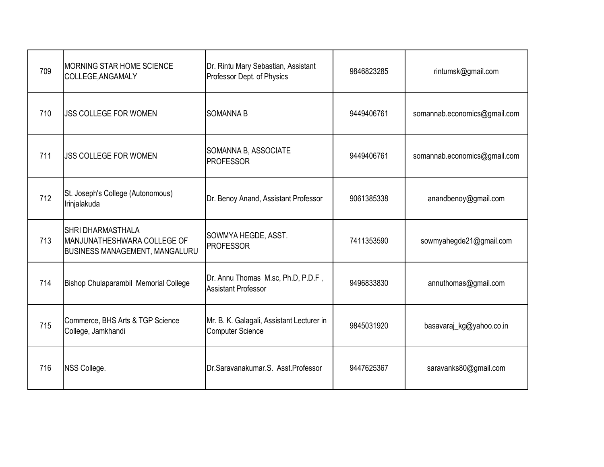| 709 | <b>MORNING STAR HOME SCIENCE</b><br>COLLEGE, ANGAMALY                                            | Dr. Rintu Mary Sebastian, Assistant<br>Professor Dept. of Physics    | 9846823285 | rintumsk@gmail.com           |
|-----|--------------------------------------------------------------------------------------------------|----------------------------------------------------------------------|------------|------------------------------|
| 710 | <b>JSS COLLEGE FOR WOMEN</b>                                                                     | <b>SOMANNA B</b>                                                     | 9449406761 | somannab.economics@gmail.com |
| 711 | <b>JSS COLLEGE FOR WOMEN</b>                                                                     | SOMANNA B, ASSOCIATE<br><b>PROFESSOR</b>                             | 9449406761 | somannab.economics@gmail.com |
| 712 | St. Joseph's College (Autonomous)<br>Irinjalakuda                                                | Dr. Benoy Anand, Assistant Professor                                 | 9061385338 | anandbenoy@gmail.com         |
| 713 | <b>SHRI DHARMASTHALA</b><br>MANJUNATHESHWARA COLLEGE OF<br><b>BUSINESS MANAGEMENT, MANGALURU</b> | SOWMYA HEGDE, ASST.<br><b>PROFESSOR</b>                              | 7411353590 | sowmyahegde21@gmail.com      |
| 714 | Bishop Chulaparambil Memorial College                                                            | Dr. Annu Thomas M.sc, Ph.D, P.D.F,<br><b>Assistant Professor</b>     | 9496833830 | annuthomas@gmail.com         |
| 715 | Commerce, BHS Arts & TGP Science<br>College, Jamkhandi                                           | Mr. B. K. Galagali, Assistant Lecturer in<br><b>Computer Science</b> | 9845031920 | basavaraj_kg@yahoo.co.in     |
| 716 | NSS College.                                                                                     | Dr.Saravanakumar.S. Asst.Professor                                   | 9447625367 | saravanks80@gmail.com        |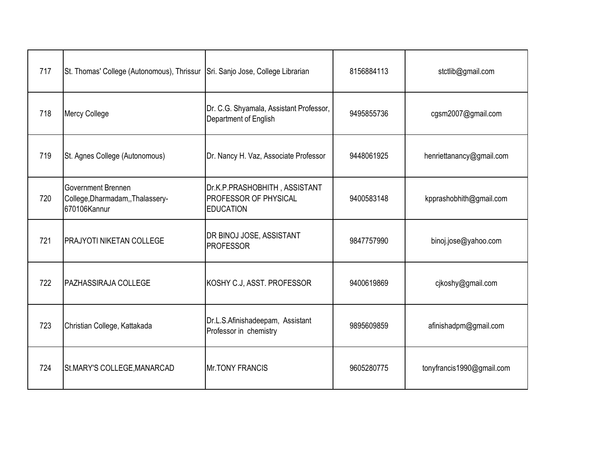| 717 | St. Thomas' College (Autonomous), Thrissur                                   | Sri. Sanjo Jose, College Librarian                                         | 8156884113 | stctlib@gmail.com         |
|-----|------------------------------------------------------------------------------|----------------------------------------------------------------------------|------------|---------------------------|
| 718 | Mercy College                                                                | Dr. C.G. Shyamala, Assistant Professor,<br>Department of English           | 9495855736 | cgsm2007@gmail.com        |
| 719 | St. Agnes College (Autonomous)                                               | Dr. Nancy H. Vaz, Associate Professor                                      | 9448061925 | henriettanancy@gmail.com  |
| 720 | <b>Government Brennen</b><br>College, Dharmadam, Thalassery-<br>670106Kannur | Dr.K.P.PRASHOBHITH, ASSISTANT<br>PROFESSOR OF PHYSICAL<br><b>EDUCATION</b> | 9400583148 | kpprashobhith@gmail.com   |
| 721 | <b>PRAJYOTI NIKETAN COLLEGE</b>                                              | DR BINOJ JOSE, ASSISTANT<br><b>PROFESSOR</b>                               | 9847757990 | binoj.jose@yahoo.com      |
| 722 | <b>PAZHASSIRAJA COLLEGE</b>                                                  | KOSHY C.J, ASST. PROFESSOR                                                 | 9400619869 | cjkoshy@gmail.com         |
| 723 | Christian College, Kattakada                                                 | Dr.L.S.Afinishadeepam, Assistant<br>Professor in chemistry                 | 9895609859 | afinishadpm@gmail.com     |
| 724 | St.MARY'S COLLEGE, MANARCAD                                                  | <b>Mr.TONY FRANCIS</b>                                                     | 9605280775 | tonyfrancis1990@gmail.com |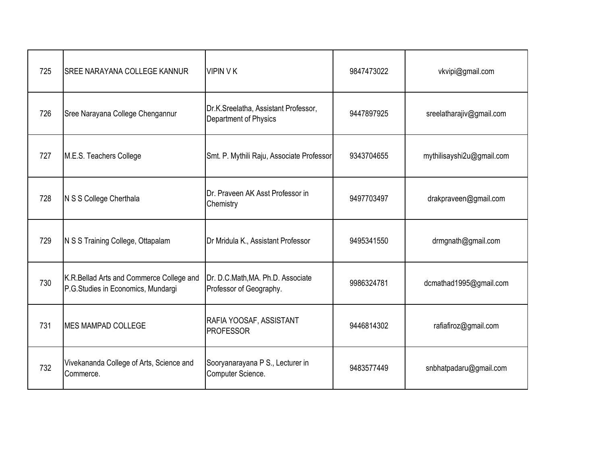| 725 | <b>SREE NARAYANA COLLEGE KANNUR</b>                                            | <b>VIPIN VK</b>                                               | 9847473022 | vkvipi@gmail.com          |
|-----|--------------------------------------------------------------------------------|---------------------------------------------------------------|------------|---------------------------|
| 726 | Sree Narayana College Chengannur                                               | Dr.K.Sreelatha, Assistant Professor,<br>Department of Physics | 9447897925 | sreelatharajiv@gmail.com  |
| 727 | M.E.S. Teachers College                                                        | Smt. P. Mythili Raju, Associate Professor                     | 9343704655 | mythilisayshi2u@gmail.com |
| 728 | N S S College Cherthala                                                        | Dr. Praveen AK Asst Professor in<br>Chemistry                 | 9497703497 | drakpraveen@gmail.com     |
| 729 | N S S Training College, Ottapalam                                              | Dr Mridula K., Assistant Professor                            | 9495341550 | drmgnath@gmail.com        |
| 730 | K.R.Bellad Arts and Commerce College and<br>P.G.Studies in Economics, Mundargi | Dr. D.C.Math, MA. Ph.D. Associate<br>Professor of Geography.  | 9986324781 | dcmathad1995@gmail.com    |
| 731 | <b>MES MAMPAD COLLEGE</b>                                                      | RAFIA YOOSAF, ASSISTANT<br><b>PROFESSOR</b>                   | 9446814302 | rafiafiroz@gmail.com      |
| 732 | Vivekananda College of Arts, Science and<br>Commerce.                          | Sooryanarayana P S., Lecturer in<br>Computer Science.         | 9483577449 | snbhatpadaru@gmail.com    |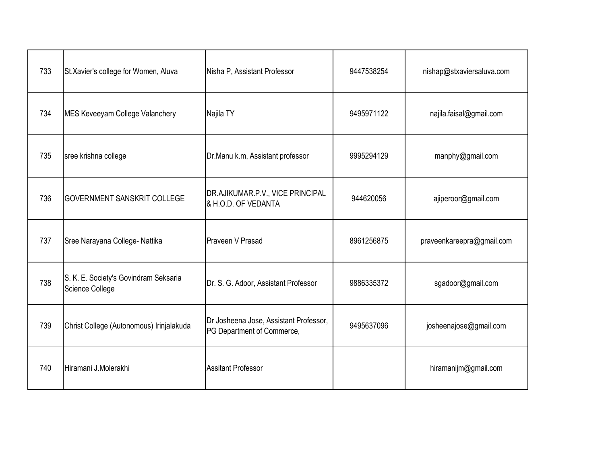| 733 | St.Xavier's college for Women, Aluva                     | Nisha P, Assistant Professor                                         | 9447538254 | nishap@stxaviersaluva.com |
|-----|----------------------------------------------------------|----------------------------------------------------------------------|------------|---------------------------|
| 734 | <b>MES Keveeyam College Valanchery</b>                   | Najila TY                                                            | 9495971122 | najila.faisal@gmail.com   |
| 735 | sree krishna college                                     | Dr.Manu k.m, Assistant professor                                     | 9995294129 | manphy@gmail.com          |
| 736 | <b>GOVERNMENT SANSKRIT COLLEGE</b>                       | DR.AJIKUMAR.P.V., VICE PRINCIPAL<br>& H.O.D. OF VEDANTA              | 944620056  | ajiperoor@gmail.com       |
| 737 | Sree Narayana College- Nattika                           | Praveen V Prasad                                                     | 8961256875 | praveenkareepra@gmail.com |
| 738 | S. K. E. Society's Govindram Seksaria<br>Science College | Dr. S. G. Adoor, Assistant Professor                                 | 9886335372 | sgadoor@gmail.com         |
| 739 | Christ College (Autonomous) Irinjalakuda                 | Dr Josheena Jose, Assistant Professor,<br>PG Department of Commerce, | 9495637096 | josheenajose@gmail.com    |
| 740 | Hiramani J.Molerakhi                                     | <b>Assitant Professor</b>                                            |            | hiramanijm@gmail.com      |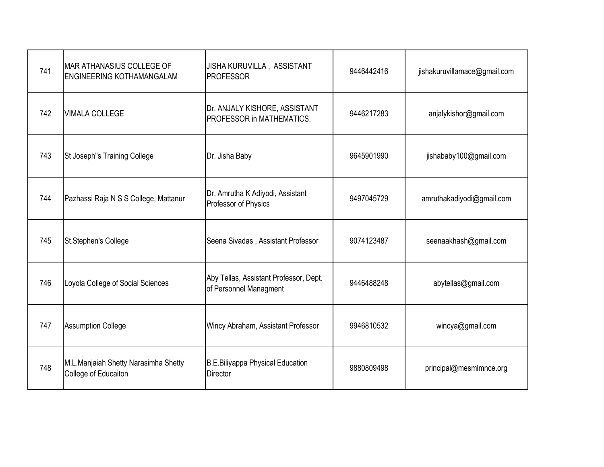| 741 | <b>MAR ATHANASIUS COLLEGE OF</b><br>ENGINEERING KOTHAMANGALAM | JISHA KURUVILLA, ASSISTANT<br><b>PROFESSOR</b>                   | 9446442416 | jishakuruvillamace@gmail.com |
|-----|---------------------------------------------------------------|------------------------------------------------------------------|------------|------------------------------|
| 742 | <b>VIMALA COLLEGE</b>                                         | Dr. ANJALY KISHORE, ASSISTANT<br>PROFESSOR in MATHEMATICS.       | 9446217283 | anjalykishor@gmail.com       |
| 743 | St Joseph"s Training College                                  | Dr. Jisha Baby                                                   | 9645901990 | jishababy100@gmail.com       |
| 744 | Pazhassi Raja N S S College, Mattanur                         | Dr. Amrutha K Adiyodi, Assistant<br>Professor of Physics         | 9497045729 | amruthakadiyodi@gmail.com    |
| 745 | St.Stephen's College                                          | Seena Sivadas, Assistant Professor                               | 9074123487 | seenaakhash@gmail.com        |
| 746 | Loyola College of Social Sciences                             | Aby Tellas, Assistant Professor, Dept.<br>of Personnel Managment | 9446488248 | abytellas@gmail.com          |
| 747 | <b>Assumption College</b>                                     | Wincy Abraham, Assistant Professor                               | 9946810532 | wincya@gmail.com             |
| 748 | M.L.Manjaiah Shetty Narasimha Shetty<br>College of Educaiton  | <b>B.E.Biliyappa Physical Education</b><br><b>Director</b>       | 9880809498 | principal@mesmlmnce.org      |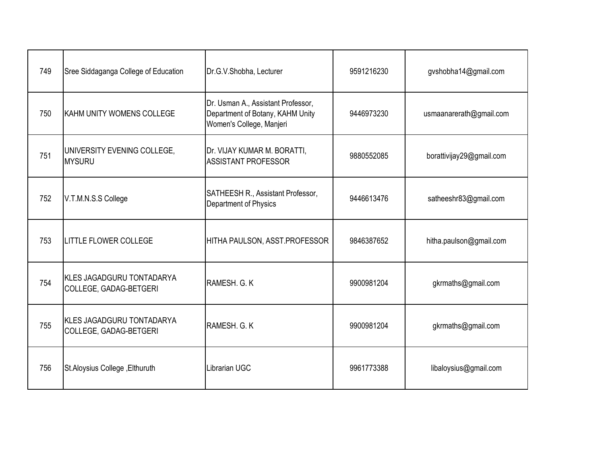| 749 | Sree Siddaganga College of Education                | Dr.G.V.Shobha, Lecturer                                                                            | 9591216230 | gvshobha14@gmail.com     |
|-----|-----------------------------------------------------|----------------------------------------------------------------------------------------------------|------------|--------------------------|
| 750 | IKAHM UNITY WOMENS COLLEGE                          | Dr. Usman A., Assistant Professor,<br>Department of Botany, KAHM Unity<br>Women's College, Manjeri | 9446973230 | usmaanarerath@gmail.com  |
| 751 | UNIVERSITY EVENING COLLEGE,<br><b>MYSURU</b>        | Dr. VIJAY KUMAR M. BORATTI,<br><b>ASSISTANT PROFESSOR</b>                                          | 9880552085 | borattivijay29@gmail.com |
| 752 | V.T.M.N.S.S College                                 | SATHEESH R., Assistant Professor,<br>Department of Physics                                         | 9446613476 | satheeshr83@gmail.com    |
| 753 | <b>LITTLE FLOWER COLLEGE</b>                        | HITHA PAULSON, ASST.PROFESSOR                                                                      | 9846387652 | hitha.paulson@gmail.com  |
| 754 | KLES JAGADGURU TONTADARYA<br>COLLEGE, GADAG-BETGERI | RAMESH, G. K.                                                                                      | 9900981204 | gkrmaths@gmail.com       |
| 755 | KLES JAGADGURU TONTADARYA<br>COLLEGE, GADAG-BETGERI | RAMESH, G. K.                                                                                      | 9900981204 | gkrmaths@gmail.com       |
| 756 | St.Aloysius College, Elthuruth                      | Librarian UGC                                                                                      | 9961773388 | libaloysius@gmail.com    |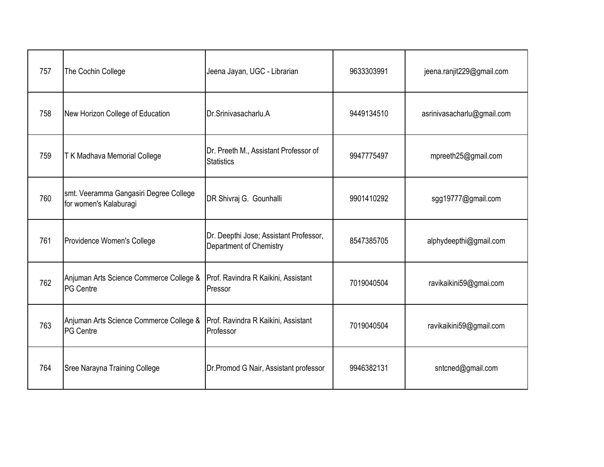| 757 | The Cochin College                                               | Jeena Jayan, UGC - Librarian                                      | 9633303991 | jeena.ranjit229@gmail.com  |
|-----|------------------------------------------------------------------|-------------------------------------------------------------------|------------|----------------------------|
| 758 | New Horizon College of Education                                 | Dr.Srinivasacharlu.A                                              | 9449134510 | asrinivasacharlu@gmail.com |
| 759 | T K Madhava Memorial College                                     | Dr. Preeth M., Assistant Professor of<br><b>Statistics</b>        | 9947775497 | mpreeth25@gmail.com        |
| 760 | smt. Veeramma Gangasiri Degree College<br>for women's Kalaburagi | DR Shivraj G. Gounhalli                                           | 9901410292 | sgg19777@gmail.com         |
| 761 | Providence Women's College                                       | Dr. Deepthi Jose; Assistant Professor,<br>Department of Chemistry | 8547385705 | alphydeepthi@gmail.com     |
| 762 | Anjuman Arts Science Commerce College &<br><b>PG Centre</b>      | Prof. Ravindra R Kaikini, Assistant<br>Pressor                    | 7019040504 | ravikaikini59@gmai.com     |
| 763 | Anjuman Arts Science Commerce College &<br><b>PG Centre</b>      | Prof. Ravindra R Kaikini, Assistant<br>Professor                  | 7019040504 | ravikaikini59@gmail.com    |
| 764 | Sree Narayna Training College                                    | Dr. Promod G Nair, Assistant professor                            | 9946382131 | sntcned@gmail.com          |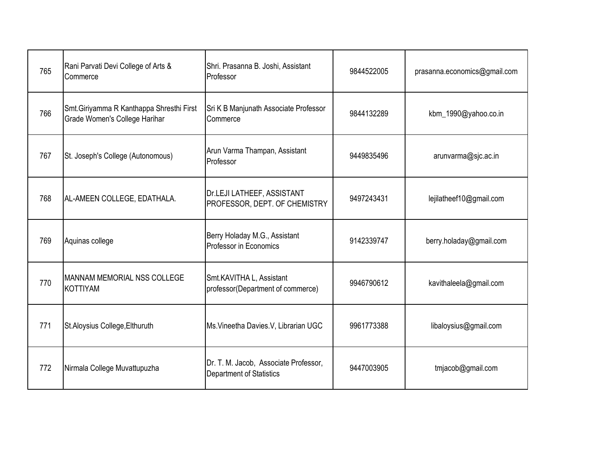| 765 | Rani Parvati Devi College of Arts &<br>Commerce                           | Shri. Prasanna B. Joshi, Assistant<br>Professor                   | 9844522005 | prasanna.economics@gmail.com |
|-----|---------------------------------------------------------------------------|-------------------------------------------------------------------|------------|------------------------------|
| 766 | Smt.Giriyamma R Kanthappa Shresthi First<br>Grade Women's College Harihar | Sri K B Manjunath Associate Professor<br>Commerce                 | 9844132289 | kbm_1990@yahoo.co.in         |
| 767 | St. Joseph's College (Autonomous)                                         | Arun Varma Thampan, Assistant<br>Professor                        | 9449835496 | arunvarma@sjc.ac.in          |
| 768 | AL-AMEEN COLLEGE, EDATHALA.                                               | Dr.LEJI LATHEEF, ASSISTANT<br>PROFESSOR, DEPT. OF CHEMISTRY       | 9497243431 | lejilatheef10@gmail.com      |
| 769 | Aquinas college                                                           | Berry Holaday M.G., Assistant<br>Professor in Economics           | 9142339747 | berry.holaday@gmail.com      |
| 770 | <b>MANNAM MEMORIAL NSS COLLEGE</b><br><b>KOTTIYAM</b>                     | Smt.KAVITHA L, Assistant<br>professor(Department of commerce)     | 9946790612 | kavithaleela@gmail.com       |
| 771 | St. Aloysius College, Elthuruth                                           | Ms. Vineetha Davies. V, Librarian UGC                             | 9961773388 | libaloysius@gmail.com        |
| 772 | Nirmala College Muvattupuzha                                              | Dr. T. M. Jacob, Associate Professor,<br>Department of Statistics | 9447003905 | tmjacob@gmail.com            |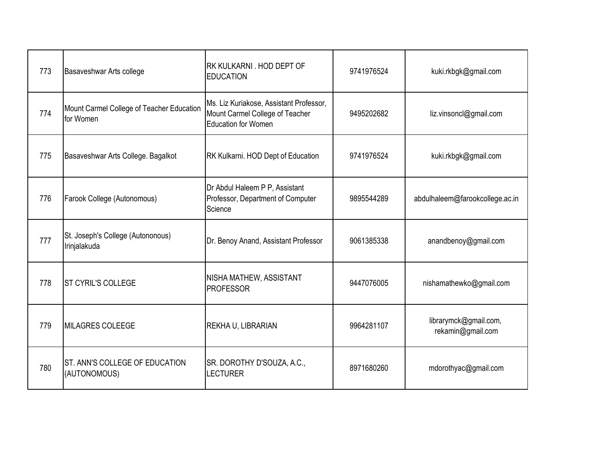| 773 | Basaveshwar Arts college                               | <b>RK KULKARNI, HOD DEPT OF</b><br><b>EDUCATION</b>                                                      | 9741976524 | kuki.rkbgk@gmail.com                       |
|-----|--------------------------------------------------------|----------------------------------------------------------------------------------------------------------|------------|--------------------------------------------|
| 774 | Mount Carmel College of Teacher Education<br>for Women | Ms. Liz Kuriakose, Assistant Professor,<br>Mount Carmel College of Teacher<br><b>Education for Women</b> | 9495202682 | liz.vinsoncl@gmail.com                     |
| 775 | Basaveshwar Arts College. Bagalkot                     | RK Kulkarni. HOD Dept of Education                                                                       | 9741976524 | kuki.rkbgk@gmail.com                       |
| 776 | Farook College (Autonomous)                            | Dr Abdul Haleem P P, Assistant<br>Professor, Department of Computer<br>Science                           | 9895544289 | abdulhaleem@farookcollege.ac.in            |
| 777 | St. Joseph's College (Autononous)<br>Irinjalakuda      | Dr. Benoy Anand, Assistant Professor                                                                     | 9061385338 | anandbenoy@gmail.com                       |
| 778 | <b>ST CYRIL'S COLLEGE</b>                              | NISHA MATHEW, ASSISTANT<br><b>PROFESSOR</b>                                                              | 9447076005 | nishamathewko@gmail.com                    |
| 779 | <b>MILAGRES COLEEGE</b>                                | REKHA U, LIBRARIAN                                                                                       | 9964281107 | librarymck@gmail.com,<br>rekamin@gmail.com |
| 780 | ST. ANN'S COLLEGE OF EDUCATION<br>(AUTONOMOUS)         | SR. DOROTHY D'SOUZA, A.C.,<br><b>LECTURER</b>                                                            | 8971680260 | mdorothyac@gmail.com                       |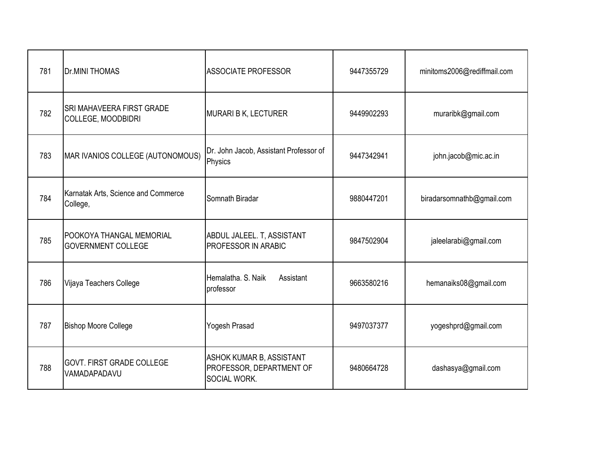| 781 | <b>Dr.MINI THOMAS</b>                                         | <b>ASSOCIATE PROFESSOR</b>                                           | 9447355729 | minitoms2006@rediffmail.com |
|-----|---------------------------------------------------------------|----------------------------------------------------------------------|------------|-----------------------------|
| 782 | <b>SRI MAHAVEERA FIRST GRADE</b><br><b>COLLEGE, MOODBIDRI</b> | MURARI B K, LECTURER                                                 | 9449902293 | muraribk@gmail.com          |
| 783 | MAR IVANIOS COLLEGE (AUTONOMOUS)                              | Dr. John Jacob, Assistant Professor of<br>Physics                    | 9447342941 | john.jacob@mic.ac.in        |
| 784 | Karnatak Arts, Science and Commerce<br>College,               | Somnath Biradar                                                      | 9880447201 | biradarsomnathb@gmail.com   |
| 785 | POOKOYA THANGAL MEMORIAL<br><b>GOVERNMENT COLLEGE</b>         | ABDUL JALEEL. T, ASSISTANT<br>PROFESSOR IN ARABIC                    | 9847502904 | jaleelarabi@gmail.com       |
| 786 | Vijaya Teachers College                                       | Hemalatha, S. Naik<br>Assistant<br>professor                         | 9663580216 | hemanaiks08@gmail.com       |
| 787 | <b>Bishop Moore College</b>                                   | Yogesh Prasad                                                        | 9497037377 | yogeshprd@gmail.com         |
| 788 | <b>GOVT. FIRST GRADE COLLEGE</b><br>VAMADAPADAVU              | ASHOK KUMAR B, ASSISTANT<br>PROFESSOR, DEPARTMENT OF<br>SOCIAL WORK. | 9480664728 | dashasya@gmail.com          |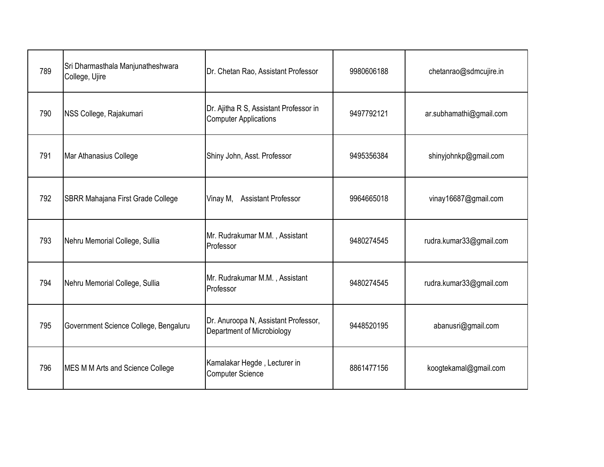| 789 | Sri Dharmasthala Manjunatheshwara<br>College, Ujire | Dr. Chetan Rao, Assistant Professor                                    | 9980606188 | chetanrao@sdmcujire.in  |
|-----|-----------------------------------------------------|------------------------------------------------------------------------|------------|-------------------------|
| 790 | NSS College, Rajakumari                             | Dr. Ajitha R S, Assistant Professor in<br><b>Computer Applications</b> | 9497792121 | ar.subhamathi@gmail.com |
| 791 | Mar Athanasius College                              | Shiny John, Asst. Professor                                            | 9495356384 | shinyjohnkp@gmail.com   |
| 792 | SBRR Mahajana First Grade College                   | Vinay M, Assistant Professor                                           | 9964665018 | vinay16687@gmail.com    |
| 793 | Nehru Memorial College, Sullia                      | Mr. Rudrakumar M.M., Assistant<br>Professor                            | 9480274545 | rudra.kumar33@gmail.com |
| 794 | Nehru Memorial College, Sullia                      | Mr. Rudrakumar M.M., Assistant<br>Professor                            | 9480274545 | rudra.kumar33@gmail.com |
| 795 | Government Science College, Bengaluru               | Dr. Anuroopa N, Assistant Professor,<br>Department of Microbiology     | 9448520195 | abanusri@gmail.com      |
| 796 | MES M M Arts and Science College                    | Kamalakar Hegde, Lecturer in<br><b>Computer Science</b>                | 8861477156 | koogtekamal@gmail.com   |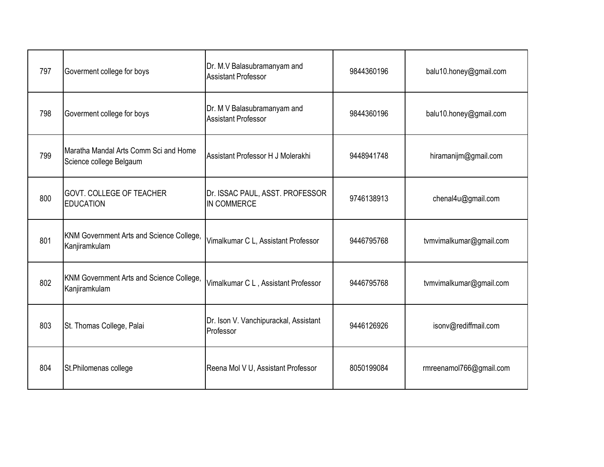| 797 | Goverment college for boys                                       | Dr. M.V Balasubramanyam and<br><b>Assistant Professor</b> | 9844360196 | balu10.honey@gmail.com  |
|-----|------------------------------------------------------------------|-----------------------------------------------------------|------------|-------------------------|
| 798 | Goverment college for boys                                       | Dr. M V Balasubramanyam and<br><b>Assistant Professor</b> | 9844360196 | balu10.honey@gmail.com  |
| 799 | Maratha Mandal Arts Comm Sci and Home<br>Science college Belgaum | Assistant Professor H J Molerakhi                         | 9448941748 | hiramanijm@gmail.com    |
| 800 | <b>GOVT. COLLEGE OF TEACHER</b><br><b>EDUCATION</b>              | Dr. ISSAC PAUL, ASST. PROFESSOR<br>IN COMMERCE            | 9746138913 | chenal4u@gmail.com      |
| 801 | KNM Government Arts and Science College,<br>Kanjiramkulam        | Vimalkumar C L, Assistant Professor                       | 9446795768 | tvmvimalkumar@gmail.com |
| 802 | KNM Government Arts and Science College,<br>Kanjiramkulam        | Vimalkumar C L, Assistant Professor                       | 9446795768 | tvmvimalkumar@gmail.com |
| 803 | St. Thomas College, Palai                                        | Dr. Ison V. Vanchipurackal, Assistant<br>Professor        | 9446126926 | isonv@rediffmail.com    |
| 804 | St.Philomenas college                                            | Reena Mol V U, Assistant Professor                        | 8050199084 | rmreenamol766@gmail.com |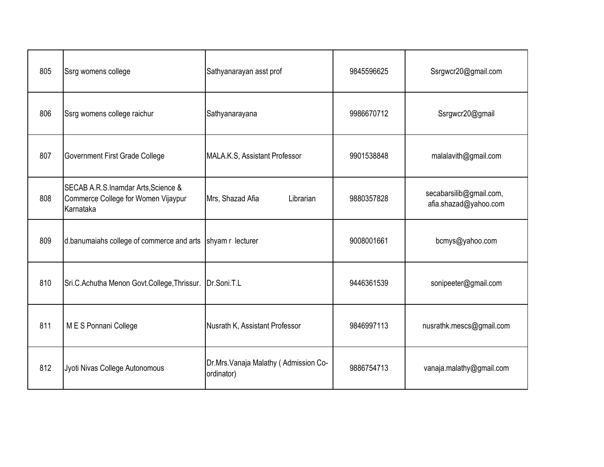| 805 | Ssrg womens college                                                                     | Sathyanarayan asst prof                            | 9845596625 | Ssrgwcr20@gmail.com                              |
|-----|-----------------------------------------------------------------------------------------|----------------------------------------------------|------------|--------------------------------------------------|
| 806 | Ssrg womens college raichur                                                             | Sathyanarayana                                     | 9986670712 | Ssrgwcr20@gmail                                  |
| 807 | Government First Grade College                                                          | MALA.K.S, Assistant Professor                      | 9901538848 | malalavith@gmail.com                             |
| 808 | SECAB A.R.S.Inamdar Arts, Science &<br>Commerce College for Women Vijaypur<br>Karnataka | Mrs, Shazad Afia<br>Librarian                      | 9880357828 | secabarsilib@gmail.com,<br>afia.shazad@yahoo.com |
| 809 | d.banumaiahs college of commerce and arts                                               | shyam r lecturer                                   | 9008001661 | bcmys@yahoo.com                                  |
| 810 | Sri.C.Achutha Menon Govt.College, Thrissur.                                             | Dr.Soni.T.L                                        | 9446361539 | sonipeeter@gmail.com                             |
| 811 | M E S Ponnani College                                                                   | Nusrath K, Assistant Professor                     | 9846997113 | nusrathk.mescs@gmail.com                         |
| 812 | Jyoti Nivas College Autonomous                                                          | Dr.Mrs.Vanaja Malathy (Admission Co-<br>ordinator) | 9886754713 | vanaja.malathy@gmail.com                         |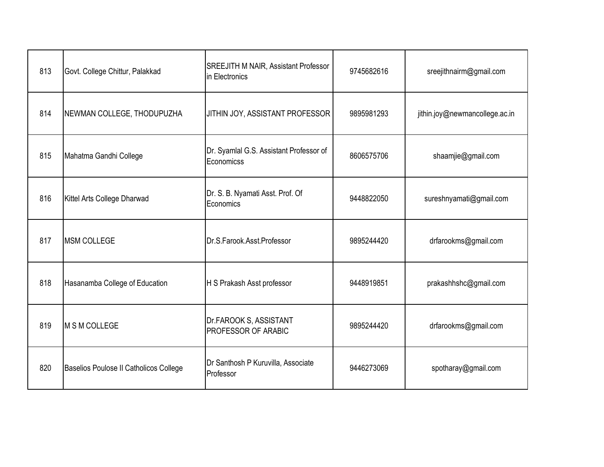| 813 | Govt. College Chittur, Palakkad        | SREEJITH M NAIR, Assistant Professor<br>in Electronics | 9745682616 | sreejithnairm@gmail.com        |
|-----|----------------------------------------|--------------------------------------------------------|------------|--------------------------------|
| 814 | NEWMAN COLLEGE, THODUPUZHA             | JITHIN JOY, ASSISTANT PROFESSOR                        | 9895981293 | jithin.joy@newmancollege.ac.in |
| 815 | Mahatma Gandhi College                 | Dr. Syamlal G.S. Assistant Professor of<br>Economicss  | 8606575706 | shaamjie@gmail.com             |
| 816 | Kittel Arts College Dharwad            | Dr. S. B. Nyamati Asst. Prof. Of<br>Economics          | 9448822050 | sureshnyamati@gmail.com        |
| 817 | <b>MSM COLLEGE</b>                     | Dr.S.Farook.Asst.Professor                             | 9895244420 | drfarookms@gmail.com           |
| 818 | Hasanamba College of Education         | H S Prakash Asst professor                             | 9448919851 | prakashhshc@gmail.com          |
| 819 | <b>M S M COLLEGE</b>                   | Dr.FAROOK S, ASSISTANT<br>PROFESSOR OF ARABIC          | 9895244420 | drfarookms@gmail.com           |
| 820 | Baselios Poulose II Catholicos College | Dr Santhosh P Kuruvilla, Associate<br>Professor        | 9446273069 | spotharay@gmail.com            |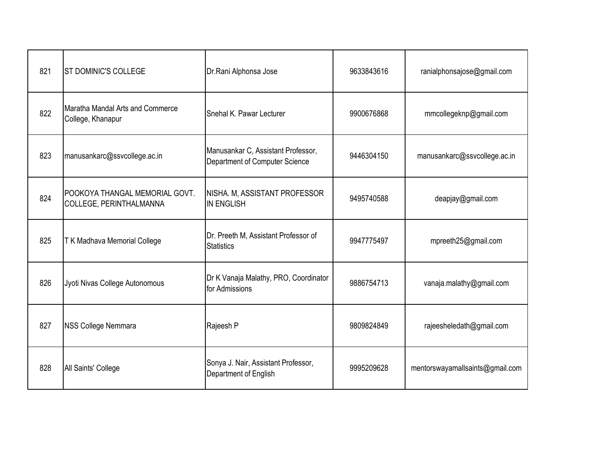| 821 | <b>ST DOMINIC'S COLLEGE</b>                               | Dr.Rani Alphonsa Jose                                                | 9633843616 | ranialphonsajose@gmail.com      |
|-----|-----------------------------------------------------------|----------------------------------------------------------------------|------------|---------------------------------|
| 822 | Maratha Mandal Arts and Commerce<br>College, Khanapur     | Snehal K. Pawar Lecturer                                             | 9900676868 | mmcollegeknp@gmail.com          |
| 823 | manusankarc@ssvcollege.ac.in                              | Manusankar C, Assistant Professor,<br>Department of Computer Science | 9446304150 | manusankarc@ssvcollege.ac.in    |
| 824 | POOKOYA THANGAL MEMORIAL GOVT.<br>COLLEGE, PERINTHALMANNA | NISHA. M, ASSISTANT PROFESSOR<br><b>IN ENGLISH</b>                   | 9495740588 | deapjay@gmail.com               |
| 825 | T K Madhava Memorial College                              | Dr. Preeth M, Assistant Professor of<br><b>Statistics</b>            | 9947775497 | mpreeth25@gmail.com             |
| 826 | Jyoti Nivas College Autonomous                            | Dr K Vanaja Malathy, PRO, Coordinator<br>for Admissions              | 9886754713 | vanaja.malathy@gmail.com        |
| 827 | <b>NSS College Nemmara</b>                                | Rajeesh P                                                            | 9809824849 | rajeesheledath@gmail.com        |
| 828 | All Saints' College                                       | Sonya J. Nair, Assistant Professor,<br>Department of English         | 9995209628 | mentorswayamallsaints@gmail.com |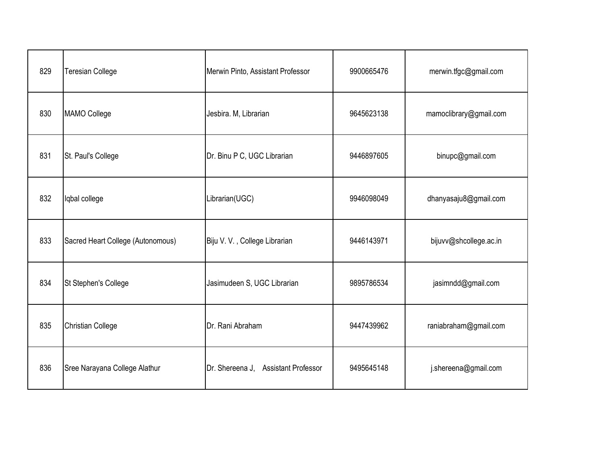| 829 | Teresian College                  | Merwin Pinto, Assistant Professor   | 9900665476 | merwin.tfgc@gmail.com  |
|-----|-----------------------------------|-------------------------------------|------------|------------------------|
| 830 | <b>MAMO College</b>               | Jesbira. M, Librarian               | 9645623138 | mamoclibrary@gmail.com |
| 831 | St. Paul's College                | Dr. Binu P C, UGC Librarian         | 9446897605 | binupc@gmail.com       |
| 832 | Iqbal college                     | Librarian(UGC)                      | 9946098049 | dhanyasaju8@gmail.com  |
| 833 | Sacred Heart College (Autonomous) | Biju V. V., College Librarian       | 9446143971 | bijuvv@shcollege.ac.in |
| 834 | St Stephen's College              | Jasimudeen S, UGC Librarian         | 9895786534 | jasimndd@gmail.com     |
| 835 | <b>Christian College</b>          | Dr. Rani Abraham                    | 9447439962 | raniabraham@gmail.com  |
| 836 | Sree Narayana College Alathur     | Dr. Shereena J. Assistant Professor | 9495645148 | j.shereena@gmail.com   |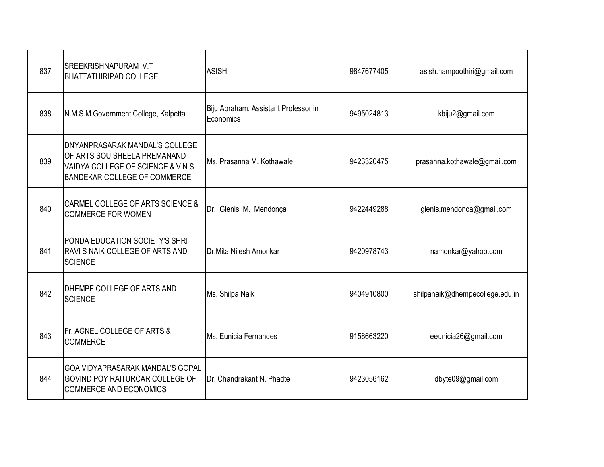| 837 | SREEKRISHNAPURAM V.T<br><b>BHATTATHIRIPAD COLLEGE</b>                                                                                      | <b>ASISH</b>                                      | 9847677405 | asish.nampoothiri@gmail.com     |
|-----|--------------------------------------------------------------------------------------------------------------------------------------------|---------------------------------------------------|------------|---------------------------------|
| 838 | N.M.S.M.Government College, Kalpetta                                                                                                       | Biju Abraham, Assistant Professor in<br>Economics | 9495024813 | kbiju2@gmail.com                |
| 839 | DNYANPRASARAK MANDAL'S COLLEGE<br>OF ARTS SOU SHEELA PREMANAND<br>VAIDYA COLLEGE OF SCIENCE & V N S<br><b>BANDEKAR COLLEGE OF COMMERCE</b> | Ms. Prasanna M. Kothawale                         | 9423320475 | prasanna.kothawale@gmail.com    |
| 840 | <b>CARMEL COLLEGE OF ARTS SCIENCE &amp;</b><br><b>COMMERCE FOR WOMEN</b>                                                                   | Dr. Glenis M. Mendonça                            | 9422449288 | glenis.mendonca@gmail.com       |
| 841 | PONDA EDUCATION SOCIETY'S SHRI<br>RAVI S NAIK COLLEGE OF ARTS AND<br><b>SCIENCE</b>                                                        | Dr.Mita Nilesh Amonkar                            | 9420978743 | namonkar@yahoo.com              |
| 842 | <b>DHEMPE COLLEGE OF ARTS AND</b><br><b>SCIENCE</b>                                                                                        | Ms. Shilpa Naik                                   | 9404910800 | shilpanaik@dhempecollege.edu.in |
| 843 | Fr. AGNEL COLLEGE OF ARTS &<br><b>COMMERCE</b>                                                                                             | Ms. Eunicia Fernandes                             | 9158663220 | eeunicia26@gmail.com            |
| 844 | GOA VIDYAPRASARAK MANDAL'S GOPAL<br>GOVIND POY RAITURCAR COLLEGE OF<br><b>COMMERCE AND ECONOMICS</b>                                       | Dr. Chandrakant N. Phadte                         | 9423056162 | dbyte09@gmail.com               |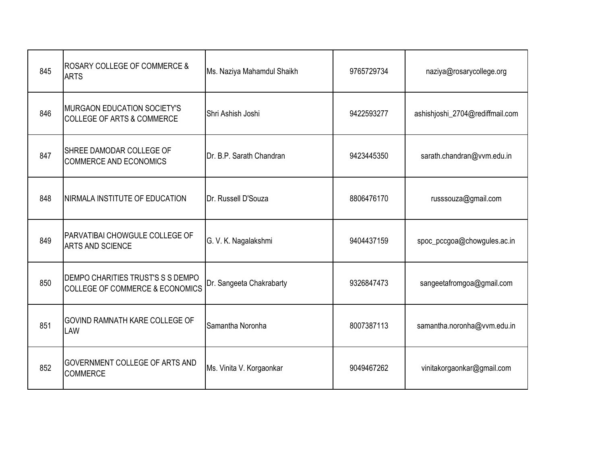| 845 | ROSARY COLLEGE OF COMMERCE &<br><b>ARTS</b>                                     | Ms. Naziya Mahamdul Shaikh | 9765729734 | naziya@rosarycollege.org        |
|-----|---------------------------------------------------------------------------------|----------------------------|------------|---------------------------------|
| 846 | <b>MURGAON EDUCATION SOCIETY'S</b><br><b>COLLEGE OF ARTS &amp; COMMERCE</b>     | Shri Ashish Joshi          | 9422593277 | ashishjoshi_2704@rediffmail.com |
| 847 | SHREE DAMODAR COLLEGE OF<br><b>COMMERCE AND ECONOMICS</b>                       | Dr. B.P. Sarath Chandran   | 9423445350 | sarath.chandran@vvm.edu.in      |
| 848 | NIRMALA INSTITUTE OF EDUCATION                                                  | Dr. Russell D'Souza        | 8806476170 | russsouza@gmail.com             |
| 849 | PARVATIBAI CHOWGULE COLLEGE OF<br><b>ARTS AND SCIENCE</b>                       | G. V. K. Nagalakshmi       | 9404437159 | spoc_pccgoa@chowgules.ac.in     |
| 850 | DEMPO CHARITIES TRUST'S S S DEMPO<br><b>COLLEGE OF COMMERCE &amp; ECONOMICS</b> | Dr. Sangeeta Chakrabarty   | 9326847473 | sangeetafromgoa@gmail.com       |
| 851 | GOVIND RAMNATH KARE COLLEGE OF<br>LAW                                           | Samantha Noronha           | 8007387113 | samantha.noronha@vvm.edu.in     |
| 852 | GOVERNMENT COLLEGE OF ARTS AND<br><b>COMMERCE</b>                               | Ms. Vinita V. Korgaonkar   | 9049467262 | vinitakorgaonkar@gmail.com      |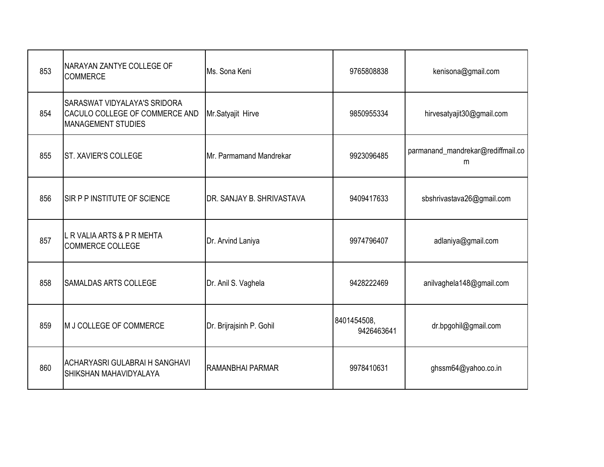| 853 | NARAYAN ZANTYE COLLEGE OF<br><b>COMMERCE</b>                                                       | Ms. Sona Keni             | 9765808838                | kenisona@gmail.com                     |
|-----|----------------------------------------------------------------------------------------------------|---------------------------|---------------------------|----------------------------------------|
| 854 | <b>SARASWAT VIDYALAYA'S SRIDORA</b><br>CACULO COLLEGE OF COMMERCE AND<br><b>MANAGEMENT STUDIES</b> | Mr.Satyajit Hirve         | 9850955334                | hirvesatyajit30@gmail.com              |
| 855 | <b>ST. XAVIER'S COLLEGE</b>                                                                        | Mr. Parmamand Mandrekar   | 9923096485                | parmanand_mandrekar@rediffmail.co<br>m |
| 856 | <b>SIR P P INSTITUTE OF SCIENCE</b>                                                                | DR. SANJAY B. SHRIVASTAVA | 9409417633                | sbshrivastava26@gmail.com              |
| 857 | L R VALIA ARTS & P R MEHTA<br><b>COMMERCE COLLEGE</b>                                              | Dr. Arvind Laniya         | 9974796407                | adlaniya@gmail.com                     |
| 858 | <b>SAMALDAS ARTS COLLEGE</b>                                                                       | Dr. Anil S. Vaghela       | 9428222469                | anilvaghela148@gmail.com               |
| 859 | M J COLLEGE OF COMMERCE                                                                            | Dr. Brijrajsinh P. Gohil  | 8401454508,<br>9426463641 | dr.bpgohil@gmail.com                   |
| 860 | <b>ACHARYASRI GULABRAI H SANGHAVI</b><br>SHIKSHAN MAHAVIDYALAYA                                    | RAMANBHAI PARMAR          | 9978410631                | ghssm64@yahoo.co.in                    |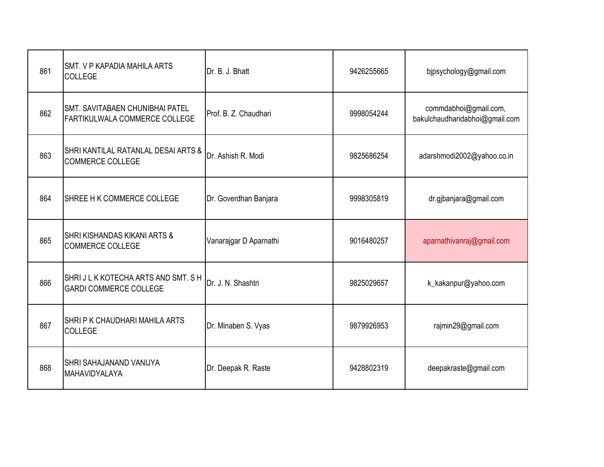| 861 | <b>SMT. V P KAPADIA MAHILA ARTS</b><br><b>COLLEGE</b>                   | Dr. B. J. Bhatt        | 9426255665 | bjpsychology@gmail.com                                  |
|-----|-------------------------------------------------------------------------|------------------------|------------|---------------------------------------------------------|
| 862 | <b>SMT. SAVITABAEN CHUNIBHAI PATEL</b><br>FARTIKULWALA COMMERCE COLLEGE | Prof. B. Z. Chaudhari  | 9998054244 | commdabhoi@gmail.com,<br>bakulchaudharidabhoi@gmail.com |
| 863 | SHRI KANTILAL RATANLAL DESAI ARTS &<br><b>COMMERCE COLLEGE</b>          | Dr. Ashish R. Modi     | 9825686254 | adarshmodi2002@yahoo.co.in                              |
| 864 | SHREE H K COMMERCE COLLEGE                                              | Dr. Goverdhan Banjara  | 9998305819 | dr.gjbanjara@gmail.com                                  |
| 865 | <b>SHRI KISHANDAS KIKANI ARTS &amp;</b><br><b>COMMERCE COLLEGE</b>      | Vanarajgar D Aparnathi | 9016480257 | aparnathivanraj@gmail.com                               |
| 866 | SHRIJLK KOTECHA ARTS AND SMT. SH<br><b>GARDI COMMERCE COLLEGE</b>       | Dr. J. N. Shashtri     | 9825029657 | k_kakanpur@yahoo.com                                    |
| 867 | <b>SHRIP K CHAUDHARI MAHILA ARTS</b><br><b>COLLEGE</b>                  | Dr. Minaben S. Vyas    | 9879926953 | rajmin29@gmail.com                                      |
| 868 | <b>SHRI SAHAJANAND VANIJYA</b><br>MAHAVIDYALAYA                         | Dr. Deepak R. Raste    | 9428802319 | deepakraste@gmail.com                                   |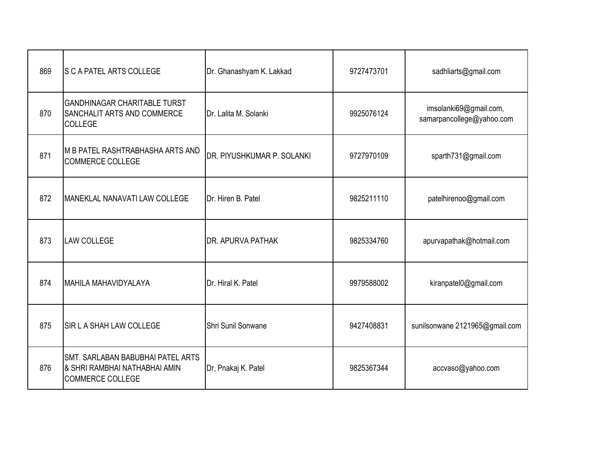| 869 | <b>S C A PATEL ARTS COLLEGE</b>                                                               | Dr. Ghanashyam K. Lakkad   | 9727473701 | sadhliarts@gmail.com                                |
|-----|-----------------------------------------------------------------------------------------------|----------------------------|------------|-----------------------------------------------------|
| 870 | <b>GANDHINAGAR CHARITABLE TURST</b><br>SANCHALIT ARTS AND COMMERCE<br><b>COLLEGE</b>          | Dr. Lalita M. Solanki      | 9925076124 | imsolanki69@gmail.com,<br>samarpancollege@yahoo.com |
| 871 | M B PATEL RASHTRABHASHA ARTS AND<br><b>COMMERCE COLLEGE</b>                                   | DR. PIYUSHKUMAR P. SOLANKI | 9727970109 | sparth731@gmail.com                                 |
| 872 | MANEKLAL NANAVATI LAW COLLEGE                                                                 | Dr. Hiren B. Patel         | 9825211110 | patelhirenoo@gmail.com                              |
| 873 | <b>LAW COLLEGE</b>                                                                            | <b>DR. APURVA PATHAK</b>   | 9825334760 | apurvapathak@hotmail.com                            |
| 874 | MAHILA MAHAVIDYALAYA                                                                          | Dr. Hiral K. Patel         | 9979588002 | kiranpatel0@gmail.com                               |
| 875 | <b>SIR L A SHAH LAW COLLEGE</b>                                                               | Shri Sunil Sonwane         | 9427408831 | sunilsonwane 2121965@gmail.com                      |
| 876 | SMT. SARLABAN BABUBHAI PATEL ARTS<br>& SHRI RAMBHAI NATHABHAI AMIN<br><b>COMMERCE COLLEGE</b> | Dr, Pnakaj K. Patel        | 9825367344 | accvaso@yahoo.com                                   |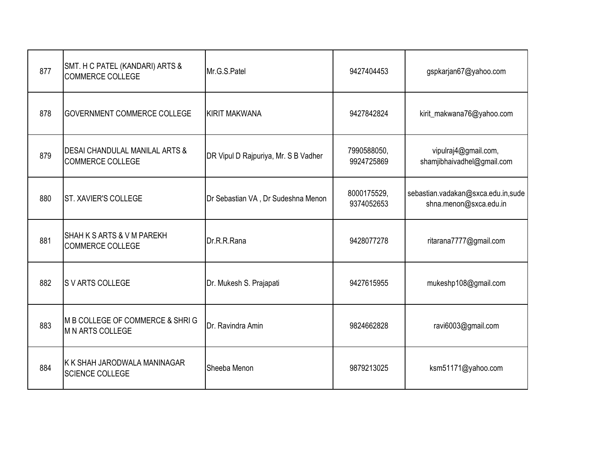| 877 | SMT. H C PATEL (KANDARI) ARTS &<br><b>COMMERCE COLLEGE</b>           | Mr.G.S.Patel                         | 9427404453                | gspkarjan67@yahoo.com                                        |
|-----|----------------------------------------------------------------------|--------------------------------------|---------------------------|--------------------------------------------------------------|
| 878 | GOVERNMENT COMMERCE COLLEGE                                          | <b>KIRIT MAKWANA</b>                 | 9427842824                | kirit_makwana76@yahoo.com                                    |
| 879 | <b>DESAI CHANDULAL MANILAL ARTS &amp;</b><br><b>COMMERCE COLLEGE</b> | DR Vipul D Rajpuriya, Mr. S B Vadher | 7990588050,<br>9924725869 | vipulraj4@gmail.com,<br>shamjibhaivadhel@gmail.com           |
| 880 | <b>ST. XAVIER'S COLLEGE</b>                                          | Dr Sebastian VA, Dr Sudeshna Menon   | 8000175529,<br>9374052653 | sebastian.vadakan@sxca.edu.in,sude<br>shna.menon@sxca.edu.in |
| 881 | SHAH K S ARTS & V M PAREKH<br><b>COMMERCE COLLEGE</b>                | Dr.R.R.Rana                          | 9428077278                | ritarana7777@gmail.com                                       |
| 882 | <b>SVARTS COLLEGE</b>                                                | Dr. Mukesh S. Prajapati              | 9427615955                | mukeshp108@gmail.com                                         |
| 883 | M B COLLEGE OF COMMERCE & SHRIG<br><b>M N ARTS COLLEGE</b>           | Dr. Ravindra Amin                    | 9824662828                | ravi6003@gmail.com                                           |
| 884 | K K SHAH JARODWALA MANINAGAR<br>SCIENCE COLLEGE                      | Sheeba Menon                         | 9879213025                | ksm51171@yahoo.com                                           |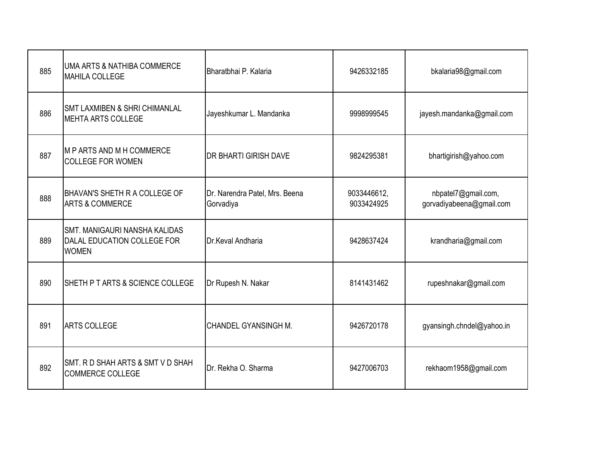| 885 | UMA ARTS & NATHIBA COMMERCE<br><b>MAHILA COLLEGE</b>                                | Bharatbhai P. Kalaria                       | 9426332185                | bkalaria98@gmail.com                            |
|-----|-------------------------------------------------------------------------------------|---------------------------------------------|---------------------------|-------------------------------------------------|
| 886 | <b>SMT LAXMIBEN &amp; SHRI CHIMANLAL</b><br>MEHTA ARTS COLLEGE                      | Jayeshkumar L. Mandanka                     | 9998999545                | jayesh.mandanka@gmail.com                       |
| 887 | IM P ARTS AND M H COMMERCE<br><b>COLLEGE FOR WOMEN</b>                              | <b>DR BHARTI GIRISH DAVE</b>                | 9824295381                | bhartigirish@yahoo.com                          |
| 888 | BHAVAN'S SHETH R A COLLEGE OF<br><b>ARTS &amp; COMMERCE</b>                         | Dr. Narendra Patel, Mrs. Beena<br>Gorvadiya | 9033446612,<br>9033424925 | nbpatel7@gmail.com,<br>gorvadiyabeena@gmail.com |
| 889 | <b>SMT. MANIGAURI NANSHA KALIDAS</b><br>DALAL EDUCATION COLLEGE FOR<br><b>WOMEN</b> | Dr.Keval Andharia                           | 9428637424                | krandharia@gmail.com                            |
| 890 | SHETH P T ARTS & SCIENCE COLLEGE                                                    | Dr Rupesh N. Nakar                          | 8141431462                | rupeshnakar@gmail.com                           |
| 891 | <b>ARTS COLLEGE</b>                                                                 | CHANDEL GYANSINGH M.                        | 9426720178                | gyansingh.chndel@yahoo.in                       |
| 892 | SMT. R D SHAH ARTS & SMT V D SHAH<br><b>COMMERCE COLLEGE</b>                        | Dr. Rekha O. Sharma                         | 9427006703                | rekhaom1958@gmail.com                           |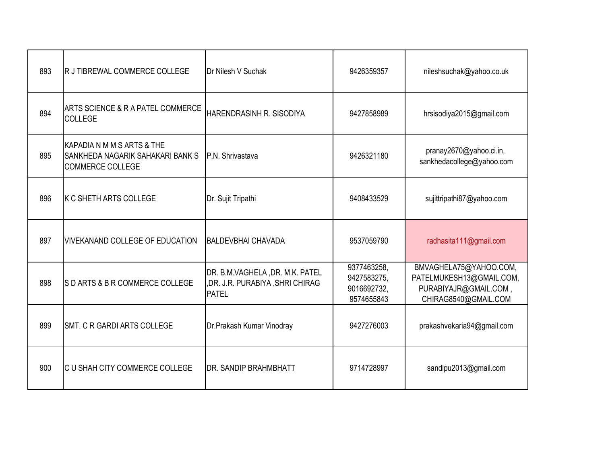| 893 | R J TIBREWAL COMMERCE COLLEGE                                                             | Dr Nilesh V Suchak                                                                 | 9426359357                                              | nileshsuchak@yahoo.co.uk                                                                            |
|-----|-------------------------------------------------------------------------------------------|------------------------------------------------------------------------------------|---------------------------------------------------------|-----------------------------------------------------------------------------------------------------|
| 894 | <b>ARTS SCIENCE &amp; R A PATEL COMMERCE</b><br><b>COLLEGE</b>                            | HARENDRASINH R. SISODIYA                                                           | 9427858989                                              | hrsisodiya2015@gmail.com                                                                            |
| 895 | KAPADIA N M M S ARTS & THE<br>SANKHEDA NAGARIK SAHAKARI BANK S<br><b>COMMERCE COLLEGE</b> | P.N. Shrivastava                                                                   | 9426321180                                              | pranay2670@yahoo.ci.in,<br>sankhedacollege@yahoo.com                                                |
| 896 | IK C SHETH ARTS COLLEGE                                                                   | Dr. Sujit Tripathi                                                                 | 9408433529                                              | sujittripathi87@yahoo.com                                                                           |
| 897 | <b>VIVEKANAND COLLEGE OF EDUCATION</b>                                                    | <b>IBALDEVBHAI CHAVADA</b>                                                         | 9537059790                                              | radhasita111@gmail.com                                                                              |
| 898 | SD ARTS & B R COMMERCE COLLEGE                                                            | DR. B.M.VAGHELA, DR. M.K. PATEL<br>,DR. J.R. PURABIYA, SHRI CHIRAG<br><b>PATEL</b> | 9377463258,<br>9427583275,<br>9016692732,<br>9574655843 | BMVAGHELA75@YAHOO.COM,<br>PATELMUKESH13@GMAIL.COM,<br>PURABIYAJR@GMAIL.COM,<br>CHIRAG8540@GMAIL.COM |
| 899 | <b>SMT. C R GARDI ARTS COLLEGE</b>                                                        | Dr.Prakash Kumar Vinodray                                                          | 9427276003                                              | prakashvekaria94@gmail.com                                                                          |
| 900 | IC U SHAH CITY COMMERCE COLLEGE                                                           | <b>IDR. SANDIP BRAHMBHATT</b>                                                      | 9714728997                                              | sandipu2013@gmail.com                                                                               |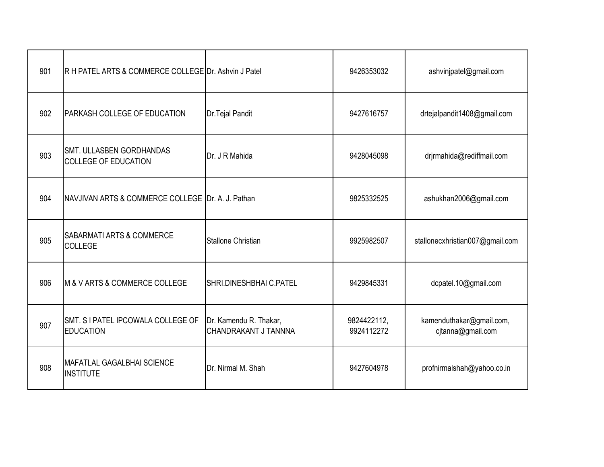| 901 | R H PATEL ARTS & COMMERCE COLLEGE Dr. Ashvin J Patel           |                                                | 9426353032                | ashvinjpatel@gmail.com                        |
|-----|----------------------------------------------------------------|------------------------------------------------|---------------------------|-----------------------------------------------|
| 902 | <b>PARKASH COLLEGE OF EDUCATION</b>                            | Dr. Tejal Pandit                               | 9427616757                | drtejalpandit1408@gmail.com                   |
| 903 | <b>SMT. ULLASBEN GORDHANDAS</b><br><b>COLLEGE OF EDUCATION</b> | Dr. J R Mahida                                 | 9428045098                | drjrmahida@rediffmail.com                     |
| 904 | NAVJIVAN ARTS & COMMERCE COLLEGE Dr. A. J. Pathan              |                                                | 9825332525                | ashukhan2006@gmail.com                        |
| 905 | <b>SABARMATI ARTS &amp; COMMERCE</b><br><b>COLLEGE</b>         | <b>Stallone Christian</b>                      | 9925982507                | stallonecxhristian007@gmail.com               |
| 906 | IM & V ARTS & COMMERCE COLLEGE                                 | SHRI.DINESHBHAI C.PATEL                        | 9429845331                | dcpatel.10@gmail.com                          |
| 907 | SMT. S I PATEL IPCOWALA COLLEGE OF<br><b>EDUCATION</b>         | Dr. Kamendu R. Thakar,<br>CHANDRAKANT J TANNNA | 9824422112,<br>9924112272 | kamenduthakar@gmail.com,<br>cjtanna@gmail.com |
| 908 | MAFATLAL GAGALBHAI SCIENCE<br><b>INSTITUTE</b>                 | Dr. Nirmal M. Shah                             | 9427604978                | profnirmalshah@yahoo.co.in                    |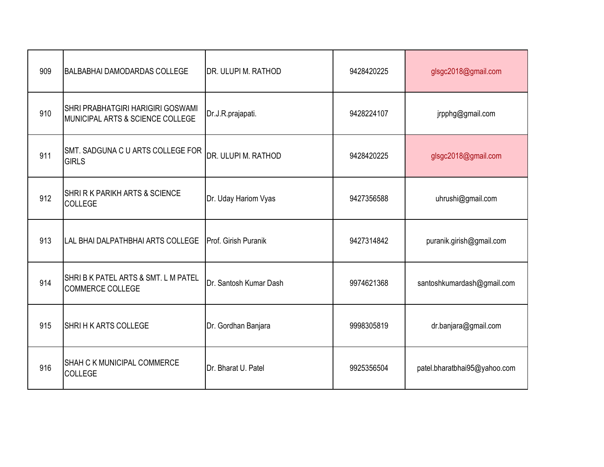| 909 | <b>BALBABHAI DAMODARDAS COLLEGE</b>                                          | DR. ULUPI M. RATHOD    | 9428420225 | glsgc2018@gmail.com          |
|-----|------------------------------------------------------------------------------|------------------------|------------|------------------------------|
| 910 | <b>SHRI PRABHATGIRI HARIGIRI GOSWAMI</b><br>MUNICIPAL ARTS & SCIENCE COLLEGE | Dr.J.R.prajapati.      | 9428224107 | jrpphg@gmail.com             |
| 911 | SMT. SADGUNA C U ARTS COLLEGE FOR<br><b>GIRLS</b>                            | DR. ULUPI M. RATHOD    | 9428420225 | glsgc2018@gmail.com          |
| 912 | <b>SHRI R K PARIKH ARTS &amp; SCIENCE</b><br><b>COLLEGE</b>                  | Dr. Uday Hariom Vyas   | 9427356588 | uhrushi@gmail.com            |
| 913 | LAL BHAI DALPATHBHAI ARTS COLLEGE                                            | Prof. Girish Puranik   | 9427314842 | puranik.girish@gmail.com     |
| 914 | SHRIBK PATEL ARTS & SMT. L M PATEL<br><b>COMMERCE COLLEGE</b>                | Dr. Santosh Kumar Dash | 9974621368 | santoshkumardash@gmail.com   |
| 915 | SHRIHK ARTS COLLEGE                                                          | Dr. Gordhan Banjara    | 9998305819 | dr.banjara@gmail.com         |
| 916 | <b>SHAH C K MUNICIPAL COMMERCE</b><br><b>COLLEGE</b>                         | Dr. Bharat U. Patel    | 9925356504 | patel.bharatbhai95@yahoo.com |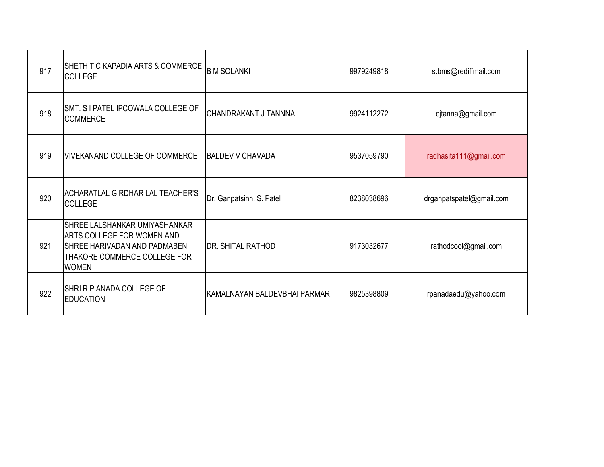| 917 | SHETH T C KAPADIA ARTS & COMMERCE<br><b>COLLEGE</b>                                                                                                | <b>B M SOLANKI</b>           | 9979249818 | s.bms@rediffmail.com     |
|-----|----------------------------------------------------------------------------------------------------------------------------------------------------|------------------------------|------------|--------------------------|
| 918 | SMT. S I PATEL IPCOWALA COLLEGE OF<br><b>COMMERCE</b>                                                                                              | CHANDRAKANT J TANNNA         | 9924112272 | cjtanna@gmail.com        |
| 919 | VIVEKANAND COLLEGE OF COMMERCE                                                                                                                     | <b>BALDEV V CHAVADA</b>      | 9537059790 | radhasita111@gmail.com   |
| 920 | ACHARATLAL GIRDHAR LAL TEACHER'S<br><b>COLLEGE</b>                                                                                                 | Dr. Ganpatsinh. S. Patel     | 8238038696 | drganpatspatel@gmail.com |
| 921 | SHREE LALSHANKAR UMIYASHANKAR<br>ARTS COLLEGE FOR WOMEN AND<br><b>SHREE HARIVADAN AND PADMABEN</b><br>THAKORE COMMERCE COLLEGE FOR<br><b>WOMEN</b> | <b>DR. SHITAL RATHOD</b>     | 9173032677 | rathodcool@gmail.com     |
| 922 | SHRI R P ANADA COLLEGE OF<br><b>EDUCATION</b>                                                                                                      | KAMALNAYAN BALDEVBHAI PARMAR | 9825398809 | rpanadaedu@yahoo.com     |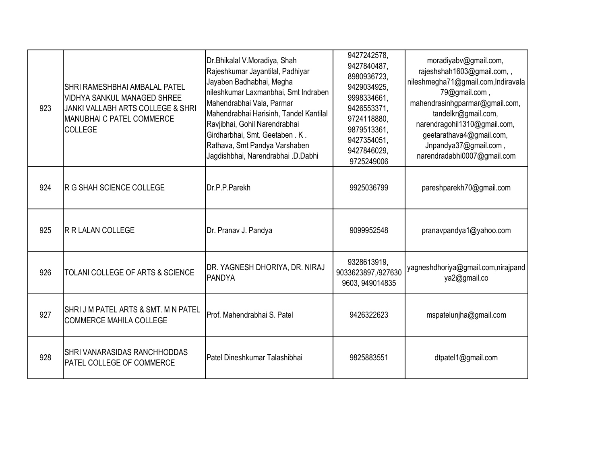| 923 | SHRI RAMESHBHAI AMBALAL PATEL<br><b>VIDHYA SANKUL MANAGED SHREE</b><br>JANKI VALLABH ARTS COLLEGE & SHRI<br>MANUBHAI C PATEL COMMERCE<br><b>COLLEGE</b> | Dr.Bhikalal V.Moradiya, Shah<br>Rajeshkumar Jayantilal, Padhiyar<br>Jayaben Badhabhai, Megha<br>nileshkumar Laxmanbhai, Smt Indraben<br>Mahendrabhai Vala, Parmar<br>Mahendrabhai Harisinh, Tandel Kantilal<br>Ravjibhai, Gohil Narendrabhai<br>Girdharbhai, Smt. Geetaben. K.<br>Rathava, Smt Pandya Varshaben<br>Jagdishbhai, Narendrabhai .D.Dabhi | 9427242578,<br>9427840487,<br>8980936723.<br>9429034925,<br>9998334661,<br>9426553371,<br>9724118880,<br>9879513361,<br>9427354051,<br>9427846029.<br>9725249006 | moradiyabv@gmail.com,<br>rajeshshah1603@gmail.com,,<br>nileshmegha71@gmail.com, Indiravala<br>79@gmail.com,<br>mahendrasinhgparmar@gmail.com,<br>tandelkr@gmail.com,<br>narendragohil1310@gmail.com,<br>geetarathava4@gmail.com,<br>Jnpandya37@gmail.com,<br>narendradabhi0007@gmail.com |
|-----|---------------------------------------------------------------------------------------------------------------------------------------------------------|-------------------------------------------------------------------------------------------------------------------------------------------------------------------------------------------------------------------------------------------------------------------------------------------------------------------------------------------------------|------------------------------------------------------------------------------------------------------------------------------------------------------------------|------------------------------------------------------------------------------------------------------------------------------------------------------------------------------------------------------------------------------------------------------------------------------------------|
| 924 | R G SHAH SCIENCE COLLEGE                                                                                                                                | Dr.P.P.Parekh                                                                                                                                                                                                                                                                                                                                         | 9925036799                                                                                                                                                       | pareshparekh70@gmail.com                                                                                                                                                                                                                                                                 |
| 925 | <b>R R LALAN COLLEGE</b>                                                                                                                                | Dr. Pranav J. Pandya                                                                                                                                                                                                                                                                                                                                  | 9099952548                                                                                                                                                       | pranavpandya1@yahoo.com                                                                                                                                                                                                                                                                  |
| 926 | TOLANI COLLEGE OF ARTS & SCIENCE                                                                                                                        | DR. YAGNESH DHORIYA, DR. NIRAJ<br><b>PANDYA</b>                                                                                                                                                                                                                                                                                                       | 9328613919,<br>9033623897, /927630<br>9603, 949014835                                                                                                            | yagneshdhoriya@gmail.com,nirajpand<br>ya2@gmail.co                                                                                                                                                                                                                                       |
| 927 | SHRIJM PATEL ARTS & SMT. MN PATEL<br><b>COMMERCE MAHILA COLLEGE</b>                                                                                     | Prof. Mahendrabhai S. Patel                                                                                                                                                                                                                                                                                                                           | 9426322623                                                                                                                                                       | mspatelunjha@gmail.com                                                                                                                                                                                                                                                                   |
| 928 | SHRI VANARASIDAS RANCHHODDAS<br>PATEL COLLEGE OF COMMERCE                                                                                               | Patel Dineshkumar Talashibhai                                                                                                                                                                                                                                                                                                                         | 9825883551                                                                                                                                                       | dtpatel1@gmail.com                                                                                                                                                                                                                                                                       |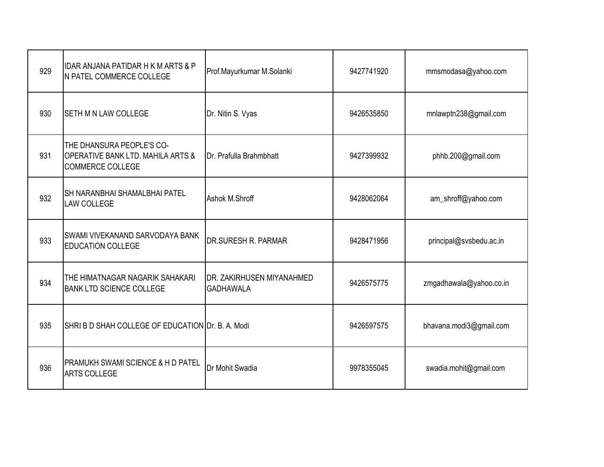| 929 | <b>IDAR ANJANA PATIDAR H K M ARTS &amp; P</b><br>N PATEL COMMERCE COLLEGE                            | Prof.Mayurkumar M.Solanki                     | 9427741920 | mmsmodasa@yahoo.com     |
|-----|------------------------------------------------------------------------------------------------------|-----------------------------------------------|------------|-------------------------|
| 930 | <b>SETH M N LAW COLLEGE</b>                                                                          | Dr. Nitin S. Vyas                             | 9426535850 | mnlawptn238@gmail.com   |
| 931 | THE DHANSURA PEOPLE'S CO-<br><b>OPERATIVE BANK LTD. MAHILA ARTS &amp;</b><br><b>COMMERCE COLLEGE</b> | Dr. Prafulla Brahmbhatt                       | 9427399932 | phhb.200@gmail.com      |
| 932 | <b>SH NARANBHAI SHAMALBHAI PATEL</b><br><b>LAW COLLEGE</b>                                           | Ashok M.Shroff                                | 9428062064 | am_shroff@yahoo.com     |
| 933 | SWAMI VIVEKANAND SARVODAYA BANK<br><b>EDUCATION COLLEGE</b>                                          | <b>DR.SURESH R. PARMAR</b>                    | 9428471956 | principal@svsbedu.ac.in |
| 934 | THE HIMATNAGAR NAGARIK SAHAKARI<br><b>BANK LTD SCIENCE COLLEGE</b>                                   | DR. ZAKIRHUSEN MIYANAHMED<br><b>GADHAWALA</b> | 9426575775 | zmgadhawala@yahoo.co.in |
| 935 | SHRI B D SHAH COLLEGE OF EDUCATION Dr. B. A. Modi                                                    |                                               | 9426597575 | bhavana.modi3@gmail.com |
| 936 | <b>PRAMUKH SWAMI SCIENCE &amp; H D PATEL</b><br><b>ARTS COLLEGE</b>                                  | Dr Mohit Swadia                               | 9978355045 | swadia.mohit@gmail.com  |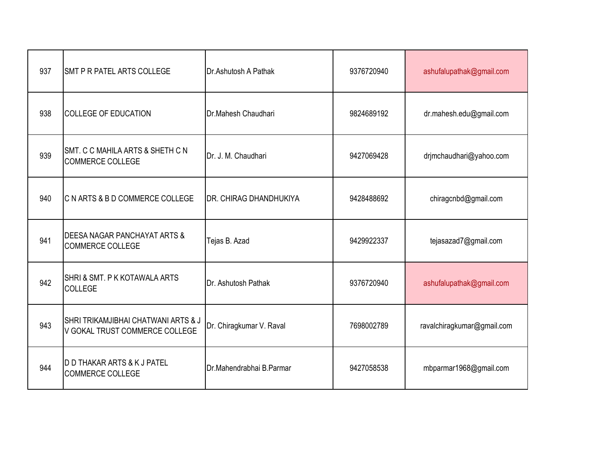| 937 | <b>SMT P R PATEL ARTS COLLEGE</b>                                                | Dr.Ashutosh A Pathak           | 9376720940 | ashufalupathak@gmail.com   |
|-----|----------------------------------------------------------------------------------|--------------------------------|------------|----------------------------|
| 938 | <b>COLLEGE OF EDUCATION</b>                                                      | Dr.Mahesh Chaudhari            | 9824689192 | dr.mahesh.edu@gmail.com    |
| 939 | SMT. C C MAHILA ARTS & SHETH C N<br><b>COMMERCE COLLEGE</b>                      | Dr. J. M. Chaudhari            | 9427069428 | drjmchaudhari@yahoo.com    |
| 940 | C N ARTS & B D COMMERCE COLLEGE                                                  | <b>IDR. CHIRAG DHANDHUKIYA</b> | 9428488692 | chiragcnbd@gmail.com       |
| 941 | DEESA NAGAR PANCHAYAT ARTS &<br><b>COMMERCE COLLEGE</b>                          | Tejas B. Azad                  | 9429922337 | tejasazad7@gmail.com       |
| 942 | SHRI & SMT. P K KOTAWALA ARTS<br><b>COLLEGE</b>                                  | Dr. Ashutosh Pathak            | 9376720940 | ashufalupathak@gmail.com   |
| 943 | <b>SHRI TRIKAMJIBHAI CHATWANI ARTS &amp; J</b><br>V GOKAL TRUST COMMERCE COLLEGE | Dr. Chiragkumar V. Raval       | 7698002789 | ravalchiragkumar@gmail.com |
| 944 | D D THAKAR ARTS & K J PATEL<br><b>COMMERCE COLLEGE</b>                           | Dr.Mahendrabhai B.Parmar       | 9427058538 | mbparmar1968@gmail.com     |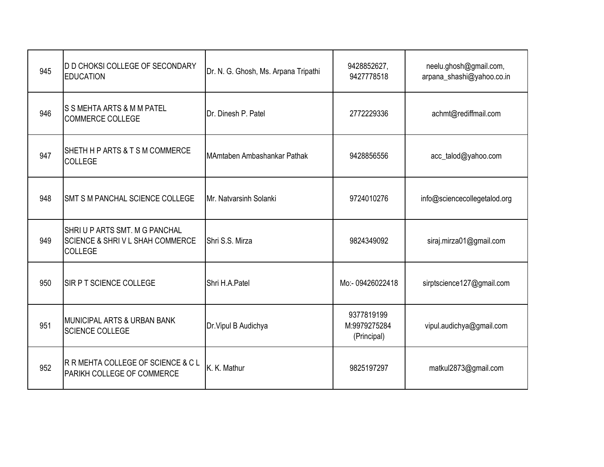| 945 | <b>D D CHOKSI COLLEGE OF SECONDARY</b><br><b>EDUCATION</b>                | Dr. N. G. Ghosh, Ms. Arpana Tripathi | 9428852627,<br>9427778518                 | neelu.ghosh@gmail.com,<br>arpana_shashi@yahoo.co.in |
|-----|---------------------------------------------------------------------------|--------------------------------------|-------------------------------------------|-----------------------------------------------------|
| 946 | S S MEHTA ARTS & M M PATEL<br><b>COMMERCE COLLEGE</b>                     | Dr. Dinesh P. Patel                  | 2772229336                                | achmt@rediffmail.com                                |
| 947 | SHETH H P ARTS & T S M COMMERCE<br>COLLEGE                                | MAmtaben Ambashankar Pathak          | 9428856556                                | acc_talod@yahoo.com                                 |
| 948 | SMT S M PANCHAL SCIENCE COLLEGE                                           | Mr. Natvarsinh Solanki               | 9724010276                                | info@sciencecollegetalod.org                        |
| 949 | SHRIUP ARTS SMT. M G PANCHAL<br>SCIENCE & SHRIVL SHAH COMMERCE<br>COLLEGE | Shri S.S. Mirza                      | 9824349092                                | siraj.mirza01@gmail.com                             |
| 950 | <b>ISIR P T SCIENCE COLLEGE</b>                                           | Shri H.A.Patel                       | Mo:- 09426022418                          | sirptscience127@gmail.com                           |
| 951 | MUNICIPAL ARTS & URBAN BANK<br>SCIENCE COLLEGE                            | Dr. Vipul B Audichya                 | 9377819199<br>M:9979275284<br>(Principal) | vipul.audichya@gmail.com                            |
| 952 | R R MEHTA COLLEGE OF SCIENCE & C L<br>PARIKH COLLEGE OF COMMERCE          | K. K. Mathur                         | 9825197297                                | matkul2873@gmail.com                                |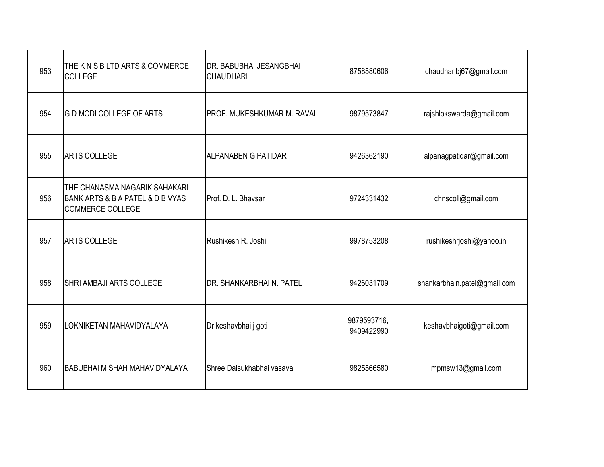| 953 | THE K N S B LTD ARTS & COMMERCE<br>COLLEGE                                                   | <b>DR. BABUBHAI JESANGBHAI</b><br><b>CHAUDHARI</b> | 8758580606                | chaudharibj67@gmail.com      |
|-----|----------------------------------------------------------------------------------------------|----------------------------------------------------|---------------------------|------------------------------|
| 954 | <b>G D MODI COLLEGE OF ARTS</b>                                                              | IPROF. MUKESHKUMAR M. RAVAL                        | 9879573847                | rajshlokswarda@gmail.com     |
| 955 | <b>ARTS COLLEGE</b>                                                                          | <b>ALPANABEN G PATIDAR</b>                         | 9426362190                | alpanagpatidar@gmail.com     |
| 956 | THE CHANASMA NAGARIK SAHAKARI<br>BANK ARTS & B A PATEL & D B VYAS<br><b>COMMERCE COLLEGE</b> | Prof. D. L. Bhaysar                                | 9724331432                | chnscoll@gmail.com           |
| 957 | <b>ARTS COLLEGE</b>                                                                          | Rushikesh R. Joshi                                 | 9978753208                | rushikeshrjoshi@yahoo.in     |
| 958 | <b>SHRI AMBAJI ARTS COLLEGE</b>                                                              | <b>IDR. SHANKARBHAI N. PATEL</b>                   | 9426031709                | shankarbhain.patel@gmail.com |
| 959 | LOKNIKETAN MAHAVIDYALAYA                                                                     | Dr keshavbhai j goti                               | 9879593716,<br>9409422990 | keshavbhaigoti@gmail.com     |
| 960 | <b>BABUBHAI M SHAH MAHAVIDYALAYA</b>                                                         | <b>I</b> Shree Dalsukhabhai vasava                 | 9825566580                | mpmsw13@gmail.com            |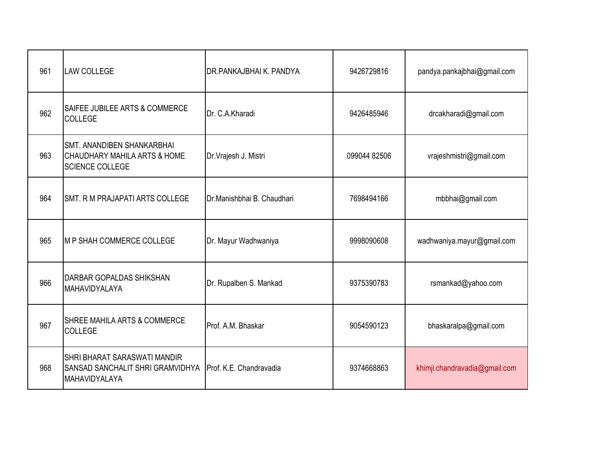| 961 | <b>LAW COLLEGE</b>                                                                          | DR.PANKAJBHAI K. PANDYA    | 9426729816   | pandya.pankajbhai@gmail.com   |
|-----|---------------------------------------------------------------------------------------------|----------------------------|--------------|-------------------------------|
| 962 | SAIFEE JUBILEE ARTS & COMMERCE<br><b>COLLEGE</b>                                            | Dr. C.A.Kharadi            | 9426485946   | drcakharadi@gmail.com         |
| 963 | <b>SMT. ANANDIBEN SHANKARBHAI</b><br>CHAUDHARY MAHILA ARTS & HOME<br><b>SCIENCE COLLEGE</b> | Dr. Vrajesh J. Mistri      | 099044 82506 | vrajeshmistri@gmail.com       |
| 964 | <b>SMT. R M PRAJAPATI ARTS COLLEGE</b>                                                      | Dr.Manishbhai B. Chaudhari | 7698494166   | mbbhai@gmail.com              |
| 965 | IM P SHAH COMMERCE COLLEGE                                                                  | Dr. Mayur Wadhwaniya       | 9998090608   | wadhwaniya.mayur@gmail.com    |
| 966 | <b>DARBAR GOPALDAS SHIKSHAN</b><br><b>MAHAVIDYALAYA</b>                                     | Dr. Rupalben S. Mankad     | 9375390783   | rsmankad@yahoo.com            |
| 967 | <b>SHREE MAHILA ARTS &amp; COMMERCE</b><br><b>COLLEGE</b>                                   | Prof. A.M. Bhaskar         | 9054590123   | bhaskaralpa@gmail.com         |
| 968 | <b>SHRI BHARAT SARASWATI MANDIR</b><br>SANSAD SANCHALIT SHRI GRAMVIDHYA<br>MAHAVIDYALAYA    | Prof. K.E. Chandravadia    | 9374668863   | khimji.chandravadia@gmail.com |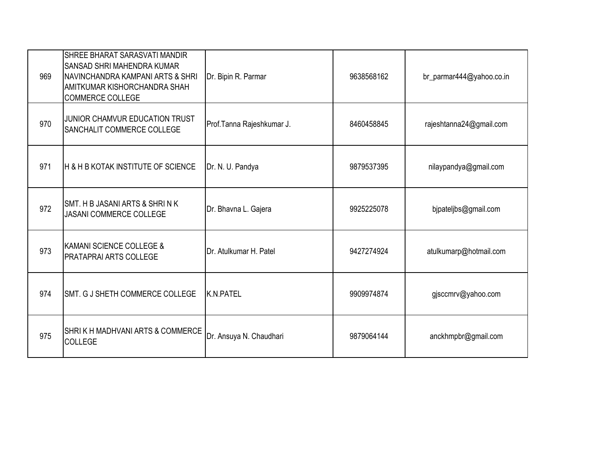| 969 | <b>SHREE BHARAT SARASVATI MANDIR</b><br><b>SANSAD SHRI MAHENDRA KUMAR</b><br><b>INAVINCHANDRA KAMPANI ARTS &amp; SHRI</b><br><b>AMITKUMAR KISHORCHANDRA SHAH</b><br>COMMERCE COLLEGE | Dr. Bipin R. Parmar       | 9638568162 | br_parmar444@yahoo.co.in |
|-----|--------------------------------------------------------------------------------------------------------------------------------------------------------------------------------------|---------------------------|------------|--------------------------|
| 970 | JUNIOR CHAMVUR EDUCATION TRUST<br><b>SANCHALIT COMMERCE COLLEGE</b>                                                                                                                  | Prof.Tanna Rajeshkumar J. | 8460458845 | rajeshtanna24@gmail.com  |
| 971 | H & H B KOTAK INSTITUTE OF SCIENCE                                                                                                                                                   | Dr. N. U. Pandya          | 9879537395 | nilaypandya@gmail.com    |
| 972 | ISMT. H B JASANI ARTS & SHRI N K<br><b>JASANI COMMERCE COLLEGE</b>                                                                                                                   | Dr. Bhavna L. Gajera      | 9925225078 | bjpateljbs@gmail.com     |
| 973 | KAMANI SCIENCE COLLEGE &<br><b>PRATAPRAI ARTS COLLEGE</b>                                                                                                                            | Dr. Atulkumar H. Patel    | 9427274924 | atulkumarp@hotmail.com   |
| 974 | SMT. G J SHETH COMMERCE COLLEGE                                                                                                                                                      | K.N.PATEL                 | 9909974874 | gjsccmrv@yahoo.com       |
| 975 | <b>SHRIK H MADHVANI ARTS &amp; COMMERCE</b><br><b>COLLEGE</b>                                                                                                                        | Dr. Ansuya N. Chaudhari   | 9879064144 | anckhmpbr@gmail.com      |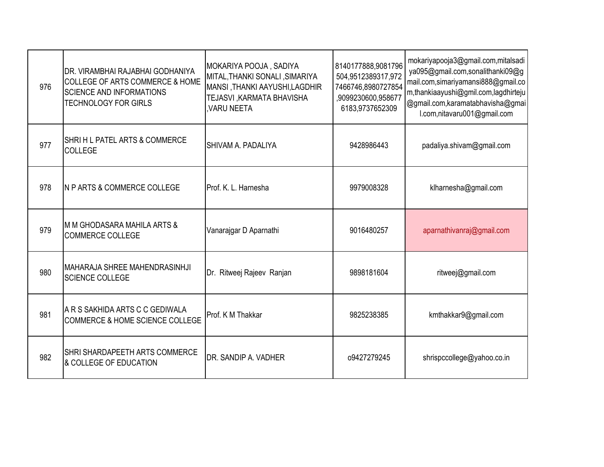| 976 | DR. VIRAMBHAI RAJABHAI GODHANIYA<br><b>COLLEGE OF ARTS COMMERCE &amp; HOME</b><br><b>SCIENCE AND INFORMATIONS</b><br><b>TECHNOLOGY FOR GIRLS</b> | MOKARIYA POOJA, SADIYA<br>MITAL, THANKI SONALI, SIMARIYA<br>MANSI, THANKI AAYUSHI,LAGDHIR<br>TEJASVI ,KARMATA BHAVISHA<br>VARU NEETA | 8140177888,9081796<br>504,9512389317,972<br>7466746,8980727854<br>,9099230600,958677<br>6183,9737652309 | mokariyapooja3@gmail.com,mitalsadi<br>ya095@gmail.com,sonalithanki09@g<br>mail.com,simariyamansi888@gmail.co<br>m,thankiaayushi@gmil.com,lagdhirteju<br>@gmail.com, karamatabhavisha@gmai<br>I.com, nitavaru001@gmail.com |
|-----|--------------------------------------------------------------------------------------------------------------------------------------------------|--------------------------------------------------------------------------------------------------------------------------------------|---------------------------------------------------------------------------------------------------------|---------------------------------------------------------------------------------------------------------------------------------------------------------------------------------------------------------------------------|
| 977 | SHRIH L PATEL ARTS & COMMERCE<br><b>COLLEGE</b>                                                                                                  | SHIVAM A. PADALIYA                                                                                                                   | 9428986443                                                                                              | padaliya.shivam@gmail.com                                                                                                                                                                                                 |
| 978 | <b>N P ARTS &amp; COMMERCE COLLEGE</b>                                                                                                           | Prof. K. L. Harnesha                                                                                                                 | 9979008328                                                                                              | klharnesha@gmail.com                                                                                                                                                                                                      |
| 979 | M M GHODASARA MAHILA ARTS &<br><b>COMMERCE COLLEGE</b>                                                                                           | Vanarajgar D Aparnathi                                                                                                               | 9016480257                                                                                              | aparnathivanraj@gmail.com                                                                                                                                                                                                 |
| 980 | <b>MAHARAJA SHREE MAHENDRASINHJI</b><br><b>SCIENCE COLLEGE</b>                                                                                   | Dr. Ritweej Rajeev Ranjan                                                                                                            | 9898181604                                                                                              | ritweej@gmail.com                                                                                                                                                                                                         |
| 981 | A R S SAKHIDA ARTS C C GEDIWALA<br><b>COMMERCE &amp; HOME SCIENCE COLLEGE</b>                                                                    | Prof. K M Thakkar                                                                                                                    | 9825238385                                                                                              | kmthakkar9@gmail.com                                                                                                                                                                                                      |
| 982 | SHRI SHARDAPEETH ARTS COMMERCE<br>& COLLEGE OF EDUCATION                                                                                         | DR. SANDIP A. VADHER                                                                                                                 | o9427279245                                                                                             | shrispccollege@yahoo.co.in                                                                                                                                                                                                |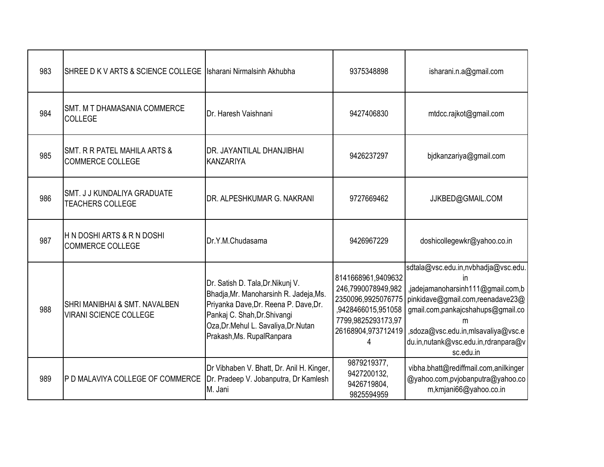| 983 | SHREE D K V ARTS & SCIENCE COLLEGE                                        | Isharani Nirmalsinh Akhubha                                                                                                                                                                                                 | 9375348898                                                                                                                           | isharani.n.a@gmail.com                                                                                                                                                                                                                                 |
|-----|---------------------------------------------------------------------------|-----------------------------------------------------------------------------------------------------------------------------------------------------------------------------------------------------------------------------|--------------------------------------------------------------------------------------------------------------------------------------|--------------------------------------------------------------------------------------------------------------------------------------------------------------------------------------------------------------------------------------------------------|
| 984 | <b>SMT. M T DHAMASANIA COMMERCE</b><br><b>COLLEGE</b>                     | Dr. Haresh Vaishnani                                                                                                                                                                                                        | 9427406830                                                                                                                           | mtdcc.rajkot@gmail.com                                                                                                                                                                                                                                 |
| 985 | SMT. R R PATEL MAHILA ARTS &<br><b>COMMERCE COLLEGE</b>                   | DR. JAYANTILAL DHANJIBHAI<br><b>KANZARIYA</b>                                                                                                                                                                               | 9426237297                                                                                                                           | bjdkanzariya@gmail.com                                                                                                                                                                                                                                 |
| 986 | SMT. J J KUNDALIYA GRADUATE<br><b>TEACHERS COLLEGE</b>                    | DR. ALPESHKUMAR G. NAKRANI                                                                                                                                                                                                  | 9727669462                                                                                                                           | JJKBED@GMAIL.COM                                                                                                                                                                                                                                       |
| 987 | H N DOSHI ARTS & R N DOSHI<br><b>COMMERCE COLLEGE</b>                     | Dr.Y.M.Chudasama                                                                                                                                                                                                            | 9426967229                                                                                                                           | doshicollegewkr@yahoo.co.in                                                                                                                                                                                                                            |
| 988 | <b>SHRI MANIBHAI &amp; SMT. NAVALBEN</b><br><b>VIRANI SCIENCE COLLEGE</b> | Dr. Satish D. Tala, Dr. Nikunj V.<br>Bhadja, Mr. Manoharsinh R. Jadeja, Ms.<br>Priyanka Dave, Dr. Reena P. Dave, Dr.<br>Pankaj C. Shah, Dr. Shivangi<br>Oza, Dr. Mehul L. Savaliya, Dr. Nutan<br>Prakash, Ms. Rupal Ranpara | 8141668961,9409632<br>246,7990078949,982<br>2350096,9925076775<br>9428466015,951058<br>7799,9825293173,97<br>26168904,973712419<br>4 | sdtala@vsc.edu.in,nvbhadja@vsc.edu.<br>in<br>,jadejamanoharsinh111@gmail.com,b<br>pinkidave@gmail.com,reenadave23@<br>gmail.com,pankajcshahups@gmail.co<br>m<br>,sdoza@vsc.edu.in,mlsavaliya@vsc.e<br>du.in,nutank@vsc.edu.in,rdranpara@v<br>sc.edu.in |
| 989 | P D MALAVIYA COLLEGE OF COMMERCE                                          | Dr Vibhaben V. Bhatt, Dr. Anil H. Kinger,<br>Dr. Pradeep V. Jobanputra, Dr Kamlesh<br>M. Jani                                                                                                                               | 9879219377,<br>9427200132,<br>9426719804,<br>9825594959                                                                              | vibha.bhatt@rediffmail.com,anilkinger<br>@yahoo.com,pvjobanputra@yahoo.co<br>m,kmjani66@yahoo.co.in                                                                                                                                                    |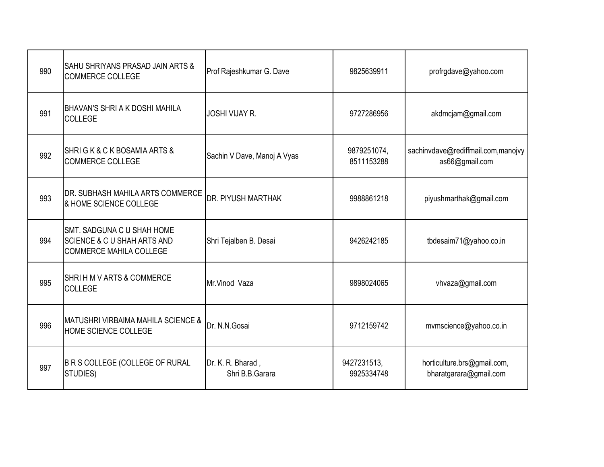| 990 | SAHU SHRIYANS PRASAD JAIN ARTS &<br><b>COMMERCE COLLEGE</b>                                                   | Prof Rajeshkumar G. Dave             | 9825639911                | profrgdave@yahoo.com                                  |
|-----|---------------------------------------------------------------------------------------------------------------|--------------------------------------|---------------------------|-------------------------------------------------------|
| 991 | <b>BHAVAN'S SHRI A K DOSHI MAHILA</b><br><b>COLLEGE</b>                                                       | <b>JOSHI VIJAY R.</b>                | 9727286956                | akdmcjam@gmail.com                                    |
| 992 | SHRIGK & CK BOSAMIA ARTS &<br><b>COMMERCE COLLEGE</b>                                                         | Sachin V Dave, Manoj A Vyas          | 9879251074,<br>8511153288 | sachinvdave@rediffmail.com,manojvy<br>as66@gmail.com  |
| 993 | DR. SUBHASH MAHILA ARTS COMMERCE<br>& HOME SCIENCE COLLEGE                                                    | DR. PIYUSH MARTHAK                   | 9988861218                | piyushmarthak@gmail.com                               |
| 994 | <b>SMT. SADGUNA C U SHAH HOME</b><br><b>SCIENCE &amp; C U SHAH ARTS AND</b><br><b>COMMERCE MAHILA COLLEGE</b> | Shri Tejalben B. Desai               | 9426242185                | tbdesaim71@yahoo.co.in                                |
| 995 | SHRIH M V ARTS & COMMERCE<br><b>COLLEGE</b>                                                                   | Mr.Vinod Vaza                        | 9898024065                | vhvaza@gmail.com                                      |
| 996 | <b>MATUSHRI VIRBAIMA MAHILA SCIENCE &amp;</b><br><b>HOME SCIENCE COLLEGE</b>                                  | Dr. N.N.Gosai                        | 9712159742                | mvmscience@yahoo.co.in                                |
| 997 | B R S COLLEGE (COLLEGE OF RURAL<br>STUDIES)                                                                   | Dr. K. R. Bharad,<br>Shri B.B.Garara | 9427231513,<br>9925334748 | horticulture.brs@gmail.com,<br>bharatgarara@gmail.com |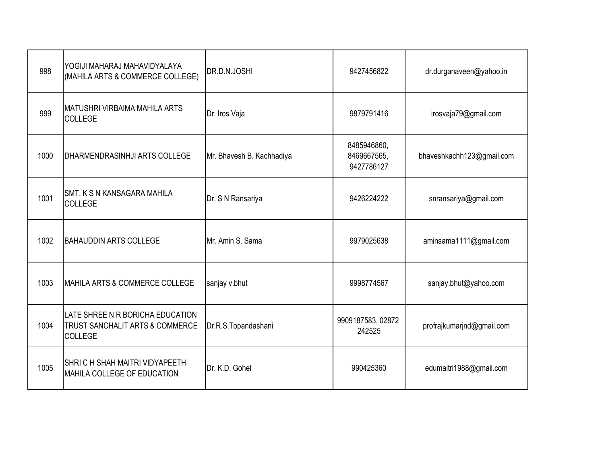| 998  | YOGIJI MAHARAJ MAHAVIDYALAYA<br>(MAHILA ARTS & COMMERCE COLLEGE)                      | DR.D.N.JOSHI              | 9427456822                               | dr.durganaveen@yahoo.in   |
|------|---------------------------------------------------------------------------------------|---------------------------|------------------------------------------|---------------------------|
| 999  | <b>MATUSHRI VIRBAIMA MAHILA ARTS</b><br>COLLEGE                                       | Dr. Iros Vaja             | 9879791416                               | irosvaja79@gmail.com      |
| 1000 | DHARMENDRASINHJI ARTS COLLEGE                                                         | Mr. Bhavesh B. Kachhadiya | 8485946860,<br>8469667565,<br>9427786127 | bhaveshkachh123@gmail.com |
| 1001 | SMT. K S N KANSAGARA MAHILA<br>COLLEGE                                                | Dr. S N Ransariya         | 9426224222                               | snransariya@gmail.com     |
| 1002 | <b>BAHAUDDIN ARTS COLLEGE</b>                                                         | Mr. Amin S. Sama          | 9979025638                               | aminsama1111@gmail.com    |
| 1003 | MAHILA ARTS & COMMERCE COLLEGE                                                        | sanjay v.bhut             | 9998774567                               | sanjay.bhut@yahoo.com     |
| 1004 | LATE SHREE N R BORICHA EDUCATION<br>TRUST SANCHALIT ARTS & COMMERCE<br><b>COLLEGE</b> | Dr.R.S.Topandashani       | 9909187583, 02872<br>242525              | profrajkumarjnd@gmail.com |
| 1005 | SHRIC H SHAH MAITRI VIDYAPEETH<br>MAHILA COLLEGE OF EDUCATION                         | Dr. K.D. Gohel            | 990425360                                | edumaitri1988@gmail.com   |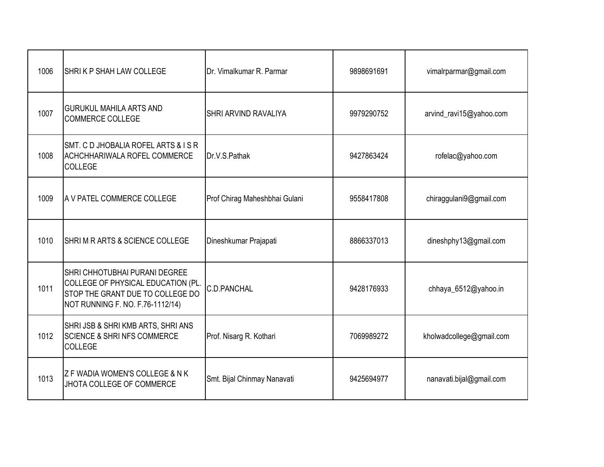| 1006 | SHRIK P SHAH LAW COLLEGE                                                                                                                    | Dr. Vimalkumar R. Parmar      | 9898691691 | vimalrparmar@gmail.com   |
|------|---------------------------------------------------------------------------------------------------------------------------------------------|-------------------------------|------------|--------------------------|
| 1007 | <b>GURUKUL MAHILA ARTS AND</b><br><b>COMMERCE COLLEGE</b>                                                                                   | <b>SHRI ARVIND RAVALIYA</b>   | 9979290752 | arvind_ravi15@yahoo.com  |
| 1008 | SMT. C D JHOBALIA ROFEL ARTS & ISR<br>ACHCHHARIWALA ROFEL COMMERCE<br><b>COLLEGE</b>                                                        | Dr.V.S.Pathak                 | 9427863424 | rofelac@yahoo.com        |
| 1009 | A V PATEL COMMERCE COLLEGE                                                                                                                  | Prof Chirag Maheshbhai Gulani | 9558417808 | chiraggulani9@gmail.com  |
| 1010 | SHRIM RARTS & SCIENCE COLLEGE                                                                                                               | Dineshkumar Prajapati         | 8866337013 | dineshphy13@gmail.com    |
| 1011 | SHRI CHHOTUBHAI PURANI DEGREE<br>COLLEGE OF PHYSICAL EDUCATION (PL.<br>STOP THE GRANT DUE TO COLLEGE DO<br>NOT RUNNING F. NO. F.76-1112/14) | <b>C.D.PANCHAL</b>            | 9428176933 | chhaya_6512@yahoo.in     |
| 1012 | SHRI JSB & SHRI KMB ARTS, SHRI ANS<br><b>SCIENCE &amp; SHRI NFS COMMERCE</b><br><b>COLLEGE</b>                                              | Prof. Nisarg R. Kothari       | 7069989272 | kholwadcollege@gmail.com |
| 1013 | Z F WADIA WOMEN'S COLLEGE & N K<br>JHOTA COLLEGE OF COMMERCE                                                                                | Smt. Bijal Chinmay Nanavati   | 9425694977 | nanavati.bijal@gmail.com |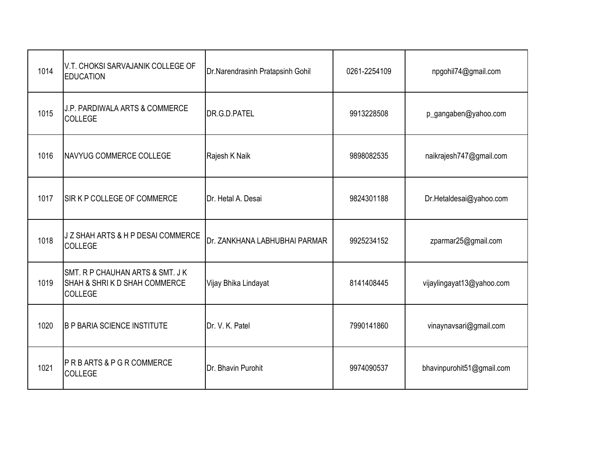| 1014 | V.T. CHOKSI SARVAJANIK COLLEGE OF<br><b>EDUCATION</b>                              | Dr.Narendrasinh Pratapsinh Gohil | 0261-2254109 | npgohil74@gmail.com       |
|------|------------------------------------------------------------------------------------|----------------------------------|--------------|---------------------------|
| 1015 | <b>J.P. PARDIWALA ARTS &amp; COMMERCE</b><br><b>COLLEGE</b>                        | DR.G.D.PATEL                     | 9913228508   | p_gangaben@yahoo.com      |
| 1016 | <b>NAVYUG COMMERCE COLLEGE</b>                                                     | Rajesh K Naik                    | 9898082535   | naikrajesh747@gmail.com   |
| 1017 | SIR K P COLLEGE OF COMMERCE                                                        | Dr. Hetal A. Desai               | 9824301188   | Dr.Hetaldesai@yahoo.com   |
| 1018 | J Z SHAH ARTS & H P DESAI COMMERCE<br><b>COLLEGE</b>                               | Dr. ZANKHANA LABHUBHAI PARMAR    | 9925234152   | zparmar25@gmail.com       |
| 1019 | SMT. R P CHAUHAN ARTS & SMT. J K<br>SHAH & SHRIK D SHAH COMMERCE<br><b>COLLEGE</b> | Vijay Bhika Lindayat             | 8141408445   | vijaylingayat13@yahoo.com |
| 1020 | <b>B P BARIA SCIENCE INSTITUTE</b>                                                 | Dr. V. K. Patel                  | 7990141860   | vinaynavsari@gmail.com    |
| 1021 | <b>PRBARTS &amp; PGR COMMERCE</b><br>COLLEGE                                       | Dr. Bhavin Purohit               | 9974090537   | bhavinpurohit51@gmail.com |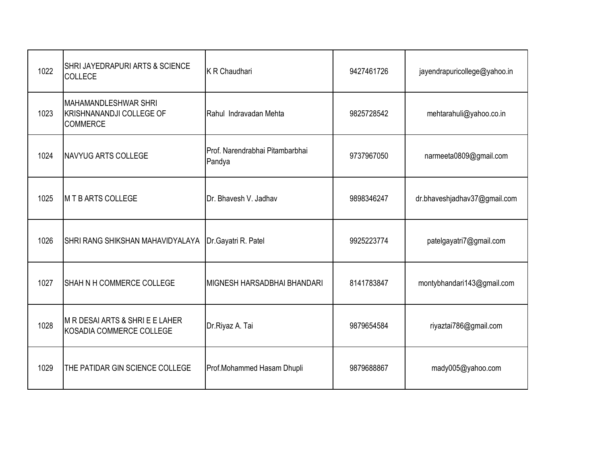| 1022 | <b>SHRI JAYEDRAPURI ARTS &amp; SCIENCE</b><br><b>COLLECE</b>                      | K R Chaudhari                             | 9427461726 | jayendrapuricollege@yahoo.in |
|------|-----------------------------------------------------------------------------------|-------------------------------------------|------------|------------------------------|
| 1023 | <b>MAHAMANDLESHWAR SHRI</b><br><b>KRISHNANANDJI COLLEGE OF</b><br><b>COMMERCE</b> | Rahul Indravadan Mehta                    | 9825728542 | mehtarahuli@yahoo.co.in      |
| 1024 | <b>NAVYUG ARTS COLLEGE</b>                                                        | Prof. Narendrabhai Pitambarbhai<br>Pandya | 9737967050 | narmeeta0809@gmail.com       |
| 1025 | M T B ARTS COLLEGE                                                                | Dr. Bhavesh V. Jadhav                     | 9898346247 | dr.bhaveshjadhav37@gmail.com |
| 1026 | SHRI RANG SHIKSHAN MAHAVIDYALAYA                                                  | Dr.Gayatri R. Patel                       | 9925223774 | patelgayatri7@gmail.com      |
| 1027 | <b>SHAH N H COMMERCE COLLEGE</b>                                                  | IMIGNESH HARSADBHAI BHANDARI              | 8141783847 | montybhandari143@gmail.com   |
| 1028 | M R DESAI ARTS & SHRI E E LAHER<br>KOSADIA COMMERCE COLLEGE                       | Dr.Riyaz A. Tai                           | 9879654584 | riyaztai786@gmail.com        |
| 1029 | THE PATIDAR GIN SCIENCE COLLEGE                                                   | Prof.Mohammed Hasam Dhupli                | 9879688867 | mady005@yahoo.com            |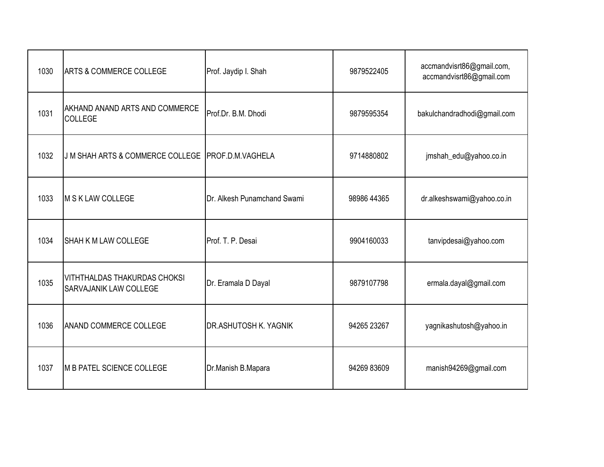| 1030 | <b>ARTS &amp; COMMERCE COLLEGE</b>                                   | Prof. Jaydip I. Shah         | 9879522405  | accmandvisrt86@gmail.com,<br>accmandvisrt86@gmail.com |
|------|----------------------------------------------------------------------|------------------------------|-------------|-------------------------------------------------------|
| 1031 | <b>AKHAND ANAND ARTS AND COMMERCE</b><br><b>COLLEGE</b>              | Prof.Dr. B.M. Dhodi          | 9879595354  | bakulchandradhodi@gmail.com                           |
| 1032 | J M SHAH ARTS & COMMERCE COLLEGE                                     | <b>PROF.D.M.VAGHELA</b>      | 9714880802  | jmshah_edu@yahoo.co.in                                |
| 1033 | M S K LAW COLLEGE                                                    | Dr. Alkesh Punamchand Swami  | 98986 44365 | dr.alkeshswami@yahoo.co.in                            |
| 1034 | <b>SHAH K M LAW COLLEGE</b>                                          | Prof. T. P. Desai            | 9904160033  | tanvipdesai@yahoo.com                                 |
| 1035 | <b>VITHTHALDAS THAKURDAS CHOKSI</b><br><b>SARVAJANIK LAW COLLEGE</b> | Dr. Eramala D Dayal          | 9879107798  | ermala.dayal@gmail.com                                |
| 1036 | <b>ANAND COMMERCE COLLEGE</b>                                        | <b>DR.ASHUTOSH K. YAGNIK</b> | 94265 23267 | yagnikashutosh@yahoo.in                               |
| 1037 | <b>IM B PATEL SCIENCE COLLEGE</b>                                    | Dr.Manish B.Mapara           | 94269 83609 | manish94269@gmail.com                                 |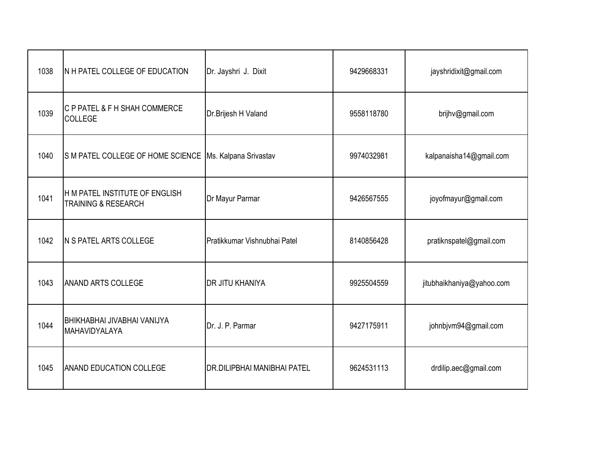| 1038 | IN H PATEL COLLEGE OF EDUCATION                                  | Dr. Jayshri J. Dixit         | 9429668331 | jayshridixit@gmail.com    |
|------|------------------------------------------------------------------|------------------------------|------------|---------------------------|
| 1039 | C P PATEL & F H SHAH COMMERCE<br><b>COLLEGE</b>                  | Dr.Brijesh H Valand          | 9558118780 | brijhv@gmail.com          |
| 1040 | S M PATEL COLLEGE OF HOME SCIENCE                                | Ms. Kalpana Srivastav        | 9974032981 | kalpanaisha14@gmail.com   |
| 1041 | H M PATEL INSTITUTE OF ENGLISH<br><b>TRAINING &amp; RESEARCH</b> | Dr Mayur Parmar              | 9426567555 | joyofmayur@gmail.com      |
| 1042 | N S PATEL ARTS COLLEGE                                           | Pratikkumar Vishnubhai Patel | 8140856428 | pratiknspatel@gmail.com   |
| 1043 | <b>ANAND ARTS COLLEGE</b>                                        | DR JITU KHANIYA              | 9925504559 | jitubhaikhaniya@yahoo.com |
| 1044 | BHIKHABHAI JIVABHAI VANIJYA<br>MAHAVIDYALAYA                     | Dr. J. P. Parmar             | 9427175911 | johnbjvm94@gmail.com      |
| 1045 | <b>ANAND EDUCATION COLLEGE</b>                                   | DR.DILIPBHAI MANIBHAI PATEL  | 9624531113 | drdilip.aec@gmail.com     |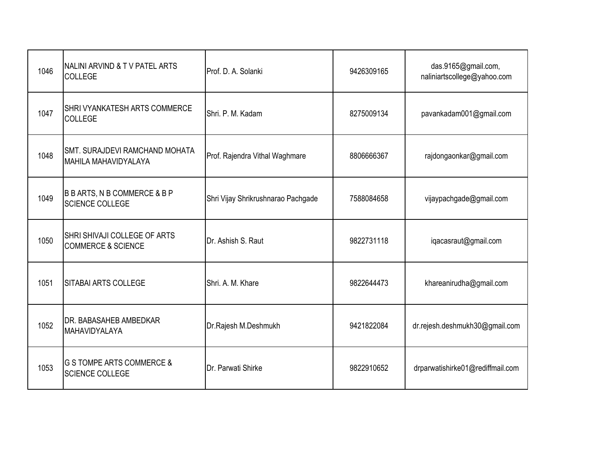| 1046 | NALINI ARVIND & TV PATEL ARTS<br>COLLEGE                          | Prof. D. A. Solanki                | 9426309165 | das.9165@gmail.com,<br>naliniartscollege@yahoo.com |
|------|-------------------------------------------------------------------|------------------------------------|------------|----------------------------------------------------|
| 1047 | <b>SHRI VYANKATESH ARTS COMMERCE</b><br><b>COLLEGE</b>            | Shri, P. M. Kadam                  | 8275009134 | pavankadam001@gmail.com                            |
| 1048 | SMT. SURAJDEVI RAMCHAND MOHATA<br><b>MAHILA MAHAVIDYALAYA</b>     | Prof. Rajendra Vithal Waghmare     | 8806666367 | rajdongaonkar@gmail.com                            |
| 1049 | <b>B B ARTS, N B COMMERCE &amp; B P</b><br><b>SCIENCE COLLEGE</b> | Shri Vijay Shrikrushnarao Pachgade | 7588084658 | vijaypachgade@gmail.com                            |
| 1050 | SHRI SHIVAJI COLLEGE OF ARTS<br><b>COMMERCE &amp; SCIENCE</b>     | Dr. Ashish S. Raut                 | 9822731118 | iqacasraut@gmail.com                               |
| 1051 | <b>SITABAI ARTS COLLEGE</b>                                       | Shri, A. M. Khare                  | 9822644473 | khareanirudha@gmail.com                            |
| 1052 | DR. BABASAHEB AMBEDKAR<br>MAHAVIDYALAYA                           | Dr.Rajesh M.Deshmukh               | 9421822084 | dr.rejesh.deshmukh30@gmail.com                     |
| 1053 | <b>G S TOMPE ARTS COMMERCE &amp;</b><br><b>SCIENCE COLLEGE</b>    | Dr. Parwati Shirke                 | 9822910652 | drparwatishirke01@rediffmail.com                   |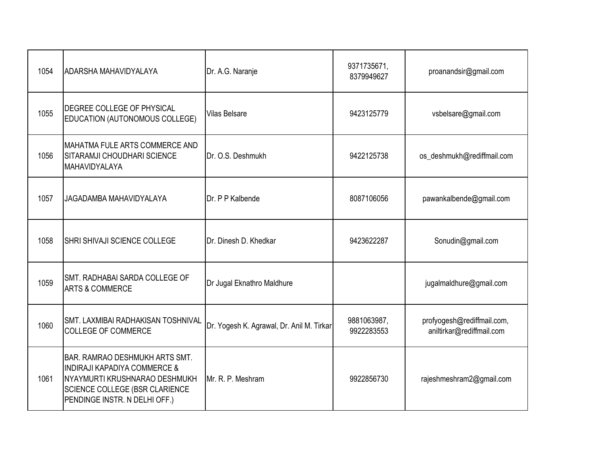| 1054 | <b>ADARSHA MAHAVIDYALAYA</b>                                                                                                                                                         | Dr. A.G. Naranje                          | 9371735671,<br>8379949627 | proanandsir@gmail.com                                   |
|------|--------------------------------------------------------------------------------------------------------------------------------------------------------------------------------------|-------------------------------------------|---------------------------|---------------------------------------------------------|
| 1055 | <b>DEGREE COLLEGE OF PHYSICAL</b><br>EDUCATION (AUTONOMOUS COLLEGE)                                                                                                                  | <b>Vilas Belsare</b>                      | 9423125779                | vsbelsare@gmail.com                                     |
| 1056 | MAHATMA FULE ARTS COMMERCE AND<br>SITARAMJI CHOUDHARI SCIENCE<br><b>MAHAVIDYALAYA</b>                                                                                                | Dr. O.S. Deshmukh                         | 9422125738                | os_deshmukh@rediffmail.com                              |
| 1057 | JAGADAMBA MAHAVIDYALAYA                                                                                                                                                              | Dr. P P Kalbende                          | 8087106056                | pawankalbende@gmail.com                                 |
| 1058 | <b>SHRI SHIVAJI SCIENCE COLLEGE</b>                                                                                                                                                  | Dr. Dinesh D. Khedkar                     | 9423622287                | Sonudin@gmail.com                                       |
| 1059 | <b>SMT. RADHABAI SARDA COLLEGE OF</b><br><b>ARTS &amp; COMMERCE</b>                                                                                                                  | Dr Jugal Eknathro Maldhure                |                           | jugalmaldhure@gmail.com                                 |
| 1060 | <b>SMT. LAXMIBAI RADHAKISAN TOSHNIVAL</b><br><b>COLLEGE OF COMMERCE</b>                                                                                                              | Dr. Yogesh K. Agrawal, Dr. Anil M. Tirkar | 9881063987,<br>9922283553 | profyogesh@rediffmail.com,<br>aniltirkar@rediffmail.com |
| 1061 | <b>BAR. RAMRAO DESHMUKH ARTS SMT.</b><br><b>INDIRAJI KAPADIYA COMMERCE &amp;</b><br>NYAYMURTI KRUSHNARAO DESHMUKH<br>SCIENCE COLLEGE (BSR CLARIENCE<br>PENDINGE INSTR. N DELHI OFF.) | Mr. R. P. Meshram                         | 9922856730                | rajeshmeshram2@gmail.com                                |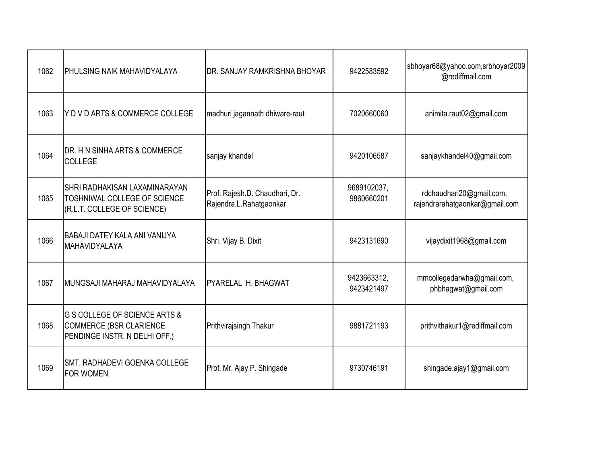| 1062 | <b>PHULSING NAIK MAHAVIDYALAYA</b>                                                                          | IDR. SANJAY RAMKRISHNA BHOYAR                             | 9422583592                | sbhoyar68@yahoo.com,srbhoyar2009<br>@rediffmail.com        |
|------|-------------------------------------------------------------------------------------------------------------|-----------------------------------------------------------|---------------------------|------------------------------------------------------------|
| 1063 | Y D V D ARTS & COMMERCE COLLEGE                                                                             | madhuri jagannath dhiware-raut                            | 7020660060                | animita.raut02@gmail.com                                   |
| 1064 | DR. H N SINHA ARTS & COMMERCE<br><b>COLLEGE</b>                                                             | sanjay khandel                                            | 9420106587                | sanjaykhandel40@gmail.com                                  |
| 1065 | SHRI RADHAKISAN LAXAMINARAYAN<br><b>TOSHNIWAL COLLEGE OF SCIENCE</b><br>(R.L.T. COLLEGE OF SCIENCE)         | Prof. Rajesh.D. Chaudhari, Dr.<br>Rajendra.L.Rahatgaonkar | 9689102037,<br>9860660201 | rdchaudhari20@gmail.com,<br>rajendrarahatgaonkar@gmail.com |
| 1066 | BABAJI DATEY KALA ANI VANIJYA<br>MAHAVIDYALAYA                                                              | Shri. Vijay B. Dixit                                      | 9423131690                | vijaydixit1968@gmail.com                                   |
| 1067 | MUNGSAJI MAHARAJ MAHAVIDYALAYA                                                                              | <b>IPYARELAL H. BHAGWAT</b>                               | 9423663312,<br>9423421497 | mmcollegedarwha@gmail.com,<br>phbhagwat@gmail.com          |
| 1068 | <b>G S COLLEGE OF SCIENCE ARTS &amp;</b><br><b>COMMERCE (BSR CLARIENCE</b><br>PENDINGE INSTR. N DELHI OFF.) | Prithvirajsingh Thakur                                    | 9881721193                | prithvithakur1@rediffmail.com                              |
| 1069 | <b>SMT. RADHADEVI GOENKA COLLEGE</b><br><b>FOR WOMEN</b>                                                    | Prof. Mr. Ajay P. Shingade                                | 9730746191                | shingade.ajay1@gmail.com                                   |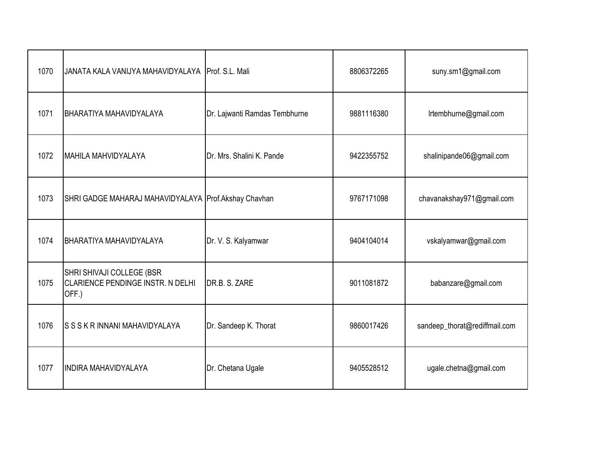| 1070 | JANATA KALA VANIJYA MAHAVIDYALAYA Prof. S.L. Mali                       |                               | 8806372265 | suny.sm1@gmail.com            |
|------|-------------------------------------------------------------------------|-------------------------------|------------|-------------------------------|
| 1071 | BHARATIYA MAHAVIDYALAYA                                                 | Dr. Lajwanti Ramdas Tembhurne | 9881116380 | Irtembhurne@gmail.com         |
| 1072 | MAHILA MAHVIDYALAYA                                                     | Dr. Mrs. Shalini K. Pande     | 9422355752 | shalinipande06@gmail.com      |
| 1073 | SHRI GADGE MAHARAJ MAHAVIDYALAYA Prof. Akshay Chavhan                   |                               | 9767171098 | chavanakshay971@gmail.com     |
| 1074 | <b>BHARATIYA MAHAVIDYALAYA</b>                                          | Dr. V. S. Kalyamwar           | 9404104014 | vskalyamwar@gmail.com         |
| 1075 | SHRI SHIVAJI COLLEGE (BSR<br>CLARIENCE PENDINGE INSTR. N DELHI<br>OFF.) | DR.B. S. ZARE                 | 9011081872 | babanzare@gmail.com           |
| 1076 | ISSSKR INNANI MAHAVIDYALAYA                                             | Dr. Sandeep K. Thorat         | 9860017426 | sandeep_thorat@rediffmail.com |
| 1077 | <b>INDIRA MAHAVIDYALAYA</b>                                             | Dr. Chetana Ugale             | 9405528512 | ugale.chetna@gmail.com        |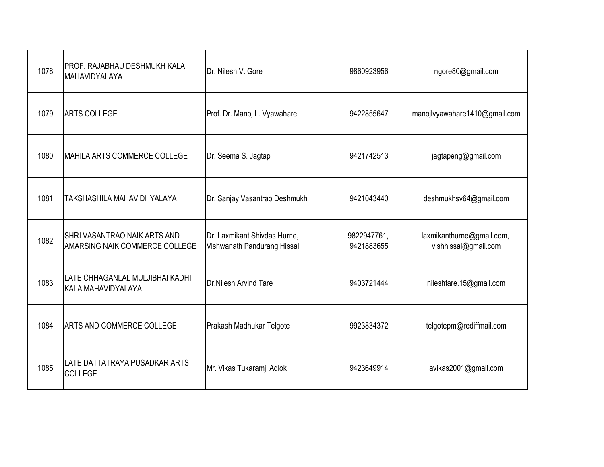| 1078 | PROF. RAJABHAU DESHMUKH KALA<br>MAHAVIDYALAYA                         | Dr. Nilesh V. Gore                                          | 9860923956                | ngore80@gmail.com                                 |
|------|-----------------------------------------------------------------------|-------------------------------------------------------------|---------------------------|---------------------------------------------------|
| 1079 | <b>ARTS COLLEGE</b>                                                   | Prof. Dr. Manoj L. Vyawahare                                | 9422855647                | manojlvyawahare1410@gmail.com                     |
| 1080 | <b>MAHILA ARTS COMMERCE COLLEGE</b>                                   | Dr. Seema S. Jagtap                                         | 9421742513                | jagtapeng@gmail.com                               |
| 1081 | TAKSHASHILA MAHAVIDHYALAYA                                            | Dr. Sanjay Vasantrao Deshmukh                               | 9421043440                | deshmukhsv64@gmail.com                            |
| 1082 | <b>SHRI VASANTRAO NAIK ARTS AND</b><br>AMARSING NAIK COMMERCE COLLEGE | Dr. Laxmikant Shivdas Hurne,<br>Vishwanath Pandurang Hissal | 9822947761,<br>9421883655 | laxmikanthurne@gmail.com,<br>vishhissal@gmail.com |
| 1083 | LATE CHHAGANLAL MULJIBHAI KADHI<br>KALA MAHAVIDYALAYA                 | <b>Dr.Nilesh Arvind Tare</b>                                | 9403721444                | nileshtare.15@gmail.com                           |
| 1084 | <b>ARTS AND COMMERCE COLLEGE</b>                                      | Prakash Madhukar Telgote                                    | 9923834372                | telgotepm@rediffmail.com                          |
| 1085 | LATE DATTATRAYA PUSADKAR ARTS<br><b>COLLEGE</b>                       | Mr. Vikas Tukaramji Adlok                                   | 9423649914                | avikas2001@gmail.com                              |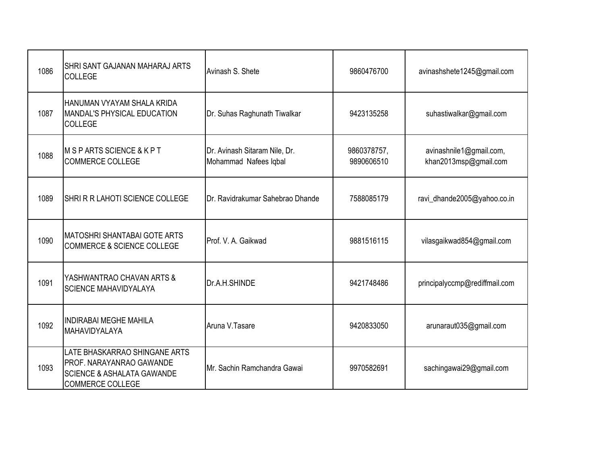| 1086 | <b>SHRI SANT GAJANAN MAHARAJ ARTS</b><br><b>COLLEGE</b>                                                                       | Avinash S. Shete                                       | 9860476700                | avinashshete1245@gmail.com                       |
|------|-------------------------------------------------------------------------------------------------------------------------------|--------------------------------------------------------|---------------------------|--------------------------------------------------|
| 1087 | HANUMAN VYAYAM SHALA KRIDA<br>MANDAL'S PHYSICAL EDUCATION<br><b>COLLEGE</b>                                                   | Dr. Suhas Raghunath Tiwalkar                           | 9423135258                | suhastiwalkar@gmail.com                          |
| 1088 | M S P ARTS SCIENCE & K P T<br><b>COMMERCE COLLEGE</b>                                                                         | Dr. Avinash Sitaram Nile, Dr.<br>Mohammad Nafees Iqbal | 9860378757,<br>9890606510 | avinashnile1@gmail.com,<br>khan2013msp@gmail.com |
| 1089 | SHRIR R LAHOTI SCIENCE COLLEGE                                                                                                | Dr. Ravidrakumar Sahebrao Dhande                       | 7588085179                | ravi_dhande2005@yahoo.co.in                      |
| 1090 | <b>MATOSHRI SHANTABAI GOTE ARTS</b><br><b>COMMERCE &amp; SCIENCE COLLEGE</b>                                                  | Prof. V. A. Gaikwad                                    | 9881516115                | vilasgaikwad854@gmail.com                        |
| 1091 | YASHWANTRAO CHAVAN ARTS &<br><b>SCIENCE MAHAVIDYALAYA</b>                                                                     | Dr.A.H.SHINDE                                          | 9421748486                | principalyccmp@rediffmail.com                    |
| 1092 | <b>INDIRABAI MEGHE MAHILA</b><br>MAHAVIDYALAYA                                                                                | Aruna V.Tasare                                         | 9420833050                | arunaraut035@gmail.com                           |
| 1093 | LATE BHASKARRAO SHINGANE ARTS<br>PROF. NARAYANRAO GAWANDE<br><b>SCIENCE &amp; ASHALATA GAWANDE</b><br><b>COMMERCE COLLEGE</b> | Mr. Sachin Ramchandra Gawai                            | 9970582691                | sachingawai29@gmail.com                          |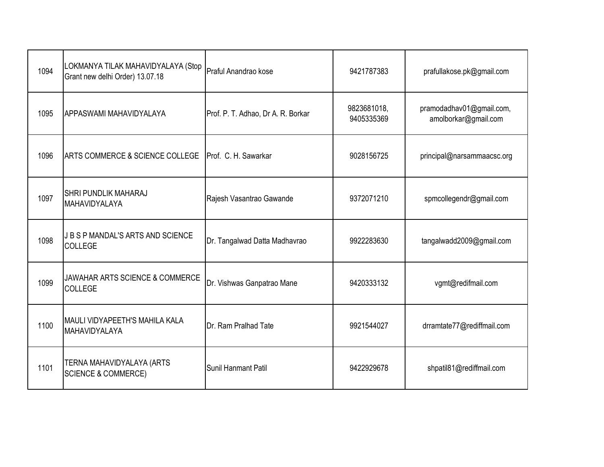| 1094 | LOKMANYA TILAK MAHAVIDYALAYA (Stop<br>Grant new delhi Order) 13.07.18 | Praful Anandrao kose               | 9421787383                | prafullakose.pk@gmail.com                        |
|------|-----------------------------------------------------------------------|------------------------------------|---------------------------|--------------------------------------------------|
| 1095 | APPASWAMI MAHAVIDYALAYA                                               | Prof. P. T. Adhao, Dr A. R. Borkar | 9823681018,<br>9405335369 | pramodadhav01@gmail.com,<br>amolborkar@gmail.com |
| 1096 | ARTS COMMERCE & SCIENCE COLLEGE                                       | Prof. C. H. Sawarkar               | 9028156725                | principal@narsammaacsc.org                       |
| 1097 | <b>SHRI PUNDLIK MAHARAJ</b><br>MAHAVIDYALAYA                          | Rajesh Vasantrao Gawande           | 9372071210                | spmcollegendr@gmail.com                          |
| 1098 | J B S P MANDAL'S ARTS AND SCIENCE<br><b>COLLEGE</b>                   | Dr. Tangalwad Datta Madhavrao      | 9922283630                | tangalwadd2009@gmail.com                         |
| 1099 | <b>JAWAHAR ARTS SCIENCE &amp; COMMERCE</b><br><b>COLLEGE</b>          | Dr. Vishwas Ganpatrao Mane         | 9420333132                | vgmt@redifmail.com                               |
| 1100 | <b>MAULI VIDYAPEETH'S MAHILA KALA</b><br>MAHAVIDYALAYA                | Dr. Ram Pralhad Tate               | 9921544027                | drramtate77@rediffmail.com                       |
| 1101 | TERNA MAHAVIDYALAYA (ARTS<br><b>SCIENCE &amp; COMMERCE)</b>           | Sunil Hanmant Patil                | 9422929678                | shpatil81@rediffmail.com                         |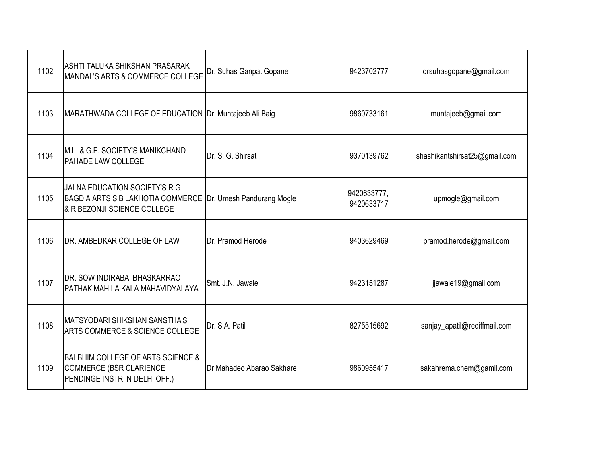| 1102 | ASHTI TALUKA SHIKSHAN PRASARAK<br>MANDAL'S ARTS & COMMERCE COLLEGE                                       | Dr. Suhas Ganpat Gopane   | 9423702777                | drsuhasgopane@gmail.com       |
|------|----------------------------------------------------------------------------------------------------------|---------------------------|---------------------------|-------------------------------|
| 1103 | MARATHWADA COLLEGE OF EDUCATION Dr. Muntajeeb Ali Baig                                                   |                           | 9860733161                | muntajeeb@gmail.com           |
| 1104 | M.L. & G.E. SOCIETY'S MANIKCHAND<br><b>PAHADE LAW COLLEGE</b>                                            | Dr. S. G. Shirsat         | 9370139762                | shashikantshirsat25@gmail.com |
| 1105 | JALNA EDUCATION SOCIETY'S R G<br><b>BAGDIA ARTS S B LAKHOTIA COMMERCE</b><br>& R BEZONJI SCIENCE COLLEGE | Dr. Umesh Pandurang Mogle | 9420633777,<br>9420633717 | upmogle@gmail.com             |
| 1106 | DR. AMBEDKAR COLLEGE OF LAW                                                                              | Dr. Pramod Herode         | 9403629469                | pramod.herode@gmail.com       |
| 1107 | DR. SOW INDIRABAI BHASKARRAO<br>PATHAK MAHILA KALA MAHAVIDYALAYA                                         | Smt. J.N. Jawale          | 9423151287                | jjawale19@gmail.com           |
| 1108 | IMATSYODARI SHIKSHAN SANSTHA'S<br>ARTS COMMERCE & SCIENCE COLLEGE                                        | Dr. S.A. Patil            | 8275515692                | sanjay_apatil@rediffmail.com  |
| 1109 | BALBHIM COLLEGE OF ARTS SCIENCE &<br>COMMERCE (BSR CLARIENCE<br>PENDINGE INSTR. N DELHI OFF.)            | Dr Mahadeo Abarao Sakhare | 9860955417                | sakahrema.chem@gamil.com      |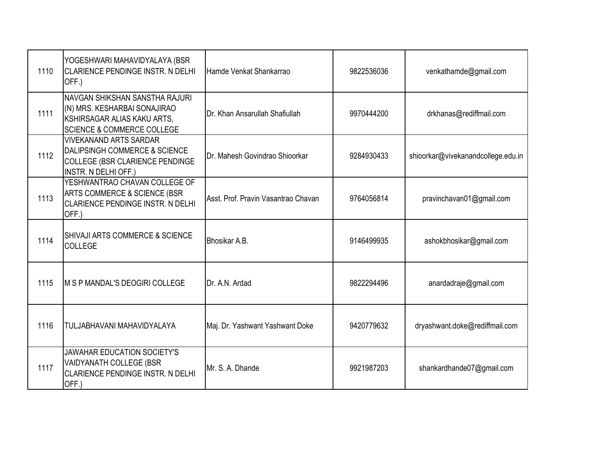| 1110 | YOGESHWARI MAHAVIDYALAYA (BSR<br><b>CLARIENCE PENDINGE INSTR. N DELHI</b><br>OFF.)                                                     | Hamde Venkat Shankarrao             | 9822536036 | venkathamde@gmail.com              |
|------|----------------------------------------------------------------------------------------------------------------------------------------|-------------------------------------|------------|------------------------------------|
| 1111 | NAVGAN SHIKSHAN SANSTHA RAJURI<br>(N) MRS. KESHARBAI SONAJIRAO<br>KSHIRSAGAR ALIAS KAKU ARTS,<br><b>SCIENCE &amp; COMMERCE COLLEGE</b> | Dr. Khan Ansarullah Shafiullah      | 9970444200 | drkhanas@rediffmail.com            |
| 1112 | <b>VIVEKANAND ARTS SARDAR</b><br><b>DALIPSINGH COMMERCE &amp; SCIENCE</b><br>COLLEGE (BSR CLARIENCE PENDINGE<br>INSTR. N DELHI OFF.)   | Dr. Mahesh Govindrao Shioorkar      | 9284930433 | shioorkar@vivekanandcollege.edu.in |
| 1113 | YESHWANTRAO CHAVAN COLLEGE OF<br>ARTS COMMERCE & SCIENCE (BSR<br>CLARIENCE PENDINGE INSTR. N DELHI<br>OFF.)                            | Asst. Prof. Pravin Vasantrao Chavan | 9764056814 | pravinchavan01@gmail.com           |
| 1114 | SHIVAJI ARTS COMMERCE & SCIENCE<br><b>COLLEGE</b>                                                                                      | Bhosikar A.B.                       | 9146499935 | ashokbhosikar@gmail.com            |
| 1115 | IM S P MANDAL'S DEOGIRI COLLEGE                                                                                                        | Dr. A.N. Ardad                      | 9822294496 | anardadraje@gmail.com              |
| 1116 | TULJABHAVANI MAHAVIDYALAYA                                                                                                             | Maj. Dr. Yashwant Yashwant Doke     | 9420779632 | dryashwant.doke@rediffmail.com     |
| 1117 | <b>JAWAHAR EDUCATION SOCIETY'S</b><br>VAIDYANATH COLLEGE (BSR<br>CLARIENCE PENDINGE INSTR. N DELHI<br>OFF.)                            | Mr. S. A. Dhande                    | 9921987203 | shankardhande07@gmail.com          |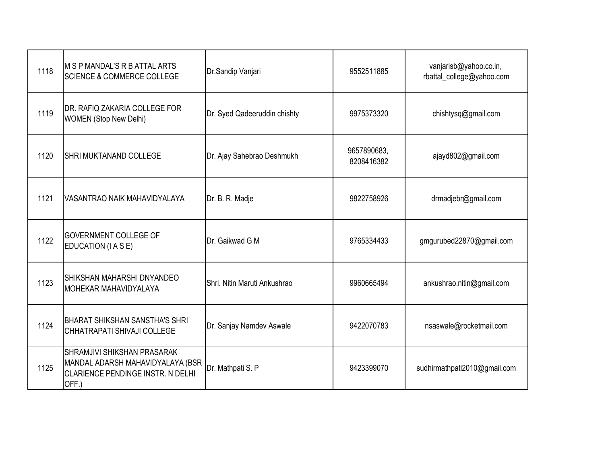| 1118 | M S P MANDAL'S R B ATTAL ARTS<br><b>SCIENCE &amp; COMMERCE COLLEGE</b>                                        | Dr.Sandip Vanjari            | 9552511885                | vanjarisb@yahoo.co.in,<br>rbattal_college@yahoo.com |
|------|---------------------------------------------------------------------------------------------------------------|------------------------------|---------------------------|-----------------------------------------------------|
| 1119 | DR. RAFIQ ZAKARIA COLLEGE FOR<br><b>WOMEN</b> (Stop New Delhi)                                                | Dr. Syed Qadeeruddin chishty | 9975373320                | chishtysq@gmail.com                                 |
| 1120 | <b>SHRI MUKTANAND COLLEGE</b>                                                                                 | Dr. Ajay Sahebrao Deshmukh   | 9657890683,<br>8208416382 | ajayd802@gmail.com                                  |
| 1121 | VASANTRAO NAIK MAHAVIDYALAYA                                                                                  | Dr. B. R. Madje              | 9822758926                | drmadjebr@gmail.com                                 |
| 1122 | <b>GOVERNMENT COLLEGE OF</b><br>EDUCATION (I A S E)                                                           | Dr. Gaikwad G M              | 9765334433                | gmgurubed22870@gmail.com                            |
| 1123 | SHIKSHAN MAHARSHI DNYANDEO<br>MOHEKAR MAHAVIDYALAYA                                                           | Shri, Nitin Maruti Ankushrao | 9960665494                | ankushrao.nitin@gmail.com                           |
| 1124 | <b>BHARAT SHIKSHAN SANSTHA'S SHRI</b><br>CHHATRAPATI SHIVAJI COLLEGE                                          | Dr. Sanjay Namdev Aswale     | 9422070783                | nsaswale@rocketmail.com                             |
| 1125 | SHRAMJIVI SHIKSHAN PRASARAK<br>MANDAL ADARSH MAHAVIDYALAYA (BSR<br>CLARIENCE PENDINGE INSTR. N DELHI<br>OFF.) | Dr. Mathpati S. P            | 9423399070                | sudhirmathpati2010@gmail.com                        |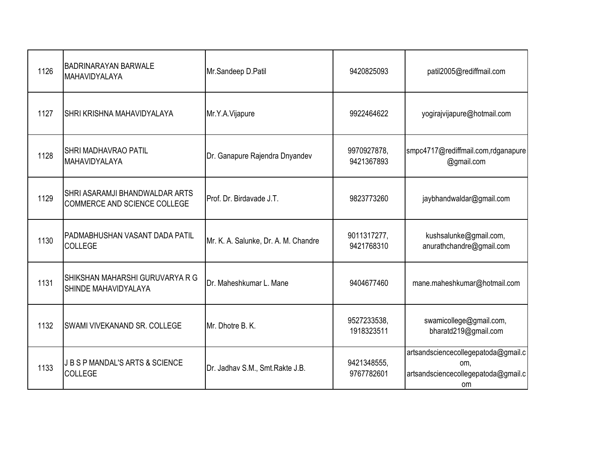| 1126 | <b>BADRINARAYAN BARWALE</b><br>MAHAVIDYALAYA                   | Mr.Sandeep D.Patil                   | 9420825093                | patil2005@rediffmail.com                                                                       |
|------|----------------------------------------------------------------|--------------------------------------|---------------------------|------------------------------------------------------------------------------------------------|
| 1127 | SHRI KRISHNA MAHAVIDYALAYA                                     | Mr.Y.A.Vijapure                      | 9922464622                | yogirajvijapure@hotmail.com                                                                    |
| 1128 | <b>SHRI MADHAVRAO PATIL</b><br>MAHAVIDYALAYA                   | Dr. Ganapure Rajendra Dnyandev       | 9970927878,<br>9421367893 | smpc4717@rediffmail.com,rdganapure<br>@gmail.com                                               |
| 1129 | SHRI ASARAMJI BHANDWALDAR ARTS<br>COMMERCE AND SCIENCE COLLEGE | Prof. Dr. Birdavade J.T.             | 9823773260                | jaybhandwaldar@gmail.com                                                                       |
| 1130 | PADMABHUSHAN VASANT DADA PATIL<br><b>COLLEGE</b>               | Mr. K. A. Salunke, Dr. A. M. Chandre | 9011317277,<br>9421768310 | kushsalunke@gmail.com,<br>anurathchandre@gmail.com                                             |
| 1131 | SHIKSHAN MAHARSHI GURUVARYA R G<br>SHINDE MAHAVIDYALAYA        | Dr. Maheshkumar L. Mane              | 9404677460                | mane.maheshkumar@hotmail.com                                                                   |
| 1132 | SWAMI VIVEKANAND SR. COLLEGE                                   | Mr. Dhotre B. K.                     | 9527233538,<br>1918323511 | swamicollege@gmail.com,<br>bharatd219@gmail.com                                                |
| 1133 | <b>JBSPMANDAL'S ARTS &amp; SCIENCE</b><br><b>COLLEGE</b>       | Dr. Jadhav S.M., Smt.Rakte J.B.      | 9421348555,<br>9767782601 | artsandsciencecollegepatoda@gmail.c<br>om,<br>artsandsciencecollegepatoda@gmail.c<br><b>om</b> |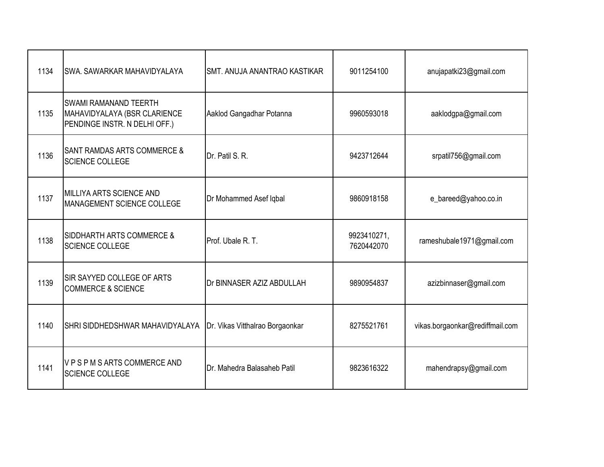| 1134 | <b>SWA. SAWARKAR MAHAVIDYALAYA</b>                                                            | ISMT. ANUJA ANANTRAO KASTIKAR     | 9011254100                | anujapatki23@gmail.com          |
|------|-----------------------------------------------------------------------------------------------|-----------------------------------|---------------------------|---------------------------------|
| 1135 | <b>SWAMI RAMANAND TEERTH</b><br>MAHAVIDYALAYA (BSR CLARIENCE<br>PENDINGE INSTR. N DELHI OFF.) | Aaklod Gangadhar Potanna          | 9960593018                | aaklodgpa@gmail.com             |
| 1136 | <b>SANT RAMDAS ARTS COMMERCE &amp;</b><br><b>SCIENCE COLLEGE</b>                              | Dr. Patil S. R.                   | 9423712644                | srpatil756@gmail.com            |
| 1137 | MILLIYA ARTS SCIENCE AND<br>MANAGEMENT SCIENCE COLLEGE                                        | Dr Mohammed Asef Iqbal            | 9860918158                | e_bareed@yahoo.co.in            |
| 1138 | <b>SIDDHARTH ARTS COMMERCE &amp;</b><br><b>SCIENCE COLLEGE</b>                                | Prof. Ubale R. T.                 | 9923410271,<br>7620442070 | rameshubale1971@gmail.com       |
| 1139 | <b>SIR SAYYED COLLEGE OF ARTS</b><br><b>COMMERCE &amp; SCIENCE</b>                            | <b>IDr BINNASER AZIZ ABDULLAH</b> | 9890954837                | azizbinnaser@gmail.com          |
| 1140 | SHRI SIDDHEDSHWAR MAHAVIDYALAYA                                                               | Dr. Vikas Vitthalrao Borgaonkar   | 8275521761                | vikas.borgaonkar@rediffmail.com |
| 1141 | VPSPMSARTSCOMMERCEAND<br><b>SCIENCE COLLEGE</b>                                               | Dr. Mahedra Balasaheb Patil       | 9823616322                | mahendrapsy@gmail.com           |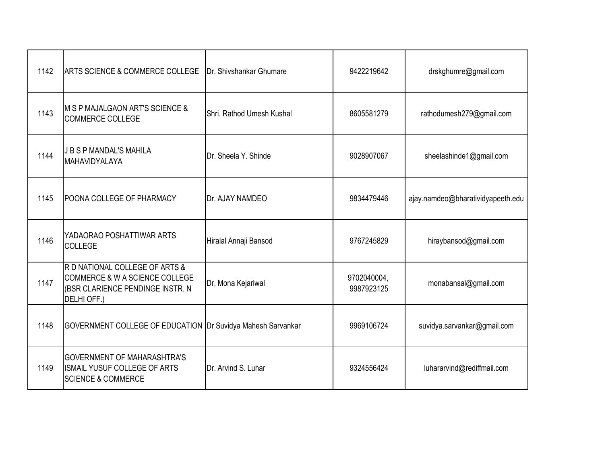| 1142 | ARTS SCIENCE & COMMERCE COLLEGE                                                                                     | Dr. Shivshankar Ghumare   | 9422219642                | drskghumre@gmail.com              |
|------|---------------------------------------------------------------------------------------------------------------------|---------------------------|---------------------------|-----------------------------------|
| 1143 | M S P MAJALGAON ART'S SCIENCE &<br><b>COMMERCE COLLEGE</b>                                                          | Shri, Rathod Umesh Kushal | 8605581279                | rathodumesh279@gmail.com          |
| 1144 | <b>J B S P MANDAL'S MAHILA</b><br>MAHAVIDYALAYA                                                                     | Dr. Sheela Y. Shinde      | 9028907067                | sheelashinde1@gmail.com           |
| 1145 | POONA COLLEGE OF PHARMACY                                                                                           | <b>Dr. AJAY NAMDEO</b>    | 9834479446                | ajay.namdeo@bharatividyapeeth.edu |
| 1146 | YADAORAO POSHATTIWAR ARTS<br><b>COLLEGE</b>                                                                         | Hiralal Annaji Bansod     | 9767245829                | hiraybansod@gmail.com             |
| 1147 | R D NATIONAL COLLEGE OF ARTS &<br>COMMERCE & W A SCIENCE COLLEGE<br>(BSR CLARIENCE PENDINGE INSTR. N<br>DELHI OFF.) | Dr. Mona Kejariwal        | 9702040004,<br>9987923125 | monabansal@gmail.com              |
| 1148 | GOVERNMENT COLLEGE OF EDUCATION Dr Suvidya Mahesh Sarvankar                                                         |                           | 9969106724                | suvidya.sarvankar@gmail.com       |
| 1149 | <b>GOVERNMENT OF MAHARASHTRA'S</b><br>ISMAIL YUSUF COLLEGE OF ARTS<br><b>SCIENCE &amp; COMMERCE</b>                 | Dr. Arvind S. Luhar       | 9324556424                | luhararvind@rediffmail.com        |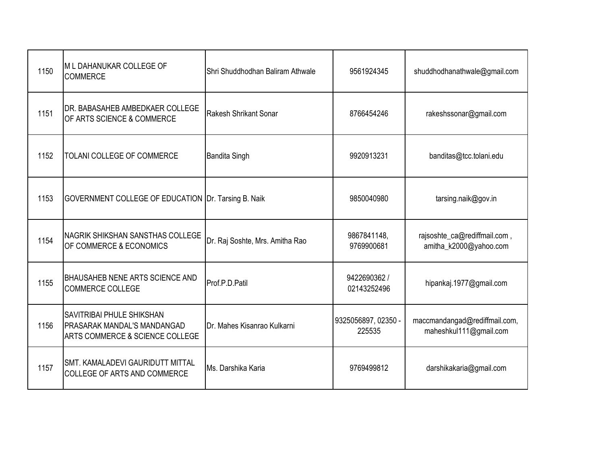| 1150 | M L DAHANUKAR COLLEGE OF<br><b>COMMERCE</b>                                                                   | Shri Shuddhodhan Baliram Athwale | 9561924345                    | shuddhodhanathwale@gmail.com                            |
|------|---------------------------------------------------------------------------------------------------------------|----------------------------------|-------------------------------|---------------------------------------------------------|
| 1151 | DR. BABASAHEB AMBEDKAER COLLEGE<br>OF ARTS SCIENCE & COMMERCE                                                 | Rakesh Shrikant Sonar            | 8766454246                    | rakeshssonar@gmail.com                                  |
| 1152 | TOLANI COLLEGE OF COMMERCE                                                                                    | <b>Bandita Singh</b>             | 9920913231                    | banditas@tcc.tolani.edu                                 |
| 1153 | GOVERNMENT COLLEGE OF EDUCATION Dr. Tarsing B. Naik                                                           |                                  | 9850040980                    | tarsing.naik@gov.in                                     |
| 1154 | <b>NAGRIK SHIKSHAN SANSTHAS COLLEGE</b><br>OF COMMERCE & ECONOMICS                                            | Dr. Raj Soshte, Mrs. Amitha Rao  | 9867841148,<br>9769900681     | rajsoshte_ca@rediffmail.com,<br>amitha k2000@yahoo.com  |
| 1155 | <b>BHAUSAHEB NENE ARTS SCIENCE AND</b><br><b>COMMERCE COLLEGE</b>                                             | Prof.P.D.Patil                   | 9422690362 /<br>02143252496   | hipankaj.1977@gmail.com                                 |
| 1156 | <b>SAVITRIBAI PHULE SHIKSHAN</b><br>PRASARAK MANDAL'S MANDANGAD<br><b>ARTS COMMERCE &amp; SCIENCE COLLEGE</b> | Dr. Mahes Kisanrao Kulkarni      | 9325056897, 02350 -<br>225535 | maccmandangad@rediffmail.com,<br>maheshkul111@gmail.com |
| 1157 | <b>SMT. KAMALADEVI GAURIDUTT MITTAL</b><br>COLLEGE OF ARTS AND COMMERCE                                       | Ms. Darshika Karia               | 9769499812                    | darshikakaria@gmail.com                                 |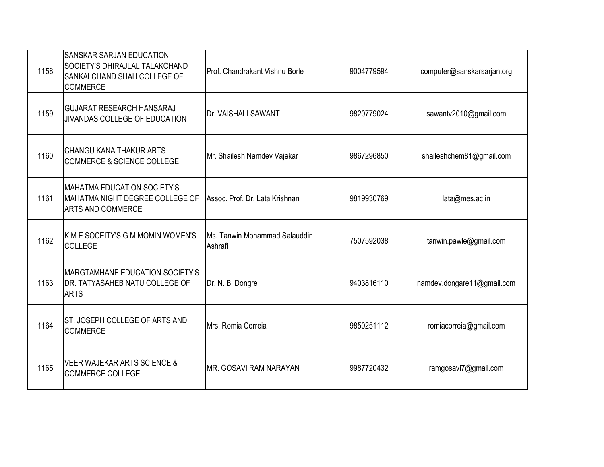| 1158 | <b>SANSKAR SARJAN EDUCATION</b><br><b>SOCIETY'S DHIRAJLAL TALAKCHAND</b><br>SANKALCHAND SHAH COLLEGE OF<br><b>COMMERCE</b> | Prof. Chandrakant Vishnu Borle           | 9004779594 | computer@sanskarsarjan.org |
|------|----------------------------------------------------------------------------------------------------------------------------|------------------------------------------|------------|----------------------------|
| 1159 | <b>GUJARAT RESEARCH HANSARAJ</b><br>JIVANDAS COLLEGE OF EDUCATION                                                          | Dr. VAISHALI SAWANT                      | 9820779024 | sawantv2010@gmail.com      |
| 1160 | <b>CHANGU KANA THAKUR ARTS</b><br><b>COMMERCE &amp; SCIENCE COLLEGE</b>                                                    | Mr. Shailesh Namdev Vajekar              | 9867296850 | shaileshchem81@gmail.com   |
| 1161 | <b>MAHATMA EDUCATION SOCIETY'S</b><br>MAHATMA NIGHT DEGREE COLLEGE OF<br><b>ARTS AND COMMERCE</b>                          | Assoc. Prof. Dr. Lata Krishnan           | 9819930769 | lata@mes.ac.in             |
| 1162 | <b>K M E SOCEITY'S G M MOMIN WOMEN'S</b><br><b>COLLEGE</b>                                                                 | Ms. Tanwin Mohammad Salauddin<br>Ashrafi | 7507592038 | tanwin.pawle@gmail.com     |
| 1163 | <b>MARGTAMHANE EDUCATION SOCIETY'S</b><br><b>IDR. TATYASAHEB NATU COLLEGE OF</b><br><b>ARTS</b>                            | Dr. N. B. Dongre                         | 9403816110 | namdev.dongare11@gmail.com |
| 1164 | ST. JOSEPH COLLEGE OF ARTS AND<br><b>COMMERCE</b>                                                                          | Mrs. Romia Correia                       | 9850251112 | romiacorreia@gmail.com     |
| 1165 | <b>VEER WAJEKAR ARTS SCIENCE &amp;</b><br><b>COMMERCE COLLEGE</b>                                                          | <b>IMR. GOSAVI RAM NARAYAN</b>           | 9987720432 | ramgosavi7@gmail.com       |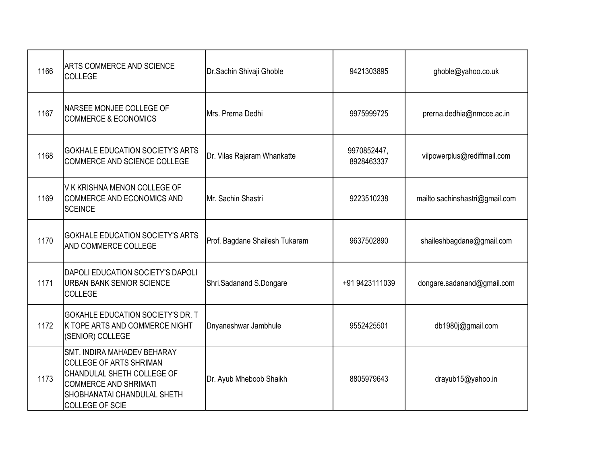| 1166 | <b>ARTS COMMERCE AND SCIENCE</b><br><b>COLLEGE</b>                                                                                                                                          | Dr.Sachin Shivaji Ghoble       | 9421303895                | ghoble@yahoo.co.uk             |
|------|---------------------------------------------------------------------------------------------------------------------------------------------------------------------------------------------|--------------------------------|---------------------------|--------------------------------|
| 1167 | NARSEE MONJEE COLLEGE OF<br><b>COMMERCE &amp; ECONOMICS</b>                                                                                                                                 | Mrs. Prerna Dedhi              | 9975999725                | prerna.dedhia@nmcce.ac.in      |
| 1168 | <b>GOKHALE EDUCATION SOCIETY'S ARTS</b><br>COMMERCE AND SCIENCE COLLEGE                                                                                                                     | Dr. Vilas Rajaram Whankatte    | 9970852447,<br>8928463337 | vilpowerplus@rediffmail.com    |
| 1169 | V K KRISHNA MENON COLLEGE OF<br>COMMERCE AND ECONOMICS AND<br><b>SCEINCE</b>                                                                                                                | Mr. Sachin Shastri             | 9223510238                | mailto sachinshastri@gmail.com |
| 1170 | <b>GOKHALE EDUCATION SOCIETY'S ARTS</b><br>AND COMMERCE COLLEGE                                                                                                                             | Prof. Bagdane Shailesh Tukaram | 9637502890                | shaileshbagdane@gmail.com      |
| 1171 | DAPOLI EDUCATION SOCIETY'S DAPOLI<br><b>URBAN BANK SENIOR SCIENCE</b><br><b>COLLEGE</b>                                                                                                     | Shri.Sadanand S.Dongare        | +91 9423111039            | dongare.sadanand@gmail.com     |
| 1172 | GOKAHLE EDUCATION SOCIETY'S DR. T<br>K TOPE ARTS AND COMMERCE NIGHT<br>(SENIOR) COLLEGE                                                                                                     | Dnyaneshwar Jambhule           | 9552425501                | db1980j@gmail.com              |
| 1173 | SMT. INDIRA MAHADEV BEHARAY<br><b>COLLEGE OF ARTS SHRIMAN</b><br>CHANDULAL SHETH COLLEGE OF<br><b>COMMERCE AND SHRIMATI</b><br><b>SHOBHANATAI CHANDULAL SHETH</b><br><b>COLLEGE OF SCIE</b> | Dr. Ayub Mheboob Shaikh        | 8805979643                | drayub15@yahoo.in              |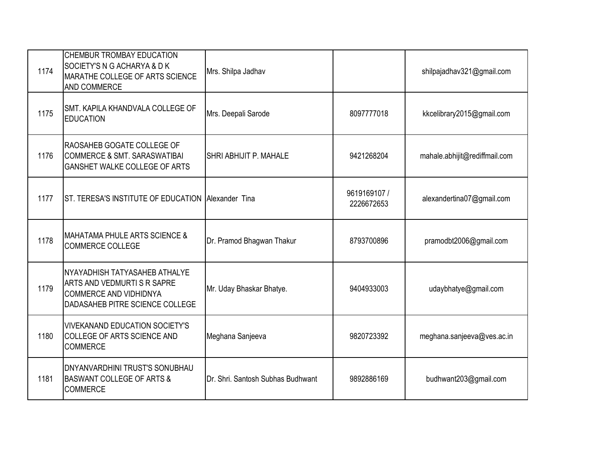| 1174 | CHEMBUR TROMBAY EDUCATION<br>SOCIETY'S N G ACHARYA & D K<br>MARATHE COLLEGE OF ARTS SCIENCE<br>AND COMMERCE                     | Mrs. Shilpa Jadhav                |                            | shilpajadhav321@gmail.com     |
|------|---------------------------------------------------------------------------------------------------------------------------------|-----------------------------------|----------------------------|-------------------------------|
| 1175 | SMT. KAPILA KHANDVALA COLLEGE OF<br><b>EDUCATION</b>                                                                            | Mrs. Deepali Sarode               | 8097777018                 | kkcelibrary2015@gmail.com     |
| 1176 | RAOSAHEB GOGATE COLLEGE OF<br><b>COMMERCE &amp; SMT. SARASWATIBAI</b><br><b>GANSHET WALKE COLLEGE OF ARTS</b>                   | SHRI ABHIJIT P. MAHALE            | 9421268204                 | mahale.abhijit@rediffmail.com |
| 1177 | ST. TERESA'S INSTITUTE OF EDUCATION Allexander Tina                                                                             |                                   | 9619169107 /<br>2226672653 | alexandertina07@gmail.com     |
| 1178 | <b>MAHATAMA PHULE ARTS SCIENCE &amp;</b><br><b>COMMERCE COLLEGE</b>                                                             | Dr. Pramod Bhagwan Thakur         | 8793700896                 | pramodbt2006@gmail.com        |
| 1179 | NYAYADHISH TATYASAHEB ATHALYE<br>ARTS AND VEDMURTIS R SAPRE<br><b>COMMERCE AND VIDHIDNYA</b><br>DADASAHEB PITRE SCIENCE COLLEGE | Mr. Uday Bhaskar Bhatye.          | 9404933003                 | udaybhatye@gmail.com          |
| 1180 | <b>VIVEKANAND EDUCATION SOCIETY'S</b><br>COLLEGE OF ARTS SCIENCE AND<br><b>COMMERCE</b>                                         | Meghana Sanjeeva                  | 9820723392                 | meghana.sanjeeva@ves.ac.in    |
| 1181 | DNYANVARDHINI TRUST'S SONUBHAU<br><b>BASWANT COLLEGE OF ARTS &amp;</b><br><b>COMMERCE</b>                                       | Dr. Shri. Santosh Subhas Budhwant | 9892886169                 | budhwant203@gmail.com         |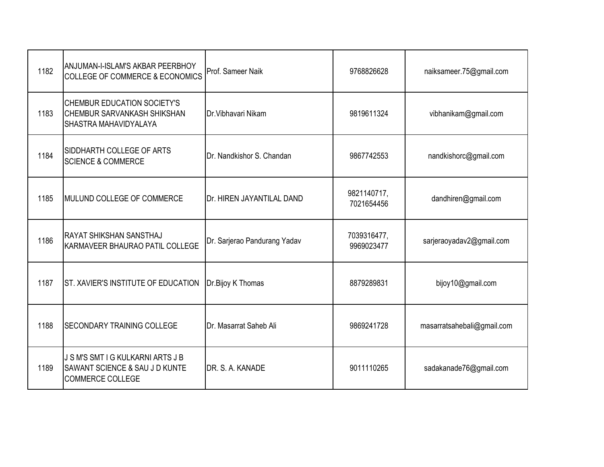| 1182 | ANJUMAN-I-ISLAM'S AKBAR PEERBHOY<br><b>COLLEGE OF COMMERCE &amp; ECONOMICS</b>                    | Prof. Sameer Naik            | 9768826628                | naiksameer.75@gmail.com    |
|------|---------------------------------------------------------------------------------------------------|------------------------------|---------------------------|----------------------------|
| 1183 | <b>CHEMBUR EDUCATION SOCIETY'S</b><br><b>CHEMBUR SARVANKASH SHIKSHAN</b><br>SHASTRA MAHAVIDYALAYA | Dr. Vibhavari Nikam          | 9819611324                | vibhanikam@gmail.com       |
| 1184 | SIDDHARTH COLLEGE OF ARTS<br><b>SCIENCE &amp; COMMERCE</b>                                        | Dr. Nandkishor S. Chandan    | 9867742553                | nandkishorc@gmail.com      |
| 1185 | MULUND COLLEGE OF COMMERCE                                                                        | Dr. HIREN JAYANTILAL DAND    | 9821140717,<br>7021654456 | dandhiren@gmail.com        |
| 1186 | RAYAT SHIKSHAN SANSTHAJ<br>KARMAVEER BHAURAO PATIL COLLEGE                                        | Dr. Sarjerao Pandurang Yadav | 7039316477,<br>9969023477 | sarjeraoyadav2@gmail.com   |
| 1187 | <b>ST. XAVIER'S INSTITUTE OF EDUCATION</b>                                                        | Dr.Bijoy K Thomas            | 8879289831                | bijoy10@gmail.com          |
| 1188 | <b>SECONDARY TRAINING COLLEGE</b>                                                                 | Dr. Masarrat Saheb Ali       | 9869241728                | masarratsahebali@gmail.com |
| 1189 | J S M'S SMT I G KULKARNI ARTS J B<br>SAWANT SCIENCE & SAU J D KUNTE<br><b>COMMERCE COLLEGE</b>    | DR. S. A. KANADE             | 9011110265                | sadakanade76@gmail.com     |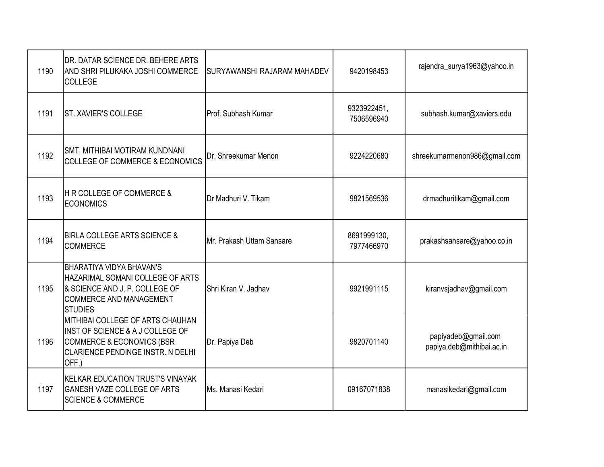| 1190 | DR. DATAR SCIENCE DR. BEHERE ARTS<br>AND SHRI PILUKAKA JOSHI COMMERCE<br><b>COLLEGE</b>                                                                    | <b>SURYAWANSHI RAJARAM MAHADEV</b> | 9420198453                | rajendra_surya1963@yahoo.in                      |
|------|------------------------------------------------------------------------------------------------------------------------------------------------------------|------------------------------------|---------------------------|--------------------------------------------------|
| 1191 | ST. XAVIER'S COLLEGE                                                                                                                                       | Prof. Subhash Kumar                | 9323922451,<br>7506596940 | subhash.kumar@xaviers.edu                        |
| 1192 | <b>SMT. MITHIBAI MOTIRAM KUNDNANI</b><br><b>COLLEGE OF COMMERCE &amp; ECONOMICS</b>                                                                        | Dr. Shreekumar Menon               | 9224220680                | shreekumarmenon986@gmail.com                     |
| 1193 | <b>H R COLLEGE OF COMMERCE &amp;</b><br><b>ECONOMICS</b>                                                                                                   | Dr Madhuri V. Tikam                | 9821569536                | drmadhuritikam@gmail.com                         |
| 1194 | <b>BIRLA COLLEGE ARTS SCIENCE &amp;</b><br><b>COMMERCE</b>                                                                                                 | Mr. Prakash Uttam Sansare          | 8691999130,<br>7977466970 | prakashsansare@yahoo.co.in                       |
| 1195 | <b>BHARATIYA VIDYA BHAVAN'S</b><br>HAZARIMAL SOMANI COLLEGE OF ARTS<br>& SCIENCE AND J. P. COLLEGE OF<br><b>COMMERCE AND MANAGEMENT</b><br><b>STUDIES</b>  | Shri Kiran V. Jadhav               | 9921991115                | kiranvsjadhav@gmail.com                          |
| 1196 | MITHIBAI COLLEGE OF ARTS CHAUHAN<br>INST OF SCIENCE & A J COLLEGE OF<br><b>COMMERCE &amp; ECONOMICS (BSR</b><br>CLARIENCE PENDINGE INSTR. N DELHI<br>OFF.) | Dr. Papiya Deb                     | 9820701140                | papiyadeb@gmail.com<br>papiya.deb@mithibai.ac.in |
| 1197 | <b>KELKAR EDUCATION TRUST'S VINAYAK</b><br>GANESH VAZE COLLEGE OF ARTS<br><b>SCIENCE &amp; COMMERCE</b>                                                    | Ms. Manasi Kedari                  | 09167071838               | manasikedari@gmail.com                           |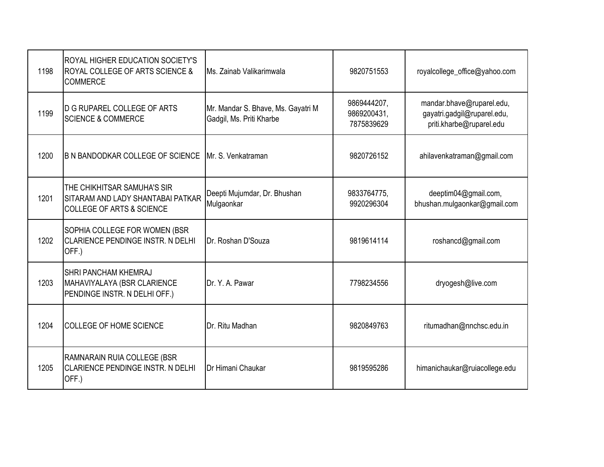| 1198 | ROYAL HIGHER EDUCATION SOCIETY'S<br>ROYAL COLLEGE OF ARTS SCIENCE &<br><b>COMMERCE</b>                   | Ms. Zainab Valikarimwala                                       | 9820751553                               | royalcollege_office@yahoo.com                                                        |
|------|----------------------------------------------------------------------------------------------------------|----------------------------------------------------------------|------------------------------------------|--------------------------------------------------------------------------------------|
| 1199 | <b>D G RUPAREL COLLEGE OF ARTS</b><br><b>SCIENCE &amp; COMMERCE</b>                                      | Mr. Mandar S. Bhave, Ms. Gayatri M<br>Gadgil, Ms. Priti Kharbe | 9869444207,<br>9869200431,<br>7875839629 | mandar.bhave@ruparel.edu,<br>gayatri.gadgil@ruparel.edu,<br>priti.kharbe@ruparel.edu |
| 1200 | <b>B N BANDODKAR COLLEGE OF SCIENCE</b>                                                                  | Mr. S. Venkatraman                                             | 9820726152                               | ahilavenkatraman@gmail.com                                                           |
| 1201 | THE CHIKHITSAR SAMUHA'S SIR<br>SITARAM AND LADY SHANTABAI PATKAR<br><b>COLLEGE OF ARTS &amp; SCIENCE</b> | Deepti Mujumdar, Dr. Bhushan<br>Mulgaonkar                     | 9833764775,<br>9920296304                | deeptim04@gmail.com,<br>bhushan.mulgaonkar@gmail.com                                 |
| 1202 | SOPHIA COLLEGE FOR WOMEN (BSR<br><b>CLARIENCE PENDINGE INSTR. N DELHI</b><br>OFF.)                       | Dr. Roshan D'Souza                                             | 9819614114                               | roshancd@gmail.com                                                                   |
| 1203 | SHRI PANCHAM KHEMRAJ<br>MAHAVIYALAYA (BSR CLARIENCE<br>PENDINGE INSTR. N DELHI OFF.)                     | Dr. Y. A. Pawar                                                | 7798234556                               | dryogesh@live.com                                                                    |
| 1204 | <b>COLLEGE OF HOME SCIENCE</b>                                                                           | Dr. Ritu Madhan                                                | 9820849763                               | ritumadhan@nnchsc.edu.in                                                             |
| 1205 | RAMNARAIN RUIA COLLEGE (BSR<br>CLARIENCE PENDINGE INSTR. N DELHI<br>OFF.)                                | Dr Himani Chaukar                                              | 9819595286                               | himanichaukar@ruiacollege.edu                                                        |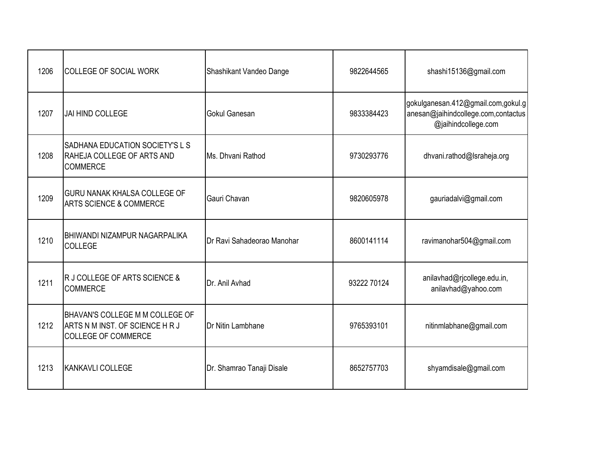| 1206 | <b>COLLEGE OF SOCIAL WORK</b>                                                                    | Shashikant Vandeo Dange    | 9822644565  | shashi15136@gmail.com                                                                            |
|------|--------------------------------------------------------------------------------------------------|----------------------------|-------------|--------------------------------------------------------------------------------------------------|
| 1207 | JAI HIND COLLEGE                                                                                 | Gokul Ganesan              | 9833384423  | gokulganesan.412@gmail.com,gokul.g<br>anesan@jaihindcollege.com,contactus<br>@jaihindcollege.com |
| 1208 | SADHANA EDUCATION SOCIETY'S L S<br>RAHEJA COLLEGE OF ARTS AND<br><b>COMMERCE</b>                 | Ms. Dhvani Rathod          | 9730293776  | dhvani.rathod@Israheja.org                                                                       |
| 1209 | <b>GURU NANAK KHALSA COLLEGE OF</b><br><b>ARTS SCIENCE &amp; COMMERCE</b>                        | Gauri Chavan               | 9820605978  | gauriadalvi@gmail.com                                                                            |
| 1210 | <b>BHIWANDI NIZAMPUR NAGARPALIKA</b><br><b>COLLEGE</b>                                           | Dr Ravi Sahadeorao Manohar | 8600141114  | ravimanohar504@gmail.com                                                                         |
| 1211 | R J COLLEGE OF ARTS SCIENCE &<br><b>COMMERCE</b>                                                 | Dr. Anil Avhad             | 93222 70124 | anilavhad@rjcollege.edu.in,<br>anilavhad@yahoo.com                                               |
| 1212 | BHAVAN'S COLLEGE M M COLLEGE OF<br>ARTS N M INST. OF SCIENCE H R J<br><b>COLLEGE OF COMMERCE</b> | Dr Nitin Lambhane          | 9765393101  | nitinmlabhane@gmail.com                                                                          |
| 1213 | <b>KANKAVLI COLLEGE</b>                                                                          | Dr. Shamrao Tanaji Disale  | 8652757703  | shyamdisale@gmail.com                                                                            |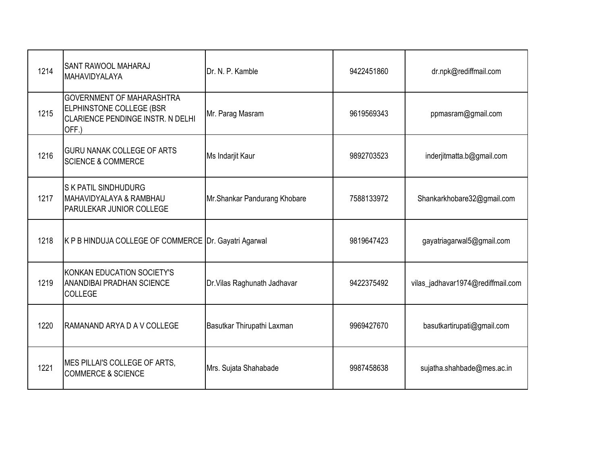| 1214 | SANT RAWOOL MAHARAJ<br>MAHAVIDYALAYA                                                                              | Dr. N. P. Kamble             | 9422451860 | dr.npk@rediffmail.com             |
|------|-------------------------------------------------------------------------------------------------------------------|------------------------------|------------|-----------------------------------|
| 1215 | <b>GOVERNMENT OF MAHARASHTRA</b><br><b>ELPHINSTONE COLLEGE (BSR</b><br>CLARIENCE PENDINGE INSTR. N DELHI<br>OFF.) | Mr. Parag Masram             | 9619569343 | ppmasram@gmail.com                |
| 1216 | <b>GURU NANAK COLLEGE OF ARTS</b><br><b>SCIENCE &amp; COMMERCE</b>                                                | Ms Indarjit Kaur             | 9892703523 | inderjitmatta.b@gmail.com         |
| 1217 | <b>S K PATIL SINDHUDURG</b><br>MAHAVIDYALAYA & RAMBHAU<br><b>PARULEKAR JUNIOR COLLEGE</b>                         | Mr.Shankar Pandurang Khobare | 7588133972 | Shankarkhobare32@gmail.com        |
| 1218 | K P B HINDUJA COLLEGE OF COMMERCE Dr. Gayatri Agarwal                                                             |                              | 9819647423 | gayatriagarwal5@gmail.com         |
| 1219 | KONKAN EDUCATION SOCIETY'S<br><b>ANANDIBAI PRADHAN SCIENCE</b><br><b>COLLEGE</b>                                  | Dr. Vilas Raghunath Jadhavar | 9422375492 | vilas_jadhavar1974@rediffmail.com |
| 1220 | RAMANAND ARYA D A V COLLEGE                                                                                       | Basutkar Thirupathi Laxman   | 9969427670 | basutkartirupati@gmail.com        |
| 1221 | MES PILLAI'S COLLEGE OF ARTS,<br><b>COMMERCE &amp; SCIENCE</b>                                                    | Mrs. Sujata Shahabade        | 9987458638 | sujatha.shahbade@mes.ac.in        |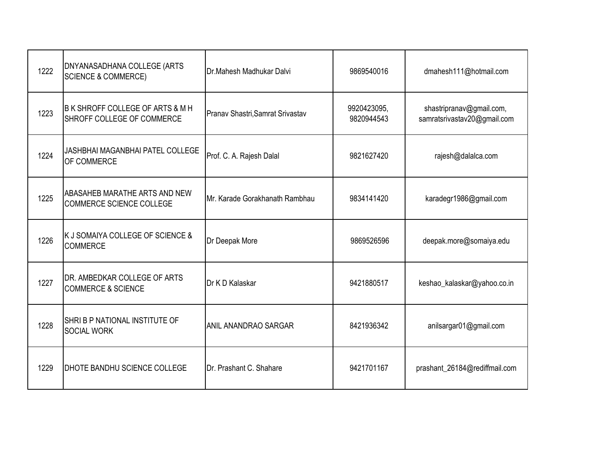| 1222 | DNYANASADHANA COLLEGE (ARTS<br><b>SCIENCE &amp; COMMERCE)</b>    | Dr.Mahesh Madhukar Dalvi         | 9869540016                | dmahesh111@hotmail.com                                  |
|------|------------------------------------------------------------------|----------------------------------|---------------------------|---------------------------------------------------------|
| 1223 | B K SHROFF COLLEGE OF ARTS & M H<br>SHROFF COLLEGE OF COMMERCE   | Pranav Shastri, Samrat Srivastav | 9920423095,<br>9820944543 | shastripranav@gmail.com,<br>samratsrivastav20@gmail.com |
| 1224 | JASHBHAI MAGANBHAI PATEL COLLEGE<br>OF COMMERCE                  | Prof. C. A. Rajesh Dalal         | 9821627420                | rajesh@dalalca.com                                      |
| 1225 | ABASAHEB MARATHE ARTS AND NEW<br><b>COMMERCE SCIENCE COLLEGE</b> | Mr. Karade Gorakhanath Rambhau   | 9834141420                | karadegr1986@gmail.com                                  |
| 1226 | K J SOMAIYA COLLEGE OF SCIENCE &<br><b>COMMERCE</b>              | Dr Deepak More                   | 9869526596                | deepak.more@somaiya.edu                                 |
| 1227 | DR. AMBEDKAR COLLEGE OF ARTS<br><b>COMMERCE &amp; SCIENCE</b>    | Dr K D Kalaskar                  | 9421880517                | keshao_kalaskar@yahoo.co.in                             |
| 1228 | SHRI B P NATIONAL INSTITUTE OF<br><b>SOCIAL WORK</b>             | <b>ANIL ANANDRAO SARGAR</b>      | 8421936342                | anilsargar01@gmail.com                                  |
| 1229 | DHOTE BANDHU SCIENCE COLLEGE                                     | Dr. Prashant C. Shahare          | 9421701167                | prashant_26184@rediffmail.com                           |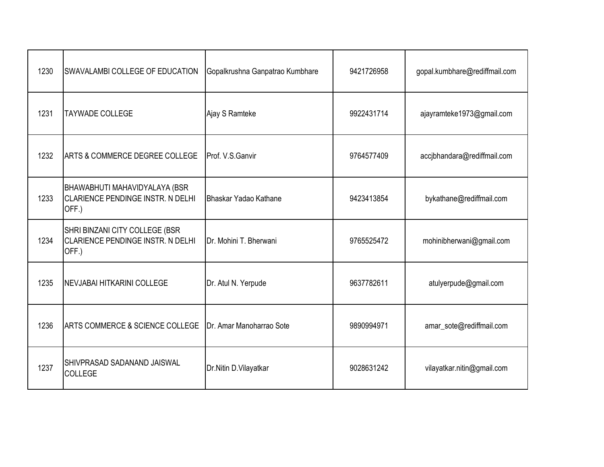| 1230 | SWAVALAMBI COLLEGE OF EDUCATION                                                           | Gopalkrushna Ganpatrao Kumbhare | 9421726958 | gopal.kumbhare@rediffmail.com |
|------|-------------------------------------------------------------------------------------------|---------------------------------|------------|-------------------------------|
| 1231 | <b>TAYWADE COLLEGE</b>                                                                    | Ajay S Ramteke                  | 9922431714 | ajayramteke1973@gmail.com     |
| 1232 | <b>ARTS &amp; COMMERCE DEGREE COLLEGE</b>                                                 | Prof. V.S.Ganvir                | 9764577409 | accjbhandara@rediffmail.com   |
| 1233 | <b>BHAWABHUTI MAHAVIDYALAYA (BSR</b><br><b>CLARIENCE PENDINGE INSTR. N DELHI</b><br>OFF.) | Bhaskar Yadao Kathane           | 9423413854 | bykathane@rediffmail.com      |
| 1234 | SHRI BINZANI CITY COLLEGE (BSR<br><b>CLARIENCE PENDINGE INSTR. N DELHI</b><br>OFF.)       | Dr. Mohini T. Bherwani          | 9765525472 | mohinibherwani@gmail.com      |
| 1235 | NEVJABAI HITKARINI COLLEGE                                                                | Dr. Atul N. Yerpude             | 9637782611 | atulyerpude@gmail.com         |
| 1236 | <b>ARTS COMMERCE &amp; SCIENCE COLLEGE</b>                                                | Dr. Amar Manoharrao Sote        | 9890994971 | amar_sote@rediffmail.com      |
| 1237 | SHIVPRASAD SADANAND JAISWAL<br><b>COLLEGE</b>                                             | Dr.Nitin D.Vilayatkar           | 9028631242 | vilayatkar.nitin@gmail.com    |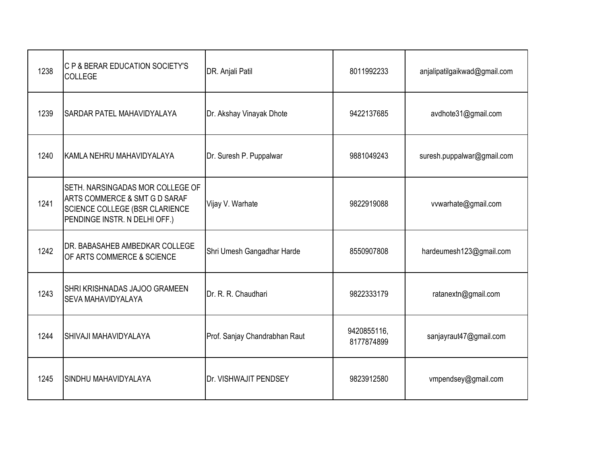| 1238 | C P & BERAR EDUCATION SOCIETY'S<br><b>COLLEGE</b>                                                                                           | DR. Anjali Patil              | 8011992233                | anjalipatilgaikwad@gmail.com |
|------|---------------------------------------------------------------------------------------------------------------------------------------------|-------------------------------|---------------------------|------------------------------|
| 1239 | <b>SARDAR PATEL MAHAVIDYALAYA</b>                                                                                                           | Dr. Akshay Vinayak Dhote      | 9422137685                | avdhote31@gmail.com          |
| 1240 | KAMLA NEHRU MAHAVIDYALAYA                                                                                                                   | Dr. Suresh P. Puppalwar       | 9881049243                | suresh.puppalwar@gmail.com   |
| 1241 | SETH. NARSINGADAS MOR COLLEGE OF<br>ARTS COMMERCE & SMT G D SARAF<br><b>SCIENCE COLLEGE (BSR CLARIENCE</b><br>PENDINGE INSTR. N DELHI OFF.) | Vijay V. Warhate              | 9822919088                | vvwarhate@gmail.com          |
| 1242 | DR. BABASAHEB AMBEDKAR COLLEGE<br>OF ARTS COMMERCE & SCIENCE                                                                                | Shri Umesh Gangadhar Harde    | 8550907808                | hardeumesh123@gmail.com      |
| 1243 | SHRI KRISHNADAS JAJOO GRAMEEN<br>SEVA MAHAVIDYALAYA                                                                                         | Dr. R. R. Chaudhari           | 9822333179                | ratanextn@gmail.com          |
| 1244 | <b>SHIVAJI MAHAVIDYALAYA</b>                                                                                                                | Prof. Sanjay Chandrabhan Raut | 9420855116,<br>8177874899 | sanjayraut47@gmail.com       |
| 1245 | SINDHU MAHAVIDYALAYA                                                                                                                        | Dr. VISHWAJIT PENDSEY         | 9823912580                | vmpendsey@gmail.com          |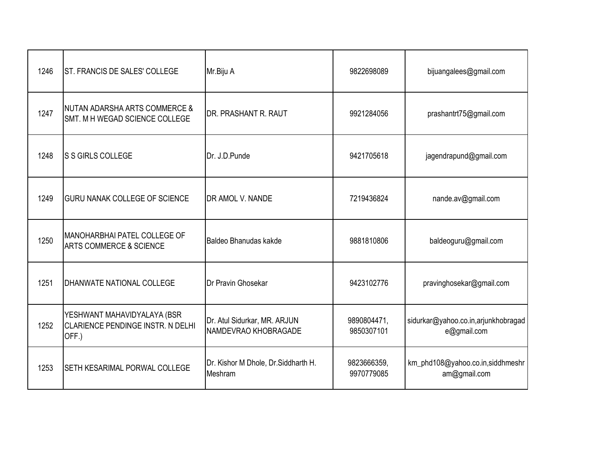| 1246 | ST. FRANCIS DE SALES' COLLEGE                                                    | Mr.Biju A                                            | 9822698089                | bijuangalees@gmail.com                             |
|------|----------------------------------------------------------------------------------|------------------------------------------------------|---------------------------|----------------------------------------------------|
| 1247 | <b>NUTAN ADARSHA ARTS COMMERCE &amp;</b><br>SMT. M H WEGAD SCIENCE COLLEGE       | <b>DR. PRASHANT R. RAUT</b>                          | 9921284056                | prashantrt75@gmail.com                             |
| 1248 | <b>S S GIRLS COLLEGE</b>                                                         | Dr. J.D.Punde                                        | 9421705618                | jagendrapund@gmail.com                             |
| 1249 | <b>GURU NANAK COLLEGE OF SCIENCE</b>                                             | <b>DR AMOL V. NANDE</b>                              | 7219436824                | nande.av@gmail.com                                 |
| 1250 | MANOHARBHAI PATEL COLLEGE OF<br><b>ARTS COMMERCE &amp; SCIENCE</b>               | Baldeo Bhanudas kakde                                | 9881810806                | baldeoguru@gmail.com                               |
| 1251 | <b>DHANWATE NATIONAL COLLEGE</b>                                                 | <b>IDr Pravin Ghosekar</b>                           | 9423102776                | pravinghosekar@gmail.com                           |
| 1252 | YESHWANT MAHAVIDYALAYA (BSR<br><b>CLARIENCE PENDINGE INSTR. N DELHI</b><br>OFF.) | Dr. Atul Sidurkar, MR. ARJUN<br>NAMDEVRAO KHOBRAGADE | 9890804471,<br>9850307101 | sidurkar@yahoo.co.in,arjunkhobragad<br>e@gmail.com |
| 1253 | SETH KESARIMAL PORWAL COLLEGE                                                    | Dr. Kishor M Dhole, Dr. Siddharth H.<br>Meshram      | 9823666359,<br>9970779085 | km_phd108@yahoo.co.in,siddhmeshr<br>am@gmail.com   |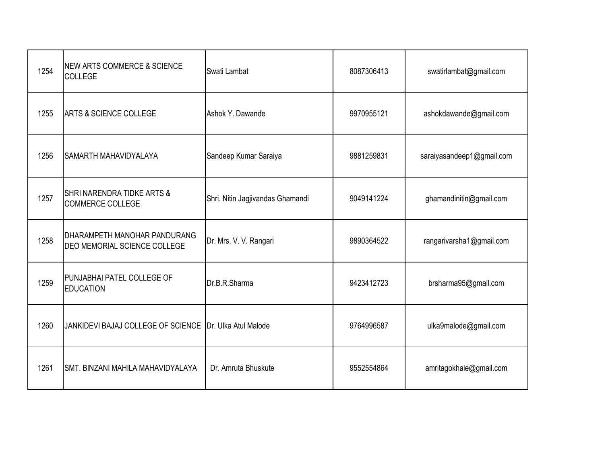| 1254 | <b>NEW ARTS COMMERCE &amp; SCIENCE</b><br>COLLEGE            | Swati Lambat                     | 8087306413 | swatirlambat@gmail.com    |
|------|--------------------------------------------------------------|----------------------------------|------------|---------------------------|
| 1255 | <b>ARTS &amp; SCIENCE COLLEGE</b>                            | Ashok Y. Dawande                 | 9970955121 | ashokdawande@gmail.com    |
| 1256 | <b>SAMARTH MAHAVIDYALAYA</b>                                 | Sandeep Kumar Saraiya            | 9881259831 | saraiyasandeep1@gmail.com |
| 1257 | SHRI NARENDRA TIDKE ARTS &<br><b>COMMERCE COLLEGE</b>        | Shri. Nitin Jagjivandas Ghamandi | 9049141224 | ghamandinitin@gmail.com   |
| 1258 | DHARAMPETH MANOHAR PANDURANG<br>DEO MEMORIAL SCIENCE COLLEGE | Dr. Mrs. V. V. Rangari           | 9890364522 | rangarivarsha1@gmail.com  |
| 1259 | PUNJABHAI PATEL COLLEGE OF<br><b>EDUCATION</b>               | Dr.B.R.Sharma                    | 9423412723 | brsharma95@gmail.com      |
| 1260 | JANKIDEVI BAJAJ COLLEGE OF SCIENCE Dr. Ulka Atul Malode      |                                  | 9764996587 | ulka9malode@gmail.com     |
| 1261 | SMT. BINZANI MAHILA MAHAVIDYALAYA                            | Dr. Amruta Bhuskute              | 9552554864 | amritagokhale@gmail.com   |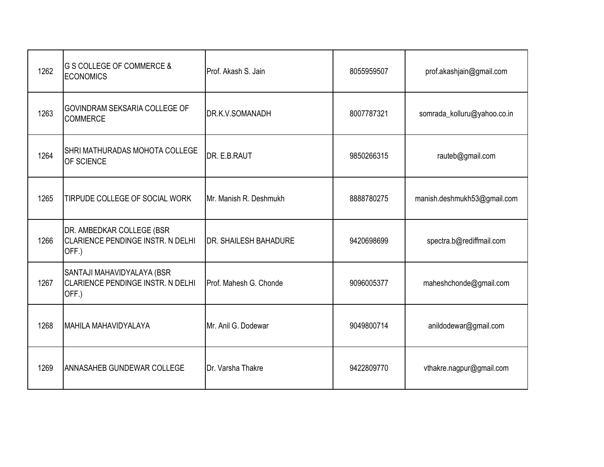| 1262 | <b>G S COLLEGE OF COMMERCE &amp;</b><br><b>ECONOMICS</b>                        | Prof. Akash S. Jain          | 8055959507 | prof.akashjain@gmail.com    |
|------|---------------------------------------------------------------------------------|------------------------------|------------|-----------------------------|
| 1263 | GOVINDRAM SEKSARIA COLLEGE OF<br><b>COMMERCE</b>                                | DR.K.V.SOMANADH              | 8007787321 | somrada_kolluru@yahoo.co.in |
| 1264 | SHRI MATHURADAS MOHOTA COLLEGE<br>OF SCIENCE                                    | DR. E.B.RAUT                 | 9850266315 | rauteb@gmail.com            |
| 1265 | TIRPUDE COLLEGE OF SOCIAL WORK                                                  | Mr. Manish R. Deshmukh       | 8888780275 | manish.deshmukh53@gmail.com |
| 1266 | DR. AMBEDKAR COLLEGE (BSR<br>CLARIENCE PENDINGE INSTR. N DELHI<br>OFF.)         | <b>DR. SHAILESH BAHADURE</b> | 9420698699 | spectra.b@rediffmail.com    |
| 1267 | SANTAJI MAHAVIDYALAYA (BSR<br><b>CLARIENCE PENDINGE INSTR. N DELHI</b><br>OFF.) | Prof. Mahesh G. Chonde       | 9096005377 | maheshchonde@gmail.com      |
| 1268 | <b>MAHILA MAHAVIDYALAYA</b>                                                     | Mr. Anil G. Dodewar          | 9049800714 | anildodewar@gmail.com       |
| 1269 | ANNASAHEB GUNDEWAR COLLEGE                                                      | Dr. Varsha Thakre            | 9422809770 | vthakre.nagpur@gmail.com    |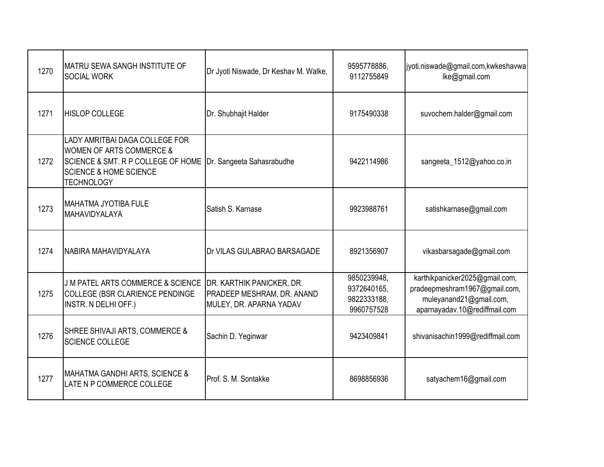| 1270 | <b>IMATRU SEWA SANGH INSTITUTE OF</b><br><b>SOCIAL WORK</b>                                                                                                                      | Dr Jyoti Niswade, Dr Keshav M. Walke,                                                     | 9595778886,<br>9112755849                               | jyoti.niswade@gmail.com,kwkeshavwa<br>lke@gmail.com                                                                         |
|------|----------------------------------------------------------------------------------------------------------------------------------------------------------------------------------|-------------------------------------------------------------------------------------------|---------------------------------------------------------|-----------------------------------------------------------------------------------------------------------------------------|
| 1271 | <b>HISLOP COLLEGE</b>                                                                                                                                                            | Dr. Shubhajit Halder                                                                      | 9175490338                                              | suvochem.halder@gmail.com                                                                                                   |
| 1272 | LADY AMRITBAI DAGA COLLEGE FOR<br><b>WOMEN OF ARTS COMMERCE &amp;</b><br><b>SCIENCE &amp; SMT. R P COLLEGE OF HOME</b><br><b>SCIENCE &amp; HOME SCIENCE</b><br><b>TECHNOLOGY</b> | Dr. Sangeeta Sahasrabudhe                                                                 | 9422114986                                              | sangeeta_1512@yahoo.co.in                                                                                                   |
| 1273 | MAHATMA JYOTIBA FULE<br>MAHAVIDYALAYA                                                                                                                                            | Satish S. Karnase                                                                         | 9923988761                                              | satishkarnase@gmail.com                                                                                                     |
| 1274 | NABIRA MAHAVIDYALAYA                                                                                                                                                             | Dr VILAS GULABRAO BARSAGADE                                                               | 8921356907                                              | vikasbarsagade@gmail.com                                                                                                    |
| 1275 | <b>J M PATEL ARTS COMMERCE &amp; SCIENCE</b><br>COLLEGE (BSR CLARIENCE PENDINGE<br>INSTR. N DELHI OFF.)                                                                          | <b>DR. KARTHIK PANICKER, DR.</b><br>PRADEEP MESHRAM, DR. ANAND<br>MULEY, DR. APARNA YADAV | 9850239948,<br>9372640165,<br>9822333188,<br>9960757528 | karthikpanicker2025@gmail.com,<br>pradeepmeshram1967@gmail.com,<br>muleyanand21@gmail.com,<br>aparnayadav.10@rediffmail.com |
| 1276 | SHREE SHIVAJI ARTS, COMMERCE &<br><b>SCIENCE COLLEGE</b>                                                                                                                         | Sachin D. Yeginwar                                                                        | 9423409841                                              | shivanisachin1999@rediffmail.com                                                                                            |
| 1277 | <b>MAHATMA GANDHI ARTS, SCIENCE &amp;</b><br>LATE N P COMMERCE COLLEGE                                                                                                           | Prof. S. M. Sontakke                                                                      | 8698856936                                              | satyachem16@gmail.com                                                                                                       |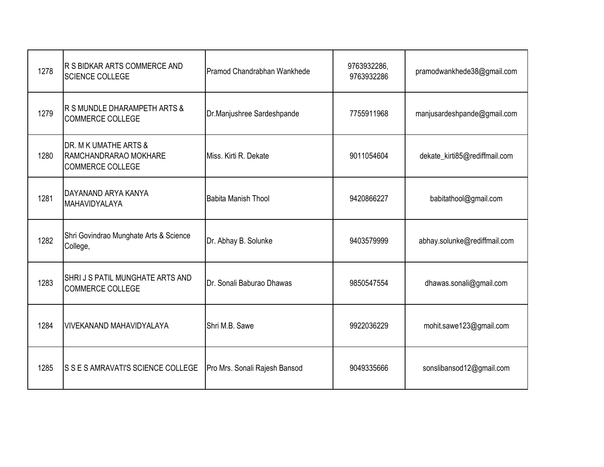| 1278 | R S BIDKAR ARTS COMMERCE AND<br><b>SCIENCE COLLEGE</b>                    | Pramod Chandrabhan Wankhede   | 9763932286,<br>9763932286 | pramodwankhede38@gmail.com    |
|------|---------------------------------------------------------------------------|-------------------------------|---------------------------|-------------------------------|
| 1279 | R S MUNDLE DHARAMPETH ARTS &<br><b>COMMERCE COLLEGE</b>                   | Dr.Manjushree Sardeshpande    | 7755911968                | manjusardeshpande@gmail.com   |
| 1280 | DR. M K UMATHE ARTS &<br>RAMCHANDRARAO MOKHARE<br><b>COMMERCE COLLEGE</b> | Miss. Kirti R. Dekate         | 9011054604                | dekate_kirti85@rediffmail.com |
| 1281 | DAYANAND ARYA KANYA<br>MAHAVIDYALAYA                                      | <b>Babita Manish Thool</b>    | 9420866227                | babitathool@gmail.com         |
| 1282 | Shri Govindrao Munghate Arts & Science<br>College,                        | Dr. Abhay B. Solunke          | 9403579999                | abhay.solunke@rediffmail.com  |
| 1283 | SHRIJS PATIL MUNGHATE ARTS AND<br><b>COMMERCE COLLEGE</b>                 | Dr. Sonali Baburao Dhawas     | 9850547554                | dhawas.sonali@gmail.com       |
| 1284 | <b>VIVEKANAND MAHAVIDYALAYA</b>                                           | Shri M.B. Sawe                | 9922036229                | mohit.sawe123@gmail.com       |
| 1285 | S S E S AMRAVATI'S SCIENCE COLLEGE                                        | Pro Mrs. Sonali Rajesh Bansod | 9049335666                | sonslibansod12@gmail.com      |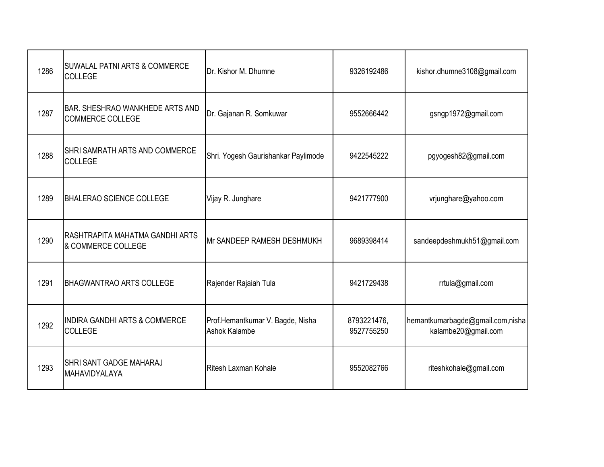| 1286 | <b>SUWALAL PATNI ARTS &amp; COMMERCE</b><br><b>COLLEGE</b>        | Dr. Kishor M. Dhumne                              | 9326192486                | kishor.dhumne3108@gmail.com                             |
|------|-------------------------------------------------------------------|---------------------------------------------------|---------------------------|---------------------------------------------------------|
| 1287 | <b>BAR. SHESHRAO WANKHEDE ARTS AND</b><br><b>COMMERCE COLLEGE</b> | Dr. Gajanan R. Somkuwar                           | 9552666442                | gsngp1972@gmail.com                                     |
| 1288 | SHRI SAMRATH ARTS AND COMMERCE<br><b>COLLEGE</b>                  | Shri. Yogesh Gaurishankar Paylimode               | 9422545222                | pgyogesh82@gmail.com                                    |
| 1289 | <b>BHALERAO SCIENCE COLLEGE</b>                                   | Vijay R. Junghare                                 | 9421777900                | vrjunghare@yahoo.com                                    |
| 1290 | RASHTRAPITA MAHATMA GANDHI ARTS<br>& COMMERCE COLLEGE             | Mr SANDEEP RAMESH DESHMUKH                        | 9689398414                | sandeepdeshmukh51@gmail.com                             |
| 1291 | <b>BHAGWANTRAO ARTS COLLEGE</b>                                   | Rajender Rajaiah Tula                             | 9421729438                | rrtula@gmail.com                                        |
| 1292 | <b>INDIRA GANDHI ARTS &amp; COMMERCE</b><br><b>COLLEGE</b>        | Prof.Hemantkumar V. Bagde, Nisha<br>Ashok Kalambe | 8793221476,<br>9527755250 | hemantkumarbagde@gmail.com,nisha<br>kalambe20@gmail.com |
| 1293 | <b>SHRI SANT GADGE MAHARAJ</b><br>MAHAVIDYALAYA                   | Ritesh Laxman Kohale                              | 9552082766                | riteshkohale@gmail.com                                  |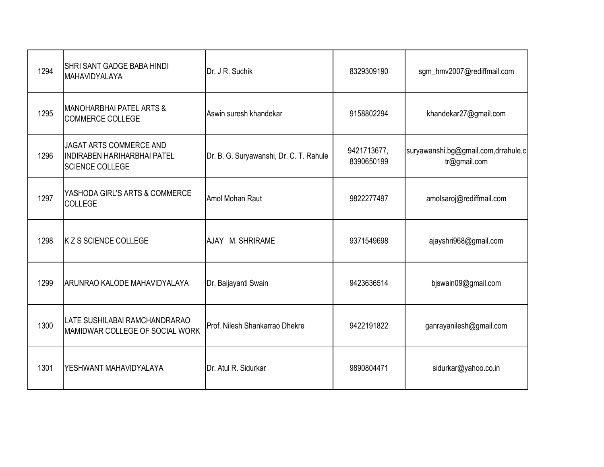| 1294 | <b>SHRI SANT GADGE BABA HINDI</b><br>MAHAVIDYALAYA                                      | Dr. J R. Suchik                         | 8329309190                | sgm_hmv2007@rediffmail.com                          |
|------|-----------------------------------------------------------------------------------------|-----------------------------------------|---------------------------|-----------------------------------------------------|
| 1295 | <b>MANOHARBHAI PATEL ARTS &amp;</b><br><b>COMMERCE COLLEGE</b>                          | Aswin suresh khandekar                  | 9158802294                | khandekar27@gmail.com                               |
| 1296 | JAGAT ARTS COMMERCE AND<br><b>INDIRABEN HARIHARBHAI PATEL</b><br><b>SCIENCE COLLEGE</b> | Dr. B. G. Suryawanshi, Dr. C. T. Rahule | 9421713677,<br>8390650199 | suryawanshi.bg@gmail.com,drrahule.c<br>tr@gmail.com |
| 1297 | YASHODA GIRL'S ARTS & COMMERCE<br>COLLEGE                                               | Amol Mohan Raut                         | 9822277497                | amolsaroj@rediffmail.com                            |
| 1298 | <b>K Z S SCIENCE COLLEGE</b>                                                            | AJAY M. SHRIRAME                        | 9371549698                | ajayshri968@gmail.com                               |
| 1299 | ARUNRAO KALODE MAHAVIDYALAYA                                                            | Dr. Baijayanti Swain                    | 9423636514                | bjswain09@gmail.com                                 |
| 1300 | LATE SUSHILABAI RAMCHANDRARAO<br>MAMIDWAR COLLEGE OF SOCIAL WORK                        | Prof. Nilesh Shankarrao Dhekre          | 9422191822                | ganrayanilesh@gmail.com                             |
| 1301 | YESHWANT MAHAVIDYALAYA                                                                  | Dr. Atul R. Sidurkar                    | 9890804471                | sidurkar@yahoo.co.in                                |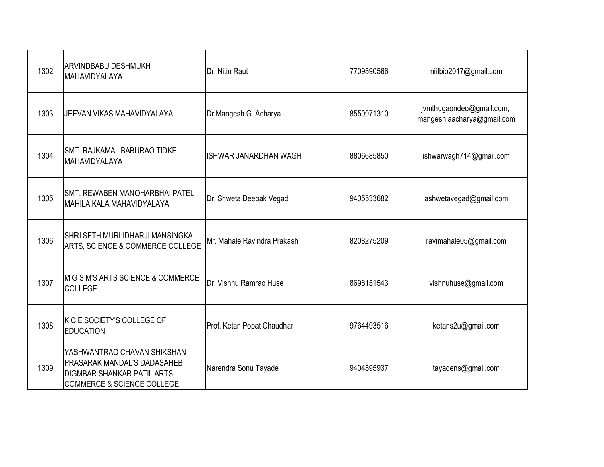| 1302 | <b>ARVINDBABU DESHMUKH</b><br>MAHAVIDYALAYA                                                                                               | Dr. Nitin Raut               | 7709590566 | niitbio2017@gmail.com                                  |
|------|-------------------------------------------------------------------------------------------------------------------------------------------|------------------------------|------------|--------------------------------------------------------|
| 1303 | <b>JEEVAN VIKAS MAHAVIDYALAYA</b>                                                                                                         | Dr.Mangesh G. Acharya        | 8550971310 | jvmthugaondeo@gmail.com,<br>mangesh.aacharya@gmail.com |
| 1304 | <b>SMT. RAJKAMAL BABURAO TIDKE</b><br>MAHAVIDYALAYA                                                                                       | <b>ISHWAR JANARDHAN WAGH</b> | 8806685850 | ishwarwagh714@gmail.com                                |
| 1305 | <b>SMT. REWABEN MANOHARBHAI PATEL</b><br>MAHILA KALA MAHAVIDYALAYA                                                                        | Dr. Shweta Deepak Vegad      | 9405533682 | ashwetavegad@gmail.com                                 |
| 1306 | SHRI SETH MURLIDHARJI MANSINGKA<br>ARTS, SCIENCE & COMMERCE COLLEGE                                                                       | Mr. Mahale Ravindra Prakash  | 8208275209 | ravimahale05@gmail.com                                 |
| 1307 | M G S M'S ARTS SCIENCE & COMMERCE<br><b>COLLEGE</b>                                                                                       | Dr. Vishnu Ramrao Huse       | 8698151543 | vishnuhuse@gmail.com                                   |
| 1308 | K C E SOCIETY'S COLLEGE OF<br><b>EDUCATION</b>                                                                                            | Prof. Ketan Popat Chaudhari  | 9764493516 | ketans2u@gmail.com                                     |
| 1309 | YASHWANTRAO CHAVAN SHIKSHAN<br>PRASARAK MANDAL'S DADASAHEB<br><b>DIGMBAR SHANKAR PATIL ARTS,</b><br><b>COMMERCE &amp; SCIENCE COLLEGE</b> | Narendra Sonu Tayade         | 9404595937 | tayadens@gmail.com                                     |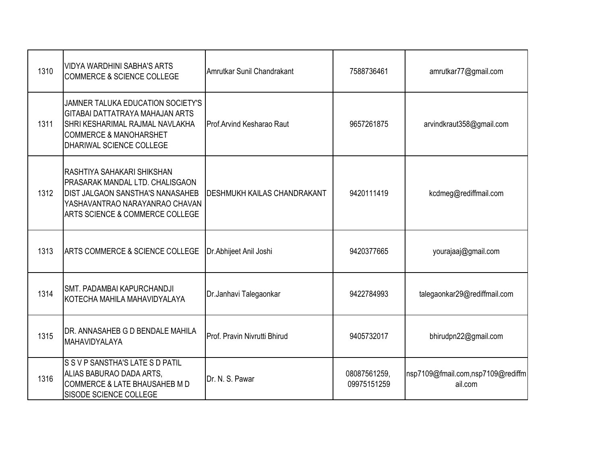| 1310 | <b>VIDYA WARDHINI SABHA'S ARTS</b><br><b>COMMERCE &amp; SCIENCE COLLEGE</b>                                                                                                   | Amrutkar Sunil Chandrakant         | 7588736461                  | amrutkar77@gmail.com                         |
|------|-------------------------------------------------------------------------------------------------------------------------------------------------------------------------------|------------------------------------|-----------------------------|----------------------------------------------|
| 1311 | JAMNER TALUKA EDUCATION SOCIETY'S<br>GITABAI DATTATRAYA MAHAJAN ARTS<br>SHRI KESHARIMAL RAJMAL NAVLAKHA<br><b>COMMERCE &amp; MANOHARSHET</b><br>DHARIWAL SCIENCE COLLEGE      | Prof.Arvind Kesharao Raut          | 9657261875                  | arvindkraut358@gmail.com                     |
| 1312 | RASHTIYA SAHAKARI SHIKSHAN<br>PRASARAK MANDAL LTD. CHALISGAON<br><b>DIST JALGAON SANSTHA'S NANASAHEB</b><br>YASHAVANTRAO NARAYANRAO CHAVAN<br>ARTS SCIENCE & COMMERCE COLLEGE | <b>DESHMUKH KAILAS CHANDRAKANT</b> | 9420111419                  | kcdmeg@rediffmail.com                        |
| 1313 | ARTS COMMERCE & SCIENCE COLLEGE                                                                                                                                               | Dr.Abhijeet Anil Joshi             | 9420377665                  | yourajaaj@gmail.com                          |
| 1314 | SMT. PADAMBAI KAPURCHANDJI<br>KOTECHA MAHILA MAHAVIDYALAYA                                                                                                                    | Dr.Janhavi Talegaonkar             | 9422784993                  | talegaonkar29@rediffmail.com                 |
| 1315 | DR. ANNASAHEB G D BENDALE MAHILA<br>MAHAVIDYALAYA                                                                                                                             | Prof. Pravin Nivrutti Bhirud       | 9405732017                  | bhirudpn22@gmail.com                         |
| 1316 | S S V P SANSTHA'S LATE S D PATIL<br>ALIAS BABURAO DADA ARTS,<br>COMMERCE & LATE BHAUSAHEB M D<br>SISODE SCIENCE COLLEGE                                                       | Dr. N. S. Pawar                    | 08087561259,<br>09975151259 | nsp7109@fmail.com,nsp7109@rediffm<br>ail.com |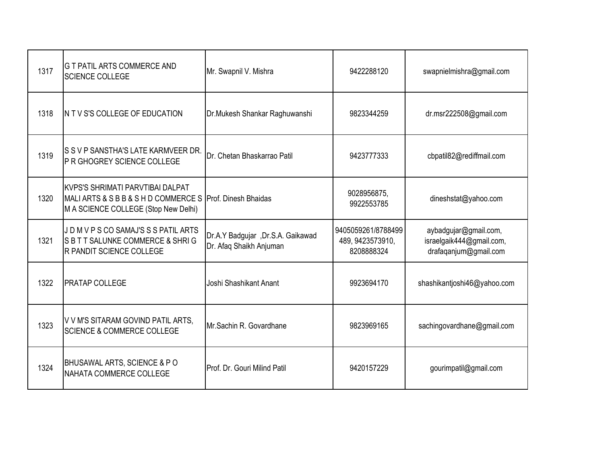| 1317 | <b>G T PATIL ARTS COMMERCE AND</b><br><b>SCIENCE COLLEGE</b>                                                                                 | Mr. Swapnil V. Mishra                                        | 9422288120                                           | swapnielmishra@gmail.com                                                   |
|------|----------------------------------------------------------------------------------------------------------------------------------------------|--------------------------------------------------------------|------------------------------------------------------|----------------------------------------------------------------------------|
| 1318 | IN T V S'S COLLEGE OF EDUCATION                                                                                                              | Dr.Mukesh Shankar Raghuwanshi                                | 9823344259                                           | dr.msr222508@gmail.com                                                     |
| 1319 | S S V P SANSTHA'S LATE KARMVEER DR.<br><b>P R GHOGREY SCIENCE COLLEGE</b>                                                                    | <b>IDr. Chetan Bhaskarrao Patil</b>                          | 9423777333                                           | cbpatil82@rediffmail.com                                                   |
| 1320 | <b>KVPS'S SHRIMATI PARVTIBAI DALPAT</b><br>MALI ARTS & S B B & S H D COMMERCE S Prof. Dinesh Bhaidas<br>M A SCIENCE COLLEGE (Stop New Delhi) |                                                              | 9028956875,<br>9922553785                            | dineshstat@yahoo.com                                                       |
| 1321 | JD M V P S CO SAMAJ'S S S PATIL ARTS<br>SBTT SALUNKE COMMERCE & SHRIG<br><b>R PANDIT SCIENCE COLLEGE</b>                                     | Dr.A.Y Badgujar, Dr.S.A. Gaikawad<br>Dr. Afaq Shaikh Anjuman | 9405059261/8788499<br>489, 9423573910,<br>8208888324 | aybadgujar@gmail.com,<br>israelgaik444@gmail.com,<br>drafaqanjum@gmail.com |
| 1322 | <b>PRATAP COLLEGE</b>                                                                                                                        | Joshi Shashikant Anant                                       | 9923694170                                           | shashikantjoshi46@yahoo.com                                                |
| 1323 | V V M'S SITARAM GOVIND PATIL ARTS,<br><b>SCIENCE &amp; COMMERCE COLLEGE</b>                                                                  | Mr.Sachin R. Govardhane                                      | 9823969165                                           | sachingovardhane@gmail.com                                                 |
| 1324 | BHUSAWAL ARTS, SCIENCE & PO<br>NAHATA COMMERCE COLLEGE                                                                                       | Prof. Dr. Gouri Milind Patil                                 | 9420157229                                           | gourimpatil@gmail.com                                                      |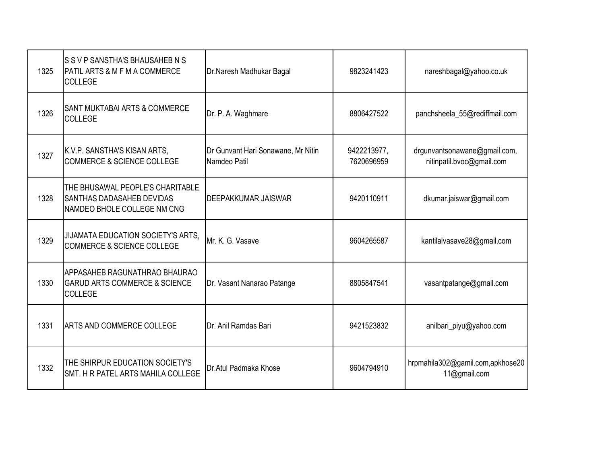| 1325 | S S V P SANSTHA'S BHAUSAHEB N S<br><b>PATIL ARTS &amp; M F M A COMMERCE</b><br><b>COLLEGE</b>       | Dr.Naresh Madhukar Bagal                           | 9823241423                | nareshbagal@yahoo.co.uk                                   |
|------|-----------------------------------------------------------------------------------------------------|----------------------------------------------------|---------------------------|-----------------------------------------------------------|
| 1326 | SANT MUKTABAI ARTS & COMMERCE<br><b>COLLEGE</b>                                                     | Dr. P. A. Waghmare                                 | 8806427522                | panchsheela_55@rediffmail.com                             |
| 1327 | K.V.P. SANSTHA'S KISAN ARTS,<br><b>COMMERCE &amp; SCIENCE COLLEGE</b>                               | Dr Gunvant Hari Sonawane, Mr Nitin<br>Namdeo Patil | 9422213977,<br>7620696959 | drgunvantsonawane@gmail.com,<br>nitinpatil.bvoc@gmail.com |
| 1328 | THE BHUSAWAL PEOPLE'S CHARITABLE<br><b>SANTHAS DADASAHEB DEVIDAS</b><br>NAMDEO BHOLE COLLEGE NM CNG | <b>DEEPAKKUMAR JAISWAR</b>                         | 9420110911                | dkumar.jaiswar@gmail.com                                  |
| 1329 | JIJAMATA EDUCATION SOCIETY'S ARTS,<br><b>COMMERCE &amp; SCIENCE COLLEGE</b>                         | Mr. K. G. Vasave                                   | 9604265587                | kantilalvasave28@gmail.com                                |
| 1330 | <b>APPASAHEB RAGUNATHRAO BHAURAO</b><br><b>GARUD ARTS COMMERCE &amp; SCIENCE</b><br>COLLEGE         | Dr. Vasant Nanarao Patange                         | 8805847541                | vasantpatange@gmail.com                                   |
| 1331 | <b>ARTS AND COMMERCE COLLEGE</b>                                                                    | Dr. Anil Ramdas Bari                               | 9421523832                | anilbari_piyu@yahoo.com                                   |
| 1332 | THE SHIRPUR EDUCATION SOCIETY'S<br><b>SMT. H R PATEL ARTS MAHILA COLLEGE</b>                        | Dr.Atul Padmaka Khose                              | 9604794910                | hrpmahila302@gamil.com,apkhose20<br>11@gmail.com          |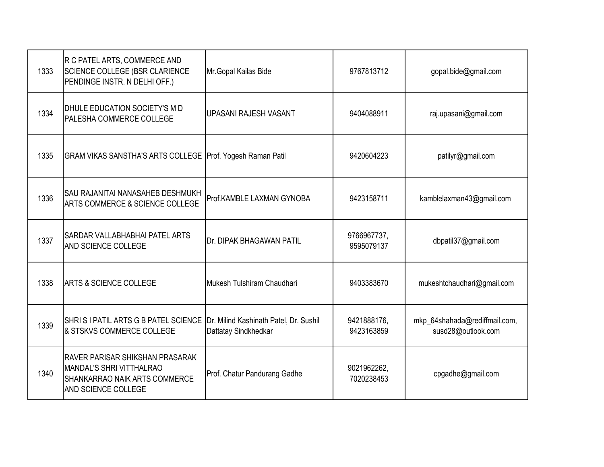| 1333 | R C PATEL ARTS, COMMERCE AND<br>SCIENCE COLLEGE (BSR CLARIENCE<br>PENDINGE INSTR. N DELHI OFF.)                            | Mr. Gopal Kailas Bide                                          | 9767813712                | gopal.bide@gmail.com                                |
|------|----------------------------------------------------------------------------------------------------------------------------|----------------------------------------------------------------|---------------------------|-----------------------------------------------------|
| 1334 | DHULE EDUCATION SOCIETY'S M D<br>PALESHA COMMERCE COLLEGE                                                                  | <b>UPASANI RAJESH VASANT</b>                                   | 9404088911                | raj.upasani@gmail.com                               |
| 1335 | GRAM VIKAS SANSTHA'S ARTS COLLEGE Prof. Yogesh Raman Patil                                                                 |                                                                | 9420604223                | patilyr@gmail.com                                   |
| 1336 | SAU RAJANITAI NANASAHEB DESHMUKH<br>ARTS COMMERCE & SCIENCE COLLEGE                                                        | Prof.KAMBLE LAXMAN GYNOBA                                      | 9423158711                | kamblelaxman43@gmail.com                            |
| 1337 | SARDAR VALLABHABHAI PATEL ARTS<br>AND SCIENCE COLLEGE                                                                      | <b>I</b> Dr. DIPAK BHAGAWAN PATIL                              | 9766967737,<br>9595079137 | dbpatil37@gmail.com                                 |
| 1338 | <b>ARTS &amp; SCIENCE COLLEGE</b>                                                                                          | Mukesh Tulshiram Chaudhari                                     | 9403383670                | mukeshtchaudhari@gmail.com                          |
| 1339 | SHRIS I PATIL ARTS G B PATEL SCIENCE<br>& STSKVS COMMERCE COLLEGE                                                          | Dr. Milind Kashinath Patel, Dr. Sushil<br>Dattatay Sindkhedkar | 9421888176,<br>9423163859 | mkp_64shahada@rediffmail.com,<br>susd28@outlook.com |
| 1340 | RAVER PARISAR SHIKSHAN PRASARAK<br>MANDAL'S SHRI VITTHALRAO<br><b>SHANKARRAO NAIK ARTS COMMERCE</b><br>AND SCIENCE COLLEGE | Prof. Chatur Pandurang Gadhe                                   | 9021962262,<br>7020238453 | cpgadhe@gmail.com                                   |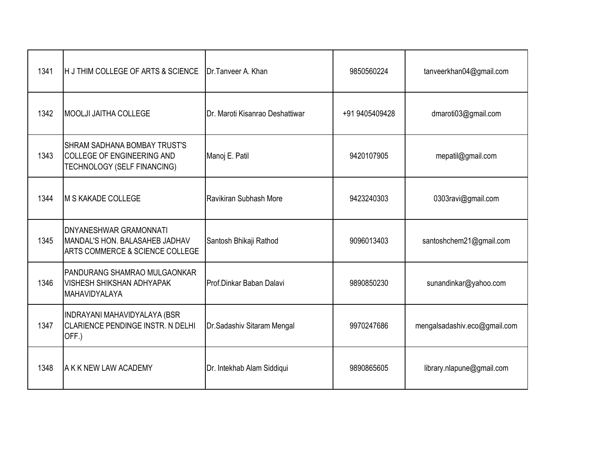| 1341 | H J THIM COLLEGE OF ARTS & SCIENCE                                                                 | Dr.Tanveer A. Khan              | 9850560224     | tanveerkhan04@gmail.com      |
|------|----------------------------------------------------------------------------------------------------|---------------------------------|----------------|------------------------------|
| 1342 | <b>MOOLJI JAITHA COLLEGE</b>                                                                       | Dr. Maroti Kisanrao Deshattiwar | +91 9405409428 | dmaroti03@gmail.com          |
| 1343 | <b>SHRAM SADHANA BOMBAY TRUST'S</b><br>COLLEGE OF ENGINEERING AND<br>TECHNOLOGY (SELF FINANCING)   | Manoj E. Patil                  | 9420107905     | mepatil@gmail.com            |
| 1344 | M S KAKADE COLLEGE                                                                                 | Ravikiran Subhash More          | 9423240303     | 0303ravi@gmail.com           |
| 1345 | <b>DNYANESHWAR GRAMONNATI</b><br>MANDAL'S HON. BALASAHEB JADHAV<br>ARTS COMMERCE & SCIENCE COLLEGE | Santosh Bhikaji Rathod          | 9096013403     | santoshchem21@gmail.com      |
| 1346 | PANDURANG SHAMRAO MULGAONKAR<br>VISHESH SHIKSHAN ADHYAPAK<br><b>MAHAVIDYALAYA</b>                  | Prof.Dinkar Baban Dalavi        | 9890850230     | sunandinkar@yahoo.com        |
| 1347 | INDRAYANI MAHAVIDYALAYA (BSR<br>CLARIENCE PENDINGE INSTR. N DELHI<br>OFF.)                         | Dr.Sadashiv Sitaram Mengal      | 9970247686     | mengalsadashiv.eco@gmail.com |
| 1348 | A K K NEW LAW ACADEMY                                                                              | Dr. Intekhab Alam Siddiqui      | 9890865605     | library.nlapune@gmail.com    |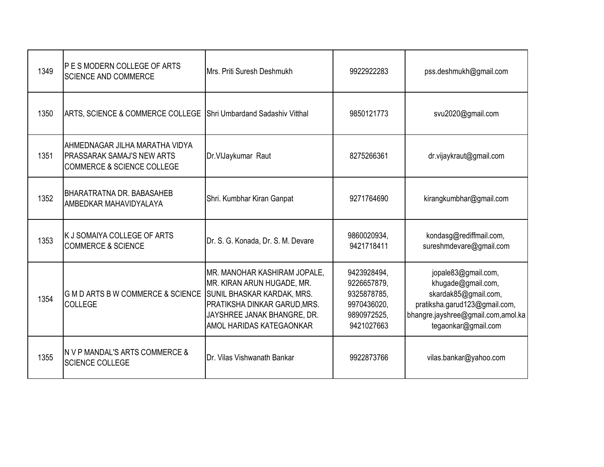| 1349 | <b>P E S MODERN COLLEGE OF ARTS</b><br><b>SCIENCE AND COMMERCE</b>                                           | Mrs. Priti Suresh Deshmukh                                                                                                                                                                 | 9922922283                                                                            | pss.deshmukh@gmail.com                                                                                                                                          |
|------|--------------------------------------------------------------------------------------------------------------|--------------------------------------------------------------------------------------------------------------------------------------------------------------------------------------------|---------------------------------------------------------------------------------------|-----------------------------------------------------------------------------------------------------------------------------------------------------------------|
| 1350 | ARTS, SCIENCE & COMMERCE COLLEGE                                                                             | Shri Umbardand Sadashiv Vitthal                                                                                                                                                            | 9850121773                                                                            | svu2020@gmail.com                                                                                                                                               |
| 1351 | AHMEDNAGAR JILHA MARATHA VIDYA<br><b>PRASSARAK SAMAJ'S NEW ARTS</b><br><b>COMMERCE &amp; SCIENCE COLLEGE</b> | Dr.VIJaykumar Raut                                                                                                                                                                         | 8275266361                                                                            | dr.vijaykraut@gmail.com                                                                                                                                         |
| 1352 | <b>BHARATRATNA DR. BABASAHEB</b><br>AMBEDKAR MAHAVIDYALAYA                                                   | Shri. Kumbhar Kiran Ganpat                                                                                                                                                                 | 9271764690                                                                            | kirangkumbhar@gmail.com                                                                                                                                         |
| 1353 | K J SOMAIYA COLLEGE OF ARTS<br><b>COMMERCE &amp; SCIENCE</b>                                                 | Dr. S. G. Konada, Dr. S. M. Devare                                                                                                                                                         | 9860020934,<br>9421718411                                                             | kondasg@rediffmail.com,<br>sureshmdevare@gmail.com                                                                                                              |
| 1354 | G M D ARTS B W COMMERCE & SCIENCE<br><b>COLLEGE</b>                                                          | MR. MANOHAR KASHIRAM JOPALE,<br>MR. KIRAN ARUN HUGADE, MR.<br><b>SUNIL BHASKAR KARDAK, MRS.</b><br>PRATIKSHA DINKAR GARUD, MRS.<br>JAYSHREE JANAK BHANGRE, DR.<br>AMOL HARIDAS KATEGAONKAR | 9423928494,<br>9226657879,<br>9325878785,<br>9970436020,<br>9890972525.<br>9421027663 | jopale83@gmail.com,<br>khugade@gmail.com,<br>skardak85@gmail.com,<br>pratiksha.garud123@gmail.com,<br>bhangre.jayshree@gmail.com,amol.ka<br>tegaonkar@gmail.com |
| 1355 | IN V P MANDAL'S ARTS COMMERCE &<br><b>SCIENCE COLLEGE</b>                                                    | Dr. Vilas Vishwanath Bankar                                                                                                                                                                | 9922873766                                                                            | vilas.bankar@yahoo.com                                                                                                                                          |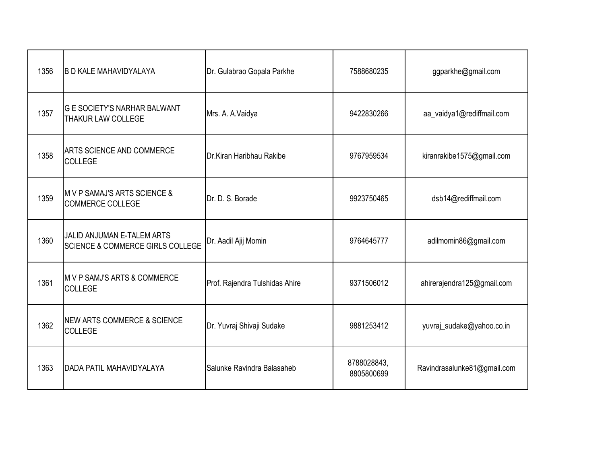| 1356 | <b>B D KALE MAHAVIDYALAYA</b>                                    | Dr. Gulabrao Gopala Parkhe     | 7588680235                | ggparkhe@gmail.com          |
|------|------------------------------------------------------------------|--------------------------------|---------------------------|-----------------------------|
| 1357 | <b>G E SOCIETY'S NARHAR BALWANT</b><br><b>THAKUR LAW COLLEGE</b> | Mrs. A. A. Vaidya              | 9422830266                | aa_vaidya1@rediffmail.com   |
| 1358 | ARTS SCIENCE AND COMMERCE<br><b>COLLEGE</b>                      | Dr.Kiran Haribhau Rakibe       | 9767959534                | kiranrakibe1575@gmail.com   |
| 1359 | M V P SAMAJ'S ARTS SCIENCE &<br><b>COMMERCE COLLEGE</b>          | Dr. D. S. Borade               | 9923750465                | dsb14@rediffmail.com        |
| 1360 | JALID ANJUMAN E-TALEM ARTS<br>SCIENCE & COMMERCE GIRLS COLLEGE   | Dr. Aadil Ajij Momin           | 9764645777                | adilmomin86@gmail.com       |
| 1361 | M V P SAMJ'S ARTS & COMMERCE<br><b>COLLEGE</b>                   | Prof. Rajendra Tulshidas Ahire | 9371506012                | ahirerajendra125@gmail.com  |
| 1362 | <b>NEW ARTS COMMERCE &amp; SCIENCE</b><br><b>COLLEGE</b>         | Dr. Yuvraj Shivaji Sudake      | 9881253412                | yuvraj_sudake@yahoo.co.in   |
| 1363 | DADA PATIL MAHAVIDYALAYA                                         | Salunke Ravindra Balasaheb     | 8788028843,<br>8805800699 | Ravindrasalunke81@gmail.com |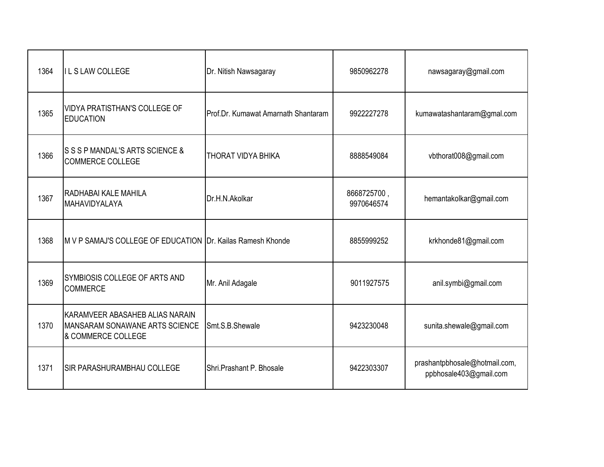| 1364 | <b>ILS LAW COLLEGE</b>                                                                  | Dr. Nitish Nawsagaray               | 9850962278                | nawsagaray@gmail.com                                    |
|------|-----------------------------------------------------------------------------------------|-------------------------------------|---------------------------|---------------------------------------------------------|
| 1365 | VIDYA PRATISTHAN'S COLLEGE OF<br><b>EDUCATION</b>                                       | Prof.Dr. Kumawat Amarnath Shantaram | 9922227278                | kumawatashantaram@gmal.com                              |
| 1366 | S S S P MANDAL'S ARTS SCIENCE &<br><b>COMMERCE COLLEGE</b>                              | <b>I</b> THORAT VIDYA BHIKA         | 8888549084                | vbthorat008@gmail.com                                   |
| 1367 | RADHABAI KALE MAHILA<br>MAHAVIDYALAYA                                                   | Dr.H.N.Akolkar                      | 8668725700,<br>9970646574 | hemantakolkar@gmail.com                                 |
| 1368 | M V P SAMAJ'S COLLEGE OF EDUCATION Dr. Kailas Ramesh Khonde                             |                                     | 8855999252                | krkhonde81@gmail.com                                    |
| 1369 | SYMBIOSIS COLLEGE OF ARTS AND<br><b>COMMERCE</b>                                        | Mr. Anil Adagale                    | 9011927575                | anil.symbi@gmail.com                                    |
| 1370 | KARAMVEER ABASAHEB ALIAS NARAIN<br>MANSARAM SONAWANE ARTS SCIENCE<br>& COMMERCE COLLEGE | Smt.S.B.Shewale                     | 9423230048                | sunita.shewale@gmail.com                                |
| 1371 | <b>SIR PARASHURAMBHAU COLLEGE</b>                                                       | Shri.Prashant P. Bhosale            | 9422303307                | prashantpbhosale@hotmail.com,<br>ppbhosale403@gmail.com |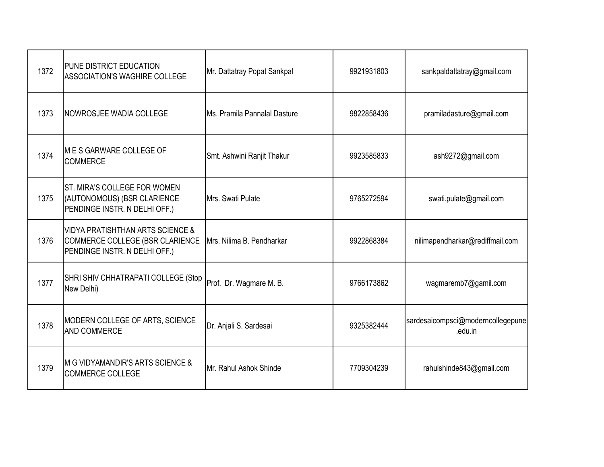| 1372 | <b>PUNE DISTRICT EDUCATION</b><br><b>ASSOCIATION'S WAGHIRE COLLEGE</b>                                          | Mr. Dattatray Popat Sankpal  | 9921931803 | sankpaldattatray@gmail.com                   |
|------|-----------------------------------------------------------------------------------------------------------------|------------------------------|------------|----------------------------------------------|
| 1373 | NOWROSJEE WADIA COLLEGE                                                                                         | Ms. Pramila Pannalal Dasture | 9822858436 | pramiladasture@gmail.com                     |
| 1374 | <b>MES GARWARE COLLEGE OF</b><br><b>COMMERCE</b>                                                                | Smt. Ashwini Ranjit Thakur   | 9923585833 | ash9272@gmail.com                            |
| 1375 | ST. MIRA'S COLLEGE FOR WOMEN<br>(AUTONOMOUS) (BSR CLARIENCE<br>PENDINGE INSTR. N DELHI OFF.)                    | Mrs. Swati Pulate            | 9765272594 | swati.pulate@gmail.com                       |
| 1376 | <b>VIDYA PRATISHTHAN ARTS SCIENCE &amp;</b><br>COMMERCE COLLEGE (BSR CLARIENCE<br>PENDINGE INSTR. N DELHI OFF.) | Mrs. Nilima B. Pendharkar    | 9922868384 | nilimapendharkar@rediffmail.com              |
| 1377 | SHRI SHIV CHHATRAPATI COLLEGE (Stop<br>New Delhi)                                                               | Prof. Dr. Wagmare M. B.      | 9766173862 | wagmaremb7@gamil.com                         |
| 1378 | MODERN COLLEGE OF ARTS, SCIENCE<br><b>AND COMMERCE</b>                                                          | Dr. Anjali S. Sardesai       | 9325382444 | sardesaicompsci@moderncollegepune<br>.edu.in |
| 1379 | M G VIDYAMANDIR'S ARTS SCIENCE &<br><b>COMMERCE COLLEGE</b>                                                     | Mr. Rahul Ashok Shinde       | 7709304239 | rahulshinde843@gmail.com                     |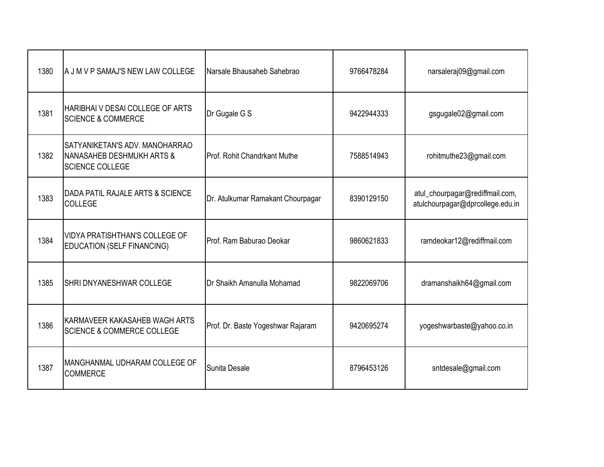| 1380 | A J M V P SAMAJ'S NEW LAW COLLEGE                                                                | Narsale Bhausaheb Sahebrao        | 9766478284 | narsaleraj09@gmail.com                                              |
|------|--------------------------------------------------------------------------------------------------|-----------------------------------|------------|---------------------------------------------------------------------|
| 1381 | HARIBHAI V DESAI COLLEGE OF ARTS<br><b>SCIENCE &amp; COMMERCE</b>                                | Dr Gugale G S                     | 9422944333 | gsgugale02@gmail.com                                                |
| 1382 | SATYANIKETAN'S ADV. MANOHARRAO<br><b>NANASAHEB DESHMUKH ARTS &amp;</b><br><b>SCIENCE COLLEGE</b> | Prof. Rohit Chandrkant Muthe      | 7588514943 | rohitmuthe23@gmail.com                                              |
| 1383 | DADA PATIL RAJALE ARTS & SCIENCE<br>COLLEGE                                                      | Dr. Atulkumar Ramakant Chourpagar | 8390129150 | atul_chourpagar@rediffmail.com,<br>atulchourpagar@dprcollege.edu.in |
| 1384 | <b>VIDYA PRATISHTHAN'S COLLEGE OF</b><br><b>EDUCATION (SELF FINANCING)</b>                       | Prof. Ram Baburao Deokar          | 9860621833 | ramdeokar12@rediffmail.com                                          |
| 1385 | <b>SHRI DNYANESHWAR COLLEGE</b>                                                                  | Dr Shaikh Amanulla Mohamad        | 9822069706 | dramanshaikh64@gmail.com                                            |
| 1386 | KARMAVEER KAKASAHEB WAGH ARTS<br><b>SCIENCE &amp; COMMERCE COLLEGE</b>                           | Prof. Dr. Baste Yogeshwar Rajaram | 9420695274 | yogeshwarbaste@yahoo.co.in                                          |
| 1387 | MANGHANMAL UDHARAM COLLEGE OF<br><b>COMMERCE</b>                                                 | Sunita Desale                     | 8796453126 | sntdesale@gmail.com                                                 |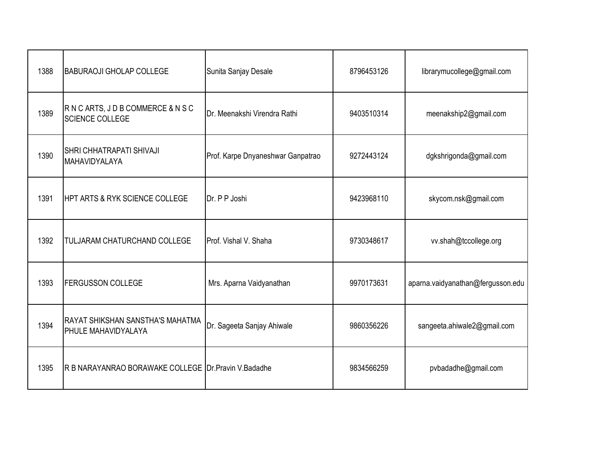| 1388 | <b>BABURAOJI GHOLAP COLLEGE</b>                         | Sunita Sanjay Desale              | 8796453126 | librarymucollege@gmail.com        |
|------|---------------------------------------------------------|-----------------------------------|------------|-----------------------------------|
| 1389 | RNCARTS, JDBCOMMERCE & NSC<br><b>SCIENCE COLLEGE</b>    | Dr. Meenakshi Virendra Rathi      | 9403510314 | meenakship2@gmail.com             |
| 1390 | <b>SHRI CHHATRAPATI SHIVAJI</b><br>MAHAVIDYALAYA        | Prof. Karpe Dnyaneshwar Ganpatrao | 9272443124 | dgkshrigonda@gmail.com            |
| 1391 | <b>HPT ARTS &amp; RYK SCIENCE COLLEGE</b>               | Dr. P P Joshi                     | 9423968110 | skycom.nsk@gmail.com              |
| 1392 | <b>TULJARAM CHATURCHAND COLLEGE</b>                     | Prof. Vishal V. Shaha             | 9730348617 | vv.shah@tccollege.org             |
| 1393 | <b>FERGUSSON COLLEGE</b>                                | Mrs. Aparna Vaidyanathan          | 9970173631 | aparna.vaidyanathan@fergusson.edu |
| 1394 | RAYAT SHIKSHAN SANSTHA'S MAHATMA<br>PHULE MAHAVIDYALAYA | Dr. Sageeta Sanjay Ahiwale        | 9860356226 | sangeeta.ahiwale2@gmail.com       |
| 1395 | R B NARAYANRAO BORAWAKE COLLEGE Dr. Pravin V. Badadhe   |                                   | 9834566259 | pvbadadhe@gmail.com               |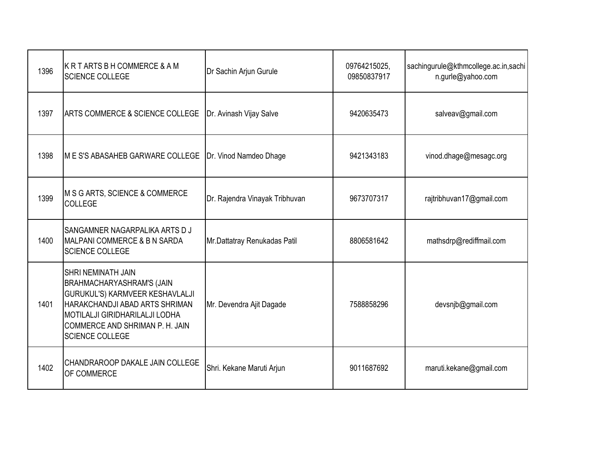| 1396 | KR TARTS B H COMMERCE & A M<br><b>SCIENCE COLLEGE</b>                                                                                                                                                                                    | Dr Sachin Arjun Gurule         | 09764215025,<br>09850837917 | sachingurule@kthmcollege.ac.in,sachi<br>n.gurle@yahoo.com |
|------|------------------------------------------------------------------------------------------------------------------------------------------------------------------------------------------------------------------------------------------|--------------------------------|-----------------------------|-----------------------------------------------------------|
| 1397 | <b>ARTS COMMERCE &amp; SCIENCE COLLEGE</b>                                                                                                                                                                                               | Dr. Avinash Vijay Salve        | 9420635473                  | salveav@gmail.com                                         |
| 1398 | <b>M E S'S ABASAHEB GARWARE COLLEGE</b>                                                                                                                                                                                                  | Dr. Vinod Namdeo Dhage         | 9421343183                  | vinod.dhage@mesagc.org                                    |
| 1399 | M S G ARTS, SCIENCE & COMMERCE<br><b>COLLEGE</b>                                                                                                                                                                                         | Dr. Rajendra Vinayak Tribhuvan | 9673707317                  | rajtribhuvan17@gmail.com                                  |
| 1400 | SANGAMNER NAGARPALIKA ARTS D J<br><b>IMALPANI COMMERCE &amp; B N SARDA</b><br><b>SCIENCE COLLEGE</b>                                                                                                                                     | Mr.Dattatray Renukadas Patil   | 8806581642                  | mathsdrp@rediffmail.com                                   |
| 1401 | <b>SHRI NEMINATH JAIN</b><br><b>BRAHMACHARYASHRAM'S (JAIN</b><br>GURUKUL'S) KARMVEER KESHAVLALJI<br>HARAKCHANDJI ABAD ARTS SHRIMAN<br><b>MOTILALJI GIRIDHARILALJI LODHA</b><br>COMMERCE AND SHRIMAN P. H. JAIN<br><b>SCIENCE COLLEGE</b> | Mr. Devendra Ajit Dagade       | 7588858296                  | devsnjb@gmail.com                                         |
| 1402 | CHANDRAROOP DAKALE JAIN COLLEGE<br>OF COMMERCE                                                                                                                                                                                           | Shri. Kekane Maruti Arjun      | 9011687692                  | maruti.kekane@gmail.com                                   |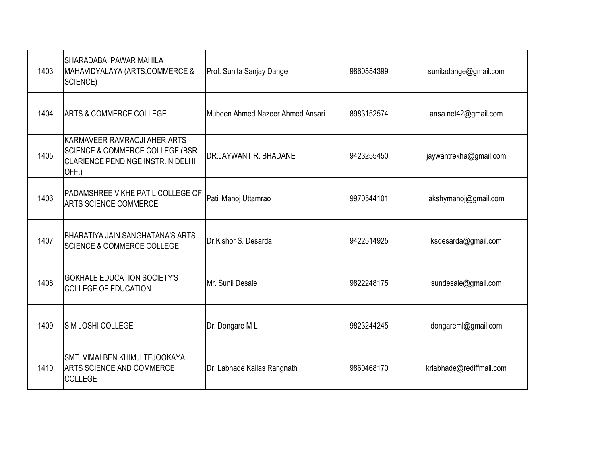| 1403 | SHARADABAI PAWAR MAHILA<br>MAHAVIDYALAYA (ARTS, COMMERCE &<br>SCIENCE)                                                   | Prof. Sunita Sanjay Dange        | 9860554399 | sunitadange@gmail.com    |
|------|--------------------------------------------------------------------------------------------------------------------------|----------------------------------|------------|--------------------------|
| 1404 | <b>ARTS &amp; COMMERCE COLLEGE</b>                                                                                       | Mubeen Ahmed Nazeer Ahmed Ansari | 8983152574 | ansa.net42@gmail.com     |
| 1405 | KARMAVEER RAMRAOJI AHER ARTS<br><b>SCIENCE &amp; COMMERCE COLLEGE (BSR</b><br>CLARIENCE PENDINGE INSTR. N DELHI<br>OFF.) | <b>DR.JAYWANT R. BHADANE</b>     | 9423255450 | jaywantrekha@gmail.com   |
| 1406 | PADAMSHREE VIKHE PATIL COLLEGE OF<br><b>ARTS SCIENCE COMMERCE</b>                                                        | Patil Manoj Uttamrao             | 9970544101 | akshymanoj@gmail.com     |
| 1407 | BHARATIYA JAIN SANGHATANA'S ARTS<br><b>SCIENCE &amp; COMMERCE COLLEGE</b>                                                | Dr.Kishor S. Desarda             | 9422514925 | ksdesarda@gmail.com      |
| 1408 | <b>GOKHALE EDUCATION SOCIETY'S</b><br><b>COLLEGE OF EDUCATION</b>                                                        | Mr. Sunil Desale                 | 9822248175 | sundesale@gmail.com      |
| 1409 | <b>SM JOSHI COLLEGE</b>                                                                                                  | Dr. Dongare ML                   | 9823244245 | dongareml@gmail.com      |
| 1410 | SMT. VIMALBEN KHIMJI TEJOOKAYA<br>ARTS SCIENCE AND COMMERCE<br><b>COLLEGE</b>                                            | Dr. Labhade Kailas Rangnath      | 9860468170 | krlabhade@rediffmail.com |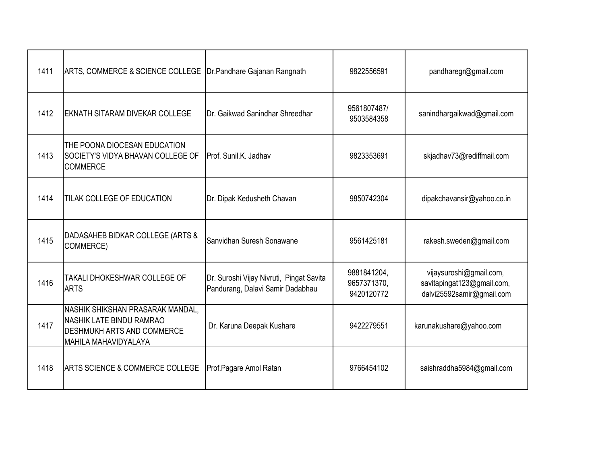| 1411 | ARTS, COMMERCE & SCIENCE COLLEGE   Dr. Pandhare Gajanan Rangnath                                                                        |                                                                              | 9822556591                               | pandharegr@gmail.com                                                               |
|------|-----------------------------------------------------------------------------------------------------------------------------------------|------------------------------------------------------------------------------|------------------------------------------|------------------------------------------------------------------------------------|
| 1412 | EKNATH SITARAM DIVEKAR COLLEGE                                                                                                          | Dr. Gaikwad Sanindhar Shreedhar                                              | 9561807487/<br>9503584358                | sanindhargaikwad@gmail.com                                                         |
| 1413 | THE POONA DIOCESAN EDUCATION<br><b>SOCIETY'S VIDYA BHAVAN COLLEGE OF</b><br><b>COMMERCE</b>                                             | Prof. Sunil.K. Jadhav                                                        | 9823353691                               | skjadhav73@rediffmail.com                                                          |
| 1414 | <b>TILAK COLLEGE OF EDUCATION</b>                                                                                                       | Dr. Dipak Kedusheth Chavan                                                   | 9850742304                               | dipakchavansir@yahoo.co.in                                                         |
| 1415 | DADASAHEB BIDKAR COLLEGE (ARTS &<br>COMMERCE)                                                                                           | Sanvidhan Suresh Sonawane                                                    | 9561425181                               | rakesh.sweden@gmail.com                                                            |
| 1416 | TAKALI DHOKESHWAR COLLEGE OF<br><b>ARTS</b>                                                                                             | Dr. Suroshi Vijay Nivruti, Pingat Savita<br>Pandurang, Dalavi Samir Dadabhau | 9881841204,<br>9657371370,<br>9420120772 | vijaysuroshi@gmail.com,<br>savitapingat123@gmail.com,<br>dalvi25592samir@gmail.com |
| 1417 | NASHIK SHIKSHAN PRASARAK MANDAL,<br><b>NASHIK LATE BINDU RAMRAO</b><br><b>DESHMUKH ARTS AND COMMERCE</b><br><b>MAHILA MAHAVIDYALAYA</b> | Dr. Karuna Deepak Kushare                                                    | 9422279551                               | karunakushare@yahoo.com                                                            |
| 1418 | ARTS SCIENCE & COMMERCE COLLEGE                                                                                                         | Prof.Pagare Amol Ratan                                                       | 9766454102                               | saishraddha5984@gmail.com                                                          |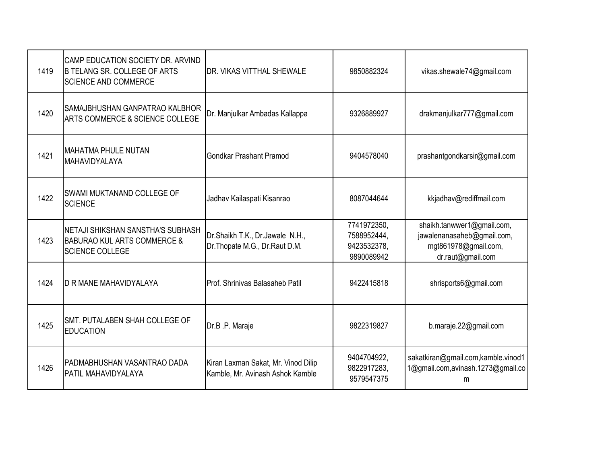| 1419 | CAMP EDUCATION SOCIETY DR. ARVIND<br><b>B TELANG SR. COLLEGE OF ARTS</b><br><b>SCIENCE AND COMMERCE</b> | <b>IDR. VIKAS VITTHAL SHEWALE</b>                                       | 9850882324                                              | vikas.shewale74@gmail.com                                                                             |
|------|---------------------------------------------------------------------------------------------------------|-------------------------------------------------------------------------|---------------------------------------------------------|-------------------------------------------------------------------------------------------------------|
| 1420 | SAMAJBHUSHAN GANPATRAO KALBHOR<br>ARTS COMMERCE & SCIENCE COLLEGE                                       | Dr. Manjulkar Ambadas Kallappa                                          | 9326889927                                              | drakmanjulkar777@gmail.com                                                                            |
| 1421 | <b>MAHATMA PHULE NUTAN</b><br>MAHAVIDYALAYA                                                             | <b>Gondkar Prashant Pramod</b>                                          | 9404578040                                              | prashantgondkarsir@gmail.com                                                                          |
| 1422 | SWAMI MUKTANAND COLLEGE OF<br><b>SCIENCE</b>                                                            | Jadhav Kailaspati Kisanrao                                              | 8087044644                                              | kkjadhav@rediffmail.com                                                                               |
| 1423 | NETAJI SHIKSHAN SANSTHA'S SUBHASH<br><b>BABURAO KUL ARTS COMMERCE &amp;</b><br><b>SCIENCE COLLEGE</b>   | Dr.Shaikh T.K., Dr.Jawale N.H.,<br>Dr. Thopate M.G., Dr. Raut D.M.      | 7741972350,<br>7588952444,<br>9423532378,<br>9890089942 | shaikh.tanwwer1@gmail.com,<br>jawalenanasaheb@gmail.com,<br>mgt861978@gmail.com,<br>dr.raut@gmail.com |
| 1424 | <b>ID R MANE MAHAVIDYALAYA</b>                                                                          | Prof. Shrinivas Balasaheb Patil                                         | 9422415818                                              | shrisports6@gmail.com                                                                                 |
| 1425 | SMT. PUTALABEN SHAH COLLEGE OF<br><b>EDUCATION</b>                                                      | Dr.B.P. Maraje                                                          | 9822319827                                              | b.maraje.22@gmail.com                                                                                 |
| 1426 | PADMABHUSHAN VASANTRAO DADA<br>PATIL MAHAVIDYALAYA                                                      | Kiran Laxman Sakat, Mr. Vinod Dilip<br>Kamble, Mr. Avinash Ashok Kamble | 9404704922,<br>9822917283,<br>9579547375                | sakatkiran@gmail.com,kamble.vinod1<br>1@gmail.com,avinash.1273@gmail.co<br>m                          |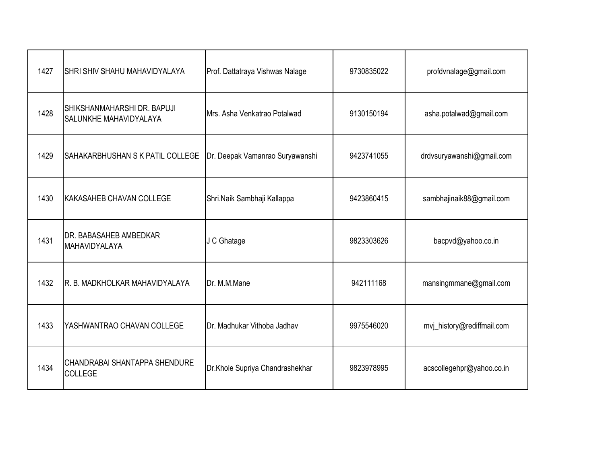| 1427 | SHRI SHIV SHAHU MAHAVIDYALAYA                                | Prof. Dattatraya Vishwas Nalage | 9730835022 | profdvnalage@gmail.com     |
|------|--------------------------------------------------------------|---------------------------------|------------|----------------------------|
| 1428 | SHIKSHANMAHARSHI DR. BAPUJI<br><b>SALUNKHE MAHAVIDYALAYA</b> | Mrs. Asha Venkatrao Potalwad    | 9130150194 | asha.potalwad@gmail.com    |
| 1429 | <b>SAHAKARBHUSHAN S K PATIL COLLEGE</b>                      | Dr. Deepak Vamanrao Suryawanshi | 9423741055 | drdvsuryawanshi@gmail.com  |
| 1430 | KAKASAHEB CHAVAN COLLEGE                                     | Shri.Naik Sambhaji Kallappa     | 9423860415 | sambhajinaik88@gmail.com   |
| 1431 | <b>DR. BABASAHEB AMBEDKAR</b><br>MAHAVIDYALAYA               | J C Ghatage                     | 9823303626 | bacpvd@yahoo.co.in         |
| 1432 | R. B. MADKHOLKAR MAHAVIDYALAYA                               | Dr. M.M.Mane                    | 942111168  | mansingmmane@gmail.com     |
| 1433 | YASHWANTRAO CHAVAN COLLEGE                                   | Dr. Madhukar Vithoba Jadhav     | 9975546020 | mvj_history@rediffmail.com |
| 1434 | CHANDRABAI SHANTAPPA SHENDURE<br><b>COLLEGE</b>              | Dr.Khole Supriya Chandrashekhar | 9823978995 | acscollegehpr@yahoo.co.in  |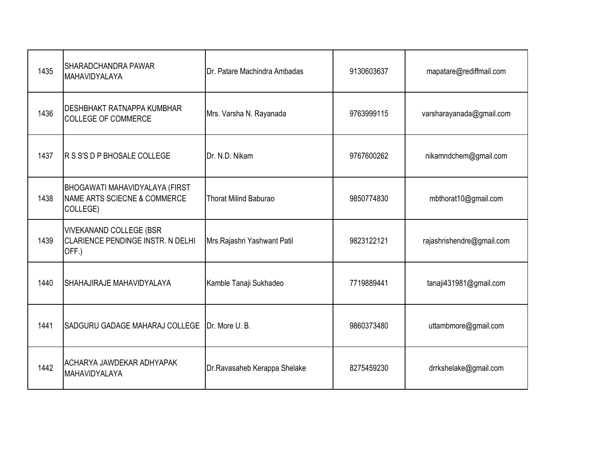| 1435 | <b>SHARADCHANDRA PAWAR</b><br>MAHAVIDYALAYA                                  | Dr. Patare Machindra Ambadas | 9130603637 | mapatare@rediffmail.com   |
|------|------------------------------------------------------------------------------|------------------------------|------------|---------------------------|
| 1436 | <b>DESHBHAKT RATNAPPA KUMBHAR</b><br><b>COLLEGE OF COMMERCE</b>              | Mrs. Varsha N. Rayanada      | 9763999115 | varsharayanada@gmail.com  |
| 1437 | <b>R S S'S D P BHOSALE COLLEGE</b>                                           | Dr. N.D. Nikam               | 9767600262 | nikamndchem@gmail.com     |
| 1438 | BHOGAWATI MAHAVIDYALAYA (FIRST<br>NAME ARTS SCIECNE & COMMERCE<br>COLLEGE)   | <b>Thorat Milind Baburao</b> | 9850774830 | mbthorat10@gmail.com      |
| 1439 | <b>VIVEKANAND COLLEGE (BSR</b><br>CLARIENCE PENDINGE INSTR. N DELHI<br>OFF.) | Mrs.Rajashri Yashwant Patil  | 9823122121 | rajashrishendre@gmail.com |
| 1440 | SHAHAJIRAJE MAHAVIDYALAYA                                                    | Kamble Tanaji Sukhadeo       | 7719889441 | tanaji431981@gmail.com    |
| 1441 | SADGURU GADAGE MAHARAJ COLLEGE                                               | Dr. More U.B.                | 9860373480 | uttambmore@gmail.com      |
| 1442 | ACHARYA JAWDEKAR ADHYAPAK<br>MAHAVIDYALAYA                                   | Dr.Ravasaheb Kerappa Shelake | 8275459230 | drrkshelake@gmail.com     |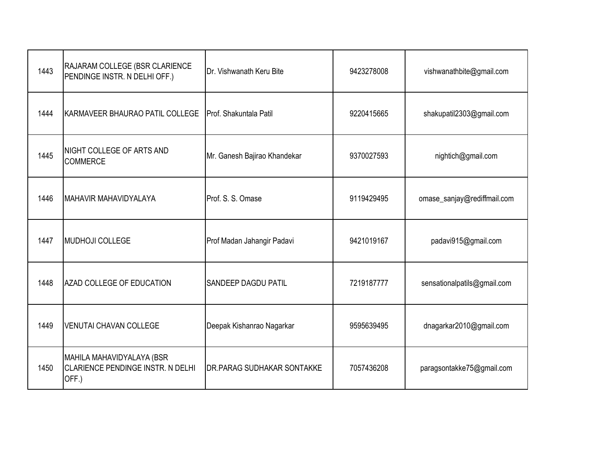| 1443 | RAJARAM COLLEGE (BSR CLARIENCE<br>PENDINGE INSTR. N DELHI OFF.)         | Dr. Vishwanath Keru Bite          | 9423278008 | vishwanathbite@gmail.com    |
|------|-------------------------------------------------------------------------|-----------------------------------|------------|-----------------------------|
| 1444 | KARMAVEER BHAURAO PATIL COLLEGE                                         | Prof. Shakuntala Patil            | 9220415665 | shakupatil2303@gmail.com    |
| 1445 | NIGHT COLLEGE OF ARTS AND<br><b>COMMERCE</b>                            | Mr. Ganesh Bajirao Khandekar      | 9370027593 | nightich@gmail.com          |
| 1446 | IMAHAVIR MAHAVIDYALAYA                                                  | Prof. S. S. Omase                 | 9119429495 | omase_sanjay@rediffmail.com |
| 1447 | MUDHOJI COLLEGE                                                         | Prof Madan Jahangir Padavi        | 9421019167 | padavi915@gmail.com         |
| 1448 | AZAD COLLEGE OF EDUCATION                                               | <b>SANDEEP DAGDU PATIL</b>        | 7219187777 | sensationalpatils@gmail.com |
| 1449 | <b>VENUTAI CHAVAN COLLEGE</b>                                           | Deepak Kishanrao Nagarkar         | 9595639495 | dnagarkar2010@gmail.com     |
| 1450 | MAHILA MAHAVIDYALAYA (BSR<br>CLARIENCE PENDINGE INSTR. N DELHI<br>OFF.) | <b>DR.PARAG SUDHAKAR SONTAKKE</b> | 7057436208 | paragsontakke75@gmail.com   |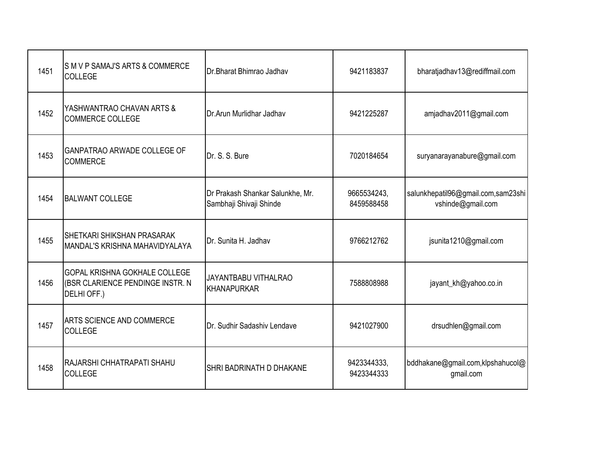| 1451 | SM V P SAMAJ'S ARTS & COMMERCE<br>COLLEGE                                        | Dr. Bharat Bhimrao Jadhav                                   | 9421183837                | bharatjadhav13@rediffmail.com                           |
|------|----------------------------------------------------------------------------------|-------------------------------------------------------------|---------------------------|---------------------------------------------------------|
| 1452 | YASHWANTRAO CHAVAN ARTS &<br><b>COMMERCE COLLEGE</b>                             | Dr.Arun Murlidhar Jadhav                                    | 9421225287                | amjadhav2011@gmail.com                                  |
| 1453 | <b>GANPATRAO ARWADE COLLEGE OF</b><br><b>COMMERCE</b>                            | Dr. S. S. Bure                                              | 7020184654                | suryanarayanabure@gmail.com                             |
| 1454 | <b>BALWANT COLLEGE</b>                                                           | Dr Prakash Shankar Salunkhe, Mr.<br>Sambhaji Shivaji Shinde | 9665534243,<br>8459588458 | salunkhepatil96@gmail.com,sam23shi<br>vshinde@gmail.com |
| 1455 | <b>SHETKARI SHIKSHAN PRASARAK</b><br>MANDAL'S KRISHNA MAHAVIDYALAYA              | Dr. Sunita H. Jadhav                                        | 9766212762                | jsunita1210@gmail.com                                   |
| 1456 | GOPAL KRISHNA GOKHALE COLLEGE<br>(BSR CLARIENCE PENDINGE INSTR. N<br>DELHI OFF.) | JAYANTBABU VITHALRAO<br>KHANAPURKAR                         | 7588808988                | jayant_kh@yahoo.co.in                                   |
| 1457 | <b>ARTS SCIENCE AND COMMERCE</b><br><b>COLLEGE</b>                               | Dr. Sudhir Sadashiv Lendave                                 | 9421027900                | drsudhlen@gmail.com                                     |
| 1458 | RAJARSHI CHHATRAPATI SHAHU<br><b>COLLEGE</b>                                     | SHRI BADRINATH D DHAKANE                                    | 9423344333,<br>9423344333 | bddhakane@gmail.com,klpshahucol@<br>gmail.com           |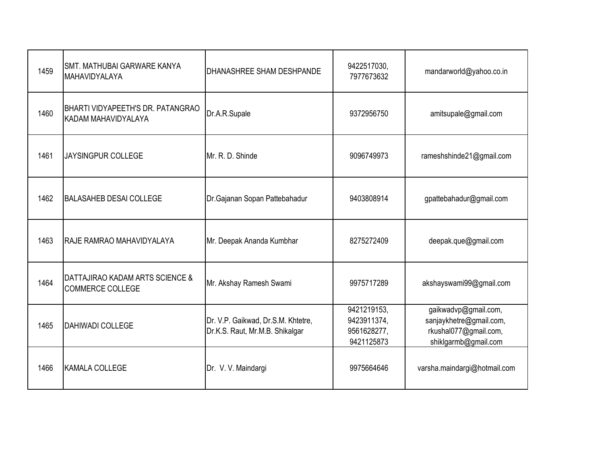| 1459 | SMT. MATHUBAI GARWARE KANYA<br>MAHAVIDYALAYA               | DHANASHREE SHAM DESHPANDE                                             | 9422517030,<br>7977673632                               | mandarworld@yahoo.co.in                                                                          |
|------|------------------------------------------------------------|-----------------------------------------------------------------------|---------------------------------------------------------|--------------------------------------------------------------------------------------------------|
| 1460 | BHARTI VIDYAPEETH'S DR. PATANGRAO<br>KADAM MAHAVIDYALAYA   | Dr.A.R.Supale                                                         | 9372956750                                              | amitsupale@gmail.com                                                                             |
| 1461 | <b>JAYSINGPUR COLLEGE</b>                                  | Mr. R. D. Shinde                                                      | 9096749973                                              | rameshshinde21@gmail.com                                                                         |
| 1462 | <b>BALASAHEB DESAI COLLEGE</b>                             | Dr.Gajanan Sopan Pattebahadur                                         | 9403808914                                              | gpattebahadur@gmail.com                                                                          |
| 1463 | IRAJE RAMRAO MAHAVIDYALAYA                                 | Mr. Deepak Ananda Kumbhar                                             | 8275272409                                              | deepak.que@gmail.com                                                                             |
| 1464 | DATTAJIRAO KADAM ARTS SCIENCE &<br><b>COMMERCE COLLEGE</b> | Mr. Akshay Ramesh Swami                                               | 9975717289                                              | akshayswami99@gmail.com                                                                          |
| 1465 | <b>DAHIWADI COLLEGE</b>                                    | Dr. V.P. Gaikwad, Dr.S.M. Khtetre,<br>Dr.K.S. Raut, Mr.M.B. Shikalgar | 9421219153,<br>9423911374,<br>9561628277,<br>9421125873 | gaikwadvp@gmail.com,<br>sanjaykhetre@gmail.com,<br>rkushal077@gmail.com,<br>shiklgarmb@gmail.com |
| 1466 | <b>KAMALA COLLEGE</b>                                      | Dr. V. V. Maindargi                                                   | 9975664646                                              | varsha.maindargi@hotmail.com                                                                     |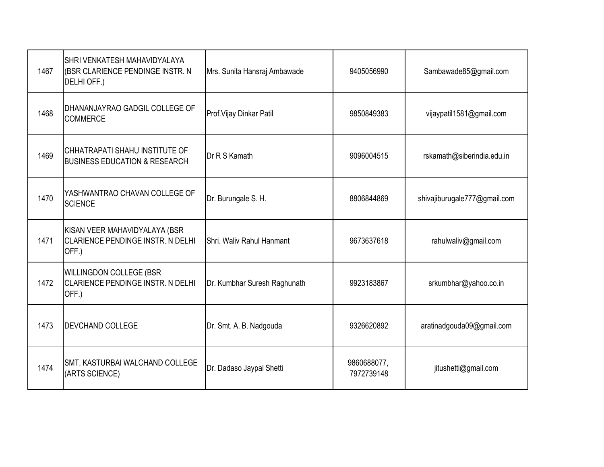| 1467 | SHRI VENKATESH MAHAVIDYALAYA<br>(BSR CLARIENCE PENDINGE INSTR. N<br>DELHI OFF.)    | Mrs. Sunita Hansraj Ambawade | 9405056990                | Sambawade85@gmail.com        |
|------|------------------------------------------------------------------------------------|------------------------------|---------------------------|------------------------------|
| 1468 | DHANANJAYRAO GADGIL COLLEGE OF<br><b>COMMERCE</b>                                  | Prof. Vijay Dinkar Patil     | 9850849383                | vijaypatil1581@gmail.com     |
| 1469 | CHHATRAPATI SHAHU INSTITUTE OF<br><b>BUSINESS EDUCATION &amp; RESEARCH</b>         | Dr R S Kamath                | 9096004515                | rskamath@siberindia.edu.in   |
| 1470 | YASHWANTRAO CHAVAN COLLEGE OF<br><b>SCIENCE</b>                                    | Dr. Burungale S. H.          | 8806844869                | shivajiburugale777@gmail.com |
| 1471 | KISAN VEER MAHAVIDYALAYA (BSR<br><b>CLARIENCE PENDINGE INSTR. N DELHI</b><br>OFF.) | Shri, Waliv Rahul Hanmant    | 9673637618                | rahulwaliv@gmail.com         |
| 1472 | WILLINGDON COLLEGE (BSR<br>CLARIENCE PENDINGE INSTR. N DELHI<br>OFF.)              | Dr. Kumbhar Suresh Raghunath | 9923183867                | srkumbhar@yahoo.co.in        |
| 1473 | <b>DEVCHAND COLLEGE</b>                                                            | Dr. Smt. A. B. Nadgouda      | 9326620892                | aratinadgouda09@gmail.com    |
| 1474 | SMT. KASTURBAI WALCHAND COLLEGE<br>(ARTS SCIENCE)                                  | Dr. Dadaso Jaypal Shetti     | 9860688077,<br>7972739148 | jitushetti@gmail.com         |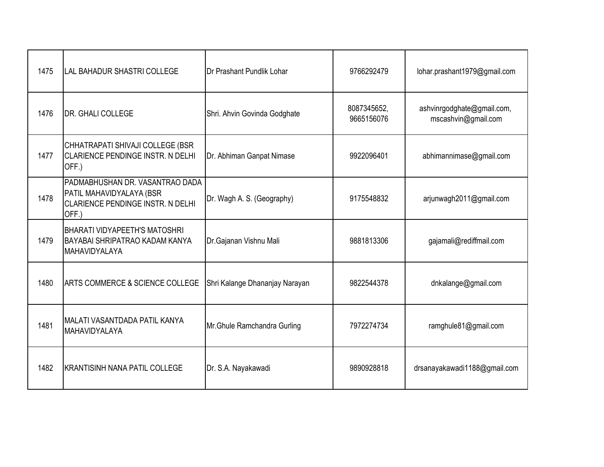| 1475 | <b>LAL BAHADUR SHASTRI COLLEGE</b>                                                                        | Dr Prashant Pundlik Lohar      | 9766292479                | lohar.prashant1979@gmail.com                      |
|------|-----------------------------------------------------------------------------------------------------------|--------------------------------|---------------------------|---------------------------------------------------|
| 1476 | DR. GHALI COLLEGE                                                                                         | Shri. Ahvin Govinda Godghate   | 8087345652,<br>9665156076 | ashvinrgodghate@gmail.com,<br>mscashvin@gmail.com |
| 1477 | CHHATRAPATI SHIVAJI COLLEGE (BSR<br>CLARIENCE PENDINGE INSTR. N DELHI<br>OFF.)                            | Dr. Abhiman Ganpat Nimase      | 9922096401                | abhimannimase@gmail.com                           |
| 1478 | PADMABHUSHAN DR. VASANTRAO DADA<br>PATIL MAHAVIDYALAYA (BSR<br>CLARIENCE PENDINGE INSTR. N DELHI<br>OFF.) | Dr. Wagh A. S. (Geography)     | 9175548832                | arjunwagh2011@gmail.com                           |
| 1479 | <b>BHARATI VIDYAPEETH'S MATOSHRI</b><br>BAYABAI SHRIPATRAO KADAM KANYA<br>MAHAVIDYALAYA                   | Dr.Gajanan Vishnu Mali         | 9881813306                | gajamali@rediffmail.com                           |
| 1480 | <b>ARTS COMMERCE &amp; SCIENCE COLLEGE</b>                                                                | Shri Kalange Dhananjay Narayan | 9822544378                | dnkalange@gmail.com                               |
| 1481 | MALATI VASANTDADA PATIL KANYA<br>MAHAVIDYALAYA                                                            | Mr. Ghule Ramchandra Gurling   | 7972274734                | ramghule81@gmail.com                              |
| 1482 | KRANTISINH NANA PATIL COLLEGE                                                                             | Dr. S.A. Nayakawadi            | 9890928818                | drsanayakawadi1188@gmail.com                      |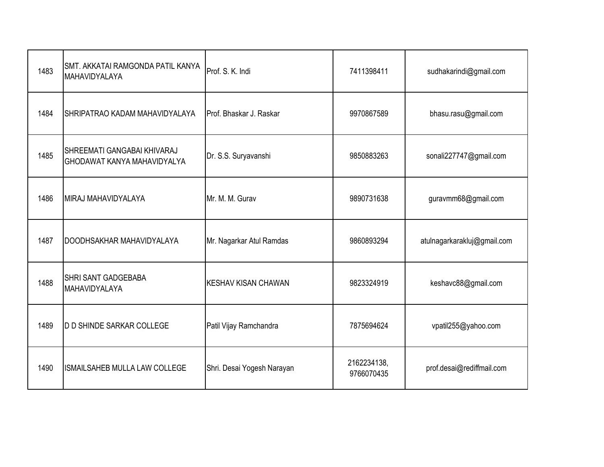| 1483 | SMT. AKKATAI RAMGONDA PATIL KANYA<br>MAHAVIDYALAYA                | Prof. S. K. Indi                 | 7411398411                | sudhakarindi@gmail.com      |
|------|-------------------------------------------------------------------|----------------------------------|---------------------------|-----------------------------|
| 1484 | SHRIPATRAO KADAM MAHAVIDYALAYA                                    | <b>I</b> Prof. Bhaskar J. Raskar | 9970867589                | bhasu.rasu@gmail.com        |
| 1485 | SHREEMATI GANGABAI KHIVARAJ<br><b>GHODAWAT KANYA MAHAVIDYALYA</b> | Dr. S.S. Suryavanshi             | 9850883263                | sonali227747@gmail.com      |
| 1486 | MIRAJ MAHAVIDYALAYA                                               | Mr. M. M. Gurav                  | 9890731638                | guravmm68@gmail.com         |
| 1487 | DOODHSAKHAR MAHAVIDYALAYA                                         | Mr. Nagarkar Atul Ramdas         | 9860893294                | atulnagarkarakluj@gmail.com |
| 1488 | <b>SHRI SANT GADGEBABA</b><br>MAHAVIDYALAYA                       | <b>KESHAV KISAN CHAWAN</b>       | 9823324919                | keshavc88@gmail.com         |
| 1489 | <b>D D SHINDE SARKAR COLLEGE</b>                                  | Patil Vijay Ramchandra           | 7875694624                | vpatil255@yahoo.com         |
| 1490 | ISMAILSAHEB MULLA LAW COLLEGE                                     | Shri. Desai Yogesh Narayan       | 2162234138,<br>9766070435 | prof.desai@rediffmail.com   |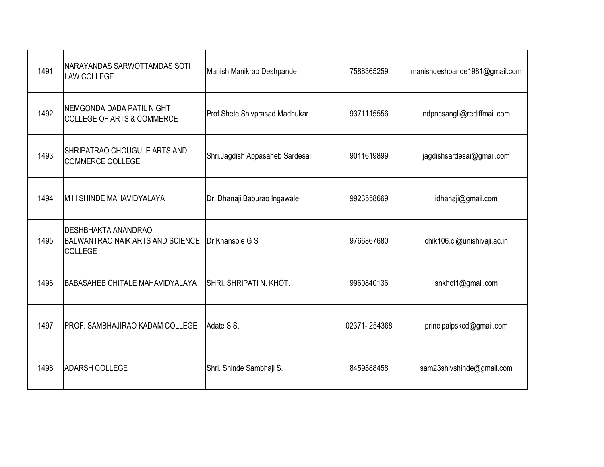| 1491 | NARAYANDAS SARWOTTAMDAS SOTI<br><b>LAW COLLEGE</b>                                      | Manish Manikrao Deshpande       | 7588365259   | manishdeshpande1981@gmail.com |
|------|-----------------------------------------------------------------------------------------|---------------------------------|--------------|-------------------------------|
| 1492 | NEMGONDA DADA PATIL NIGHT<br><b>COLLEGE OF ARTS &amp; COMMERCE</b>                      | Prof.Shete Shivprasad Madhukar  | 9371115556   | ndpncsangli@rediffmail.com    |
| 1493 | SHRIPATRAO CHOUGULE ARTS AND<br><b>COMMERCE COLLEGE</b>                                 | Shri.Jagdish Appasaheb Sardesai | 9011619899   | jagdishsardesai@gmail.com     |
| 1494 | M H SHINDE MAHAVIDYALAYA                                                                | Dr. Dhanaji Baburao Ingawale    | 9923558669   | idhanaji@gmail.com            |
| 1495 | <b>DESHBHAKTA ANANDRAO</b><br><b>BALWANTRAO NAIK ARTS AND SCIENCE</b><br><b>COLLEGE</b> | Dr Khansole G S                 | 9766867680   | chik106.cl@unishivaji.ac.in   |
| 1496 | <b>BABASAHEB CHITALE MAHAVIDYALAYA</b>                                                  | SHRI. SHRIPATI N. KHOT.         | 9960840136   | snkhot1@gmail.com             |
| 1497 | PROF. SAMBHAJIRAO KADAM COLLEGE                                                         | Adate S.S.                      | 02371-254368 | principalpskcd@gmail.com      |
| 1498 | <b>ADARSH COLLEGE</b>                                                                   | Shri. Shinde Sambhaji S.        | 8459588458   | sam23shivshinde@gmail.com     |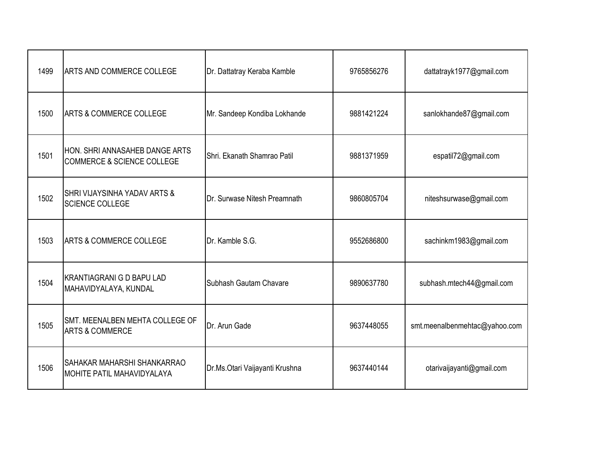| 1499 | <b>ARTS AND COMMERCE COLLEGE</b>                                        | Dr. Dattatray Keraba Kamble    | 9765856276 | dattatrayk1977@gmail.com      |
|------|-------------------------------------------------------------------------|--------------------------------|------------|-------------------------------|
| 1500 | <b>ARTS &amp; COMMERCE COLLEGE</b>                                      | Mr. Sandeep Kondiba Lokhande   | 9881421224 | sanlokhande87@gmail.com       |
| 1501 | HON. SHRI ANNASAHEB DANGE ARTS<br><b>COMMERCE &amp; SCIENCE COLLEGE</b> | Shri. Ekanath Shamrao Patil    | 9881371959 | espatil72@gmail.com           |
| 1502 | <b>SHRI VIJAYSINHA YADAV ARTS &amp;</b><br><b>SCIENCE COLLEGE</b>       | Dr. Surwase Nitesh Preamnath   | 9860805704 | niteshsurwase@gmail.com       |
| 1503 | <b>ARTS &amp; COMMERCE COLLEGE</b>                                      | Dr. Kamble S.G.                | 9552686800 | sachinkm1983@gmail.com        |
| 1504 | <b>KRANTIAGRANI G D BAPU LAD</b><br>MAHAVIDYALAYA, KUNDAL               | Subhash Gautam Chavare         | 9890637780 | subhash.mtech44@gmail.com     |
| 1505 | SMT. MEENALBEN MEHTA COLLEGE OF<br><b>ARTS &amp; COMMERCE</b>           | Dr. Arun Gade                  | 9637448055 | smt.meenalbenmehtac@yahoo.com |
| 1506 | SAHAKAR MAHARSHI SHANKARRAO<br><b>MOHITE PATIL MAHAVIDYALAYA</b>        | Dr.Ms.Otari Vaijayanti Krushna | 9637440144 | otarivaijayanti@gmail.com     |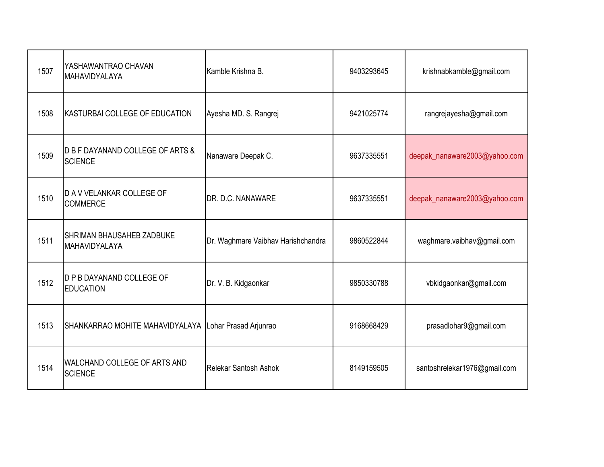| 1507 | YASHAWANTRAO CHAVAN<br>MAHAVIDYALAYA                  | Kamble Krishna B.                  | 9403293645 | krishnabkamble@gmail.com      |
|------|-------------------------------------------------------|------------------------------------|------------|-------------------------------|
| 1508 | KASTURBAI COLLEGE OF EDUCATION                        | Ayesha MD. S. Rangrej              | 9421025774 | rangrejayesha@gmail.com       |
| 1509 | D B F DAYANAND COLLEGE OF ARTS &<br><b>SCIENCE</b>    | Nanaware Deepak C.                 | 9637335551 | deepak_nanaware2003@yahoo.com |
| 1510 | <b>D A V VELANKAR COLLEGE OF</b><br><b>COMMERCE</b>   | DR. D.C. NANAWARE                  | 9637335551 | deepak_nanaware2003@yahoo.com |
| 1511 | <b>SHRIMAN BHAUSAHEB ZADBUKE</b><br>MAHAVIDYALAYA     | Dr. Waghmare Vaibhav Harishchandra | 9860522844 | waghmare.vaibhav@gmail.com    |
| 1512 | <b>D P B DAYANAND COLLEGE OF</b><br><b>EDUCATION</b>  | Dr. V. B. Kidgaonkar               | 9850330788 | vbkidgaonkar@gmail.com        |
| 1513 | SHANKARRAO MOHITE MAHAVIDYALAYA Lohar Prasad Arjunrao |                                    | 9168668429 | prasadlohar9@gmail.com        |
| 1514 | WALCHAND COLLEGE OF ARTS AND<br><b>SCIENCE</b>        | <b>Relekar Santosh Ashok</b>       | 8149159505 | santoshrelekar1976@gmail.com  |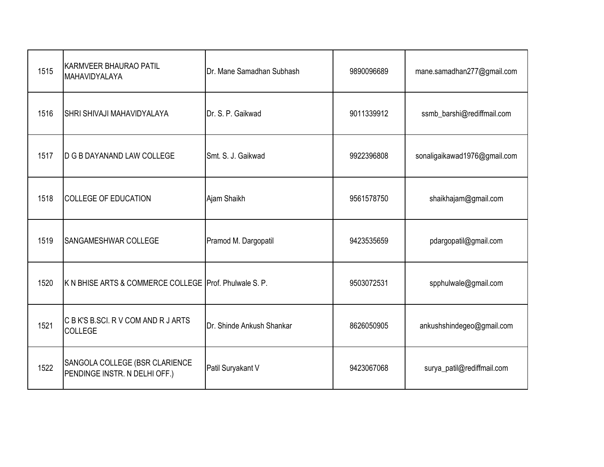| 1515 | <b>KARMVEER BHAURAO PATIL</b><br>MAHAVIDYALAYA                  | Dr. Mane Samadhan Subhash | 9890096689 | mane.samadhan277@gmail.com   |
|------|-----------------------------------------------------------------|---------------------------|------------|------------------------------|
| 1516 | <b>SHRI SHIVAJI MAHAVIDYALAYA</b>                               | Dr. S. P. Gaikwad         | 9011339912 | ssmb_barshi@rediffmail.com   |
| 1517 | <b>D G B DAYANAND LAW COLLEGE</b>                               | Smt. S. J. Gaikwad        | 9922396808 | sonaligaikawad1976@gmail.com |
| 1518 | <b>COLLEGE OF EDUCATION</b>                                     | Ajam Shaikh               | 9561578750 | shaikhajam@gmail.com         |
| 1519 | SANGAMESHWAR COLLEGE                                            | Pramod M. Dargopatil      | 9423535659 | pdargopatil@gmail.com        |
| 1520 | K N BHISE ARTS & COMMERCE COLLEGE Prof. Phulwale S. P.          |                           | 9503072531 | spphulwale@gmail.com         |
| 1521 | C B K'S B.SCI. R V COM AND R J ARTS<br><b>COLLEGE</b>           | Dr. Shinde Ankush Shankar | 8626050905 | ankushshindegeo@gmail.com    |
| 1522 | SANGOLA COLLEGE (BSR CLARIENCE<br>PENDINGE INSTR. N DELHI OFF.) | Patil Suryakant V         | 9423067068 | surya_patil@rediffmail.com   |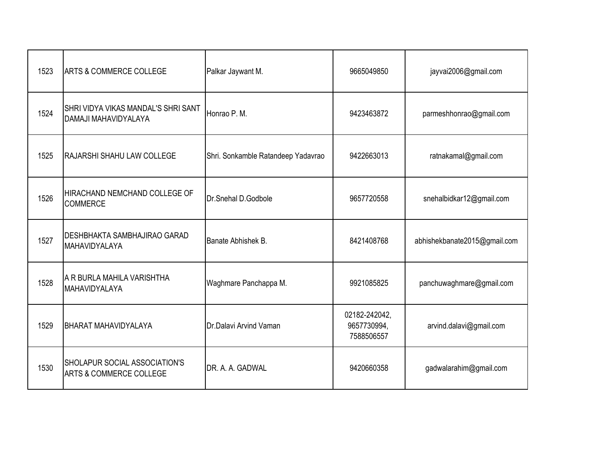| 1523 | <b>ARTS &amp; COMMERCE COLLEGE</b>                                  | Palkar Jaywant M.                  | 9665049850                                 | jayvai2006@gmail.com         |
|------|---------------------------------------------------------------------|------------------------------------|--------------------------------------------|------------------------------|
| 1524 | SHRI VIDYA VIKAS MANDAL'S SHRI SANT<br>DAMAJI MAHAVIDYALAYA         | Honrao P. M.                       | 9423463872                                 | parmeshhonrao@gmail.com      |
| 1525 | RAJARSHI SHAHU LAW COLLEGE                                          | Shri. Sonkamble Ratandeep Yadavrao | 9422663013                                 | ratnakamal@gmail.com         |
| 1526 | HIRACHAND NEMCHAND COLLEGE OF<br><b>COMMERCE</b>                    | Dr.Snehal D.Godbole                | 9657720558                                 | snehalbidkar12@gmail.com     |
| 1527 | <b>DESHBHAKTA SAMBHAJIRAO GARAD</b><br>MAHAVIDYALAYA                | Banate Abhishek B.                 | 8421408768                                 | abhishekbanate2015@gmail.com |
| 1528 | A R BURLA MAHILA VARISHTHA<br>MAHAVIDYALAYA                         | Waghmare Panchappa M.              | 9921085825                                 | panchuwaghmare@gmail.com     |
| 1529 | BHARAT MAHAVIDYALAYA                                                | Dr.Dalavi Arvind Vaman             | 02182-242042,<br>9657730994,<br>7588506557 | arvind.dalavi@gmail.com      |
| 1530 | SHOLAPUR SOCIAL ASSOCIATION'S<br><b>ARTS &amp; COMMERCE COLLEGE</b> | DR. A. A. GADWAL                   | 9420660358                                 | gadwalarahim@gmail.com       |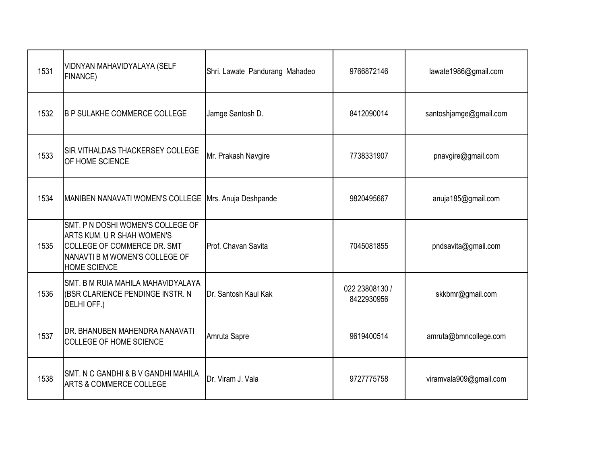| 1531 | VIDNYAN MAHAVIDYALAYA (SELF<br><b>FINANCE)</b>                                                                                                                 | Shri. Lawate Pandurang Mahadeo | 9766872146                   | lawate1986@gmail.com   |
|------|----------------------------------------------------------------------------------------------------------------------------------------------------------------|--------------------------------|------------------------------|------------------------|
| 1532 | <b>B P SULAKHE COMMERCE COLLEGE</b>                                                                                                                            | Jamge Santosh D.               | 8412090014                   | santoshjamge@gmail.com |
| 1533 | SIR VITHALDAS THACKERSEY COLLEGE<br>OF HOME SCIENCE                                                                                                            | Mr. Prakash Navgire            | 7738331907                   | pnavgire@gmail.com     |
| 1534 | MANIBEN NANAVATI WOMEN'S COLLEGE   Mrs. Anuja Deshpande                                                                                                        |                                | 9820495667                   | anuja185@gmail.com     |
| 1535 | SMT. P N DOSHI WOMEN'S COLLEGE OF<br><b>ARTS KUM. U R SHAH WOMEN'S</b><br>COLLEGE OF COMMERCE DR. SMT<br>NANAVTI B M WOMEN'S COLLEGE OF<br><b>HOME SCIENCE</b> | Prof. Chavan Savita            | 7045081855                   | pndsavita@gmail.com    |
| 1536 | <b>SMT. B M RUIA MAHILA MAHAVIDYALAYA</b><br>(BSR CLARIENCE PENDINGE INSTR. N<br>DELHI OFF.)                                                                   | Dr. Santosh Kaul Kak           | 022 23808130 /<br>8422930956 | skkbmr@gmail.com       |
| 1537 | DR. BHANUBEN MAHENDRA NANAVATI<br>COLLEGE OF HOME SCIENCE                                                                                                      | Amruta Sapre                   | 9619400514                   | amruta@bmncollege.com  |
| 1538 | SMT. N C GANDHI & B V GANDHI MAHILA<br><b>ARTS &amp; COMMERCE COLLEGE</b>                                                                                      | Dr. Viram J. Vala              | 9727775758                   | viramvala909@gmail.com |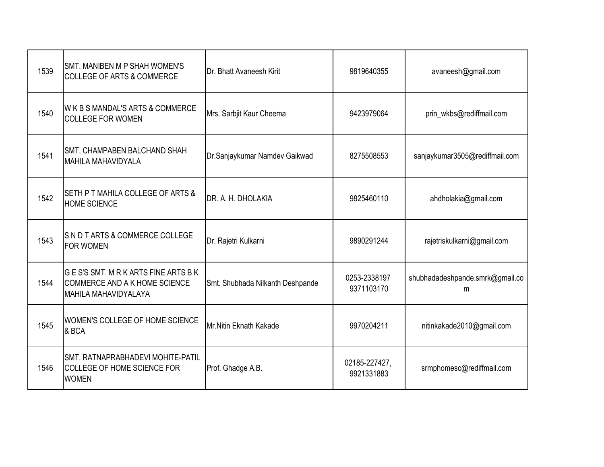| 1539 | SMT. MANIBEN M P SHAH WOMEN'S<br><b>COLLEGE OF ARTS &amp; COMMERCE</b>                   | Dr. Bhatt Avaneesh Kirit         | 9819640355                  | avaneesh@gmail.com                   |
|------|------------------------------------------------------------------------------------------|----------------------------------|-----------------------------|--------------------------------------|
| 1540 | W K B S MANDAL'S ARTS & COMMERCE<br><b>COLLEGE FOR WOMEN</b>                             | Mrs. Sarbjit Kaur Cheema         | 9423979064                  | prin_wkbs@rediffmail.com             |
| 1541 | <b>SMT. CHAMPABEN BALCHAND SHAH</b><br><b>MAHILA MAHAVIDYALA</b>                         | Dr.Sanjaykumar Namdev Gaikwad    | 8275508553                  | sanjaykumar3505@rediffmail.com       |
| 1542 | SETH P T MAHILA COLLEGE OF ARTS &<br><b>HOME SCIENCE</b>                                 | DR. A. H. DHOLAKIA               | 9825460110                  | ahdholakia@gmail.com                 |
| 1543 | SND TARTS & COMMERCE COLLEGE<br><b>FOR WOMEN</b>                                         | Dr. Rajetri Kulkarni             | 9890291244                  | rajetriskulkarni@gmail.com           |
| 1544 | GES'S SMT. MRKARTS FINE ARTS BK<br>COMMERCE AND A K HOME SCIENCE<br>MAHILA MAHAVIDYALAYA | Smt. Shubhada Nilkanth Deshpande | 0253-2338197<br>9371103170  | shubhadadeshpande.smrk@gmail.co<br>m |
| 1545 | WOMEN'S COLLEGE OF HOME SCIENCE<br>& BCA                                                 | Mr.Nitin Eknath Kakade           | 9970204211                  | nitinkakade2010@gmail.com            |
| 1546 | SMT. RATNAPRABHADEVI MOHITE-PATIL<br>COLLEGE OF HOME SCIENCE FOR<br><b>WOMEN</b>         | Prof. Ghadge A.B.                | 02185-227427,<br>9921331883 | srmphomesc@rediffmail.com            |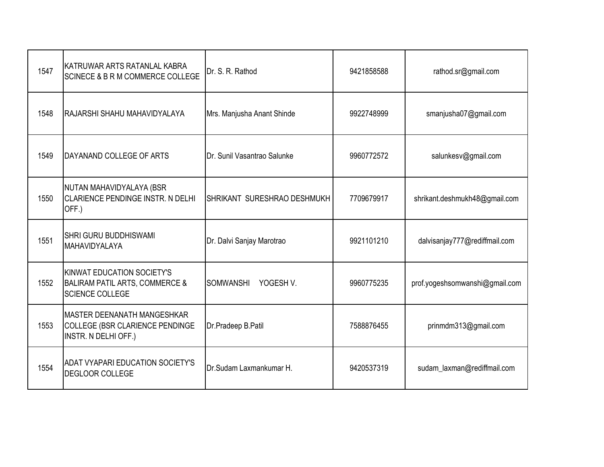| 1547 | KATRUWAR ARTS RATANLAL KABRA<br><b>SCINECE &amp; B R M COMMERCE COLLEGE</b>                              | Dr. S. R. Rathod                | 9421858588 | rathod.sr@gmail.com            |
|------|----------------------------------------------------------------------------------------------------------|---------------------------------|------------|--------------------------------|
| 1548 | RAJARSHI SHAHU MAHAVIDYALAYA                                                                             | Mrs. Manjusha Anant Shinde      | 9922748999 | smanjusha07@gmail.com          |
| 1549 | DAYANAND COLLEGE OF ARTS                                                                                 | Dr. Sunil Vasantrao Salunke     | 9960772572 | salunkesv@gmail.com            |
| 1550 | NUTAN MAHAVIDYALAYA (BSR<br><b>CLARIENCE PENDINGE INSTR. N DELHI</b><br>OFF.)                            | SHRIKANT SURESHRAO DESHMUKH     | 7709679917 | shrikant.deshmukh48@gmail.com  |
| 1551 | <b>SHRI GURU BUDDHISWAMI</b><br>MAHAVIDYALAYA                                                            | Dr. Dalvi Sanjay Marotrao       | 9921101210 | dalvisanjay777@rediffmail.com  |
| 1552 | <b>KINWAT EDUCATION SOCIETY'S</b><br><b>BALIRAM PATIL ARTS, COMMERCE &amp;</b><br><b>SCIENCE COLLEGE</b> | <b>SOMWANSHI</b><br>YOGESH V.   | 9960775235 | prof.yogeshsomwanshi@gmail.com |
| 1553 | <b>MASTER DEENANATH MANGESHKAR</b><br>COLLEGE (BSR CLARIENCE PENDINGE<br>INSTR. N DELHI OFF.)            | Dr.Pradeep B.Patil              | 7588876455 | prinmdm313@gmail.com           |
| 1554 | <b>ADAT VYAPARI EDUCATION SOCIETY'S</b><br>DEGLOOR COLLEGE                                               | <b>IDr.Sudam Laxmankumar H.</b> | 9420537319 | sudam_laxman@rediffmail.com    |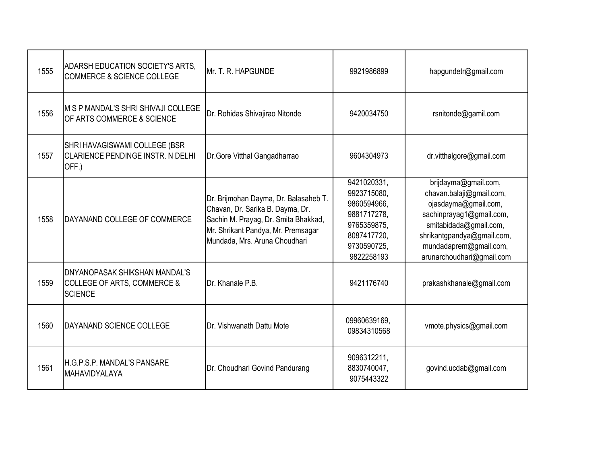| 1555 | ADARSH EDUCATION SOCIETY'S ARTS,<br><b>COMMERCE &amp; SCIENCE COLLEGE</b>                        | <b>IMr. T. R. HAPGUNDE</b>                                                                                                                                                               | 9921986899                                                                                                          | hapgundetr@gmail.com                                                                                                                                                                                                |
|------|--------------------------------------------------------------------------------------------------|------------------------------------------------------------------------------------------------------------------------------------------------------------------------------------------|---------------------------------------------------------------------------------------------------------------------|---------------------------------------------------------------------------------------------------------------------------------------------------------------------------------------------------------------------|
| 1556 | M S P MANDAL'S SHRI SHIVAJI COLLEGE<br>OF ARTS COMMERCE & SCIENCE                                | Dr. Rohidas Shivajirao Nitonde                                                                                                                                                           | 9420034750                                                                                                          | rsnitonde@gamil.com                                                                                                                                                                                                 |
| 1557 | SHRI HAVAGISWAMI COLLEGE (BSR<br><b>CLARIENCE PENDINGE INSTR. N DELHI</b><br>OFF.)               | Dr.Gore Vitthal Gangadharrao                                                                                                                                                             | 9604304973                                                                                                          | dr.vitthalgore@gmail.com                                                                                                                                                                                            |
| 1558 | DAYANAND COLLEGE OF COMMERCE                                                                     | Dr. Brijmohan Dayma, Dr. Balasaheb T.<br>Chavan, Dr. Sarika B. Dayma, Dr.<br>Sachin M. Prayag, Dr. Smita Bhakkad,<br>Mr. Shrikant Pandya, Mr. Premsagar<br>Mundada, Mrs. Aruna Choudhari | 9421020331,<br>9923715080,<br>9860594966,<br>9881717278.<br>9765359875,<br>8087417720,<br>9730590725,<br>9822258193 | brijdayma@gmail.com,<br>chavan.balaji@gmail.com,<br>ojasdayma@gmail.com,<br>sachinprayag1@gmail.com,<br>smitabidada@gmail.com,<br>shrikantgpandya@gmail.com,<br>mundadaprem@gmail.com,<br>arunarchoudhari@gmail.com |
| 1559 | <b>DNYANOPASAK SHIKSHAN MANDAL'S</b><br><b>COLLEGE OF ARTS, COMMERCE &amp;</b><br><b>SCIENCE</b> | Dr. Khanale P.B.                                                                                                                                                                         | 9421176740                                                                                                          | prakashkhanale@gmail.com                                                                                                                                                                                            |
| 1560 | DAYANAND SCIENCE COLLEGE                                                                         | Dr. Vishwanath Dattu Mote                                                                                                                                                                | 09960639169,<br>09834310568                                                                                         | vmote.physics@gmail.com                                                                                                                                                                                             |
| 1561 | IH.G.P.S.P. MANDAL'S PANSARE<br><b>MAHAVIDYALAYA</b>                                             | Dr. Choudhari Govind Pandurang                                                                                                                                                           | 9096312211,<br>8830740047,<br>9075443322                                                                            | govind.ucdab@gmail.com                                                                                                                                                                                              |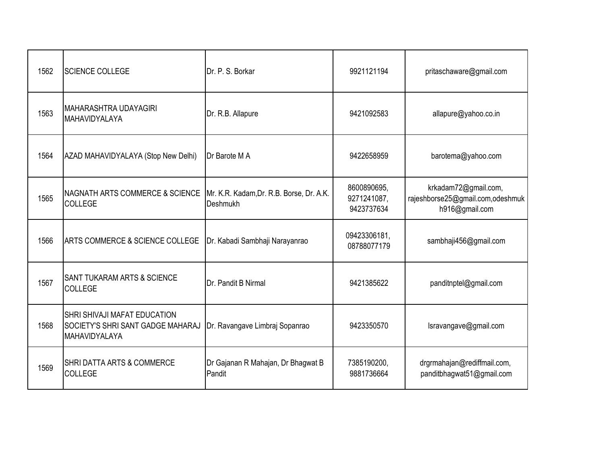| 1562 | <b>SCIENCE COLLEGE</b>                                                                                  | Dr. P. S. Borkar                                     | 9921121194                               | pritaschaware@gmail.com                                                    |
|------|---------------------------------------------------------------------------------------------------------|------------------------------------------------------|------------------------------------------|----------------------------------------------------------------------------|
| 1563 | <b>MAHARASHTRA UDAYAGIRI</b><br><b>MAHAVIDYALAYA</b>                                                    | Dr. R.B. Allapure                                    | 9421092583                               | allapure@yahoo.co.in                                                       |
| 1564 | AZAD MAHAVIDYALAYA (Stop New Delhi)                                                                     | Dr Barote M A                                        | 9422658959                               | barotema@yahoo.com                                                         |
| 1565 | NAGNATH ARTS COMMERCE & SCIENCE<br><b>COLLEGE</b>                                                       | Mr. K.R. Kadam, Dr. R.B. Borse, Dr. A.K.<br>Deshmukh | 8600890695,<br>9271241087,<br>9423737634 | krkadam72@gmail.com,<br>rajeshborse25@gmail.com,odeshmuk<br>h916@gmail.com |
| 1566 | ARTS COMMERCE & SCIENCE COLLEGE                                                                         | Dr. Kabadi Sambhaji Narayanrao                       | 09423306181,<br>08788077179              | sambhaji456@gmail.com                                                      |
| 1567 | <b>SANT TUKARAM ARTS &amp; SCIENCE</b><br><b>COLLEGE</b>                                                | Dr. Pandit B Nirmal                                  | 9421385622                               | panditnptel@gmail.com                                                      |
| 1568 | <b>SHRI SHIVAJI MAFAT EDUCATION</b><br><b>SOCIETY'S SHRI SANT GADGE MAHARAJ</b><br><b>MAHAVIDYALAYA</b> | Dr. Ravangave Limbraj Sopanrao                       | 9423350570                               | Isravangave@gmail.com                                                      |
| 1569 | <b>SHRI DATTA ARTS &amp; COMMERCE</b><br><b>COLLEGE</b>                                                 | Dr Gajanan R Mahajan, Dr Bhagwat B<br>Pandit         | 7385190200,<br>9881736664                | drgrmahajan@rediffmail.com,<br>panditbhagwat51@gmail.com                   |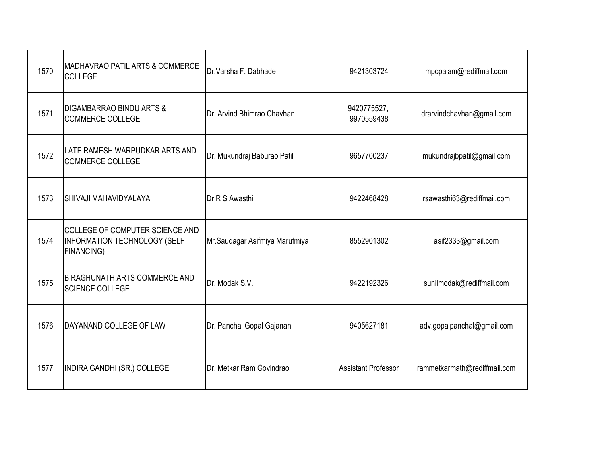| 1570 | <b>MADHAVRAO PATIL ARTS &amp; COMMERCE</b><br>COLLEGE                                | Dr. Varsha F. Dabhade          | 9421303724                 | mpcpalam@rediffmail.com      |
|------|--------------------------------------------------------------------------------------|--------------------------------|----------------------------|------------------------------|
| 1571 | DIGAMBARRAO BINDU ARTS &<br><b>COMMERCE COLLEGE</b>                                  | Dr. Arvind Bhimrao Chavhan     | 9420775527,<br>9970559438  | drarvindchavhan@gmail.com    |
| 1572 | LATE RAMESH WARPUDKAR ARTS AND<br><b>COMMERCE COLLEGE</b>                            | Dr. Mukundraj Baburao Patil    | 9657700237                 | mukundrajbpatil@gmail.com    |
| 1573 | <b>SHIVAJI MAHAVIDYALAYA</b>                                                         | Dr R S Awasthi                 | 9422468428                 | rsawasthi63@rediffmail.com   |
| 1574 | COLLEGE OF COMPUTER SCIENCE AND<br><b>INFORMATION TECHNOLOGY (SELF</b><br>FINANCING) | Mr.Saudagar Asifmiya Marufmiya | 8552901302                 | asif2333@gmail.com           |
| 1575 | <b>B RAGHUNATH ARTS COMMERCE AND</b><br><b>SCIENCE COLLEGE</b>                       | Dr. Modak S.V.                 | 9422192326                 | sunilmodak@rediffmail.com    |
| 1576 | DAYANAND COLLEGE OF LAW                                                              | Dr. Panchal Gopal Gajanan      | 9405627181                 | adv.gopalpanchal@gmail.com   |
| 1577 | <b>INDIRA GANDHI (SR.) COLLEGE</b>                                                   | Dr. Metkar Ram Govindrao       | <b>Assistant Professor</b> | rammetkarmath@rediffmail.com |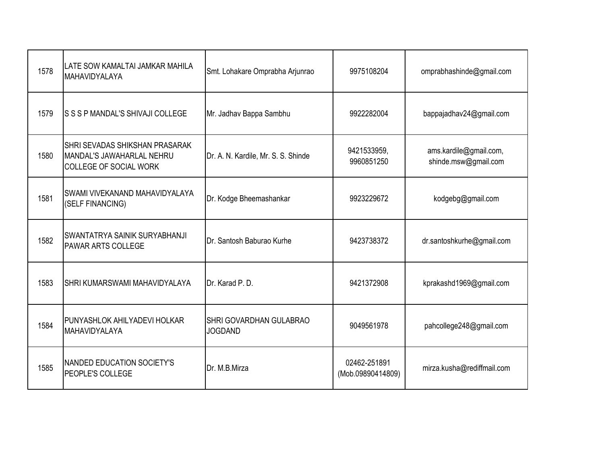| 1578 | LATE SOW KAMALTAI JAMKAR MAHILA<br>MAHAVIDYALAYA                                                    | Smt. Lohakare Omprabha Arjunrao           | 9975108204                        | omprabhashinde@gmail.com                       |
|------|-----------------------------------------------------------------------------------------------------|-------------------------------------------|-----------------------------------|------------------------------------------------|
| 1579 | S S S P MANDAL'S SHIVAJI COLLEGE                                                                    | Mr. Jadhav Bappa Sambhu                   | 9922282004                        | bappajadhav24@gmail.com                        |
| 1580 | <b>SHRI SEVADAS SHIKSHAN PRASARAK</b><br>MANDAL'S JAWAHARLAL NEHRU<br><b>COLLEGE OF SOCIAL WORK</b> | Dr. A. N. Kardile, Mr. S. S. Shinde       | 9421533959,<br>9960851250         | ams.kardile@gmail.com,<br>shinde.msw@gmail.com |
| 1581 | SWAMI VIVEKANAND MAHAVIDYALAYA<br>(SELF FINANCING)                                                  | Dr. Kodge Bheemashankar                   | 9923229672                        | kodgebg@gmail.com                              |
| 1582 | SWANTATRYA SAINIK SURYABHANJI<br><b>PAWAR ARTS COLLEGE</b>                                          | Dr. Santosh Baburao Kurhe                 | 9423738372                        | dr.santoshkurhe@gmail.com                      |
| 1583 | SHRI KUMARSWAMI MAHAVIDYALAYA                                                                       | Dr. Karad P. D.                           | 9421372908                        | kprakashd1969@gmail.com                        |
| 1584 | <b>PUNYASHLOK AHILYADEVI HOLKAR</b><br>MAHAVIDYALAYA                                                | SHRI GOVARDHAN GULABRAO<br><b>JOGDAND</b> | 9049561978                        | pahcollege248@gmail.com                        |
| 1585 | <b>NANDED EDUCATION SOCIETY'S</b><br>PEOPLE'S COLLEGE                                               | Dr. M.B.Mirza                             | 02462-251891<br>(Mob.09890414809) | mirza.kusha@rediffmail.com                     |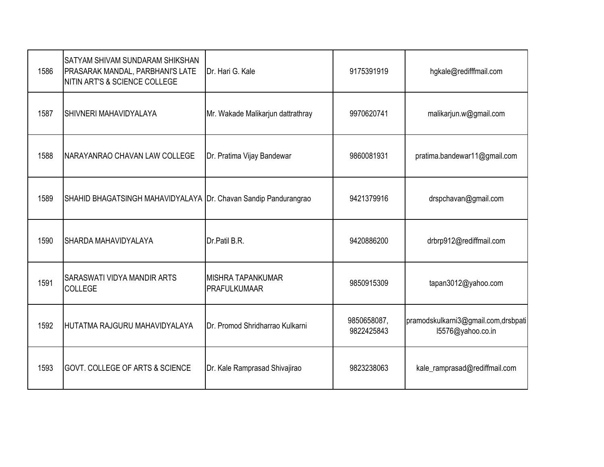| 1586 | <b>SATYAM SHIVAM SUNDARAM SHIKSHAN</b><br>PRASARAK MANDAL, PARBHANI'S LATE<br>NITIN ART'S & SCIENCE COLLEGE | Dr. Hari G. Kale                          | 9175391919                | hgkale@redifffmail.com                                   |
|------|-------------------------------------------------------------------------------------------------------------|-------------------------------------------|---------------------------|----------------------------------------------------------|
| 1587 | SHIVNERI MAHAVIDYALAYA                                                                                      | Mr. Wakade Malikarjun dattrathray         | 9970620741                | malikarjun.w@gmail.com                                   |
| 1588 | INARAYANRAO CHAVAN LAW COLLEGE                                                                              | Dr. Pratima Vijay Bandewar                | 9860081931                | pratima.bandewar11@gmail.com                             |
| 1589 | SHAHID BHAGATSINGH MAHAVIDYALAYA Dr. Chavan Sandip Pandurangrao                                             |                                           | 9421379916                | drspchavan@gmail.com                                     |
| 1590 | SHARDA MAHAVIDYALAYA                                                                                        | Dr.Patil B.R.                             | 9420886200                | drbrp912@rediffmail.com                                  |
| 1591 | <b>SARASWATI VIDYA MANDIR ARTS</b><br><b>COLLEGE</b>                                                        | IMISHRA TAPANKUMAR<br><b>PRAFULKUMAAR</b> | 9850915309                | tapan3012@yahoo.com                                      |
| 1592 | HUTATMA RAJGURU MAHAVIDYALAYA                                                                               | Dr. Promod Shridharrao Kulkarni           | 9850658087,<br>9822425843 | pramodskulkarni3@gmail.com,drsbpati<br>15576@yahoo.co.in |
| 1593 | <b>GOVT. COLLEGE OF ARTS &amp; SCIENCE</b>                                                                  | Dr. Kale Ramprasad Shivajirao             | 9823238063                | kale_ramprasad@rediffmail.com                            |
|      |                                                                                                             |                                           |                           |                                                          |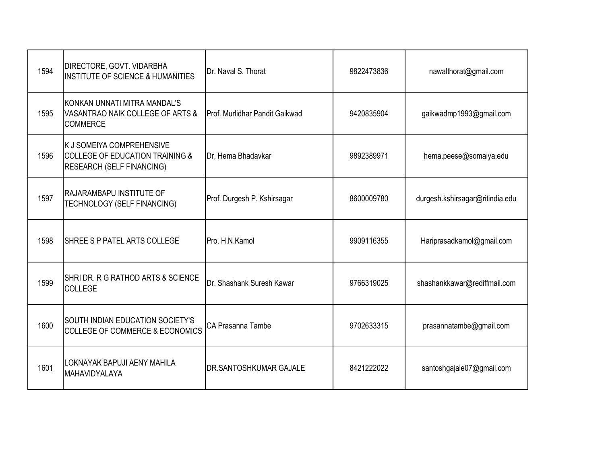| 1594 | DIRECTORE, GOVT. VIDARBHA<br><b>INSTITUTE OF SCIENCE &amp; HUMANITIES</b>                                   | Dr. Naval S. Thorat                   | 9822473836 | nawalthorat@gmail.com           |
|------|-------------------------------------------------------------------------------------------------------------|---------------------------------------|------------|---------------------------------|
| 1595 | KONKAN UNNATI MITRA MANDAL'S<br>VASANTRAO NAIK COLLEGE OF ARTS &<br><b>COMMERCE</b>                         | <b>Prof. Murlidhar Pandit Gaikwad</b> | 9420835904 | gaikwadmp1993@gmail.com         |
| 1596 | K J SOMEIYA COMPREHENSIVE<br><b>COLLEGE OF EDUCATION TRAINING &amp;</b><br><b>RESEARCH (SELF FINANCING)</b> | Dr, Hema Bhadavkar                    | 9892389971 | hema.peese@somaiya.edu          |
| 1597 | <b>RAJARAMBAPU INSTITUTE OF</b><br>TECHNOLOGY (SELF FINANCING)                                              | Prof. Durgesh P. Kshirsagar           | 8600009780 | durgesh.kshirsagar@ritindia.edu |
| 1598 | SHREE S P PATEL ARTS COLLEGE                                                                                | Pro. H.N.Kamol                        | 9909116355 | Hariprasadkamol@gmail.com       |
| 1599 | SHRIDR. R G RATHOD ARTS & SCIENCE<br><b>COLLEGE</b>                                                         | Dr. Shashank Suresh Kawar             | 9766319025 | shashankkawar@rediffmail.com    |
| 1600 | <b>SOUTH INDIAN EDUCATION SOCIETY'S</b><br>COLLEGE OF COMMERCE & ECONOMICS                                  | CA Prasanna Tambe                     | 9702633315 | prasannatambe@gmail.com         |
| 1601 | LOKNAYAK BAPUJI AENY MAHILA<br>MAHAVIDYALAYA                                                                | <b>IDR.SANTOSHKUMAR GAJALE</b>        | 8421222022 | santoshgajale07@gmail.com       |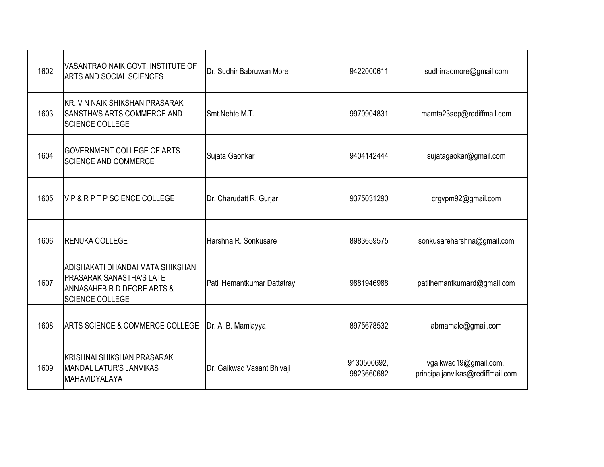| 1602 | VASANTRAO NAIK GOVT. INSTITUTE OF<br>ARTS AND SOCIAL SCIENCES                                                               | Dr. Sudhir Babruwan More    | 9422000611                | sudhirraomore@gmail.com                                   |
|------|-----------------------------------------------------------------------------------------------------------------------------|-----------------------------|---------------------------|-----------------------------------------------------------|
| 1603 | KR. V N NAIK SHIKSHAN PRASARAK<br>SANSTHA'S ARTS COMMERCE AND<br><b>SCIENCE COLLEGE</b>                                     | Smt.Nehte M.T.              | 9970904831                | mamta23sep@rediffmail.com                                 |
| 1604 | <b>GOVERNMENT COLLEGE OF ARTS</b><br><b>SCIENCE AND COMMERCE</b>                                                            | Sujata Gaonkar              | 9404142444                | sujatagaokar@gmail.com                                    |
| 1605 | VP&RPTPSCIENCE COLLEGE                                                                                                      | Dr. Charudatt R. Gurjar     | 9375031290                | crgvpm92@gmail.com                                        |
| 1606 | <b>RENUKA COLLEGE</b>                                                                                                       | Harshna R. Sonkusare        | 8983659575                | sonkusareharshna@gmail.com                                |
| 1607 | ADISHAKATI DHANDAI MATA SHIKSHAN<br><b>PRASARAK SANASTHA'S LATE</b><br>ANNASAHEB R D DEORE ARTS &<br><b>SCIENCE COLLEGE</b> | Patil Hemantkumar Dattatray | 9881946988                | patilhemantkumard@gmail.com                               |
| 1608 | <b>ARTS SCIENCE &amp; COMMERCE COLLEGE</b>                                                                                  | Dr. A. B. Mamlayya          | 8975678532                | abmamale@gmail.com                                        |
| 1609 | KRISHNAI SHIKSHAN PRASARAK<br><b>MANDAL LATUR'S JANVIKAS</b><br><b>MAHAVIDYALAYA</b>                                        | Dr. Gaikwad Vasant Bhivaji  | 9130500692,<br>9823660682 | vgaikwad19@gmail.com,<br>principaljanvikas@rediffmail.com |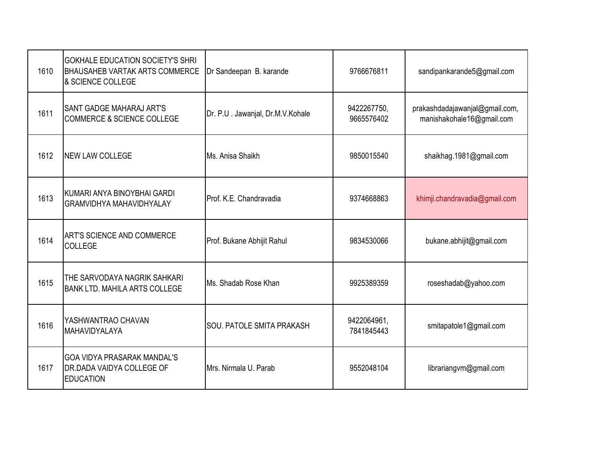| 1610 | <b>GOKHALE EDUCATION SOCIETY'S SHRI</b><br><b>BHAUSAHEB VARTAK ARTS COMMERCE</b><br>& SCIENCE COLLEGE | Dr Sandeepan B. karande          | 9766676811                | sandipankarande5@gmail.com                                  |
|------|-------------------------------------------------------------------------------------------------------|----------------------------------|---------------------------|-------------------------------------------------------------|
| 1611 | <b>SANT GADGE MAHARAJ ART'S</b><br><b>COMMERCE &amp; SCIENCE COLLEGE</b>                              | Dr. P.U. Jawanjal, Dr.M.V.Kohale | 9422267750,<br>9665576402 | prakashdadajawanjal@gmail.com,<br>manishakohale16@gmail.com |
| 1612 | <b>NEW LAW COLLEGE</b>                                                                                | Ms. Anisa Shaikh                 | 9850015540                | shaikhag.1981@gmail.com                                     |
| 1613 | KUMARI ANYA BINOYBHAI GARDI<br><b>GRAMVIDHYA MAHAVIDHYALAY</b>                                        | Prof. K.E. Chandravadia          | 9374668863                | khimji.chandravadia@gmail.com                               |
| 1614 | <b>ART'S SCIENCE AND COMMERCE</b><br>COLLEGE                                                          | Prof. Bukane Abhijit Rahul       | 9834530066                | bukane.abhijit@gmail.com                                    |
| 1615 | THE SARVODAYA NAGRIK SAHKARI<br><b>BANK LTD. MAHILA ARTS COLLEGE</b>                                  | Ms. Shadab Rose Khan             | 9925389359                | roseshadab@yahoo.com                                        |
| 1616 | YASHWANTRAO CHAVAN<br>MAHAVIDYALAYA                                                                   | SOU. PATOLE SMITA PRAKASH        | 9422064961,<br>7841845443 | smitapatole1@gmail.com                                      |
| 1617 | <b>GOA VIDYA PRASARAK MANDAL'S</b><br><b>DR.DADA VAIDYA COLLEGE OF</b><br><b>EDUCATION</b>            | Mrs. Nirmala U. Parab            | 9552048104                | librariangvm@gmail.com                                      |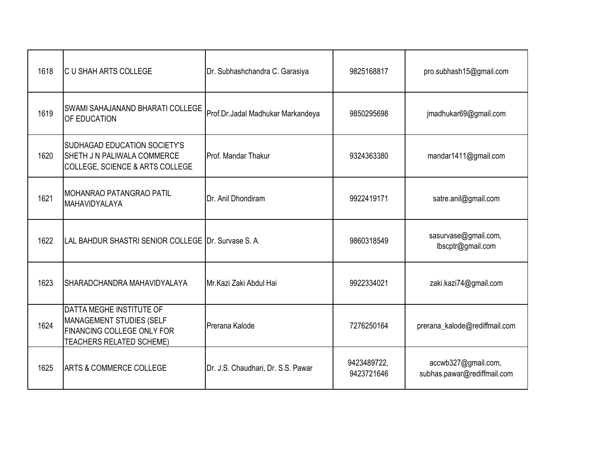| 1618 | IC U SHAH ARTS COLLEGE                                                                                                              | Dr. Subhashchandra C. Garasiya     | 9825168817                | pro.subhash15@gmail.com                            |
|------|-------------------------------------------------------------------------------------------------------------------------------------|------------------------------------|---------------------------|----------------------------------------------------|
| 1619 | <b>SWAMI SAHAJANAND BHARATI COLLEGE</b><br>OF EDUCATION                                                                             | Prof.Dr.Jadal Madhukar Markandeya  | 9850295698                | jmadhukar69@gmail.com                              |
| 1620 | <b>SUDHAGAD EDUCATION SOCIETY'S</b><br><b>SHETH J N PALIWALA COMMERCE</b><br>COLLEGE, SCIENCE & ARTS COLLEGE                        | Prof. Mandar Thakur                | 9324363380                | mandar1411@gmail.com                               |
| 1621 | <b>IMOHANRAO PATANGRAO PATIL</b><br>MAHAVIDYALAYA                                                                                   | Dr. Anil Dhondiram                 | 9922419171                | satre.anil@gmail.com                               |
| 1622 | LAL BAHDUR SHASTRI SENIOR COLLEGE IDr. Survase S. A.                                                                                |                                    | 9860318549                | sasurvase@gmail.com,<br>lbscptr@gmail.com          |
| 1623 | SHARADCHANDRA MAHAVIDYALAYA                                                                                                         | Mr.Kazi Zaki Abdul Hai             | 9922334021                | zaki.kazi74@gmail.com                              |
| 1624 | DATTA MEGHE INSTITUTE OF<br><b>MANAGEMENT STUDIES (SELF</b><br><b>FINANCING COLLEGE ONLY FOR</b><br><b>TEACHERS RELATED SCHEME)</b> | Prerana Kalode                     | 7276250164                | prerana_kalode@rediffmail.com                      |
| 1625 | <b>ARTS &amp; COMMERCE COLLEGE</b>                                                                                                  | Dr. J.S. Chaudhari, Dr. S.S. Pawar | 9423489722,<br>9423721646 | accwb327@gmail.com,<br>subhas.pawar@rediffmail.com |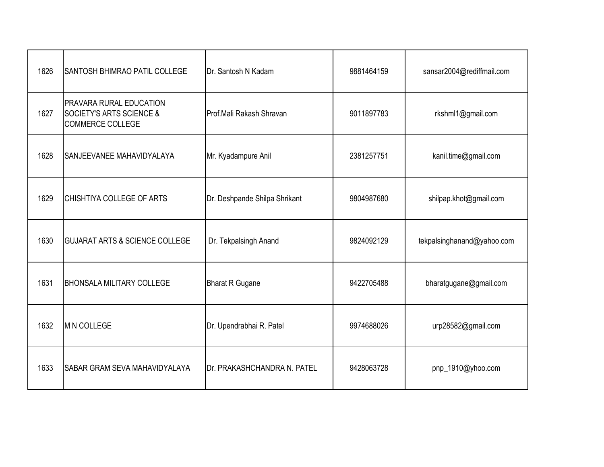| 1626 | <b>SANTOSH BHIMRAO PATIL COLLEGE</b>                                                      | Dr. Santosh N Kadam               | 9881464159 | sansar2004@rediffmail.com  |
|------|-------------------------------------------------------------------------------------------|-----------------------------------|------------|----------------------------|
| 1627 | PRAVARA RURAL EDUCATION<br><b>SOCIETY'S ARTS SCIENCE &amp;</b><br><b>COMMERCE COLLEGE</b> | <b>I</b> Prof.Mali Rakash Shravan | 9011897783 | rkshml1@gmail.com          |
| 1628 | SANJEEVANEE MAHAVIDYALAYA                                                                 | Mr. Kyadampure Anil               | 2381257751 | kanil.time@gmail.com       |
| 1629 | CHISHTIYA COLLEGE OF ARTS                                                                 | Dr. Deshpande Shilpa Shrikant     | 9804987680 | shilpap.khot@gmail.com     |
| 1630 | <b>GUJARAT ARTS &amp; SCIENCE COLLEGE</b>                                                 | Dr. Tekpalsingh Anand             | 9824092129 | tekpalsinghanand@yahoo.com |
| 1631 | <b>BHONSALA MILITARY COLLEGE</b>                                                          | <b>Bharat R Gugane</b>            | 9422705488 | bharatgugane@gmail.com     |
| 1632 | <b>M N COLLEGE</b>                                                                        | Dr. Upendrabhai R. Patel          | 9974688026 | urp28582@gmail.com         |
| 1633 | <b>SABAR GRAM SEVA MAHAVIDYALAYA</b>                                                      | Dr. PRAKASHCHANDRA N. PATEL       | 9428063728 | pnp_1910@yhoo.com          |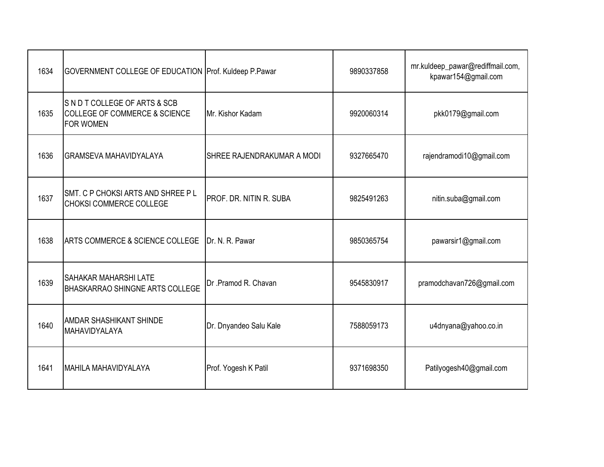| 1634 | GOVERNMENT COLLEGE OF EDUCATION Prof. Kuldeep P.Pawar                                      |                                   | 9890337858 | mr.kuldeep_pawar@rediffmail.com,<br>kpawar154@gmail.com |
|------|--------------------------------------------------------------------------------------------|-----------------------------------|------------|---------------------------------------------------------|
| 1635 | SNDT COLLEGE OF ARTS & SCB<br><b>COLLEGE OF COMMERCE &amp; SCIENCE</b><br><b>FOR WOMEN</b> | Mr. Kishor Kadam                  | 9920060314 | pkk0179@gmail.com                                       |
| 1636 | <b>GRAMSEVA MAHAVIDYALAYA</b>                                                              | <b>SHREE RAJENDRAKUMAR A MODI</b> | 9327665470 | rajendramodi10@gmail.com                                |
| 1637 | SMT. C P CHOKSI ARTS AND SHREE P L<br><b>CHOKSI COMMERCE COLLEGE</b>                       | PROF. DR. NITIN R. SUBA           | 9825491263 | nitin.suba@gmail.com                                    |
| 1638 | ARTS COMMERCE & SCIENCE COLLEGE                                                            | Dr. N. R. Pawar                   | 9850365754 | pawarsir1@gmail.com                                     |
| 1639 | SAHAKAR MAHARSHI LATE<br><b>BHASKARRAO SHINGNE ARTS COLLEGE</b>                            | Dr.Pramod R. Chavan               | 9545830917 | pramodchavan726@gmail.com                               |
| 1640 | <b>AMDAR SHASHIKANT SHINDE</b><br>MAHAVIDYALAYA                                            | Dr. Dnyandeo Salu Kale            | 7588059173 | u4dnyana@yahoo.co.in                                    |
| 1641 | IMAHILA MAHAVIDYALAYA                                                                      | Prof. Yogesh K Patil              | 9371698350 | Patilyogesh40@gmail.com                                 |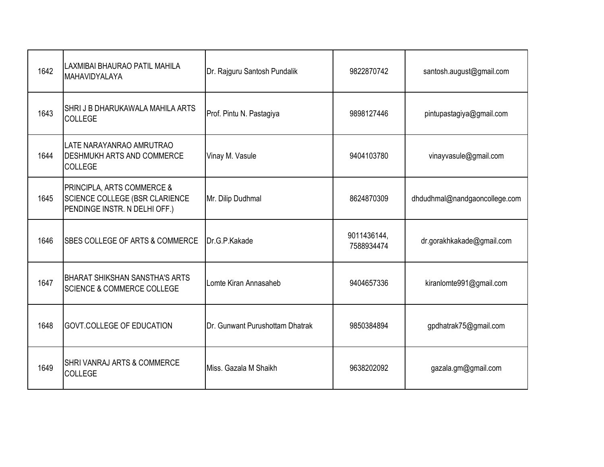| 1642 | LAXMIBAI BHAURAO PATIL MAHILA<br>MAHAVIDYALAYA                                                | Dr. Rajguru Santosh Pundalik    | 9822870742                | santosh.august@gmail.com      |
|------|-----------------------------------------------------------------------------------------------|---------------------------------|---------------------------|-------------------------------|
| 1643 | SHRI J B DHARUKAWALA MAHILA ARTS<br><b>COLLEGE</b>                                            | Prof. Pintu N. Pastagiya        | 9898127446                | pintupastagiya@gmail.com      |
| 1644 | LATE NARAYANRAO AMRUTRAO<br><b>IDESHMUKH ARTS AND COMMERCE</b><br><b>COLLEGE</b>              | Vinay M. Vasule                 | 9404103780                | vinayvasule@gmail.com         |
| 1645 | PRINCIPLA, ARTS COMMERCE &<br>SCIENCE COLLEGE (BSR CLARIENCE<br>PENDINGE INSTR. N DELHI OFF.) | Mr. Dilip Dudhmal               | 8624870309                | dhdudhmal@nandgaoncollege.com |
| 1646 | SBES COLLEGE OF ARTS & COMMERCE                                                               | Dr.G.P.Kakade                   | 9011436144,<br>7588934474 | dr.gorakhkakade@gmail.com     |
| 1647 | <b>BHARAT SHIKSHAN SANSTHA'S ARTS</b><br><b>SCIENCE &amp; COMMERCE COLLEGE</b>                | Lomte Kiran Annasaheb           | 9404657336                | kiranlomte991@gmail.com       |
| 1648 | <b>GOVT.COLLEGE OF EDUCATION</b>                                                              | Dr. Gunwant Purushottam Dhatrak | 9850384894                | gpdhatrak75@gmail.com         |
| 1649 | <b>SHRI VANRAJ ARTS &amp; COMMERCE</b><br>COLLEGE                                             | Miss. Gazala M Shaikh           | 9638202092                | gazala.gm@gmail.com           |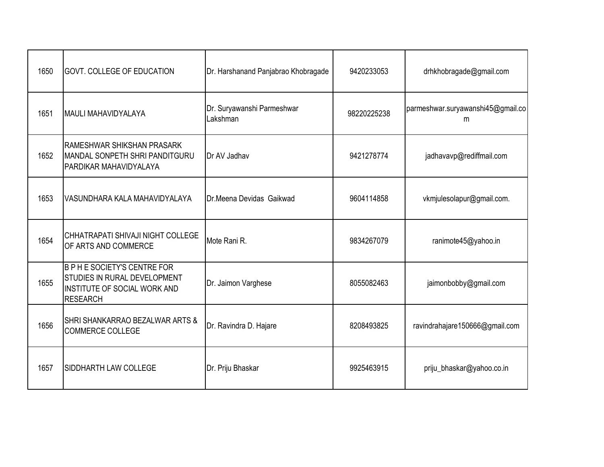| 1650 | <b>GOVT, COLLEGE OF EDUCATION</b>                                                                                      | Dr. Harshanand Panjabrao Khobragade    | 9420233053  | drhkhobragade@gmail.com                |
|------|------------------------------------------------------------------------------------------------------------------------|----------------------------------------|-------------|----------------------------------------|
| 1651 | <b>MAULI MAHAVIDYALAYA</b>                                                                                             | Dr. Suryawanshi Parmeshwar<br>Lakshman | 98220225238 | parmeshwar.suryawanshi45@gmail.co<br>m |
| 1652 | RAMESHWAR SHIKSHAN PRASARK<br>MANDAL SONPETH SHRI PANDITGURU<br>PARDIKAR MAHAVIDYALAYA                                 | Dr AV Jadhav                           | 9421278774  | jadhavavp@rediffmail.com               |
| 1653 | VASUNDHARA KALA MAHAVIDYALAYA                                                                                          | Dr.Meena Devidas Gaikwad               | 9604114858  | vkmjulesolapur@gmail.com.              |
| 1654 | CHHATRAPATI SHIVAJI NIGHT COLLEGE<br>OF ARTS AND COMMERCE                                                              | Mote Rani R.                           | 9834267079  | ranimote45@yahoo.in                    |
| 1655 | <b>B P H E SOCIETY'S CENTRE FOR</b><br>STUDIES IN RURAL DEVELOPMENT<br>INSTITUTE OF SOCIAL WORK AND<br><b>RESEARCH</b> | Dr. Jaimon Varghese                    | 8055082463  | jaimonbobby@gmail.com                  |
| 1656 | <b>SHRI SHANKARRAO BEZALWAR ARTS &amp;</b><br><b>COMMERCE COLLEGE</b>                                                  | Dr. Ravindra D. Hajare                 | 8208493825  | ravindrahajare150666@gmail.com         |
| 1657 | SIDDHARTH LAW COLLEGE                                                                                                  | Dr. Priju Bhaskar                      | 9925463915  | priju_bhaskar@yahoo.co.in              |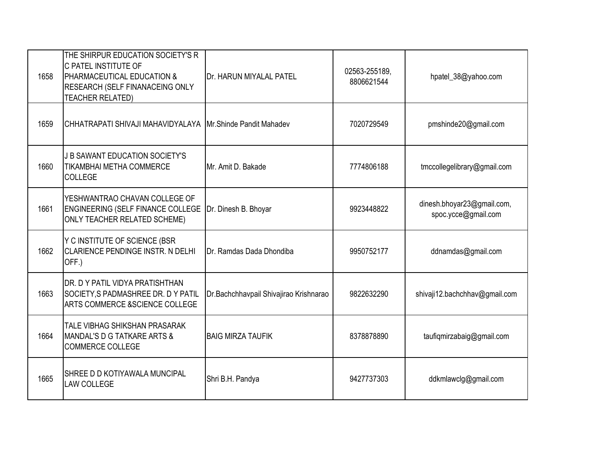| 1658 | THE SHIRPUR EDUCATION SOCIETY'S R<br><b>IC PATEL INSTITUTE OF</b><br><b>PHARMACEUTICAL EDUCATION &amp;</b><br><b>RESEARCH (SELF FINANACEING ONLY</b><br><b>TEACHER RELATED)</b> | Dr. HARUN MIYALAL PATEL                | 02563-255189,<br>8806621544 | hpatel_38@yahoo.com                               |
|------|---------------------------------------------------------------------------------------------------------------------------------------------------------------------------------|----------------------------------------|-----------------------------|---------------------------------------------------|
| 1659 | İCHHATRAPATI SHIVAJI MAHAVIDYALAYA                                                                                                                                              | Mr.Shinde Pandit Mahadev               | 7020729549                  | pmshinde20@gmail.com                              |
| 1660 | J B SAWANT EDUCATION SOCIETY'S<br><b>TIKAMBHAI METHA COMMERCE</b><br><b>COLLEGE</b>                                                                                             | Mr. Amit D. Bakade                     | 7774806188                  | tmccollegelibrary@gmail.com                       |
| 1661 | YESHWANTRAO CHAVAN COLLEGE OF<br><b>ENGINEERING (SELF FINANCE COLLEGE</b><br><b>ONLY TEACHER RELATED SCHEME)</b>                                                                | Dr. Dinesh B. Bhoyar                   | 9923448822                  | dinesh.bhoyar23@gmail.com,<br>spoc.ycce@gmail.com |
| 1662 | Y C INSTITUTE OF SCIENCE (BSR<br><b>CLARIENCE PENDINGE INSTR. N DELHI</b><br>OFF.)                                                                                              | Dr. Ramdas Dada Dhondiba               | 9950752177                  | ddnamdas@gmail.com                                |
| 1663 | <b>IDR. D Y PATIL VIDYA PRATISHTHAN</b><br>SOCIETY, S PADMASHREE DR. D Y PATIL<br><b>ARTS COMMERCE &amp;SCIENCE COLLEGE</b>                                                     | Dr.Bachchhavpail Shivajirao Krishnarao | 9822632290                  | shivaji12.bachchhav@gmail.com                     |
| 1664 | <b>TALE VIBHAG SHIKSHAN PRASARAK</b><br>MANDAL'S D G TATKARE ARTS &<br><b>COMMERCE COLLEGE</b>                                                                                  | <b>BAIG MIRZA TAUFIK</b>               | 8378878890                  | taufiqmirzabaig@gmail.com                         |
| 1665 | <b>SHREE D D KOTIYAWALA MUNCIPAL</b><br><b>LAW COLLEGE</b>                                                                                                                      | Shri B.H. Pandya                       | 9427737303                  | ddkmlawclg@gmail.com                              |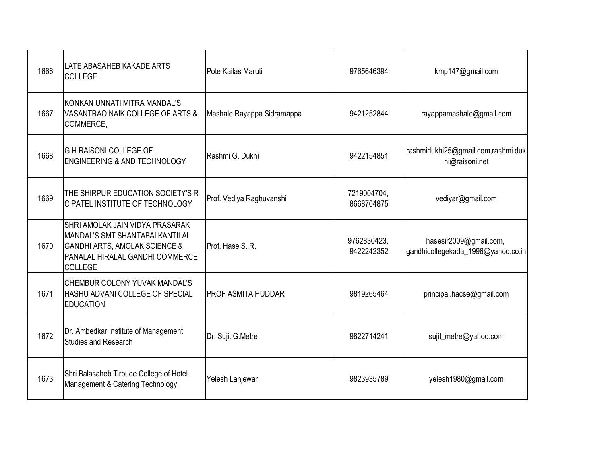| 1666 | LATE ABASAHEB KAKADE ARTS<br><b>COLLEGE</b>                                                                                                                         | Pote Kailas Maruti         | 9765646394                | kmp147@gmail.com                                             |
|------|---------------------------------------------------------------------------------------------------------------------------------------------------------------------|----------------------------|---------------------------|--------------------------------------------------------------|
| 1667 | KONKAN UNNATI MITRA MANDAL'S<br>VASANTRAO NAIK COLLEGE OF ARTS &<br>COMMERCE,                                                                                       | Mashale Rayappa Sidramappa | 9421252844                | rayappamashale@gmail.com                                     |
| 1668 | <b>GH RAISONI COLLEGE OF</b><br><b>ENGINEERING &amp; AND TECHNOLOGY</b>                                                                                             | Rashmi G. Dukhi            | 9422154851                | rashmidukhi25@gmail.com,rashmi.duk<br>hi@raisoni.net         |
| 1669 | THE SHIRPUR EDUCATION SOCIETY'S R<br>C PATEL INSTITUTE OF TECHNOLOGY                                                                                                | Prof. Vediya Raghuvanshi   | 7219004704,<br>8668704875 | vediyar@gmail.com                                            |
| 1670 | SHRI AMOLAK JAIN VIDYA PRASARAK<br>MANDAL'S SMT SHANTABAI KANTILAL<br><b>GANDHI ARTS, AMOLAK SCIENCE &amp;</b><br>PANALAL HIRALAL GANDHI COMMERCE<br><b>COLLEGE</b> | Prof. Hase S. R.           | 9762830423,<br>9422242352 | hasesir2009@gmail.com,<br>gandhicollegekada_1996@yahoo.co.in |
| 1671 | CHEMBUR COLONY YUVAK MANDAL'S<br>HASHU ADVANI COLLEGE OF SPECIAL<br><b>EDUCATION</b>                                                                                | <b>PROF ASMITA HUDDAR</b>  | 9819265464                | principal.hacse@gmail.com                                    |
| 1672 | Dr. Ambedkar Institute of Management<br><b>Studies and Research</b>                                                                                                 | Dr. Sujit G.Metre          | 9822714241                | sujit_metre@yahoo.com                                        |
| 1673 | Shri Balasaheb Tirpude College of Hotel<br>Management & Catering Technology,                                                                                        | Yelesh Lanjewar            | 9823935789                | yelesh1980@gmail.com                                         |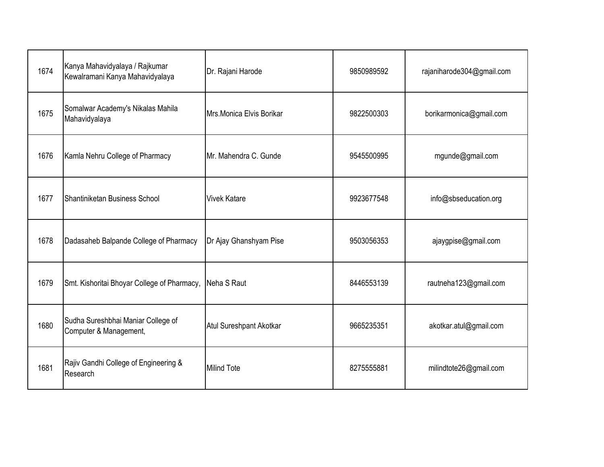| 1674 | Kanya Mahavidyalaya / Rajkumar<br>Kewalramani Kanya Mahavidyalaya | Dr. Rajani Harode        | 9850989592 | rajaniharode304@gmail.com |
|------|-------------------------------------------------------------------|--------------------------|------------|---------------------------|
| 1675 | Somalwar Academy's Nikalas Mahila<br>Mahavidyalaya                | Mrs.Monica Elvis Borikar | 9822500303 | borikarmonica@gmail.com   |
| 1676 | Kamla Nehru College of Pharmacy                                   | Mr. Mahendra C. Gunde    | 9545500995 | mgunde@gmail.com          |
| 1677 | Shantiniketan Business School                                     | <b>Vivek Katare</b>      | 9923677548 | info@sbseducation.org     |
| 1678 | Dadasaheb Balpande College of Pharmacy                            | Dr Ajay Ghanshyam Pise   | 9503056353 | ajaygpise@gmail.com       |
| 1679 | Smt. Kishoritai Bhoyar College of Pharmacy,                       | Neha S Raut              | 8446553139 | rautneha123@gmail.com     |
| 1680 | Sudha Sureshbhai Maniar College of<br>Computer & Management,      | Atul Sureshpant Akotkar  | 9665235351 | akotkar.atul@gmail.com    |
| 1681 | Rajiv Gandhi College of Engineering &<br>Research                 | <b>Milind Tote</b>       | 8275555881 | milindtote26@gmail.com    |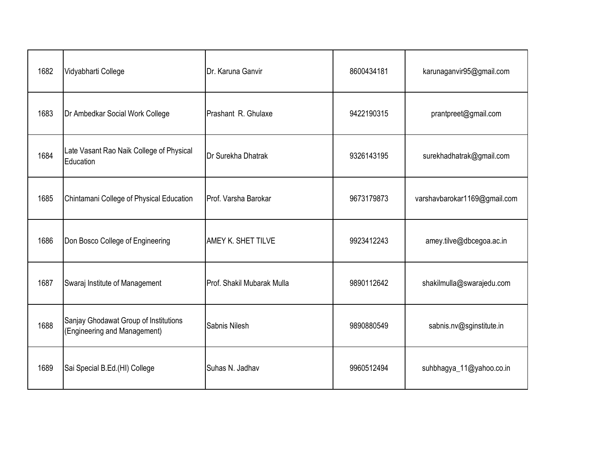| 1682 | Vidyabharti College                                                   | Dr. Karuna Ganvir          | 8600434181 | karunaganvir95@gmail.com     |
|------|-----------------------------------------------------------------------|----------------------------|------------|------------------------------|
| 1683 | Dr Ambedkar Social Work College                                       | Prashant R. Ghulaxe        | 9422190315 | prantpreet@gmail.com         |
| 1684 | Late Vasant Rao Naik College of Physical<br>Education                 | Dr Surekha Dhatrak         | 9326143195 | surekhadhatrak@gmail.com     |
| 1685 | Chintamani College of Physical Education                              | Prof. Varsha Barokar       | 9673179873 | varshavbarokar1169@gmail.com |
| 1686 | Don Bosco College of Engineering                                      | AMEY K. SHET TILVE         | 9923412243 | amey.tilve@dbcegoa.ac.in     |
| 1687 | Swaraj Institute of Management                                        | Prof. Shakil Mubarak Mulla | 9890112642 | shakilmulla@swarajedu.com    |
| 1688 | Sanjay Ghodawat Group of Institutions<br>(Engineering and Management) | Sabnis Nilesh              | 9890880549 | sabnis.nv@sginstitute.in     |
| 1689 | Sai Special B.Ed.(HI) College                                         | Suhas N. Jadhav            | 9960512494 | suhbhagya_11@yahoo.co.in     |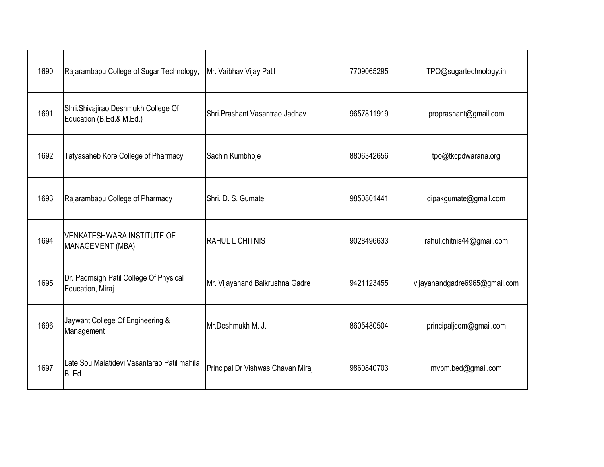| 1690 | Rajarambapu College of Sugar Technology,                        | Mr. Vaibhav Vijay Patil           | 7709065295 | TPO@sugartechnology.in        |
|------|-----------------------------------------------------------------|-----------------------------------|------------|-------------------------------|
| 1691 | Shri.Shivajirao Deshmukh College Of<br>Education (B.Ed.& M.Ed.) | Shri.Prashant Vasantrao Jadhav    | 9657811919 | proprashant@gmail.com         |
| 1692 | Tatyasaheb Kore College of Pharmacy                             | Sachin Kumbhoje                   | 8806342656 | tpo@tkcpdwarana.org           |
| 1693 | Rajarambapu College of Pharmacy                                 | Shri, D. S. Gumate                | 9850801441 | dipakgumate@gmail.com         |
| 1694 | <b>VENKATESHWARA INSTITUTE OF</b><br>MANAGEMENT (MBA)           | <b>RAHUL L CHITNIS</b>            | 9028496633 | rahul.chitnis44@gmail.com     |
| 1695 | Dr. Padmsigh Patil College Of Physical<br>Education, Miraj      | Mr. Vijayanand Balkrushna Gadre   | 9421123455 | vijayanandgadre6965@gmail.com |
| 1696 | Jaywant College Of Engineering &<br>Management                  | Mr.Deshmukh M. J.                 | 8605480504 | principaljcem@gmail.com       |
| 1697 | Late.Sou.Malatidevi Vasantarao Patil mahila<br>B. Ed            | Principal Dr Vishwas Chavan Miraj | 9860840703 | mvpm.bed@gmail.com            |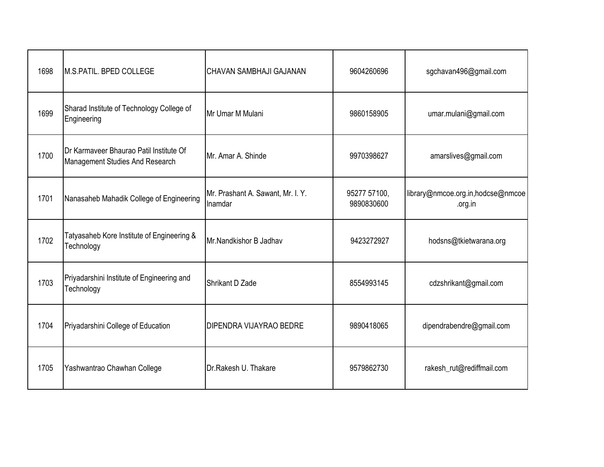| 1698 | <b>M.S.PATIL. BPED COLLEGE</b>                                             | CHAVAN SAMBHAJI GAJANAN                      | 9604260696                 | sgchavan496@gmail.com                        |
|------|----------------------------------------------------------------------------|----------------------------------------------|----------------------------|----------------------------------------------|
| 1699 | Sharad Institute of Technology College of<br>Engineering                   | Mr Umar M Mulani                             | 9860158905                 | umar.mulani@gmail.com                        |
| 1700 | Dr Karmaveer Bhaurao Patil Institute Of<br>Management Studies And Research | Mr. Amar A. Shinde                           | 9970398627                 | amarslives@gmail.com                         |
| 1701 | Nanasaheb Mahadik College of Engineering                                   | Mr. Prashant A. Sawant, Mr. I. Y.<br>Inamdar | 95277 57100,<br>9890830600 | library@nmcoe.org.in,hodcse@nmcoe<br>.org.in |
| 1702 | Tatyasaheb Kore Institute of Engineering &<br>Technology                   | Mr.Nandkishor B Jadhav                       | 9423272927                 | hodsns@tkietwarana.org                       |
| 1703 | Priyadarshini Institute of Engineering and<br>Technology                   | Shrikant D Zade                              | 8554993145                 | cdzshrikant@gmail.com                        |
| 1704 | Priyadarshini College of Education                                         | DIPENDRA VIJAYRAO BEDRE                      | 9890418065                 | dipendrabendre@gmail.com                     |
| 1705 | Yashwantrao Chawhan College                                                | Dr.Rakesh U. Thakare                         | 9579862730                 | rakesh_rut@rediffmail.com                    |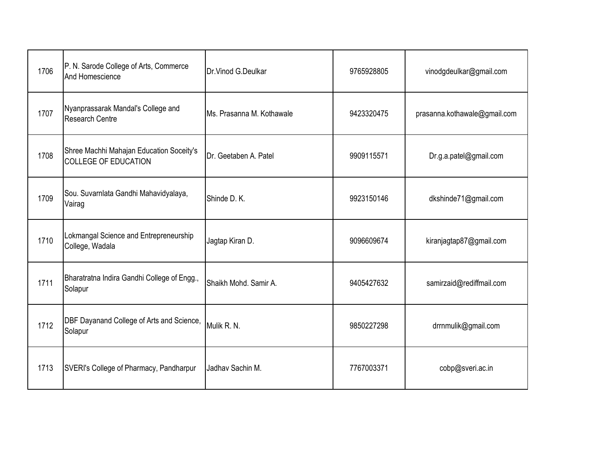| 1706 | P. N. Sarode College of Arts, Commerce<br>And Homescience               | Dr.Vinod G.Deulkar        | 9765928805 | vinodgdeulkar@gmail.com      |
|------|-------------------------------------------------------------------------|---------------------------|------------|------------------------------|
| 1707 | Nyanprassarak Mandal's College and<br>Research Centre                   | Ms. Prasanna M. Kothawale | 9423320475 | prasanna.kothawale@gmail.com |
| 1708 | Shree Machhi Mahajan Education Soceity's<br><b>COLLEGE OF EDUCATION</b> | Dr. Geetaben A. Patel     | 9909115571 | Dr.g.a.patel@gmail.com       |
| 1709 | Sou. Suvarnlata Gandhi Mahavidyalaya,<br>Vairag                         | Shinde D. K.              | 9923150146 | dkshinde71@gmail.com         |
| 1710 | Lokmangal Science and Entrepreneurship<br>College, Wadala               | Jagtap Kiran D.           | 9096609674 | kiranjagtap87@gmail.com      |
| 1711 | Bharatratna Indira Gandhi College of Engg.,<br>Solapur                  | Shaikh Mohd, Samir A.     | 9405427632 | samirzaid@rediffmail.com     |
| 1712 | <b>DBF Dayanand College of Arts and Science,</b><br>Solapur             | Mulik R. N.               | 9850227298 | drrnmulik@gmail.com          |
| 1713 | SVERI's College of Pharmacy, Pandharpur                                 | Jadhav Sachin M.          | 7767003371 | cobp@sveri.ac.in             |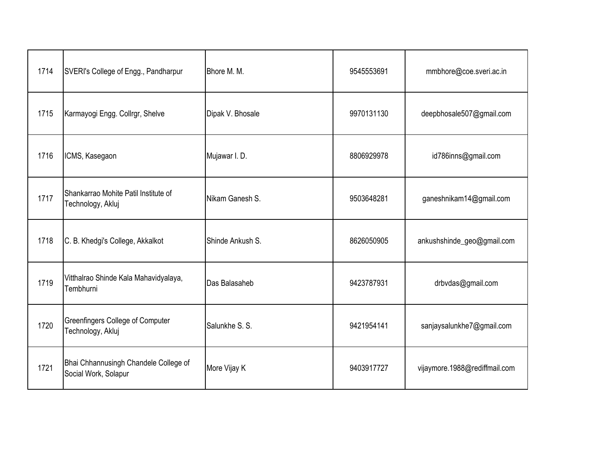| 1714 | SVERI's College of Engg., Pandharpur                          | Bhore M. M.      | 9545553691 | mmbhore@coe.sveri.ac.in       |
|------|---------------------------------------------------------------|------------------|------------|-------------------------------|
| 1715 | Karmayogi Engg. Collrgr, Shelve                               | Dipak V. Bhosale | 9970131130 | deepbhosale507@gmail.com      |
| 1716 | ICMS, Kasegaon                                                | Mujawar I. D.    | 8806929978 | id786inns@gmail.com           |
| 1717 | Shankarrao Mohite Patil Institute of<br>Technology, Akluj     | Nikam Ganesh S.  | 9503648281 | ganeshnikam14@gmail.com       |
| 1718 | C. B. Khedgi's College, Akkalkot                              | Shinde Ankush S. | 8626050905 | ankushshinde_geo@gmail.com    |
| 1719 | Vitthalrao Shinde Kala Mahavidyalaya,<br>Tembhurni            | Das Balasaheb    | 9423787931 | drbvdas@gmail.com             |
| 1720 | Greenfingers College of Computer<br>Technology, Akluj         | Salunkhe S. S.   | 9421954141 | sanjaysalunkhe7@gmail.com     |
| 1721 | Bhai Chhannusingh Chandele College of<br>Social Work, Solapur | More Vijay K     | 9403917727 | vijaymore.1988@rediffmail.com |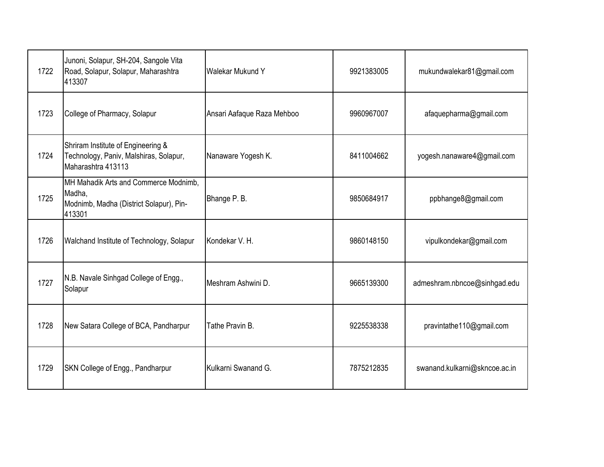| 1722 | Junoni, Solapur, SH-204, Sangole Vita<br>Road, Solapur, Solapur, Maharashtra<br>413307               | <b>Walekar Mukund Y</b>    | 9921383005 | mukundwalekar81@gmail.com     |
|------|------------------------------------------------------------------------------------------------------|----------------------------|------------|-------------------------------|
| 1723 | College of Pharmacy, Solapur                                                                         | Ansari Aafaque Raza Mehboo | 9960967007 | afaquepharma@gmail.com        |
| 1724 | Shriram Institute of Engineering &<br>Technology, Paniv, Malshiras, Solapur,<br>Maharashtra 413113   | Nanaware Yogesh K.         | 8411004662 | yogesh.nanaware4@gmail.com    |
| 1725 | MH Mahadik Arts and Commerce Modnimb,<br>Madha,<br>Modnimb, Madha (District Solapur), Pin-<br>413301 | Bhange P. B.               | 9850684917 | ppbhange8@gmail.com           |
| 1726 | Walchand Institute of Technology, Solapur                                                            | Kondekar V. H.             | 9860148150 | vipulkondekar@gmail.com       |
| 1727 | N.B. Navale Sinhgad College of Engg.,<br>Solapur                                                     | Meshram Ashwini D.         | 9665139300 | admeshram.nbncoe@sinhgad.edu  |
| 1728 | New Satara College of BCA, Pandharpur                                                                | Tathe Pravin B.            | 9225538338 | pravintathe110@gmail.com      |
| 1729 | SKN College of Engg., Pandharpur                                                                     | Kulkarni Swanand G.        | 7875212835 | swanand.kulkarni@skncoe.ac.in |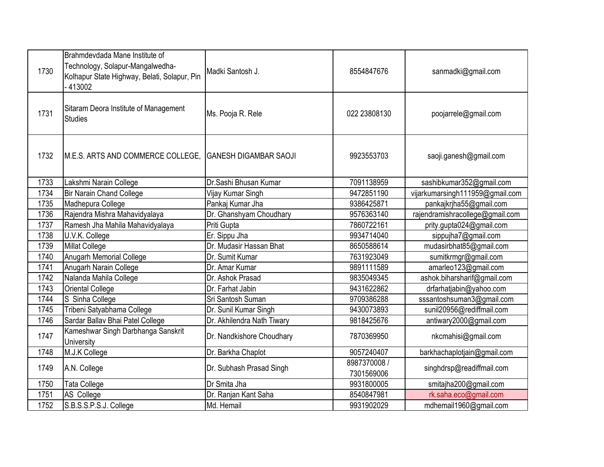| 1730 | Brahmdevdada Mane Institute of<br>Technology, Solapur-Mangalwedha-<br>Kolhapur State Highway, Belati, Solapur, Pin<br>-413002 | Madki Santosh J.             | 8554847676                 | sanmadki@gmail.com              |
|------|-------------------------------------------------------------------------------------------------------------------------------|------------------------------|----------------------------|---------------------------------|
| 1731 | Sitaram Deora Institute of Management<br><b>Studies</b>                                                                       | Ms. Pooja R. Rele            | 022 23808130               | poojarrele@gmail.com            |
| 1732 | M.E.S. ARTS AND COMMERCE COLLEGE,                                                                                             | <b>GANESH DIGAMBAR SAOJI</b> | 9923553703                 | saoji.ganesh@gmail.com          |
| 1733 | Lakshmi Narain College                                                                                                        | Dr.Sashi Bhusan Kumar        | 7091138959                 | sashibkumar352@gmail.com        |
| 1734 | <b>Bir Narain Chand College</b>                                                                                               | Vijay Kumar Singh            | 9472851190                 | vijarkumarsingh111959@gmail.com |
| 1735 | Madhepura College                                                                                                             | Pankaj Kumar Jha             | 9386425871                 | pankajkrjha55@gmail.com         |
| 1736 | Rajendra Mishra Mahavidyalaya                                                                                                 | Dr. Ghanshyam Choudhary      | 9576363140                 | rajendramishracollege@gmail.com |
| 1737 | Ramesh Jha Mahila Mahavidyalaya                                                                                               | Priti Gupta                  | 7860722161                 | prity.gupta024@gmail.com        |
| 1738 | U.V.K. College                                                                                                                | Er. Sippu Jha                | 9934714040                 | sippujha7@gmail.com             |
| 1739 | <b>Millat College</b>                                                                                                         | Dr. Mudasir Hassan Bhat      | 8650588614                 | mudasirbhat85@gmail.com         |
| 1740 | <b>Anugarh Memorial College</b>                                                                                               | Dr. Sumit Kumar              | 7631923049                 | sumitkrmgr@gmail.com            |
| 1741 | Anugarh Narain College                                                                                                        | Dr. Amar Kumar               | 9891111589                 | amarleo123@gmail.com            |
| 1742 | Nalanda Mahila College                                                                                                        | Dr. Ashok Prasad             | 9835049345                 | ashok.biharsharif@gmail.com     |
| 1743 | <b>Oriental College</b>                                                                                                       | Dr. Farhat Jabin             | 9431622862                 | drfarhatjabin@yahoo.com         |
| 1744 | S Sinha College                                                                                                               | Sri Santosh Suman            | 9709386288                 | sssantoshsuman3@gmail.com       |
| 1745 | Tribeni Satyabhama College                                                                                                    | Dr. Sunil Kumar Singh        | 9430073893                 | sunil20956@rediffmail.com       |
| 1746 | Sardar Ballav Bhai Patel College                                                                                              | Dr. Akhilendra Nath Tiwary   | 9818425676                 | antiwary2000@gmail.com          |
| 1747 | Kameshwar Singh Darbhanga Sanskrit<br><b>University</b>                                                                       | Dr. Nandkishore Choudhary    | 7870369950                 | nkcmahisi@gmail.com             |
| 1748 | M.J.K College                                                                                                                 | Dr. Barkha Chaplot           | 9057240407                 | barkhachaplotjain@gmail.com     |
| 1749 | A.N. College                                                                                                                  | Dr. Subhash Prasad Singh     | 8987370008 /<br>7301569006 | singhdrsp@readiffmail.com       |
| 1750 | <b>Tata College</b>                                                                                                           | Dr Smita Jha                 | 9931800005                 | smitajha200@gmail.com           |
| 1751 | AS College                                                                                                                    | Dr. Ranjan Kant Saha         | 8540847981                 | rk.saha.eco@gmail.com           |
| 1752 | S.B.S.S.P.S.J. College                                                                                                        | Md. Hemail                   | 9931902029                 | mdhemail1960@gmail.com          |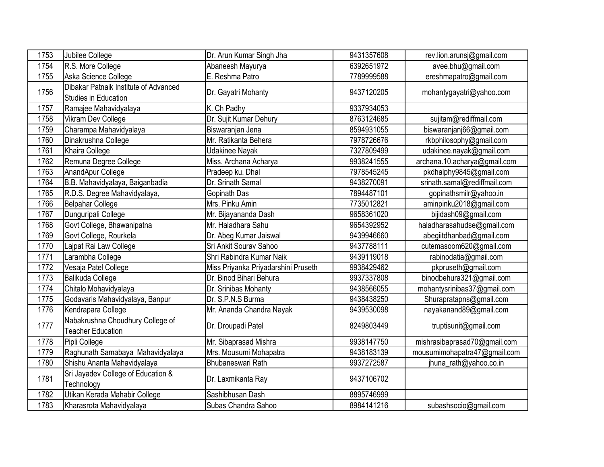| 1753 | Jubilee College                                               | Dr. Arun Kumar Singh Jha            | 9431357608 | rev.lion.arunsj@gmail.com    |
|------|---------------------------------------------------------------|-------------------------------------|------------|------------------------------|
| 1754 | R.S. More College                                             | Abaneesh Mayurya                    | 6392651972 | avee.bhu@gmail.com           |
| 1755 | Aska Science College                                          | E. Reshma Patro                     | 7789999588 | ereshmapatro@gmail.com       |
| 1756 | Dibakar Patnaik Institute of Advanced<br>Studies in Education | Dr. Gayatri Mohanty                 | 9437120205 | mohantygayatri@yahoo.com     |
| 1757 | Ramajee Mahavidyalaya                                         | K. Ch Padhy                         | 9337934053 |                              |
| 1758 | Vikram Dev College                                            | Dr. Sujit Kumar Dehury              | 8763124685 | sujitam@rediffmail.com       |
| 1759 | Charampa Mahavidyalaya                                        | Biswaranjan Jena                    | 8594931055 | biswaranjanj66@gmail.com     |
| 1760 | Dinakrushna College                                           | Mr. Ratikanta Behera                | 7978726676 | rkbphilosophy@gmail.com      |
| 1761 | Khaira College                                                | Udakinee Nayak                      | 7327809499 | udakinee.nayak@gmail.com     |
| 1762 | Remuna Degree College                                         | Miss. Archana Acharya               | 9938241555 | archana.10.acharya@gmail.com |
| 1763 | AnandApur College                                             | Pradeep ku. Dhal                    | 7978545245 | pkdhalphy9845@gmail.com      |
| 1764 | B.B. Mahavidyalaya, Baiganbadia                               | Dr. Srinath Samal                   | 9438270091 | srinath.samal@rediffmail.com |
| 1765 | R.D.S. Degree Mahavidyalaya,                                  | Gopinath Das                        | 7894487101 | gopinathsmilr@yahoo.in       |
| 1766 | <b>Belpahar College</b>                                       | Mrs. Pinku Amin                     | 7735012821 | aminpinku2018@gmail.com      |
| 1767 | Dunguripali College                                           | Mr. Bijayananda Dash                | 9658361020 | bijidash09@gmail.com         |
| 1768 | Govt College, Bhawanipatna                                    | Mr. Haladhara Sahu                  | 9654392952 | haladharasahudse@gmail.com   |
| 1769 | Govt College, Rourkela                                        | Dr. Abeg Kumar Jaiswal              | 9439946660 | abegiitdhanbad@gmail.com     |
| 1770 | Lajpat Rai Law College                                        | Sri Ankit Sourav Sahoo              | 9437788111 | cutemasoom620@gmail.com      |
| 1771 | Larambha College                                              | Shri Rabindra Kumar Naik            | 9439119018 | rabinodatia@gmail.com        |
| 1772 | Vesaja Patel College                                          | Miss Priyanka Priyadarshini Pruseth | 9938429462 | pkpruseth@gmail.com          |
| 1773 | Balikuda College                                              | Dr. Binod Bihari Behura             | 9937337808 | binodbehura321@gmail.com     |
| 1774 | Chitalo Mohavidyalaya                                         | Dr. Srinibas Mohanty                | 9438566055 | mohantysrinibas37@gmail.com  |
| 1775 | Godavaris Mahavidyalaya, Banpur                               | Dr. S.P.N.S Burma                   | 9438438250 | Shurapratapns@gmail.com      |
| 1776 | Kendrapara College                                            | Mr. Ananda Chandra Nayak            | 9439530098 | nayakanand89@gmail.com       |
| 1777 | Nabakrushna Choudhury College of<br><b>Teacher Education</b>  | Dr. Droupadi Patel                  | 8249803449 | truptisunit@gmail.com        |
| 1778 | Pipli College                                                 | Mr. Sibaprasad Mishra               | 9938147750 | mishrasibaprasad70@gmail.com |
| 1779 | Raghunath Samabaya Mahavidyalaya                              | Mrs. Mousumi Mohapatra              | 9438183139 | mousumimohapatra47@gmail.com |
| 1780 | Shishu Ananta Mahavidyalaya                                   | Bhubaneswari Rath                   | 9937272587 | jhuna_rath@yahoo.co.in       |
| 1781 | Sri Jayadev College of Education &<br>Technology              | Dr. Laxmikanta Ray                  | 9437106702 |                              |
| 1782 | Utikan Kerada Mahabir College                                 | Sashibhusan Dash                    | 8895746999 |                              |
| 1783 | Kharasrota Mahavidyalaya                                      | Subas Chandra Sahoo                 | 8984141216 | subashsocio@gmail.com        |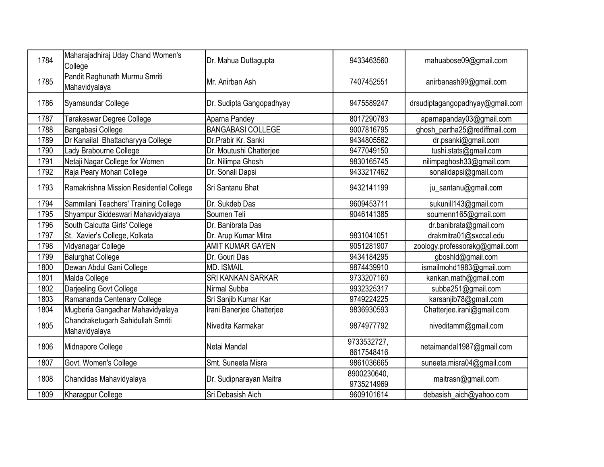| Maharajadhiraj Uday Chand Women's<br>College       | Dr. Mahua Duttagupta      | 9433463560                | mahuabose09@gmail.com           |
|----------------------------------------------------|---------------------------|---------------------------|---------------------------------|
| Pandit Raghunath Murmu Smriti<br>Mahavidyalaya     | Mr. Anirban Ash           | 7407452551                | anirbanash99@gmail.com          |
| Syamsundar College                                 | Dr. Sudipta Gangopadhyay  | 9475589247                | drsudiptagangopadhyay@gmail.com |
| Tarakeswar Degree College                          | Aparna Pandey             | 8017290783                | aparnapanday03@gmail.com        |
| Bangabasi College                                  | <b>BANGABASI COLLEGE</b>  | 9007816795                | ghosh_partha25@rediffmail.com   |
| Dr Kanailal Bhattacharyya College                  | Dr.Prabir Kr. Sanki       | 9434805562                | dr.psanki@gmail.com             |
| Lady Brabourne College                             | Dr. Moutushi Chatterjee   | 9477049150                | tushi.stats@gmail.com           |
| Netaji Nagar College for Women                     | Dr. Nilimpa Ghosh         | 9830165745                | nilimpaghosh33@gmail.com        |
| Raja Peary Mohan College                           | Dr. Sonali Dapsi          | 9433217462                | sonalidapsi@gmail.com           |
| Ramakrishna Mission Residential College            | Sri Santanu Bhat          | 9432141199                | ju_santanu@gmail.com            |
| Sammilani Teachers' Training College               | Dr. Sukdeb Das            | 9609453711                | sukunill143@gmail.com           |
| Shyampur Siddeswari Mahavidyalaya                  | Soumen Teli               | 9046141385                | soumenn165@gmail.com            |
| South Calcutta Girls' College                      | Dr. Banibrata Das         |                           | dr.banibrata@gmail.com          |
| St. Xavier's College, Kolkata                      | Dr. Arup Kumar Mitra      | 9831041051                | drakmitra01@sxccal.edu          |
| Vidyanagar College                                 | <b>AMIT KUMAR GAYEN</b>   | 9051281907                | zoology.professorakg@gmail.com  |
| <b>Balurghat College</b>                           | Dr. Gouri Das             | 9434184295                | gboshld@gmail.com               |
| Dewan Abdul Gani College                           | <b>MD. ISMAIL</b>         | 9874439910                | ismailmohd1983@gmail.com        |
| Malda College                                      | SRI KANKAN SARKAR         | 9733207160                | kankan.math@gmail.com           |
| Darjeeling Govt College                            | Nirmal Subba              | 9932325317                | subba251@gmail.com              |
| Ramananda Centenary College                        | Sri Sanjib Kumar Kar      | 9749224225                | karsanjib78@gmail.com           |
| Mugberia Gangadhar Mahavidyalaya                   | Irani Banerjee Chatterjee | 9836930593                | Chatterjee.irani@gmail.com      |
| Chandraketugarh Sahidullah Smriti<br>Mahavidyalaya | Nivedita Karmakar         | 9874977792                | niveditamm@gmail.com            |
| Midnapore College                                  | Netai Mandal              | 9733532727,<br>8617548416 | netaimandal1987@gmail.com       |
| Govt. Women's College                              | Smt. Suneeta Misra        | 9861036665                | suneeta.misra04@gmail.com       |
| Chandidas Mahavidyalaya                            | Dr. Sudipnarayan Maitra   | 8900230640,<br>9735214969 | maitrasn@gmail.com              |
| Kharagpur College                                  | Sri Debasish Aich         | 9609101614                | debasish_aich@yahoo.com         |
|                                                    |                           |                           |                                 |